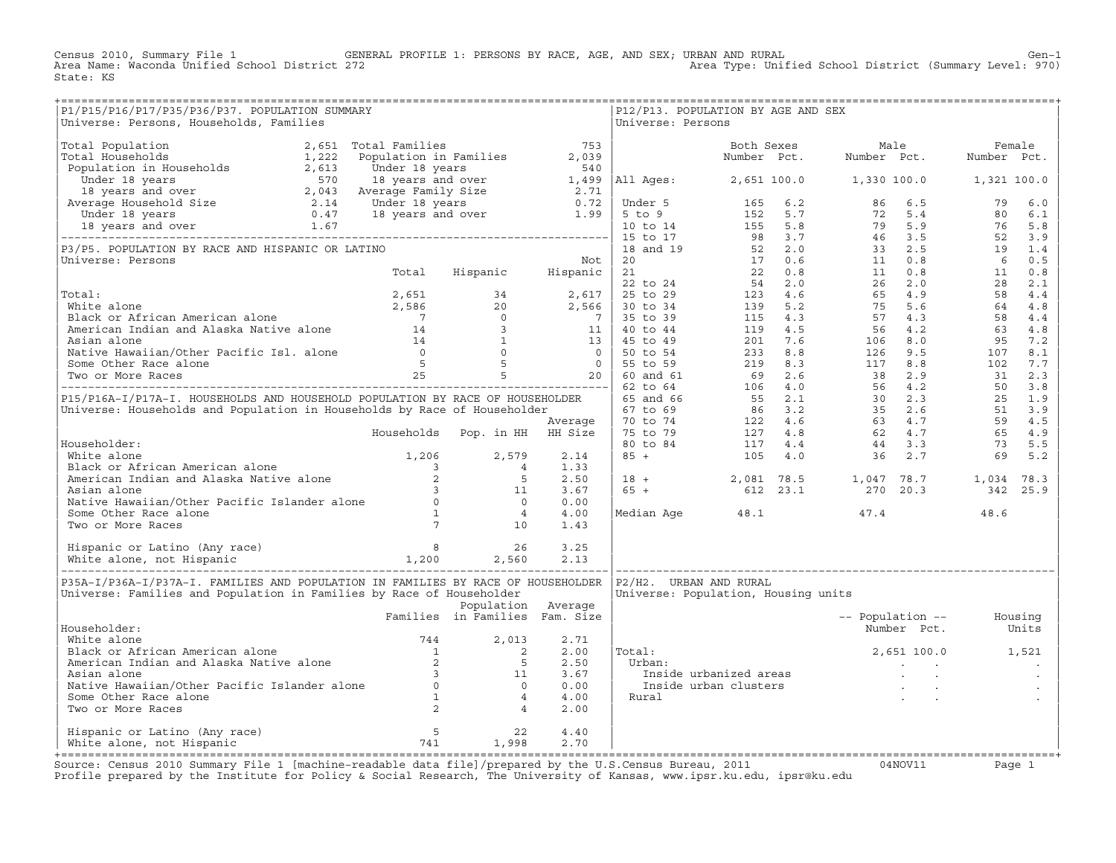Census 2010, Summary File 1 GENERAL PROFILE 1: PERSONS BY RACE, AGE, AND SEX; URBAN AND RURAL Genosi Cen-1<br>Area Name: Waconda Unified School District 272 Area Type: Unified School District (Summary Level: 970) State: KS

| P1/P15/P16/P17/P35/P36/P37. POPULATION SUMMARY<br>Universe: Persons, Households, Families                                                                                                                                                          |                                |                    | Universe: Persons | P12/P13. POPULATION BY AGE AND SEX  |                          |                   |  |
|----------------------------------------------------------------------------------------------------------------------------------------------------------------------------------------------------------------------------------------------------|--------------------------------|--------------------|-------------------|-------------------------------------|--------------------------|-------------------|--|
|                                                                                                                                                                                                                                                    |                                |                    |                   |                                     |                          |                   |  |
|                                                                                                                                                                                                                                                    |                                |                    |                   |                                     |                          |                   |  |
|                                                                                                                                                                                                                                                    |                                |                    |                   |                                     |                          |                   |  |
|                                                                                                                                                                                                                                                    |                                |                    |                   |                                     |                          |                   |  |
|                                                                                                                                                                                                                                                    |                                |                    |                   |                                     |                          |                   |  |
|                                                                                                                                                                                                                                                    |                                |                    |                   |                                     |                          |                   |  |
|                                                                                                                                                                                                                                                    |                                |                    |                   |                                     |                          |                   |  |
|                                                                                                                                                                                                                                                    |                                |                    |                   |                                     |                          |                   |  |
|                                                                                                                                                                                                                                                    |                                |                    |                   |                                     |                          |                   |  |
|                                                                                                                                                                                                                                                    |                                |                    |                   |                                     |                          |                   |  |
|                                                                                                                                                                                                                                                    |                                |                    |                   |                                     |                          |                   |  |
|                                                                                                                                                                                                                                                    |                                |                    |                   |                                     |                          |                   |  |
|                                                                                                                                                                                                                                                    |                                |                    |                   |                                     |                          |                   |  |
|                                                                                                                                                                                                                                                    |                                |                    |                   |                                     |                          |                   |  |
|                                                                                                                                                                                                                                                    |                                |                    |                   |                                     |                          |                   |  |
|                                                                                                                                                                                                                                                    |                                |                    |                   |                                     |                          |                   |  |
| Householder:<br>White alone<br>White alone<br>Michaud alone<br>Michaud and Alaska Native alone<br>American Indian and Alaska Native alone<br>American Indian and Alaska Native alone<br>2<br>And in 1.33<br>American Indian and Alaska Native al   |                                |                    |                   |                                     |                          |                   |  |
|                                                                                                                                                                                                                                                    |                                |                    |                   |                                     |                          |                   |  |
| P35A-I/P36A-I/P37A-I. FAMILIES AND POPULATION IN FAMILIES BY RACE OF HOUSEHOLDER   P2/H2. URBAN AND RURAL<br>Universe: Families and Population in Families by Race of Householder                                                                  |                                |                    |                   | Universe: Population, Housing units |                          |                   |  |
|                                                                                                                                                                                                                                                    | Families in Families Fam. Size | Population Average |                   |                                     | -- Population -- Housing |                   |  |
| Householder:                                                                                                                                                                                                                                       |                                |                    |                   |                                     |                          | Number Pct. Units |  |
|                                                                                                                                                                                                                                                    |                                |                    | Total:            | $2,651 100.0$ 1,521                 |                          |                   |  |
|                                                                                                                                                                                                                                                    |                                |                    |                   |                                     |                          |                   |  |
| Householder:<br>White alone<br>Black or African American alone<br>Marican Indian and Alaska Native alone<br>2 5 2.50<br>Asian alone<br>Native Hawaiian/Other Pacific Islander alone<br>Some Other Race alone<br>Two or More Races<br>2 4 2.00<br>2 |                                |                    |                   |                                     |                          |                   |  |
| Hispanic or Latino (Any race) $\begin{array}{cccc} 5 & 22 & 4.40 \\ 1,998 & 2.70 \\ 1,998 & 2.70 \end{array}$                                                                                                                                      |                                |                    |                   |                                     |                          |                   |  |
|                                                                                                                                                                                                                                                    |                                |                    |                   |                                     |                          |                   |  |

+===================================================================================================================================================+Source: Census 2010 Summary File 1 [machine−readable data file]/prepared by the U.S.Census Bureau, 2011 04NOV11 Page 1 Profile prepared by the Institute for Policy & Social Research, The University of Kansas, www.ipsr.ku.edu, ipsr@ku.edu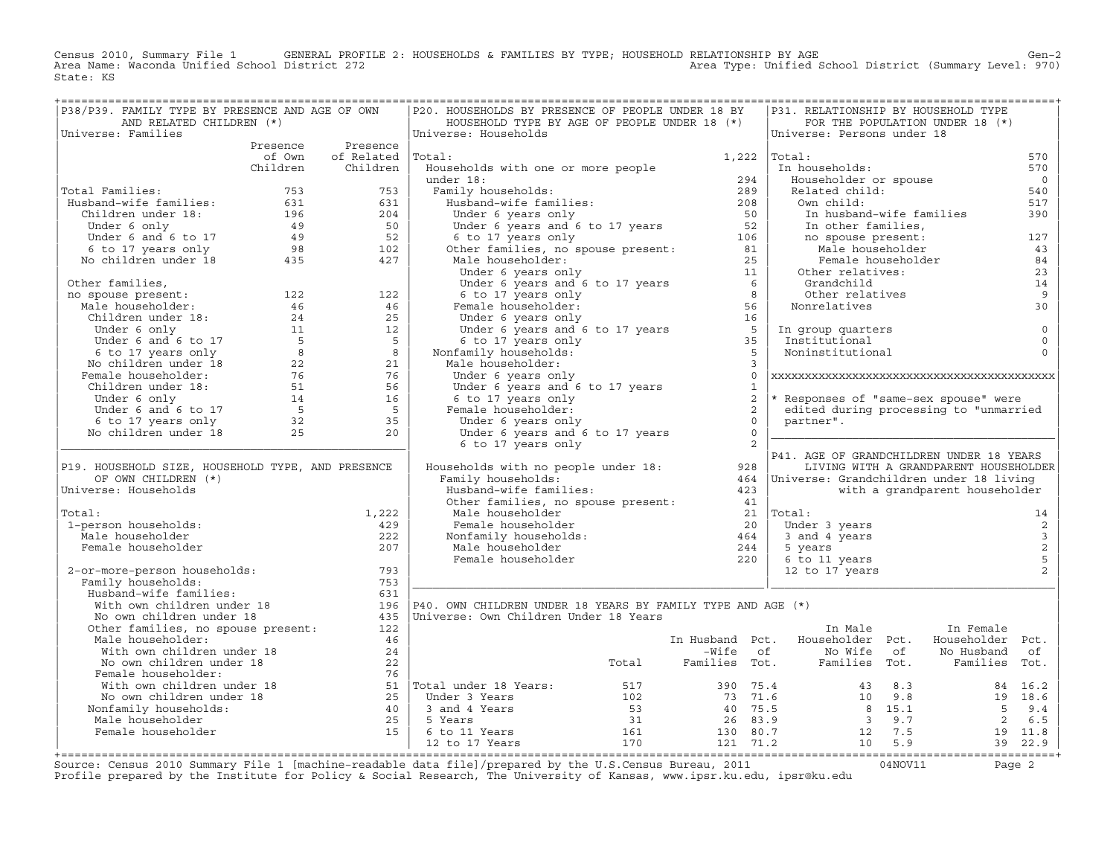Census 2010, Summary File 1 GENERAL PROFILE 2: HOUSEHOLDS & FAMILIES BY TYPE; HOUSEHOLD RELATIONSHIP BY AGE GEN<br>Area Name: Waconda Unified School District 272 Area Type: Unified School District (Summary Level: 970) State: KS

| P38/P39. FAMILY TYPE BY PRESENCE AND AGE OF OWN                                                                                                                                                                                                                                                    |          |                    | P20. HOUSEHOLDS BY PRESENCE OF PEOPLE UNDER 18 BY                                                                                                                                                                                                                    |       |                         |              | P31. RELATIONSHIP BY HOUSEHOLD TYPE           |                                       |                         |
|----------------------------------------------------------------------------------------------------------------------------------------------------------------------------------------------------------------------------------------------------------------------------------------------------|----------|--------------------|----------------------------------------------------------------------------------------------------------------------------------------------------------------------------------------------------------------------------------------------------------------------|-------|-------------------------|--------------|-----------------------------------------------|---------------------------------------|-------------------------|
| AND RELATED CHILDREN (*)                                                                                                                                                                                                                                                                           |          |                    | HOUSEHOLD TYPE BY AGE OF PEOPLE UNDER 18 (*)                                                                                                                                                                                                                         |       |                         |              |                                               | FOR THE POPULATION UNDER 18 (*)       |                         |
| Universe: Families                                                                                                                                                                                                                                                                                 |          |                    | Universe: Households                                                                                                                                                                                                                                                 |       |                         |              | Universe: Persons under 18                    |                                       |                         |
|                                                                                                                                                                                                                                                                                                    |          | Presence Presence  |                                                                                                                                                                                                                                                                      |       |                         |              |                                               |                                       |                         |
|                                                                                                                                                                                                                                                                                                    | of Own   | of Related  Total: |                                                                                                                                                                                                                                                                      |       | 1,222                   |              | Total:                                        |                                       | 570                     |
|                                                                                                                                                                                                                                                                                                    | Children | Children           | Households with one or more people<br>Accounting the Unit of The Unit of the Unit of the Unit of the Unit of the Unit of the Unit of the Unit of the Unit of the Unit Of the Unit Of the Unit Of the Unit Of the Unit Of the Unit Of the Unit Of the Unit Of the Uni |       |                         |              | In households:                                |                                       | 570                     |
|                                                                                                                                                                                                                                                                                                    |          |                    |                                                                                                                                                                                                                                                                      |       |                         |              | Householder or spouse                         |                                       | $\overline{0}$          |
| Total Families:                                                                                                                                                                                                                                                                                    |          |                    |                                                                                                                                                                                                                                                                      |       |                         |              | Related child:                                |                                       | 540                     |
|                                                                                                                                                                                                                                                                                                    |          |                    |                                                                                                                                                                                                                                                                      |       |                         |              | Own child:                                    |                                       | 517                     |
|                                                                                                                                                                                                                                                                                                    |          |                    |                                                                                                                                                                                                                                                                      |       |                         |              |                                               | In husband-wife families              | 390                     |
|                                                                                                                                                                                                                                                                                                    |          |                    |                                                                                                                                                                                                                                                                      |       |                         |              | In other families,                            |                                       |                         |
|                                                                                                                                                                                                                                                                                                    |          |                    |                                                                                                                                                                                                                                                                      |       |                         |              | no spouse present:<br>Male householder        |                                       | 127                     |
| 1991 10:33 10:41 10:41 10:41 10:41 10:41 10:41 10:41 10:41 10:41 10:41 10:41 10:41 10:41 10:41 10:41 10:41 10:41 10:41 10:41 10:41 10:41 10:41 10:41 10:41 10:41 10:41 10:42 10:42 10:42 10:42 10:42 10:42 10:42 10:42 10:42 1                                                                     |          |                    |                                                                                                                                                                                                                                                                      |       |                         |              |                                               |                                       | 43                      |
|                                                                                                                                                                                                                                                                                                    |          |                    |                                                                                                                                                                                                                                                                      |       |                         |              | Female householder                            |                                       | 84                      |
|                                                                                                                                                                                                                                                                                                    |          |                    |                                                                                                                                                                                                                                                                      |       |                         |              | Other relatives:                              |                                       | 23                      |
|                                                                                                                                                                                                                                                                                                    |          |                    |                                                                                                                                                                                                                                                                      |       |                         |              | Grandchild<br>Grandchiiu<br>Other relatives   |                                       | 14<br>9                 |
|                                                                                                                                                                                                                                                                                                    |          |                    |                                                                                                                                                                                                                                                                      |       |                         |              |                                               |                                       | 30                      |
|                                                                                                                                                                                                                                                                                                    |          |                    |                                                                                                                                                                                                                                                                      |       |                         |              | Nonrelatives                                  |                                       |                         |
|                                                                                                                                                                                                                                                                                                    |          |                    |                                                                                                                                                                                                                                                                      |       |                         |              |                                               |                                       |                         |
|                                                                                                                                                                                                                                                                                                    |          |                    |                                                                                                                                                                                                                                                                      |       |                         |              | In group quarters                             |                                       | $\mathbb O$             |
|                                                                                                                                                                                                                                                                                                    |          |                    | 6 to 17 years come 2<br>emale householder:<br>Under 6 years only<br>Under 6 years and 6 to 17 years<br>5 5<br>12 17 years only<br>5 5<br>5 5                                                                                                                         |       |                         |              | Institutional<br>Noninstitutional             |                                       | $\mathbf 0$<br>$\Omega$ |
|                                                                                                                                                                                                                                                                                                    |          |                    | Nonfamily households:<br>Male householder:                                                                                                                                                                                                                           |       | $\overline{\mathbf{3}}$ |              |                                               |                                       |                         |
|                                                                                                                                                                                                                                                                                                    |          |                    |                                                                                                                                                                                                                                                                      |       |                         | $\Omega$     |                                               |                                       |                         |
|                                                                                                                                                                                                                                                                                                    |          |                    | Under 6 years only                                                                                                                                                                                                                                                   |       |                         | <sup>1</sup> |                                               |                                       |                         |
|                                                                                                                                                                                                                                                                                                    |          |                    | Under 6 years and 6 to 17 years<br>6 to 17 years only<br>Female householder:<br>Under 6 years only                                                                                                                                                                   |       |                         | 2            | * Responses of "same-sex spouse" were         |                                       |                         |
|                                                                                                                                                                                                                                                                                                    |          |                    | Female householder:                                                                                                                                                                                                                                                  |       |                         | 2            | edited during processing to "unmarried        |                                       |                         |
|                                                                                                                                                                                                                                                                                                    |          |                    |                                                                                                                                                                                                                                                                      |       | $\Omega$                |              | partner".                                     |                                       |                         |
|                                                                                                                                                                                                                                                                                                    |          |                    | Under 6 years and 6 to 17 years                                                                                                                                                                                                                                      |       | $\bigcap$               |              |                                               |                                       |                         |
| 001 1 1 22<br>001 1 22<br>Male householder: 122<br>Male householder: 122<br>25<br>26<br>26<br>27<br>Under 6 only<br>5<br>27<br>27<br>27<br>27<br>27<br>27<br>Under 6 only<br>6 to 17 years only<br>8<br>22<br>21<br>22<br>21<br>22<br>21<br>22<br>21<br>22<br>21<br>22<br>21<br>22<br>21<br>23<br> |          |                    | 6 to 17 years only                                                                                                                                                                                                                                                   |       |                         | 2            |                                               |                                       |                         |
|                                                                                                                                                                                                                                                                                                    |          |                    |                                                                                                                                                                                                                                                                      |       |                         |              | P41. AGE OF GRANDCHILDREN UNDER 18 YEARS      |                                       |                         |
| P19. HOUSEHOLD SIZE, HOUSEHOLD TYPE, AND PRESENCE                                                                                                                                                                                                                                                  |          |                    | Households with no people under 18:                                                                                                                                                                                                                                  |       | 928                     |              |                                               | LIVING WITH A GRANDPARENT HOUSEHOLDER |                         |
| OF OWN CHILDREN (*)                                                                                                                                                                                                                                                                                |          |                    | Family households:                                                                                                                                                                                                                                                   |       |                         |              | 464   Universe: Grandchildren under 18 living |                                       |                         |
| Universe: Households                                                                                                                                                                                                                                                                               |          |                    | Husband-wife families:                                                                                                                                                                                                                                               |       | 423                     |              |                                               | with a grandparent householder        |                         |
|                                                                                                                                                                                                                                                                                                    |          |                    |                                                                                                                                                                                                                                                                      |       |                         |              |                                               |                                       |                         |
| Total:                                                                                                                                                                                                                                                                                             |          | 1,222              | Other families, no spouse present: 41<br>Male bourshalder<br>Male householder                                                                                                                                                                                        |       |                         |              | $21$ $ Total:$                                |                                       | 14                      |
| 1-person households:                                                                                                                                                                                                                                                                               |          | 429                | Female householder<br>Monfamily households:<br>Male householder<br>Female householder<br>Female householder<br>220                                                                                                                                                   |       |                         |              | Under 3 years                                 |                                       | 2                       |
| Male householder                                                                                                                                                                                                                                                                                   |          | 222                |                                                                                                                                                                                                                                                                      |       |                         |              | 3 and 4 years                                 |                                       |                         |
| Female householder                                                                                                                                                                                                                                                                                 |          | 207                |                                                                                                                                                                                                                                                                      |       |                         |              | 5 years                                       |                                       | $\frac{3}{2}$           |
|                                                                                                                                                                                                                                                                                                    |          |                    |                                                                                                                                                                                                                                                                      |       |                         |              | 6 to 11 years                                 |                                       | $\mathsf S$             |
| 2-or-more-person households:                                                                                                                                                                                                                                                                       |          | 793                |                                                                                                                                                                                                                                                                      |       |                         |              | 12 to 17 years                                |                                       | 2                       |
| Family households:                                                                                                                                                                                                                                                                                 |          | 753                |                                                                                                                                                                                                                                                                      |       |                         |              |                                               |                                       |                         |
| Husband-wife families:                                                                                                                                                                                                                                                                             |          | 631                |                                                                                                                                                                                                                                                                      |       |                         |              |                                               |                                       |                         |
| With own children under 18                                                                                                                                                                                                                                                                         |          |                    | 196   P40. OWN CHILDREN UNDER 18 YEARS BY FAMILY TYPE AND AGE (*)                                                                                                                                                                                                    |       |                         |              |                                               |                                       |                         |
| No own children under 18                                                                                                                                                                                                                                                                           |          |                    | 435   Universe: Own Children Under 18 Years                                                                                                                                                                                                                          |       |                         |              |                                               |                                       |                         |
| Other families, no spouse present:                                                                                                                                                                                                                                                                 |          | 122                |                                                                                                                                                                                                                                                                      |       |                         |              | In Male                                       | In Female                             |                         |
| Male householder:                                                                                                                                                                                                                                                                                  |          | 46                 |                                                                                                                                                                                                                                                                      |       |                         |              | In Husband Pct. Householder Pct.              | Householder Pct.                      |                         |
|                                                                                                                                                                                                                                                                                                    |          | 24                 |                                                                                                                                                                                                                                                                      |       |                         |              | -Wife of Mo Wife of No Husband                |                                       | of                      |
| With own children under 18<br>No own children under 18                                                                                                                                                                                                                                             |          | 22                 |                                                                                                                                                                                                                                                                      | Total | Families Tot.           |              |                                               | Families Tot. Families Tot.           |                         |
| Female householder:                                                                                                                                                                                                                                                                                |          | 76                 |                                                                                                                                                                                                                                                                      |       |                         |              |                                               |                                       |                         |
|                                                                                                                                                                                                                                                                                                    |          |                    |                                                                                                                                                                                                                                                                      |       |                         |              |                                               |                                       |                         |
|                                                                                                                                                                                                                                                                                                    |          |                    |                                                                                                                                                                                                                                                                      |       |                         |              |                                               |                                       |                         |
|                                                                                                                                                                                                                                                                                                    |          |                    |                                                                                                                                                                                                                                                                      |       |                         |              |                                               |                                       |                         |
|                                                                                                                                                                                                                                                                                                    |          |                    |                                                                                                                                                                                                                                                                      |       |                         |              |                                               |                                       |                         |
| Female householder:<br>With own children under 18<br>No own children under 18<br>No own children under 18<br>No own children under 18<br>18.6<br>Nonfamily households:<br>25<br>Male households:<br>25<br>Female householder<br>25<br>5 Years<br>25<br>5                                           |          |                    |                                                                                                                                                                                                                                                                      |       |                         |              |                                               |                                       |                         |
|                                                                                                                                                                                                                                                                                                    |          |                    |                                                                                                                                                                                                                                                                      |       |                         |              |                                               |                                       |                         |
|                                                                                                                                                                                                                                                                                                    |          |                    |                                                                                                                                                                                                                                                                      |       |                         |              |                                               |                                       |                         |

+===================================================================================================================================================+Source: Census 2010 Summary File 1 [machine−readable data file]/prepared by the U.S.Census Bureau, 2011 04NOV11 Page 2 Profile prepared by the Institute for Policy & Social Research, The University of Kansas, www.ipsr.ku.edu, ipsr@ku.edu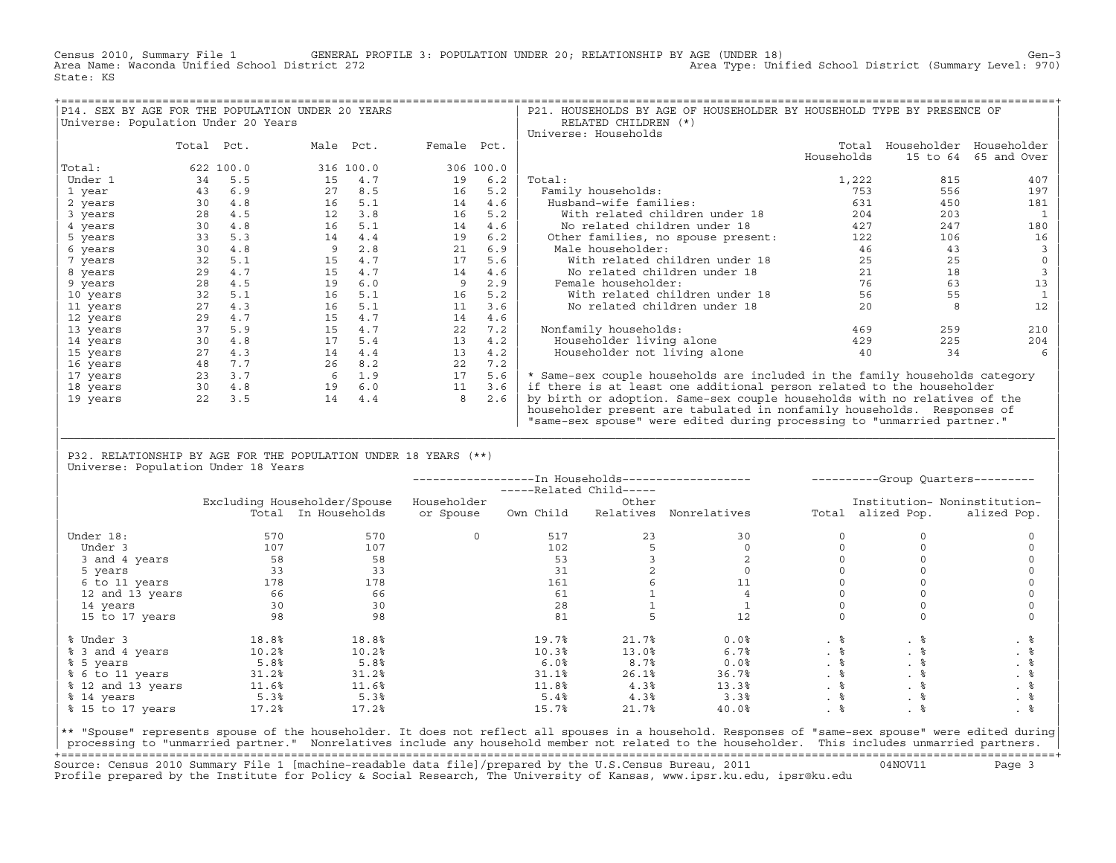Census 2010, Summary File 1 GENERAL PROFILE 3: POPULATION UNDER 20; RELATIONSHIP BY AGE (UNDER 18) Gen−3<br>Area Name: Waconda Unified School District 272 Area Type: Unified School District (Summary Level: 970) State: KS

|                                     |            |           | P14. SEX BY AGE FOR THE POPULATION UNDER 20 YEARS |     |             |           | P21. HOUSEHOLDS BY AGE OF HOUSEHOLDER BY HOUSEHOLD TYPE BY PRESENCE OF      |            |                         |             |
|-------------------------------------|------------|-----------|---------------------------------------------------|-----|-------------|-----------|-----------------------------------------------------------------------------|------------|-------------------------|-------------|
| Universe: Population Under 20 Years |            |           |                                                   |     |             |           | RELATED CHILDREN (*)                                                        |            |                         |             |
|                                     |            |           |                                                   |     |             |           | Universe: Households                                                        |            |                         |             |
|                                     | Total Pct. |           | Male Pct.                                         |     | Female Pct. |           |                                                                             | Total      | Householder Householder |             |
|                                     |            |           |                                                   |     |             |           |                                                                             | Households | 15 to 64                | 65 and Over |
| Total:                              |            | 622 100.0 | 316 100.0                                         |     |             | 306 100.0 |                                                                             |            |                         |             |
| Under 1                             | 34         | 5.5       | 15                                                | 4.7 | 19          | 6.2       | Total:                                                                      | 1,222      | 815                     | 407         |
| 1 year                              | 43         | 6.9       | 27                                                | 8.5 | 16          | 5.2       | Family households:                                                          | 753        | 556                     | 197         |
| 2 years                             | 30         | 4.8       | 16                                                | 5.1 | 14          | 4.6       | Husband-wife families:                                                      | 631        | 450                     | 181         |
| 3 years                             | 28         | 4.5       | 12                                                | 3.8 | 16          | 5.2       | With related children under 18                                              | 204        | 203                     |             |
| 4 years                             | 30         | 4.8       | 16                                                | 5.1 | 14          | 4.6       | No related children under 18                                                | 427        | 247                     | 180         |
| 5 years                             | 33         | 5.3       | 14                                                | 4.4 | 19          | 6.2       | Other families, no spouse present:                                          | 122        | 106                     | 16          |
| 6 years                             | 30         | 4.8       | 9                                                 | 2.8 | 21          | 6.9       | Male householder:                                                           | 46         | 43                      |             |
| 7 years                             | 32         | 5.1       | 15                                                | 4.7 | 17          | 5.6       | With related children under 18                                              | 25         | 25                      |             |
| 8 years                             | 29         | 4.7       | 15                                                | 4.7 | 14          | 4.6       | No related children under 18                                                | 21         | 18                      |             |
| 9 years                             | 28         | 4.5       | 19                                                | 6.0 | 9           | 2.9       | Female householder:                                                         | 76         | 63                      | 13          |
| 10 years                            | 32         | 5.1       | 16                                                | 5.1 | 16          | 5.2       | With related children under 18                                              | 56         | 55                      |             |
| 11 years                            | 27         | 4.3       | 16                                                | 5.1 | 11          | 3.6       | No related children under 18                                                | 20         |                         | 12          |
| 12 years                            | 29         | 4.7       | 15                                                | 4.7 | 14          | 4.6       |                                                                             |            |                         |             |
| 13 years                            | 37         | 5.9       | 15                                                | 4.7 | 22          | 7.2       | Nonfamily households:                                                       | 469        | 259                     | 210         |
| 14 years                            | 30         | 4.8       | 17                                                | 5.4 | 13          | 4.2       | Householder living alone                                                    | 429        | 225                     | 204         |
| 15 years                            | 27         | 4.3       | 14                                                | 4.4 | 13          | 4.2       | Householder not living alone                                                | 40         | 34                      |             |
| 16 years                            | 48         | 7.7       | 26                                                | 8.2 | 22          | 7.2       |                                                                             |            |                         |             |
| 17 years                            | 23         | 3.7       | 6                                                 | 1.9 | 17          | 5.6       | * Same-sex couple households are included in the family households category |            |                         |             |
| 18 years                            | 30         | 4.8       | 19                                                | 6.0 | 11          | 3.6       | if there is at least one additional person related to the householder       |            |                         |             |
| 19 years                            | 22         | 3.5       | 14                                                | 4.4 | 8           | 2.6       | by birth or adoption. Same-sex couple households with no relatives of the   |            |                         |             |
|                                     |            |           |                                                   |     |             |           | householder present are tabulated in nonfamily households. Responses of     |            |                         |             |
|                                     |            |           |                                                   |     |             |           | "same-sex spouse" were edited during processing to "unmarried partner."     |            |                         |             |

| P32. RELATIONSHIP BY AGE FOR THE POPULATION UNDER 18 YEARS (\*\*) | Universe: Population Under 18 Years

|                   |       |                              |             | -----Related Child----- |           |              |           |                   | ----------Group Quarters--------- |
|-------------------|-------|------------------------------|-------------|-------------------------|-----------|--------------|-----------|-------------------|-----------------------------------|
|                   |       | Excluding Householder/Spouse | Householder |                         | Other     |              |           |                   | Institution- Noninstitution-      |
|                   |       | Total In Households          | or Spouse   | Own Child               | Relatives | Nonrelatives |           | Total alized Pop. | alized Pop.                       |
| Under 18:         | 570   | 570                          | $\Omega$    | 517                     | 23        | 30           |           |                   |                                   |
| Under 3           | 107   | 107                          |             | 102                     |           |              |           |                   |                                   |
| 3 and 4 years     | 58    | 58                           |             | 53                      |           |              |           |                   |                                   |
| 5 years           | 33    | 33                           |             | 31                      |           |              |           |                   |                                   |
| 6 to 11 years     | 178   | 178                          |             | 161                     |           |              |           |                   |                                   |
| 12 and 13 years   | 66    | 66                           |             | 61                      |           |              |           |                   |                                   |
| 14 years          | 30    | 30                           |             | 28                      |           |              |           |                   |                                   |
| 15 to 17 years    | 98    | 98                           |             | 81                      |           | 12           |           |                   |                                   |
| % Under 3         | 18.8% | 18.8%                        |             | 19.7%                   | 21.7%     | 0.0%         | . 응       | . 응               | . 응                               |
| % 3 and 4 years   | 10.2% | 10.2%                        |             | 10.3%                   | 13.0%     | 6.7%         | $. \circ$ | . ៖               | . 응                               |
| % 5 years         | 5.8%  | 5.8%                         |             | 6.0%                    | 8.7%      | 0.0%         | . 응       | . 응               | . 응                               |
| % 6 to 11 years   | 31.2% | 31.2%                        |             | 31.1%                   | 26.1%     | 36.7%        | . 응       | . 응               | . 응                               |
| % 12 and 13 years | 11.6% | 11.6%                        |             | 11.8%                   | 4.3%      | 13.3%        |           |                   | . 응                               |
| % 14 years        | 5.3%  | 5.3%                         |             | 5.4%                    | 4.3%      | 3.3%         | . 응       | . 응               | . 응                               |
| % 15 to 17 years  | 17.2% | 17.2%                        |             | 15.7%                   | 21.7%     | 40.0%        | .  응      |                   |                                   |

|\_\_\_\_\_\_\_\_\_\_\_\_\_\_\_\_\_\_\_\_\_\_\_\_\_\_\_\_\_\_\_\_\_\_\_\_\_\_\_\_\_\_\_\_\_\_\_\_\_\_\_\_\_\_\_\_\_\_\_\_\_\_\_\_\_\_\_\_\_\_\_\_\_\_\_\_\_\_\_\_\_\_\_\_\_\_\_\_\_\_\_\_\_\_\_\_\_\_\_\_\_\_\_\_\_\_\_\_\_\_\_\_\_\_\_\_\_\_\_\_\_\_\_\_\_\_\_\_\_\_\_\_\_\_\_\_\_\_\_\_\_\_\_\_\_\_\_| | |

|\*\* "Spouse" represents spouse of the householder. It does not reflect all spouses in a household. Responses of "same−sex spouse" were edited during| processing to "unmarried partner." Nonrelatives include any household member not related to the householder. This includes unmarried partners. +===================================================================================================================================================+ Source: Census 2010 Summary File 1 [machine−readable data file]/prepared by the U.S.Census Bureau, 2011 04NOV11 Page 3 Profile prepared by the Institute for Policy & Social Research, The University of Kansas, www.ipsr.ku.edu, ipsr@ku.edu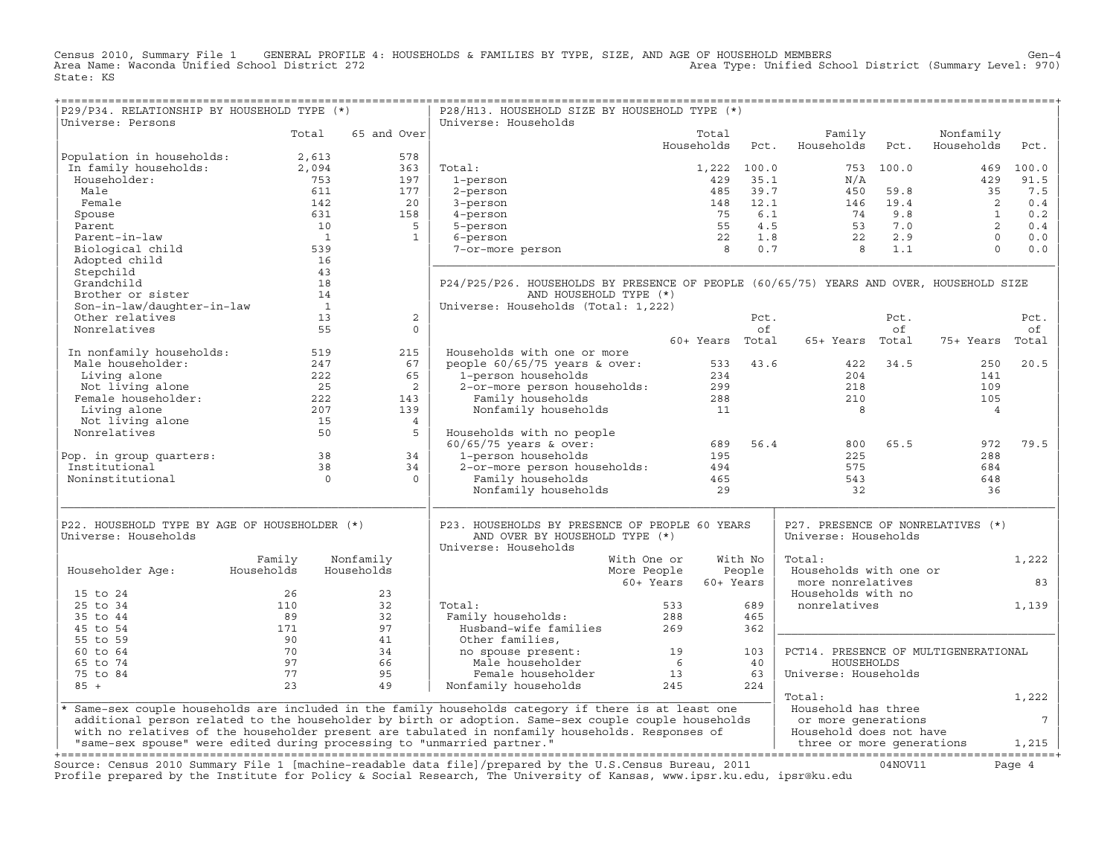Census 2010, Summary File 1 GENERAL PROFILE 4: HOUSEHOLDS & FAMILIES BY TYPE, SIZE, AND AGE OF HOUSEHOLD MEMBERS<br>Area Name: Waconda Unified School District 272 State: KS

+===================================================================================================================================================+

| P29/P34. RELATIONSHIP BY HOUSEHOLD TYPE (*)                             |                |                | P28/H13. HOUSEHOLD SIZE BY HOUSEHOLD TYPE (*)                                                                                                                                                                                     |                 |             |                                      |           |                |                 |
|-------------------------------------------------------------------------|----------------|----------------|-----------------------------------------------------------------------------------------------------------------------------------------------------------------------------------------------------------------------------------|-----------------|-------------|--------------------------------------|-----------|----------------|-----------------|
| Universe: Persons                                                       |                |                | Universe: Households                                                                                                                                                                                                              |                 |             |                                      |           |                |                 |
|                                                                         | Total          | 65 and Over    |                                                                                                                                                                                                                                   | Total           |             | Family                               |           | Nonfamily      |                 |
|                                                                         |                |                |                                                                                                                                                                                                                                   | Households      | Pct.        | Households                           | Pct.      | Households     | Pct.            |
| Population in households:                                               | 2,613          | 578            |                                                                                                                                                                                                                                   |                 |             |                                      |           |                |                 |
| In family households:<br>Householder:                                   | 2,094          | 363            | Total:                                                                                                                                                                                                                            |                 | 1,222 100.0 |                                      | 753 100.0 | 469            | 100.0           |
|                                                                         | 753            | 197            | 1-person                                                                                                                                                                                                                          | 429             | 35.1        | N/A                                  |           | 429            | 91.5            |
| Male                                                                    | 611            | 177            | 2-person                                                                                                                                                                                                                          | 485             | 39.7        | 450                                  | 59.8      | 35             | 7.5             |
| Female                                                                  | 142            | 20             | 3-person                                                                                                                                                                                                                          | 148             | 12.1        | 146                                  | 19.4      | 2              | 0.4             |
| Spouse                                                                  | 631            | 158            | 4-person                                                                                                                                                                                                                          | 75              | 6.1         | 74                                   | 9.8       | $\mathbf{1}$   | 0.2             |
| Parent                                                                  | 10             | 5              | 5-person                                                                                                                                                                                                                          | 55              | 4.5         | 53                                   | 7.0       | 2              | 0.4             |
| Parent-in-law                                                           | $\overline{1}$ | $\mathbf{1}$   | 6-person                                                                                                                                                                                                                          | 22              | $1.8$       | 22                                   | 2.9       | $\Omega$       | 0.0             |
| Biological child                                                        | 539            |                | 7-or-more person                                                                                                                                                                                                                  | 8               | 0.7         | 8                                    | 1.1       | $\Omega$       | 0.0             |
| Adopted child                                                           | 16             |                |                                                                                                                                                                                                                                   |                 |             |                                      |           |                |                 |
| Stepchild                                                               | 43             |                |                                                                                                                                                                                                                                   |                 |             |                                      |           |                |                 |
| Grandchild                                                              | 18             |                | P24/P25/P26. HOUSEHOLDS BY PRESENCE OF PEOPLE (60/65/75) YEARS AND OVER, HOUSEHOLD SIZE                                                                                                                                           |                 |             |                                      |           |                |                 |
| Brother or sister                                                       | 14             |                | AND HOUSEHOLD TYPE (*)                                                                                                                                                                                                            |                 |             |                                      |           |                |                 |
| Son-in-law/daughter-in-law                                              | $\overline{1}$ |                | Universe: Households (Total: 1,222)                                                                                                                                                                                               |                 |             |                                      |           |                |                 |
| Other relatives                                                         | 13             | 2              |                                                                                                                                                                                                                                   |                 | Pct.        |                                      | Pct.      |                | Pct.            |
| Nonrelatives                                                            | 55             | $\Omega$       |                                                                                                                                                                                                                                   |                 | of          |                                      | of        |                | оf              |
|                                                                         |                |                |                                                                                                                                                                                                                                   | 60+ Years Total |             | 65+ Years Total                      |           | 75+ Years      | Total           |
| In nonfamily households:                                                | 519            | 215            | Households with one or more                                                                                                                                                                                                       |                 |             |                                      |           |                |                 |
| Male householder:                                                       | 247            | 67             | people $60/65/75$ years & over:                                                                                                                                                                                                   | 533             | 43.6        | 422                                  | 34.5      | 250            | 20.5            |
| Living alone                                                            | 222            | 65             | 1-person households                                                                                                                                                                                                               | 234             |             | 204                                  |           | 141            |                 |
| Not living alone                                                        | 25             | 2              | 2-or-more person households:                                                                                                                                                                                                      | 299             |             | 218                                  |           | 109            |                 |
| Female householder:                                                     | 222            | 143            | Family households                                                                                                                                                                                                                 | 288             |             | 210                                  |           | 105            |                 |
| Living alone                                                            | 207            | 139            | Nonfamily households                                                                                                                                                                                                              | 11              |             | 8                                    |           | $\overline{4}$ |                 |
| Not living alone                                                        | 15             | $\overline{4}$ |                                                                                                                                                                                                                                   |                 |             |                                      |           |                |                 |
| Nonrelatives                                                            | 50             | 5              | Households with no people                                                                                                                                                                                                         |                 |             |                                      |           |                |                 |
|                                                                         |                |                | $60/65/75$ years & over:                                                                                                                                                                                                          | 689             | 56.4        | 800                                  | 65.5      | 972            | 79.5            |
| Pop. in group quarters:                                                 | 38             | 34             | 1-person households                                                                                                                                                                                                               | 195             |             | 225                                  |           | 288            |                 |
| Institutional                                                           | 38             | 34             | 2-or-more person households:                                                                                                                                                                                                      | 494             |             | 575                                  |           | 684            |                 |
| Noninstitutional                                                        | $\Omega$       | $\Omega$       | Family households                                                                                                                                                                                                                 | 465             |             | 543                                  |           | 648            |                 |
|                                                                         |                |                | Nonfamily households                                                                                                                                                                                                              | 29              |             | 32                                   |           | 36             |                 |
| P22. HOUSEHOLD TYPE BY AGE OF HOUSEHOLDER (*)                           |                |                | P23. HOUSEHOLDS BY PRESENCE OF PEOPLE 60 YEARS                                                                                                                                                                                    |                 |             | P27. PRESENCE OF NONRELATIVES (*)    |           |                |                 |
| Universe: Households                                                    |                |                | AND OVER BY HOUSEHOLD TYPE (*)<br>Universe: Households                                                                                                                                                                            |                 |             | Universe: Households                 |           |                |                 |
|                                                                         | Family         | Nonfamily      | With One or                                                                                                                                                                                                                       |                 | With No     | Total:                               |           |                | 1,222           |
| Householder Age:                                                        | Households     | Households     | More People                                                                                                                                                                                                                       |                 | People      | Households with one or               |           |                |                 |
|                                                                         |                |                | 60+ Years                                                                                                                                                                                                                         | 60+ Years       |             | more nonrelatives                    |           |                | 83              |
| 15 to 24                                                                | 26             | 23             |                                                                                                                                                                                                                                   |                 |             | Households with no                   |           |                |                 |
| 25 to 34                                                                | 110            | 32             | Total:                                                                                                                                                                                                                            | 533             | 689         | nonrelatives                         |           |                | 1,139           |
| 35 to 44                                                                | 89             | 32             | Family households:                                                                                                                                                                                                                | 288             | 465         |                                      |           |                |                 |
| 45 to 54                                                                | 171            | 97             | Husband-wife families                                                                                                                                                                                                             | 269             | 362         |                                      |           |                |                 |
| 55 to 59                                                                | 90             | 41             | Other families,                                                                                                                                                                                                                   |                 |             |                                      |           |                |                 |
| 60 to 64                                                                | 70             | 34             | no spouse present:                                                                                                                                                                                                                | 19              | 103         | PCT14. PRESENCE OF MULTIGENERATIONAL |           |                |                 |
| 65 to 74                                                                | 97             | 66             | Male householder                                                                                                                                                                                                                  | 6               | 40          | HOUSEHOLDS                           |           |                |                 |
| 75 to 84                                                                | 77             | 95             | Female householder                                                                                                                                                                                                                | 13              | 63          | Universe: Households                 |           |                |                 |
| $85 +$                                                                  | 23             | 49             | Nonfamily households                                                                                                                                                                                                              | 245             | 224         |                                      |           |                |                 |
|                                                                         |                |                |                                                                                                                                                                                                                                   |                 |             | Total:                               |           |                | 1,222           |
|                                                                         |                |                | * Same-sex couple households are included in the family households category if there is at least one                                                                                                                              |                 |             | Household has three                  |           |                |                 |
|                                                                         |                |                | additional person related to the householder by birth or adoption. Same-sex couple couple households                                                                                                                              |                 |             | or more generations                  |           |                | $7\phantom{.0}$ |
|                                                                         |                |                | with no relatives of the householder present are tabulated in nonfamily households. Responses of                                                                                                                                  |                 |             | Household does not have              |           |                |                 |
| "same-sex spouse" were edited during processing to "unmarried partner." |                |                |                                                                                                                                                                                                                                   |                 |             | three or more generations            |           |                | 1,215           |
|                                                                         |                |                |                                                                                                                                                                                                                                   |                 |             |                                      |           |                |                 |
|                                                                         |                |                | Source: Census 2010 Summary File 1 [machine-readable data file]/prepared by the U.S.Census Bureau, 2011<br>Profile prepared by the Institute for Policy & Social Research, The University of Kansas, www.ipsr.ku.edu, ipsr@ku.edu |                 |             |                                      | 04NOV11   |                | Page 4          |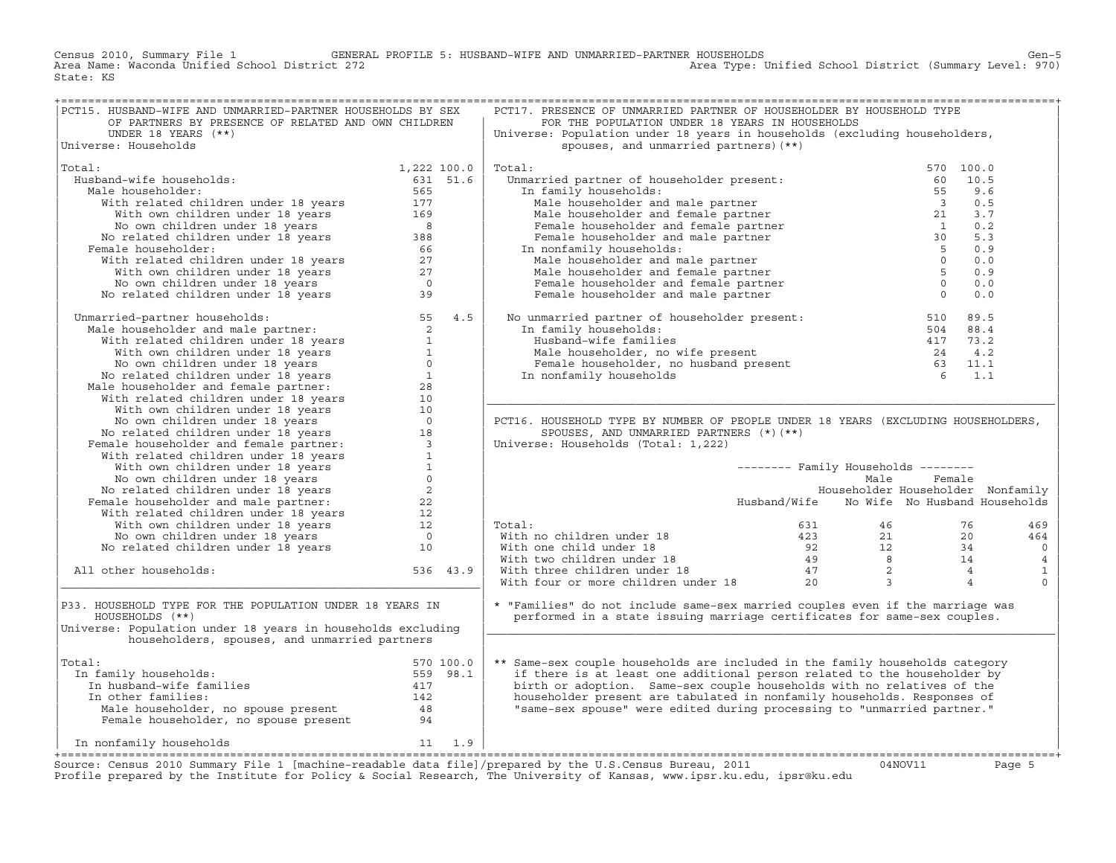Census 2010, Summary File 1 GENERAL PROFILE 5: HUSBAND−WIFE AND UNMARRIED−PARTNER HOUSEHOLDS<br>Area Name: Waconda Unified School District 272 State: KS

| PCT15. HUSBAND-WIFE AND UNMARRIED-PARTNER HOUSEHOLDS BY SEX                                                                                                                                                                                      |             |          | PCT17. PRESENCE OF UNMARRIED PARTNER OF HOUSEHOLDER BY HOUSEHOLD TYPE                                                                                                                                                                                                   |                                            |           |                |
|--------------------------------------------------------------------------------------------------------------------------------------------------------------------------------------------------------------------------------------------------|-------------|----------|-------------------------------------------------------------------------------------------------------------------------------------------------------------------------------------------------------------------------------------------------------------------------|--------------------------------------------|-----------|----------------|
| OF PARTNERS BY PRESENCE OF RELATED AND OWN CHILDREN                                                                                                                                                                                              |             |          | FOR THE POPULATION UNDER 18 YEARS IN HOUSEHOLDS                                                                                                                                                                                                                         |                                            |           |                |
| UNDER 18 YEARS $(**)$                                                                                                                                                                                                                            |             |          | Universe: Population under 18 years in households (excluding householders,                                                                                                                                                                                              |                                            |           |                |
| Universe: Households                                                                                                                                                                                                                             |             |          | spouses, and unmarried partners) (**)                                                                                                                                                                                                                                   |                                            |           |                |
|                                                                                                                                                                                                                                                  |             |          |                                                                                                                                                                                                                                                                         |                                            |           |                |
| Total:                                                                                                                                                                                                                                           | 1,222 100.0 |          | Total:<br>A contribute to the present:<br>a family households:<br>Male householder and male partner<br>Male householder and female partner<br>Male householder and female partner<br>Female householder and female partner<br>Alder and male partner                    |                                            | 570 100.0 |                |
| Husband-wife households:                                                                                                                                                                                                                         |             |          | Unmarried partner of householder present: the same of the Unmarried partner of householder present: the same o                                                                                                                                                          |                                            | 10.5      |                |
|                                                                                                                                                                                                                                                  | 631 51.6    |          |                                                                                                                                                                                                                                                                         |                                            |           |                |
| Male householder:                                                                                                                                                                                                                                | 565         |          | In family households:                                                                                                                                                                                                                                                   |                                            | 9.6       |                |
|                                                                                                                                                                                                                                                  |             |          |                                                                                                                                                                                                                                                                         |                                            | 0.5       |                |
|                                                                                                                                                                                                                                                  |             |          |                                                                                                                                                                                                                                                                         |                                            | 3.7       |                |
|                                                                                                                                                                                                                                                  |             |          |                                                                                                                                                                                                                                                                         |                                            | 0.2       |                |
|                                                                                                                                                                                                                                                  |             |          |                                                                                                                                                                                                                                                                         |                                            | 5.3       |                |
| Female householder:                                                                                                                                                                                                                              |             |          | In nonfamily households:                                                                                                                                                                                                                                                |                                            | 0.9       |                |
| ale householder: 565<br>With related children under 18 years 565<br>With own children under 18 years 5<br>No own children under 18 years 5<br>No related children under 18 years 588<br>emale householder: 66<br>With related children under 18  |             |          |                                                                                                                                                                                                                                                                         |                                            | 0.0       |                |
|                                                                                                                                                                                                                                                  |             |          | Male householder and female partner                                                                                                                                                                                                                                     | $5^{\circ}$                                | 0.9       |                |
|                                                                                                                                                                                                                                                  |             |          | Female householder and female partner                                                                                                                                                                                                                                   | $\overline{0}$                             | 0.0       |                |
|                                                                                                                                                                                                                                                  |             |          | Female householder and male partner                                                                                                                                                                                                                                     | $\overline{0}$                             | 0.0       |                |
|                                                                                                                                                                                                                                                  |             |          |                                                                                                                                                                                                                                                                         |                                            |           |                |
| Unmarried-partner households: 55 4.5<br>Male householder and male partner: 55 4.5<br>with related children under 18 years<br>No own children under 18 years<br>No own children under 18 years<br>No related children under 18 years<br>Mal       |             |          | No unmarried partner of householder present: 510 89.5<br>In family households: 504 88.4<br>Husband-wife families 417 73.2<br>Male householder, no wife present 24 4.2<br>Female householder, no husband present 63 11.1<br>The conformil                                |                                            |           |                |
|                                                                                                                                                                                                                                                  |             |          |                                                                                                                                                                                                                                                                         |                                            |           |                |
|                                                                                                                                                                                                                                                  |             |          |                                                                                                                                                                                                                                                                         |                                            |           |                |
|                                                                                                                                                                                                                                                  |             |          |                                                                                                                                                                                                                                                                         |                                            |           |                |
|                                                                                                                                                                                                                                                  |             |          |                                                                                                                                                                                                                                                                         |                                            |           |                |
|                                                                                                                                                                                                                                                  |             |          |                                                                                                                                                                                                                                                                         |                                            |           |                |
|                                                                                                                                                                                                                                                  |             |          |                                                                                                                                                                                                                                                                         |                                            |           |                |
|                                                                                                                                                                                                                                                  |             |          |                                                                                                                                                                                                                                                                         |                                            |           |                |
|                                                                                                                                                                                                                                                  |             |          |                                                                                                                                                                                                                                                                         |                                            |           |                |
|                                                                                                                                                                                                                                                  |             |          |                                                                                                                                                                                                                                                                         |                                            |           |                |
|                                                                                                                                                                                                                                                  |             |          | PCT16. HOUSEHOLD TYPE BY NUMBER OF PEOPLE UNDER 18 YEARS (EXCLUDING HOUSEHOLDERS,                                                                                                                                                                                       |                                            |           |                |
|                                                                                                                                                                                                                                                  |             |          | SPOUSES, AND UNMARRIED PARTNERS (*) (**)                                                                                                                                                                                                                                |                                            |           |                |
|                                                                                                                                                                                                                                                  |             |          | Universe: Households (Total: 1,222)                                                                                                                                                                                                                                     |                                            |           |                |
|                                                                                                                                                                                                                                                  |             |          |                                                                                                                                                                                                                                                                         |                                            |           |                |
|                                                                                                                                                                                                                                                  |             |          |                                                                                                                                                                                                                                                                         | -------- Family Households --------        |           |                |
|                                                                                                                                                                                                                                                  |             |          |                                                                                                                                                                                                                                                                         | Male                                       | Female    |                |
|                                                                                                                                                                                                                                                  |             |          |                                                                                                                                                                                                                                                                         | Householder Householder Nonfamily          |           |                |
| No own children under 18 years<br>No related children under 18 years<br>Pemale householder and male partner:<br>22<br>With related children under 18 years<br>22<br>With own children under 18 years<br>22<br>No own children under 18 years<br> |             |          |                                                                                                                                                                                                                                                                         | Husband/Wife No Wife No Husband Households |           |                |
|                                                                                                                                                                                                                                                  |             |          |                                                                                                                                                                                                                                                                         |                                            |           |                |
|                                                                                                                                                                                                                                                  |             |          |                                                                                                                                                                                                                                                                         |                                            |           |                |
|                                                                                                                                                                                                                                                  |             |          | Total:                                                                                                                                                                                                                                                                  |                                            |           | 469            |
|                                                                                                                                                                                                                                                  |             |          |                                                                                                                                                                                                                                                                         |                                            |           | 464            |
|                                                                                                                                                                                                                                                  |             |          |                                                                                                                                                                                                                                                                         |                                            |           | $\circ$        |
|                                                                                                                                                                                                                                                  |             |          |                                                                                                                                                                                                                                                                         |                                            |           | $\overline{4}$ |
| All other households:                                                                                                                                                                                                                            |             | 536 43.9 | Total:<br>With no children under 18<br>With one child under 18<br>12 12 34<br>With two children under 18<br>14 19 12 34<br>20 12 34<br>20 14<br>20 14<br>20 14<br>20 14<br>20 14<br>20 14<br>20 14<br>20 14<br>20 14<br>20 14<br>20 14<br>20 14<br>20 14<br>20 14<br>20 |                                            |           | $\mathbf{1}$   |
|                                                                                                                                                                                                                                                  |             |          |                                                                                                                                                                                                                                                                         |                                            |           | $\mathbf 0$    |
|                                                                                                                                                                                                                                                  |             |          |                                                                                                                                                                                                                                                                         |                                            |           |                |
| P33. HOUSEHOLD TYPE FOR THE POPULATION UNDER 18 YEARS IN                                                                                                                                                                                         |             |          | * "Families" do not include same-sex married couples even if the marriage was                                                                                                                                                                                           |                                            |           |                |
| HOUSEHOLDS (**)                                                                                                                                                                                                                                  |             |          | performed in a state issuing marriage certificates for same-sex couples.                                                                                                                                                                                                |                                            |           |                |
| Universe: Population under 18 years in households excluding                                                                                                                                                                                      |             |          |                                                                                                                                                                                                                                                                         |                                            |           |                |
| householders, spouses, and unmarried partners                                                                                                                                                                                                    |             |          |                                                                                                                                                                                                                                                                         |                                            |           |                |
|                                                                                                                                                                                                                                                  |             |          |                                                                                                                                                                                                                                                                         |                                            |           |                |
| Total:                                                                                                                                                                                                                                           |             |          | ** Same-sex couple households are included in the family households category                                                                                                                                                                                            |                                            |           |                |
| In family households:                                                                                                                                                                                                                            |             |          | if there is at least one additional person related to the householder by                                                                                                                                                                                                |                                            |           |                |
|                                                                                                                                                                                                                                                  |             |          | birth or adoption. Same-sex couple households with no relatives of the                                                                                                                                                                                                  |                                            |           |                |
|                                                                                                                                                                                                                                                  |             |          | householder present are tabulated in nonfamily households. Responses of                                                                                                                                                                                                 |                                            |           |                |
|                                                                                                                                                                                                                                                  |             |          | "same-sex spouse" were edited during processing to "unmarried partner."                                                                                                                                                                                                 |                                            |           |                |
| al:<br>n family households:<br>In husband-wife families<br>In other families:<br>Male householder, no spouse present<br>Temale householder, no spouse present<br>24<br>Pemale householder, no spouse present<br>24<br>Pemale householder, no spo |             |          |                                                                                                                                                                                                                                                                         |                                            |           |                |
|                                                                                                                                                                                                                                                  |             |          |                                                                                                                                                                                                                                                                         |                                            |           |                |
| 11 1.9<br>In nonfamily households                                                                                                                                                                                                                |             |          |                                                                                                                                                                                                                                                                         |                                            |           |                |
|                                                                                                                                                                                                                                                  |             |          |                                                                                                                                                                                                                                                                         |                                            |           |                |
|                                                                                                                                                                                                                                                  |             |          |                                                                                                                                                                                                                                                                         |                                            |           |                |

Source: Census 2010 Summary File 1 [machine-readable data file]/prepared by the U.S.Census Bureau, 2011 Page 5<br>Profile prepared by the Institute for Policy & Social Research, The University of Kansas, www.ip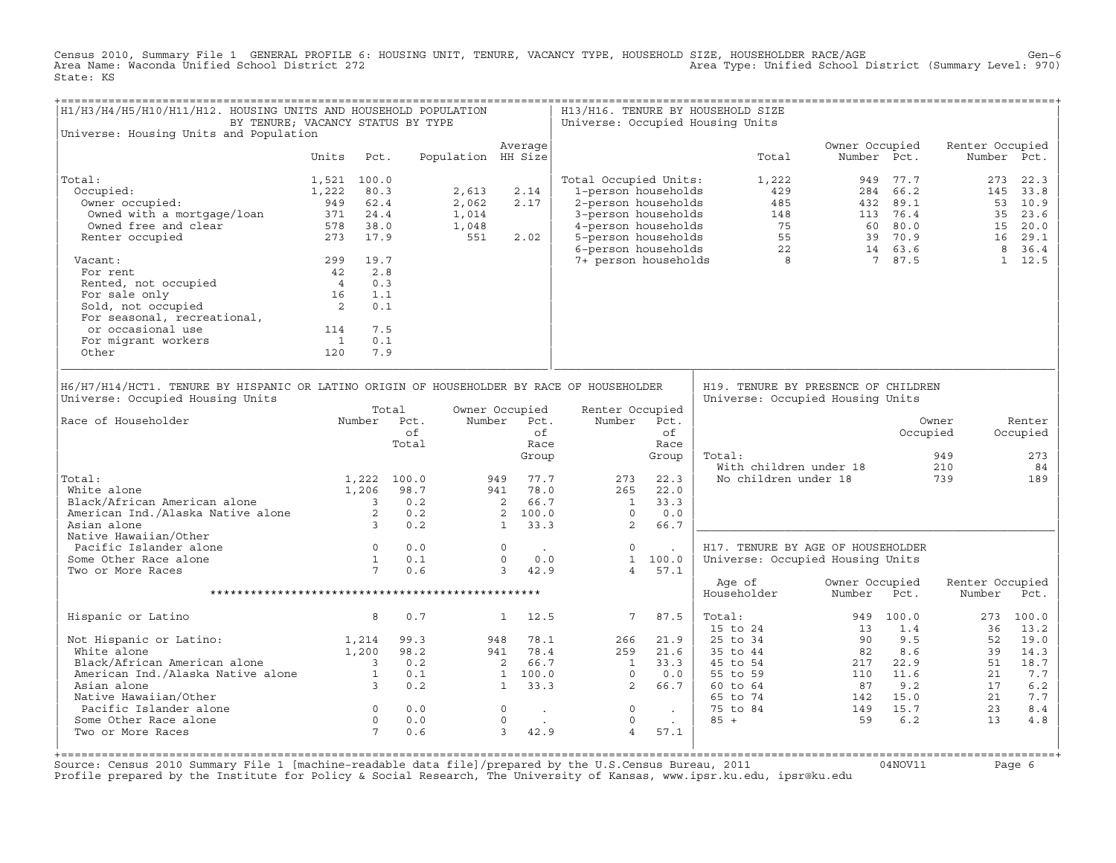Census 2010, Summary File 1 GENERAL PROFILE 6: HOUSING UNIT, TENURE, VACANCY TYPE, HOUSEHOLD SIZE, HOUSEHOLDER RACE/AGE<br>Area Name: Waconda Unified School District 272 State: KS

| H1/H3/H4/H5/H10/H11/H12. HOUSING UNITS AND HOUSEHOLD POPULATION<br>BY TENURE; VACANCY STATUS BY TYPE                                                                           |                              |                                            |                                                                                 |                    |                                                                                     |                             |                                                                                  |                                                                    | H13/H16. TENURE BY HOUSEHOLD SIZE<br>Universe: Occupied Housing Units |                                                                                                                                                                                                                                                            |              |                                        |                                        |
|--------------------------------------------------------------------------------------------------------------------------------------------------------------------------------|------------------------------|--------------------------------------------|---------------------------------------------------------------------------------|--------------------|-------------------------------------------------------------------------------------|-----------------------------|----------------------------------------------------------------------------------|--------------------------------------------------------------------|-----------------------------------------------------------------------|------------------------------------------------------------------------------------------------------------------------------------------------------------------------------------------------------------------------------------------------------------|--------------|----------------------------------------|----------------------------------------|
| Universe: Housing Units and Population                                                                                                                                         |                              |                                            |                                                                                 |                    | Average                                                                             |                             |                                                                                  |                                                                    |                                                                       | Owner Occupied                                                                                                                                                                                                                                             |              | Renter Occupied                        |                                        |
|                                                                                                                                                                                | Units                        | Pct.                                       |                                                                                 | Population HH Size |                                                                                     |                             |                                                                                  |                                                                    |                                                                       | Total                                                                                                                                                                                                                                                      | Number Pct.  |                                        | Number Pct.                            |
| Total:                                                                                                                                                                         | 1,521 100.0                  |                                            |                                                                                 |                    |                                                                                     |                             | Total Occupied Units:                                                            |                                                                    |                                                                       | 1,222                                                                                                                                                                                                                                                      | 949 77.7     |                                        | 273 22.3                               |
| Occupied:                                                                                                                                                                      | 1,222                        | 80.3                                       |                                                                                 | 2,613              | 2.14                                                                                |                             | 1-person households                                                              |                                                                    |                                                                       | 429                                                                                                                                                                                                                                                        | 284 66.2     |                                        | 145 33.8                               |
| Owner occupied:                                                                                                                                                                | 949 62.4                     |                                            |                                                                                 | 2,062              | 2.17                                                                                |                             |                                                                                  |                                                                    |                                                                       |                                                                                                                                                                                                                                                            |              |                                        | 53 10.9                                |
| Owned with a mortgage/loan                                                                                                                                                     |                              |                                            |                                                                                 | 1,014              |                                                                                     |                             |                                                                                  |                                                                    |                                                                       |                                                                                                                                                                                                                                                            |              |                                        | 35 23.6                                |
| Owned free and clear                                                                                                                                                           | $371$ $24.4$<br>$578$ $38.0$ | 578 38.0                                   |                                                                                 | 1,048              |                                                                                     |                             |                                                                                  |                                                                    |                                                                       |                                                                                                                                                                                                                                                            |              |                                        | 15 20.0                                |
| Renter occupied                                                                                                                                                                |                              | 273 17.9                                   |                                                                                 | 551                | 2.02                                                                                |                             |                                                                                  |                                                                    |                                                                       |                                                                                                                                                                                                                                                            |              |                                        | 16 29.1                                |
|                                                                                                                                                                                |                              |                                            |                                                                                 |                    |                                                                                     |                             |                                                                                  |                                                                    |                                                                       | 2 - person households<br>3 - person households<br>485 - 432 89.1<br>48 - 432 89.1<br>49 - 432 89.1<br>49 - 432 89.1<br>49 - 432 89.1<br>49 - 432 89.1<br>49 - 432 89.1<br>49 - 432 89.1<br>49 - 432 89.1<br>48 113 76.4<br>49 - 432 89.1<br>5 60 80.0<br>5 |              |                                        | 8 36.4                                 |
| Vacant:                                                                                                                                                                        |                              | 299 19.7                                   |                                                                                 |                    |                                                                                     |                             |                                                                                  |                                                                    |                                                                       |                                                                                                                                                                                                                                                            |              |                                        | $1 \quad 12.5$                         |
| For rent                                                                                                                                                                       | 42 2.8                       |                                            |                                                                                 |                    |                                                                                     |                             |                                                                                  |                                                                    |                                                                       |                                                                                                                                                                                                                                                            |              |                                        |                                        |
|                                                                                                                                                                                |                              | 0.3                                        |                                                                                 |                    |                                                                                     |                             |                                                                                  |                                                                    |                                                                       |                                                                                                                                                                                                                                                            |              |                                        |                                        |
|                                                                                                                                                                                |                              | 1.1                                        |                                                                                 |                    |                                                                                     |                             |                                                                                  |                                                                    |                                                                       |                                                                                                                                                                                                                                                            |              |                                        |                                        |
| For rent<br>Rented, not occupied<br>For sale only<br>Sold. not occupied<br>2                                                                                                   |                              | 0.1                                        |                                                                                 |                    |                                                                                     |                             |                                                                                  |                                                                    |                                                                       |                                                                                                                                                                                                                                                            |              |                                        |                                        |
| For seasonal, recreational,                                                                                                                                                    |                              |                                            |                                                                                 |                    |                                                                                     |                             |                                                                                  |                                                                    |                                                                       |                                                                                                                                                                                                                                                            |              |                                        |                                        |
| or occasional use                                                                                                                                                              | 114                          | 7.5                                        |                                                                                 |                    |                                                                                     |                             |                                                                                  |                                                                    |                                                                       |                                                                                                                                                                                                                                                            |              |                                        |                                        |
| For migrant workers                                                                                                                                                            | $\overline{1}$               | 0.1                                        |                                                                                 |                    |                                                                                     |                             |                                                                                  |                                                                    |                                                                       |                                                                                                                                                                                                                                                            |              |                                        |                                        |
| Other                                                                                                                                                                          | 120                          | 7.9                                        |                                                                                 |                    |                                                                                     |                             |                                                                                  |                                                                    |                                                                       |                                                                                                                                                                                                                                                            |              |                                        |                                        |
| Universe: Occupied Housing Units<br>Race of Householder<br>Total:<br>White alone<br>American Ind./Alaska Native alone<br>American Ind./Alaska Native alone<br>2<br>Asian alone |                              | 1,206                                      | Total<br>Number Pct.<br>of<br>Total<br>1,222 100.0<br>98.7<br>0.2<br>0.2<br>0.2 |                    | Owner Occupied<br>Number Pct.<br>949<br>941 78.0<br>2 66.7<br>2 100.0<br>$1 \t33.3$ | of<br>Race<br>Group<br>77.7 | Renter Occupied<br>Number<br>273<br>265<br>$\overline{1}$<br>$\overline{0}$<br>2 | Pct.<br>of<br>Race<br>Group<br>22.3<br>22.0<br>33.3<br>0.0<br>66.7 | Total:                                                                | Universe: Occupied Housing Units<br>With children under 18<br>No children under 18                                                                                                                                                                         |              | Owner<br>Occupied<br>949<br>210<br>739 | Renter<br>Occupied<br>273<br>84<br>189 |
| Native Hawaiian/Other                                                                                                                                                          |                              |                                            |                                                                                 |                    |                                                                                     |                             |                                                                                  |                                                                    |                                                                       |                                                                                                                                                                                                                                                            |              |                                        |                                        |
| Pacific Islander alone                                                                                                                                                         |                              | $\begin{array}{c} 0 \\ 1 \\ 7 \end{array}$ | 0.0                                                                             |                    | $\circ$                                                                             |                             | $\circ$                                                                          |                                                                    |                                                                       | H17. TENURE BY AGE OF HOUSEHOLDER                                                                                                                                                                                                                          |              |                                        |                                        |
| Some Other Race alone                                                                                                                                                          |                              |                                            | 0.1                                                                             |                    | $\circ$                                                                             | 0.0                         |                                                                                  | 1 100.0                                                            |                                                                       | Universe: Occupied Housing Units                                                                                                                                                                                                                           |              |                                        |                                        |
| Two or More Races                                                                                                                                                              |                              |                                            | 0.6                                                                             |                    | 3, 42.9                                                                             |                             | $4^{\circ}$                                                                      | 57.1                                                               |                                                                       |                                                                                                                                                                                                                                                            |              |                                        |                                        |
|                                                                                                                                                                                |                              |                                            |                                                                                 |                    |                                                                                     |                             |                                                                                  |                                                                    | Age of<br>Householder                                                 | Owner Occupied<br>Number                                                                                                                                                                                                                                   | Pct.         | Renter Occupied<br>Number              | Pct.                                   |
| Hispanic or Latino                                                                                                                                                             |                              | 8                                          | 0.7                                                                             |                    | $1 \quad 12.5$                                                                      |                             | $7\overline{ }$                                                                  | 87.5                                                               | Total:<br>$15$ to $24$                                                | 949<br>13                                                                                                                                                                                                                                                  | 100.0<br>1.4 | 273<br>36                              | 100.0<br>13.2                          |
|                                                                                                                                                                                |                              |                                            | 99.3                                                                            |                    | 948                                                                                 | 78.1                        | 266                                                                              | 21.9                                                               | 25 to 34                                                              | 90                                                                                                                                                                                                                                                         | 9.5          | 52                                     | 19.0                                   |
|                                                                                                                                                                                |                              |                                            | 98.2                                                                            |                    | 941 78.4                                                                            |                             | 259                                                                              | 21.6                                                               | 35 to 44                                                              | 82                                                                                                                                                                                                                                                         | 8.6          | 39                                     | 14.3                                   |
| Not Hispanic or Latino: 1,214<br>White alone 1,200<br>Black/African American alone 1,200                                                                                       |                              |                                            | 0.2                                                                             |                    |                                                                                     |                             | $\mathbf{1}$                                                                     | 33.3                                                               | 45 to 54                                                              |                                                                                                                                                                                                                                                            | 217 22.9     | 51                                     | 18.7                                   |
| American Ind./Alaska Native alone 1                                                                                                                                            |                              |                                            | 0.1                                                                             |                    | $\begin{array}{ccc}\n & 76.4 \\  & 2 & 66.7 \\  & 1 & 100.0\n\end{array}$           |                             | $\overline{0}$                                                                   | 0.0                                                                | 55 to 59                                                              |                                                                                                                                                                                                                                                            | 110 11.6     | 21                                     | 7.7                                    |
| Asian alone                                                                                                                                                                    |                              | $\overline{\phantom{a}}$ 3                 | 0.2                                                                             |                    | $1 \t33.3$                                                                          |                             | $\overline{\phantom{0}}$                                                         | 66.7                                                               | 60 to 64                                                              | 87                                                                                                                                                                                                                                                         | 9.2          | 17                                     | 6.2                                    |
| Native Hawaiian/Other                                                                                                                                                          |                              |                                            |                                                                                 |                    |                                                                                     |                             |                                                                                  |                                                                    | 65 to 74                                                              |                                                                                                                                                                                                                                                            | 142 15.0     | 21                                     | 7.7                                    |
|                                                                                                                                                                                |                              |                                            | 0.0                                                                             |                    | $\circ$                                                                             | $\sim$ $\sim$               | $\overline{0}$                                                                   | $\sim 10^{-11}$                                                    | 75 to 84                                                              | $149$ $15.7$<br>$59$ $6.2$                                                                                                                                                                                                                                 |              | 23                                     | 8.4                                    |
| Some Other Race alone                                                                                                                                                          |                              |                                            | 0.0                                                                             |                    | $\circ$                                                                             | $\sim 10$                   | $\circ$                                                                          |                                                                    | $85 +$                                                                |                                                                                                                                                                                                                                                            |              | 13                                     | 4.8                                    |
| Pacific Islander alone 0<br>Some Other Race alone 0<br>Two or More Races 7<br>Two or More Races                                                                                |                              |                                            | 0.6                                                                             |                    | 3                                                                                   | 42.9                        | $\overline{4}$                                                                   | 57.1                                                               |                                                                       |                                                                                                                                                                                                                                                            |              |                                        |                                        |
|                                                                                                                                                                                |                              |                                            |                                                                                 |                    |                                                                                     |                             |                                                                                  |                                                                    |                                                                       |                                                                                                                                                                                                                                                            |              |                                        |                                        |

Source: Census 2010 Summary File 1 [machine-readable data file]/prepared by the U.S.Census Bureau, 2011 Page 6<br>Profile prepared by the Institute for Policy & Social Research, The University of Kansas, www.ip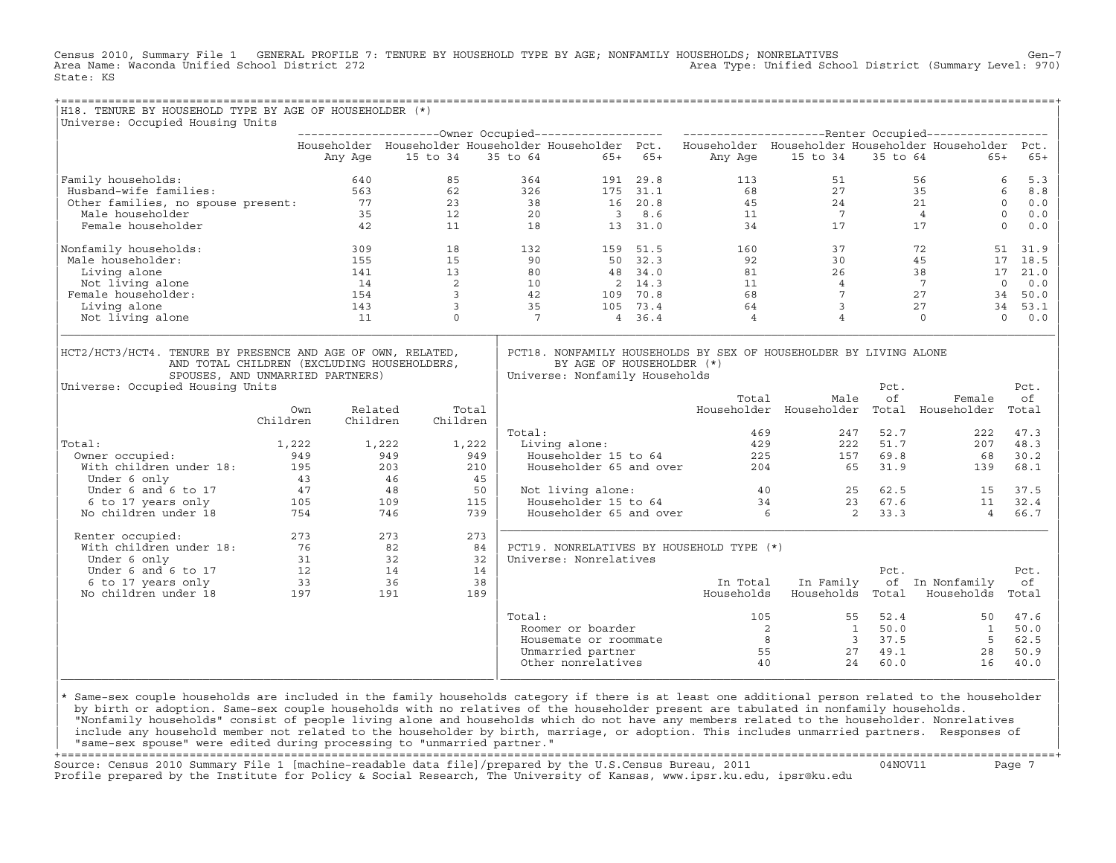Census 2010, Summary File 1 GENERAL PROFILE 7: TENURE BY HOUSEHOLD TYPE BY AGE; NONFAMILY HOUSEHOLDS; NONRELATIVES Gen−7<br>Area Name: Waconda Unified School District 272 Area Type: Unified School District (Summary Level: 970) State: KS

| H18. TENURE BY HOUSEHOLD TYPE BY AGE OF HOUSEHOLDER (*)                                                                                                                            |                                                                          |                     |                         |       |                 |                                                             |           |                                                                                                           |                   |                             |                                           |                 |
|------------------------------------------------------------------------------------------------------------------------------------------------------------------------------------|--------------------------------------------------------------------------|---------------------|-------------------------|-------|-----------------|-------------------------------------------------------------|-----------|-----------------------------------------------------------------------------------------------------------|-------------------|-----------------------------|-------------------------------------------|-----------------|
| Universe: Occupied Housing Units                                                                                                                                                   |                                                                          |                     |                         |       |                 |                                                             |           |                                                                                                           |                   |                             |                                           |                 |
|                                                                                                                                                                                    |                                                                          |                     |                         |       |                 |                                                             |           | Householder Householder Householder Householder Pct. Householder Householder Householder Householder Pct. |                   |                             |                                           |                 |
|                                                                                                                                                                                    |                                                                          | Any Age             | 15 to 34                |       |                 | 35 to 64                                                    | $65+ 65+$ |                                                                                                           | Any Age 15 to 34  | 35 to 64                    | $65+$                                     | $65+$           |
| Family households:                                                                                                                                                                 |                                                                          | 640                 | 85                      |       | 364             |                                                             | 191 29.8  | 113                                                                                                       | 51                |                             | 56                                        | 5.3<br>6        |
| Eusband-wife families: 2022<br>Other families, no spouse present: 77<br>35                                                                                                         |                                                                          |                     | 62                      |       | 326             |                                                             | 175 31.1  | 68                                                                                                        |                   |                             | $\frac{35}{35}$                           | 6<br>8.8        |
|                                                                                                                                                                                    |                                                                          |                     | 23                      |       | 38              |                                                             | 16 20.8   | 45                                                                                                        |                   |                             | 21                                        | $\circ$<br>0.0  |
|                                                                                                                                                                                    |                                                                          |                     | 12                      |       | 20              |                                                             | 38.6      | $\frac{45}{11}$                                                                                           |                   |                             | $\begin{array}{c} 21 \\ 4 \end{array}$    | $\circ$<br>0.0  |
| Female householder                                                                                                                                                                 |                                                                          | 42                  | 11                      |       | 18              |                                                             | 13 31.0   | 34                                                                                                        |                   | $27$<br>$24$<br>$7$<br>$17$ | 17                                        | $\Omega$<br>0.0 |
| Nonfamily households:                                                                                                                                                              |                                                                          | 309                 | 18                      |       | 132             |                                                             | 159 51.5  | 160                                                                                                       | 37                |                             | 72                                        | 51<br>31.9      |
| Male householder:                                                                                                                                                                  |                                                                          | 155                 | 15                      |       | 90              |                                                             | 50 32.3   | 92                                                                                                        | 30                |                             | 45<br>17                                  | 18.5            |
| Living alone                                                                                                                                                                       |                                                                          | 141                 | 13                      |       | 80              |                                                             | 48 34.0   | 81                                                                                                        | 26                |                             | 38                                        | 17<br>21.0      |
| Not living alone                                                                                                                                                                   |                                                                          | 14                  | $\overline{2}$          |       | $\frac{10}{42}$ |                                                             | 2 14.3    | $\begin{array}{c} 11 \\ 68 \end{array}$                                                                   | $\overline{4}$    |                             | $7\overline{ }$                           | $\circ$<br>0.0  |
| Female householder:                                                                                                                                                                |                                                                          | 154                 | $\overline{\mathbf{3}}$ |       |                 |                                                             | 109 70.8  |                                                                                                           | $7\overline{ }$   |                             | 27<br>34                                  | 50.0            |
| Living alone                                                                                                                                                                       |                                                                          | 143                 | $\mathbf{3}$            |       | 35              |                                                             | 105 73.4  | 64                                                                                                        | 3                 |                             | 27                                        | 34<br>53.1      |
| Not living alone                                                                                                                                                                   |                                                                          | 11                  | $\Omega$                |       | $7\overline{ }$ |                                                             | 4 36.4    | $\overline{4}$                                                                                            | $\overline{4}$    |                             | $\Omega$                                  | $\Omega$<br>0.0 |
| HCT2/HCT3/HCT4. TENURE BY PRESENCE AND AGE OF OWN, RELATED,<br>AND TOTAL CHILDREN (EXCLUDING HOUSEHOLDERS,<br>SPOUSES, AND UNMARRIED PARTNERS)<br>Universe: Occupied Housing Units |                                                                          |                     |                         |       |                 | BY AGE OF HOUSEHOLDER (*)<br>Universe: Nonfamily Households |           | PCT18. NONFAMILY HOUSEHOLDS BY SEX OF HOUSEHOLDER BY LIVING ALONE                                         |                   | Pct.                        |                                           | Pct.            |
|                                                                                                                                                                                    |                                                                          |                     |                         |       |                 |                                                             |           | Total                                                                                                     | Male              | оf                          | Female                                    | оf              |
|                                                                                                                                                                                    | Own<br>Children                                                          | Related<br>Children | Children                | Total |                 |                                                             |           |                                                                                                           |                   |                             | Householder Householder Total Householder | Total           |
|                                                                                                                                                                                    |                                                                          |                     |                         |       | Total:          |                                                             |           | 469                                                                                                       | 247               | 52.7                        | 222                                       | 47.3            |
| Total:                                                                                                                                                                             | 1,222                                                                    | 1,222               |                         | 1,222 |                 | Living alone:                                               |           | 429                                                                                                       |                   | 222<br>51.7                 | 207                                       | 48.3            |
| Owner occupied:                                                                                                                                                                    | 949                                                                      |                     | 949                     | 949   |                 | Householder 15 to 64                                        |           |                                                                                                           | 157               | 69.8                        | 68                                        | 30.2            |
| with children under 18: 195                                                                                                                                                        |                                                                          |                     | 203                     | 210   |                 | Householder 65 and over                                     |           |                                                                                                           | $\frac{225}{204}$ | 65<br>31.9                  | 139                                       | 68.1            |
| Under 6 only                                                                                                                                                                       |                                                                          |                     | 46                      | 45    |                 |                                                             |           |                                                                                                           |                   |                             |                                           |                 |
| Under 6 and 6 to 17                                                                                                                                                                |                                                                          |                     | 48                      | 50    |                 | Not living alone:                                           |           |                                                                                                           | 40 40             | 25 62.5                     | 15                                        | 37.5            |
| 6 to 17 years only                                                                                                                                                                 |                                                                          |                     | 109                     | 115   |                 | Householder 15 to 64                                        |           | $\begin{array}{c} 34 \\ 6 \end{array}$                                                                    |                   | 23 67.6                     | 11                                        | 32.4            |
| No children under 18                                                                                                                                                               | $\begin{array}{r}43\\47\\105\\754\end{array}$                            |                     | 746                     | 739   |                 | Householder 65 and over                                     |           |                                                                                                           |                   | $\overline{2}$<br>33.3      | $\overline{4}$                            | 66.7            |
| Renter occupied:                                                                                                                                                                   | 273                                                                      |                     | 273                     | 273   |                 |                                                             |           |                                                                                                           |                   |                             |                                           |                 |
| With children under 18:                                                                                                                                                            | 76                                                                       |                     | 82                      | 84    |                 |                                                             |           | PCT19. NONRELATIVES BY HOUSEHOLD TYPE (*)                                                                 |                   |                             |                                           |                 |
| Under 6 only                                                                                                                                                                       |                                                                          | 31                  | 32                      | 32    |                 | Universe: Nonrelatives                                      |           |                                                                                                           |                   |                             |                                           |                 |
| Under 6 and 6 to 17                                                                                                                                                                |                                                                          |                     |                         | 14    |                 |                                                             |           |                                                                                                           |                   | Pct.                        |                                           | Pct.            |
| 6 to 17 years only                                                                                                                                                                 |                                                                          |                     |                         | 38    |                 |                                                             |           | In Total                                                                                                  | In Family         |                             | of In Nonfamily                           | оf              |
| No children under 18                                                                                                                                                               | $\begin{array}{ccc} 1 & 32 \\ 12 & 14 \\ 33 & 36 \\ 197 & & \end{array}$ |                     |                         | 189   |                 |                                                             |           | Households                                                                                                | Households Total  |                             | Households                                | Total           |
|                                                                                                                                                                                    |                                                                          |                     |                         |       | Total:          |                                                             |           | 105                                                                                                       |                   | 52.4<br>55                  | 50                                        | 47.6            |
|                                                                                                                                                                                    |                                                                          |                     |                         |       |                 | Roomer or boarder                                           |           | $\overline{\phantom{a}}$                                                                                  |                   | 50.0<br>$\mathbf{1}$        | 1                                         | 50.0            |
|                                                                                                                                                                                    |                                                                          |                     |                         |       |                 | Housemate or roommate                                       |           |                                                                                                           | $8 - 8$           | 3 37.5                      | $5^{\circ}$                               | 62.5            |
|                                                                                                                                                                                    |                                                                          |                     |                         |       |                 | Unmarried partner                                           |           |                                                                                                           | 55                | 49.1<br>27                  | 28                                        | 50.9            |
|                                                                                                                                                                                    |                                                                          |                     |                         |       |                 | Other nonrelatives                                          |           | 40                                                                                                        | 24                | 60.0                        | 16                                        | 40.0            |

design to the control of the control of the control of the control of the control of the control of the control of the control of the control of the control of the control of the control of the control of the control of th |\* Same−sex couple households are included in the family households category if there is at least one additional person related to the householder | | by birth or adoption. Same−sex couple households with no relatives of the householder present are tabulated in nonfamily households. | | "Nonfamily households" consist of people living alone and households which do not have any members related to the householder. Nonrelatives | include any household member not related to the householder by birth, marriage, or adoption. This includes unmarried partners. Responses of | "same−sex spouse" were edited during processing to "unmarried partner." |

+===================================================================================================================================================+ Source: Census 2010 Summary File 1 [machine−readable data file]/prepared by the U.S.Census Bureau, 2011 04NOV11 Page 7 Profile prepared by the Institute for Policy & Social Research, The University of Kansas, www.ipsr.ku.edu, ipsr@ku.edu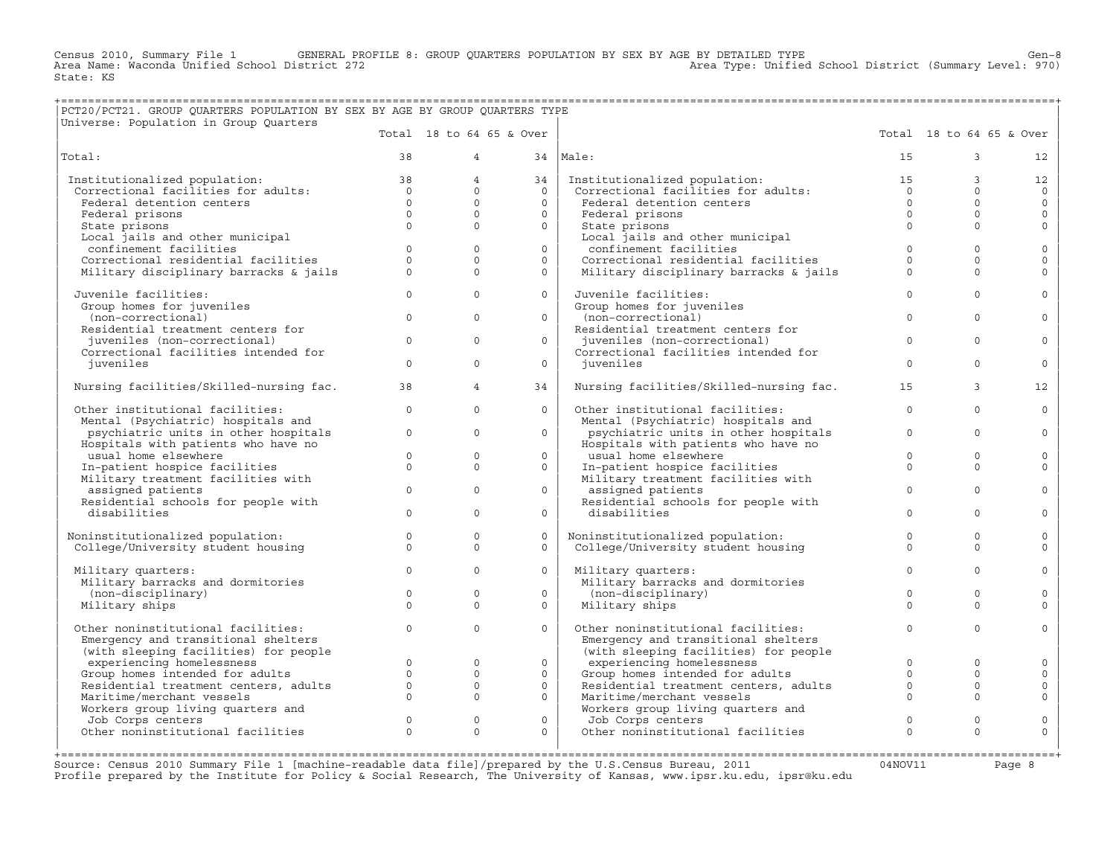Census 2010, Summary File 1 GENERAL PROFILE 8: GROUP QUARTERS POPULATION BY SEX BY AGE BY DETAILED TYPE Gen−8<br>Area Name: Waconda Unified School District 272 Area Type: Unified School District (Summary Level: 970) State: KS

## +===================================================================================================================================================+ |PCT20/PCT21. GROUP QUARTERS POPULATION BY SEX BY AGE BY GROUP QUARTERS TYPE |

| Total 18 to 64 65 & Over<br>Total 18 to 64 65 & Over<br>Total:<br>38<br>$\overline{4}$<br>34<br>Male:<br>15<br>$\overline{3}$<br>38<br>$\overline{4}$<br>Institutionalized population:<br>15<br>Institutionalized population:<br>Institutionalized population:<br>Correctional facilities for adults:<br>34<br>Institutionalized population:<br>Correctional facilities for adults:<br>3<br>$\begin{array}{c} 15 \\ 0 \end{array}$<br>$\begin{array}{c} 38 \\ 0 \end{array}$<br>$\Omega$<br>$\Omega$<br>$\Omega$<br>$\Omega$<br>$\Omega$<br>$\mathbf{0}$<br>Federal detention centers<br>$\Omega$<br>Federal detention centers<br>$\Omega$<br>$\Omega$<br>$\Omega$<br>$\circ$<br>$\Omega$<br>$\Omega$<br>Federal prisons<br>Federal prisons<br>$\Omega$<br>$\Omega$<br>$\Omega$<br>State prisons<br>$\Omega$<br>$\Omega$<br>State prisons<br>Local jails and other municipal<br>Local jails and other municipal<br>confinement facilities<br>confinement facilities<br>$\mathbf{0}$<br>$\mathbf{0}$<br>$\circ$<br>$\mathbf 0$<br>$\circ$<br>Correctional residential facilities<br>$\Omega$<br>$\Omega$<br>Correctional residential facilities<br>$\Omega$<br>$\Omega$<br>$\Omega$<br>$\Omega$<br>Military disciplinary barracks & jails<br>$\Omega$<br>Military disciplinary barracks & jails<br>$\Omega$<br>$\Omega$<br>$\Omega$<br>$\Omega$<br>$\Omega$<br>Juvenile facilities:<br>$\Omega$<br>$\Omega$<br>Juvenile facilities:<br>$\Omega$ |                     |
|------------------------------------------------------------------------------------------------------------------------------------------------------------------------------------------------------------------------------------------------------------------------------------------------------------------------------------------------------------------------------------------------------------------------------------------------------------------------------------------------------------------------------------------------------------------------------------------------------------------------------------------------------------------------------------------------------------------------------------------------------------------------------------------------------------------------------------------------------------------------------------------------------------------------------------------------------------------------------------------------------------------------------------------------------------------------------------------------------------------------------------------------------------------------------------------------------------------------------------------------------------------------------------------------------------------------------------------------------------------------------------------------------------------------------------------------|---------------------|
|                                                                                                                                                                                                                                                                                                                                                                                                                                                                                                                                                                                                                                                                                                                                                                                                                                                                                                                                                                                                                                                                                                                                                                                                                                                                                                                                                                                                                                                |                     |
|                                                                                                                                                                                                                                                                                                                                                                                                                                                                                                                                                                                                                                                                                                                                                                                                                                                                                                                                                                                                                                                                                                                                                                                                                                                                                                                                                                                                                                                | 12                  |
|                                                                                                                                                                                                                                                                                                                                                                                                                                                                                                                                                                                                                                                                                                                                                                                                                                                                                                                                                                                                                                                                                                                                                                                                                                                                                                                                                                                                                                                | 12                  |
|                                                                                                                                                                                                                                                                                                                                                                                                                                                                                                                                                                                                                                                                                                                                                                                                                                                                                                                                                                                                                                                                                                                                                                                                                                                                                                                                                                                                                                                | $\Omega$            |
|                                                                                                                                                                                                                                                                                                                                                                                                                                                                                                                                                                                                                                                                                                                                                                                                                                                                                                                                                                                                                                                                                                                                                                                                                                                                                                                                                                                                                                                | $\mathsf{O}$        |
|                                                                                                                                                                                                                                                                                                                                                                                                                                                                                                                                                                                                                                                                                                                                                                                                                                                                                                                                                                                                                                                                                                                                                                                                                                                                                                                                                                                                                                                | $\mathbf{0}$        |
|                                                                                                                                                                                                                                                                                                                                                                                                                                                                                                                                                                                                                                                                                                                                                                                                                                                                                                                                                                                                                                                                                                                                                                                                                                                                                                                                                                                                                                                | $\mathbf{0}$        |
|                                                                                                                                                                                                                                                                                                                                                                                                                                                                                                                                                                                                                                                                                                                                                                                                                                                                                                                                                                                                                                                                                                                                                                                                                                                                                                                                                                                                                                                |                     |
|                                                                                                                                                                                                                                                                                                                                                                                                                                                                                                                                                                                                                                                                                                                                                                                                                                                                                                                                                                                                                                                                                                                                                                                                                                                                                                                                                                                                                                                | $\mathsf{O}$        |
|                                                                                                                                                                                                                                                                                                                                                                                                                                                                                                                                                                                                                                                                                                                                                                                                                                                                                                                                                                                                                                                                                                                                                                                                                                                                                                                                                                                                                                                | $\mathbf 0$         |
|                                                                                                                                                                                                                                                                                                                                                                                                                                                                                                                                                                                                                                                                                                                                                                                                                                                                                                                                                                                                                                                                                                                                                                                                                                                                                                                                                                                                                                                | $\Omega$            |
|                                                                                                                                                                                                                                                                                                                                                                                                                                                                                                                                                                                                                                                                                                                                                                                                                                                                                                                                                                                                                                                                                                                                                                                                                                                                                                                                                                                                                                                | $\Omega$            |
| Group homes for juveniles<br>Group homes for juveniles                                                                                                                                                                                                                                                                                                                                                                                                                                                                                                                                                                                                                                                                                                                                                                                                                                                                                                                                                                                                                                                                                                                                                                                                                                                                                                                                                                                         |                     |
| (non-correctional)<br>(non-correctional)<br>$\mathbf{0}$<br>$\mathbf{0}$<br>$\circ$<br>$\mathbf{0}$<br>$\Omega$                                                                                                                                                                                                                                                                                                                                                                                                                                                                                                                                                                                                                                                                                                                                                                                                                                                                                                                                                                                                                                                                                                                                                                                                                                                                                                                                | $\circ$             |
| Residential treatment centers for<br>Residential treatment centers for                                                                                                                                                                                                                                                                                                                                                                                                                                                                                                                                                                                                                                                                                                                                                                                                                                                                                                                                                                                                                                                                                                                                                                                                                                                                                                                                                                         |                     |
| juveniles (non-correctional)<br>$\Omega$<br>juveniles (non-correctional)<br>$\Omega$<br>$\Omega$<br>$\Omega$<br>$\Omega$                                                                                                                                                                                                                                                                                                                                                                                                                                                                                                                                                                                                                                                                                                                                                                                                                                                                                                                                                                                                                                                                                                                                                                                                                                                                                                                       | $\Omega$            |
| Correctional facilities intended for<br>Correctional facilities intended for                                                                                                                                                                                                                                                                                                                                                                                                                                                                                                                                                                                                                                                                                                                                                                                                                                                                                                                                                                                                                                                                                                                                                                                                                                                                                                                                                                   |                     |
| $\Omega$<br>juveniles<br>$\Omega$<br>$\Omega$<br>iuveniles<br>$\Omega$<br>$\Omega$                                                                                                                                                                                                                                                                                                                                                                                                                                                                                                                                                                                                                                                                                                                                                                                                                                                                                                                                                                                                                                                                                                                                                                                                                                                                                                                                                             | $\mathbf 0$         |
| Nursing facilities/Skilled-nursing fac.<br>$\overline{4}$<br>3<br>38<br>Nursing facilities/Skilled-nursing fac.<br>15<br>34                                                                                                                                                                                                                                                                                                                                                                                                                                                                                                                                                                                                                                                                                                                                                                                                                                                                                                                                                                                                                                                                                                                                                                                                                                                                                                                    | $12 \overline{ }$   |
| Other institutional facilities:<br>$\circ$<br>$\Omega$<br>Other institutional facilities:<br>$\circ$<br>$\Omega$<br>$\Omega$                                                                                                                                                                                                                                                                                                                                                                                                                                                                                                                                                                                                                                                                                                                                                                                                                                                                                                                                                                                                                                                                                                                                                                                                                                                                                                                   | $\mathbf 0$         |
| Mental (Psychiatric) hospitals and<br>Mental (Psychiatric) hospitals and                                                                                                                                                                                                                                                                                                                                                                                                                                                                                                                                                                                                                                                                                                                                                                                                                                                                                                                                                                                                                                                                                                                                                                                                                                                                                                                                                                       |                     |
| psychiatric units in other hospitals<br>psychiatric units in other hospitals<br>$\circ$<br>$\Omega$<br>$\Omega$<br>$\Omega$<br>$\Omega$                                                                                                                                                                                                                                                                                                                                                                                                                                                                                                                                                                                                                                                                                                                                                                                                                                                                                                                                                                                                                                                                                                                                                                                                                                                                                                        | $\Omega$            |
| Hospitals with patients who have no<br>Hospitals with patients who have no                                                                                                                                                                                                                                                                                                                                                                                                                                                                                                                                                                                                                                                                                                                                                                                                                                                                                                                                                                                                                                                                                                                                                                                                                                                                                                                                                                     |                     |
| usual home elsewhere<br>$\mathbf{0}$<br>usual home elsewhere<br>$\mathbf{0}$<br>$\Omega$<br>$\Omega$<br>$\Omega$                                                                                                                                                                                                                                                                                                                                                                                                                                                                                                                                                                                                                                                                                                                                                                                                                                                                                                                                                                                                                                                                                                                                                                                                                                                                                                                               | $\mathbf 0$         |
| $\Omega$<br>In-patient hospice facilities<br>$\Omega$<br>In-patient hospice facilities<br>$\Omega$<br>$\Omega$<br>$\Omega$                                                                                                                                                                                                                                                                                                                                                                                                                                                                                                                                                                                                                                                                                                                                                                                                                                                                                                                                                                                                                                                                                                                                                                                                                                                                                                                     | $\Omega$            |
| Military treatment facilities with<br>Military treatment facilities with<br>$\Omega$<br>$\Omega$                                                                                                                                                                                                                                                                                                                                                                                                                                                                                                                                                                                                                                                                                                                                                                                                                                                                                                                                                                                                                                                                                                                                                                                                                                                                                                                                               |                     |
| $\mathbf{0}$<br>assigned patients<br>$\Omega$<br>assigned patients<br>$\Omega$<br>Residential schools for people with                                                                                                                                                                                                                                                                                                                                                                                                                                                                                                                                                                                                                                                                                                                                                                                                                                                                                                                                                                                                                                                                                                                                                                                                                                                                                                                          | $\circ$             |
| Residential schools for people with<br>disabilities<br>$\Omega$<br>$\Omega$<br>disabilities<br>$\Omega$<br>$\Omega$<br>$\Omega$                                                                                                                                                                                                                                                                                                                                                                                                                                                                                                                                                                                                                                                                                                                                                                                                                                                                                                                                                                                                                                                                                                                                                                                                                                                                                                                | $\Omega$            |
|                                                                                                                                                                                                                                                                                                                                                                                                                                                                                                                                                                                                                                                                                                                                                                                                                                                                                                                                                                                                                                                                                                                                                                                                                                                                                                                                                                                                                                                |                     |
| Noninstitutionalized population:<br>$\mathbf{0}$<br>$\mathbf{0}$<br>$\Omega$<br>Noninstitutionalized population:<br>$\Omega$<br>$\Omega$                                                                                                                                                                                                                                                                                                                                                                                                                                                                                                                                                                                                                                                                                                                                                                                                                                                                                                                                                                                                                                                                                                                                                                                                                                                                                                       | $\mathbf 0$         |
| College/University student housing<br>College/University student housing<br>$\Omega$<br>$\Omega$<br>$\Omega$<br>$\Omega$<br>$\Omega$                                                                                                                                                                                                                                                                                                                                                                                                                                                                                                                                                                                                                                                                                                                                                                                                                                                                                                                                                                                                                                                                                                                                                                                                                                                                                                           | $\Omega$            |
| Military quarters:<br>$\Omega$<br>$\Omega$<br>$\Omega$<br>Military quarters:<br>$\Omega$<br>$\Omega$                                                                                                                                                                                                                                                                                                                                                                                                                                                                                                                                                                                                                                                                                                                                                                                                                                                                                                                                                                                                                                                                                                                                                                                                                                                                                                                                           | $\mathbf 0$         |
| Military barracks and dormitories<br>Military barracks and dormitories                                                                                                                                                                                                                                                                                                                                                                                                                                                                                                                                                                                                                                                                                                                                                                                                                                                                                                                                                                                                                                                                                                                                                                                                                                                                                                                                                                         |                     |
| (non-disciplinary)<br>$\Omega$<br>$\Omega$<br>(non-disciplinary)<br>$\Omega$<br>$\Omega$<br>$\Omega$                                                                                                                                                                                                                                                                                                                                                                                                                                                                                                                                                                                                                                                                                                                                                                                                                                                                                                                                                                                                                                                                                                                                                                                                                                                                                                                                           | $\Omega$            |
| Military ships<br>$\Omega$<br>$\Omega$<br>Military ships<br>$\Omega$<br>$\Omega$<br>$\Omega$                                                                                                                                                                                                                                                                                                                                                                                                                                                                                                                                                                                                                                                                                                                                                                                                                                                                                                                                                                                                                                                                                                                                                                                                                                                                                                                                                   | $\Omega$            |
|                                                                                                                                                                                                                                                                                                                                                                                                                                                                                                                                                                                                                                                                                                                                                                                                                                                                                                                                                                                                                                                                                                                                                                                                                                                                                                                                                                                                                                                |                     |
| Other noninstitutional facilities:<br>$\Omega$<br>$\Omega$<br>$\Omega$<br>Other noninstitutional facilities:<br>$\Omega$<br>$\Omega$                                                                                                                                                                                                                                                                                                                                                                                                                                                                                                                                                                                                                                                                                                                                                                                                                                                                                                                                                                                                                                                                                                                                                                                                                                                                                                           | $\mathbf 0$         |
| Emergency and transitional shelters<br>Emergency and transitional shelters                                                                                                                                                                                                                                                                                                                                                                                                                                                                                                                                                                                                                                                                                                                                                                                                                                                                                                                                                                                                                                                                                                                                                                                                                                                                                                                                                                     |                     |
| (with sleeping facilities) for people<br>(with sleeping facilities) for people                                                                                                                                                                                                                                                                                                                                                                                                                                                                                                                                                                                                                                                                                                                                                                                                                                                                                                                                                                                                                                                                                                                                                                                                                                                                                                                                                                 |                     |
| experiencing homelessness<br>$\mathbf{0}$<br>experiencing homelessness<br>$\Omega$<br>$\circ$<br>$\Omega$<br>$\Omega$                                                                                                                                                                                                                                                                                                                                                                                                                                                                                                                                                                                                                                                                                                                                                                                                                                                                                                                                                                                                                                                                                                                                                                                                                                                                                                                          | $\mathbf 0$         |
| Group homes intended for adults<br>$\Omega$<br>Group homes intended for adults<br>$\Omega$<br>$\Omega$<br>$\Omega$<br>$\Omega$                                                                                                                                                                                                                                                                                                                                                                                                                                                                                                                                                                                                                                                                                                                                                                                                                                                                                                                                                                                                                                                                                                                                                                                                                                                                                                                 | $\mathbf 0$         |
| $\mathbf{0}$<br>$\mathbf 0$<br>Residential treatment centers, adults<br>$\circ$<br>Residential treatment centers, adults<br>$\mathbf 0$<br>$\circ$                                                                                                                                                                                                                                                                                                                                                                                                                                                                                                                                                                                                                                                                                                                                                                                                                                                                                                                                                                                                                                                                                                                                                                                                                                                                                             | $\mathsf{O}\xspace$ |
| $\Omega$<br>$\Omega$<br>$\Omega$<br>Maritime/merchant vessels<br>$\Omega$<br>$\Omega$<br>Maritime/merchant vessels                                                                                                                                                                                                                                                                                                                                                                                                                                                                                                                                                                                                                                                                                                                                                                                                                                                                                                                                                                                                                                                                                                                                                                                                                                                                                                                             | $\mathbf 0$         |
| Workers group living quarters and<br>Workers group living quarters and                                                                                                                                                                                                                                                                                                                                                                                                                                                                                                                                                                                                                                                                                                                                                                                                                                                                                                                                                                                                                                                                                                                                                                                                                                                                                                                                                                         |                     |
| Job Corps centers<br>$\mathbf 0$<br>$\mathbf 0$<br>$\overline{0}$<br>Job Corps centers<br>$\mathbf 0$<br>$\circ$                                                                                                                                                                                                                                                                                                                                                                                                                                                                                                                                                                                                                                                                                                                                                                                                                                                                                                                                                                                                                                                                                                                                                                                                                                                                                                                               | $\circ$             |
| Other noninstitutional facilities<br>$\Omega$<br>$\Omega$<br>Other noninstitutional facilities<br>$\Omega$<br>$\Omega$<br>$\Omega$                                                                                                                                                                                                                                                                                                                                                                                                                                                                                                                                                                                                                                                                                                                                                                                                                                                                                                                                                                                                                                                                                                                                                                                                                                                                                                             | $\mathbf 0$         |
|                                                                                                                                                                                                                                                                                                                                                                                                                                                                                                                                                                                                                                                                                                                                                                                                                                                                                                                                                                                                                                                                                                                                                                                                                                                                                                                                                                                                                                                |                     |

Source: Census 2010 Summary File 1 [machine-readable data file]/prepared by the U.S.Census Bureau, 2011 Page 8<br>Profile prepared by the Institute for Policy & Social Research, The University of Kansas, www.ip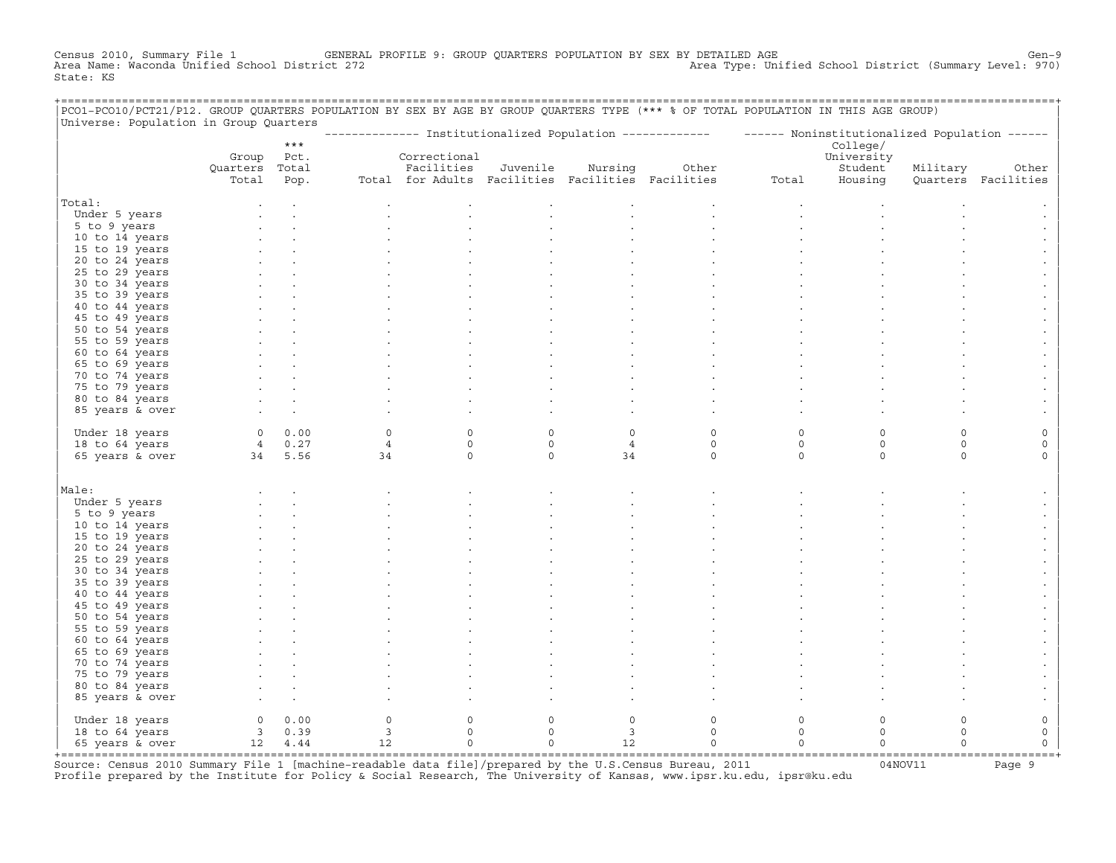Census 2010, Summary File 1 GENERAL PROFILE 9: GROUP QUARTERS POPULATION BY SEX BY DETAILED AGE GENOOL District (Summary Level: 970)<br>Area Name: Waconda Unified School District 272 Area Type: Unified School District (Summary Level: 970) State: KS

| PCO1-PCO10/PCT21/P12. GROUP QUARTERS POPULATION BY SEX BY AGE BY GROUP QUARTERS TYPE (*** % OF TOTAL POPULATION IN THIS AGE GROUP)<br>Universe: Population in Group Quarters |                |         |                         |                                                   |             |                |                                                                                                           |                     |             |          |                     |
|------------------------------------------------------------------------------------------------------------------------------------------------------------------------------|----------------|---------|-------------------------|---------------------------------------------------|-------------|----------------|-----------------------------------------------------------------------------------------------------------|---------------------|-------------|----------|---------------------|
|                                                                                                                                                                              |                |         |                         |                                                   |             |                | -------------- Institutionalized Population ------------- - ------ Noninstitutionalized Population ------ |                     |             |          |                     |
|                                                                                                                                                                              |                | $***$   |                         |                                                   |             |                |                                                                                                           |                     | College/    |          |                     |
|                                                                                                                                                                              | Group          | Pct.    |                         | Correctional                                      |             |                |                                                                                                           |                     | University  |          |                     |
|                                                                                                                                                                              | Quarters Total |         |                         | Facilities                                        | Juvenile    | Nursing        | Other                                                                                                     |                     | Student     | Military | Other               |
|                                                                                                                                                                              | Total          | Pop.    |                         | Total for Adults Facilities Facilities Facilities |             |                |                                                                                                           | Total               | Housing     |          | Quarters Facilities |
| Total:                                                                                                                                                                       |                |         |                         |                                                   |             |                |                                                                                                           |                     |             |          |                     |
| Under 5 years                                                                                                                                                                |                |         |                         |                                                   |             |                |                                                                                                           |                     |             |          |                     |
| 5 to 9 years                                                                                                                                                                 |                |         |                         |                                                   |             |                |                                                                                                           |                     |             |          |                     |
| 10 to 14 years                                                                                                                                                               |                |         |                         |                                                   |             |                |                                                                                                           |                     |             |          |                     |
| 15 to 19 years                                                                                                                                                               |                |         |                         |                                                   |             |                |                                                                                                           |                     |             |          |                     |
| 20 to 24 years                                                                                                                                                               |                |         |                         |                                                   |             |                |                                                                                                           |                     |             |          |                     |
| 25 to 29 years                                                                                                                                                               |                |         |                         |                                                   |             |                |                                                                                                           |                     |             |          |                     |
| 30 to 34 years                                                                                                                                                               |                |         |                         |                                                   |             |                |                                                                                                           |                     |             |          |                     |
| 35 to 39 years                                                                                                                                                               |                |         |                         |                                                   |             |                |                                                                                                           |                     |             |          |                     |
| 40 to 44 years                                                                                                                                                               |                |         |                         |                                                   |             |                |                                                                                                           |                     |             |          |                     |
| 45 to 49 years                                                                                                                                                               |                |         |                         |                                                   |             |                |                                                                                                           |                     |             |          |                     |
| 50 to 54 years                                                                                                                                                               |                |         |                         |                                                   |             |                |                                                                                                           |                     |             |          |                     |
| 55 to 59 years                                                                                                                                                               |                |         |                         |                                                   |             |                |                                                                                                           |                     |             |          |                     |
| 60 to 64 years                                                                                                                                                               |                |         |                         |                                                   |             |                |                                                                                                           |                     |             |          |                     |
| 65 to 69 years                                                                                                                                                               |                |         |                         |                                                   |             |                |                                                                                                           |                     |             |          |                     |
| 70 to 74 years                                                                                                                                                               |                |         |                         |                                                   |             |                |                                                                                                           |                     |             |          |                     |
| 75 to 79 years                                                                                                                                                               |                |         |                         |                                                   |             |                |                                                                                                           |                     |             |          |                     |
| 80 to 84 years                                                                                                                                                               |                |         |                         |                                                   |             |                |                                                                                                           |                     |             |          |                     |
| 85 years & over                                                                                                                                                              |                |         |                         |                                                   |             |                |                                                                                                           |                     |             |          |                     |
|                                                                                                                                                                              |                |         |                         |                                                   |             |                |                                                                                                           |                     |             |          |                     |
| Under 18 years                                                                                                                                                               |                | 0 0.00  | $\Omega$                | $\Omega$                                          | $\Omega$    | $\Omega$       | $\Omega$                                                                                                  | 0                   | $\Omega$    | $\Omega$ |                     |
| 18 to 64 years                                                                                                                                                               |                | 4 0.27  | $\overline{4}$          | $\circ$                                           | $\circ$     | $\overline{4}$ | $\circ$                                                                                                   | $\circ$             | $\mathbf 0$ | $\circ$  | $\mathbf 0$         |
| 65 years & over                                                                                                                                                              | 34 5.56        |         | 34                      | $\circ$                                           | $\mathbf 0$ | 34             | $\Omega$                                                                                                  | $\circ$             | $\circ$     | $\Omega$ | $\Omega$            |
|                                                                                                                                                                              |                |         |                         |                                                   |             |                |                                                                                                           |                     |             |          |                     |
| Male:                                                                                                                                                                        |                |         |                         |                                                   |             |                |                                                                                                           |                     |             |          |                     |
| Under 5 years                                                                                                                                                                |                |         |                         |                                                   |             |                |                                                                                                           |                     |             |          |                     |
| 5 to 9 years                                                                                                                                                                 |                |         |                         |                                                   |             |                |                                                                                                           |                     |             |          |                     |
| 10 to 14 years                                                                                                                                                               |                |         |                         |                                                   |             |                |                                                                                                           |                     |             |          |                     |
| 15 to 19 years                                                                                                                                                               |                |         |                         |                                                   |             |                |                                                                                                           |                     |             |          |                     |
| 20 to 24 years                                                                                                                                                               |                |         |                         |                                                   |             |                |                                                                                                           |                     |             |          |                     |
| 25 to 29 years                                                                                                                                                               |                |         |                         |                                                   |             |                |                                                                                                           |                     |             |          |                     |
| 30 to 34 years                                                                                                                                                               |                |         |                         |                                                   |             |                |                                                                                                           |                     |             |          |                     |
| 35 to 39 years                                                                                                                                                               |                |         |                         |                                                   |             |                |                                                                                                           |                     |             |          |                     |
| 40 to 44 years                                                                                                                                                               |                |         |                         |                                                   |             |                |                                                                                                           |                     |             |          |                     |
| 45 to 49 years                                                                                                                                                               |                |         |                         |                                                   |             |                |                                                                                                           |                     |             |          |                     |
| 50 to 54 years                                                                                                                                                               |                |         |                         |                                                   |             |                |                                                                                                           |                     |             |          |                     |
| 55 to 59 years                                                                                                                                                               |                |         |                         |                                                   |             |                |                                                                                                           |                     |             |          |                     |
| 60 to 64 years                                                                                                                                                               |                |         |                         |                                                   |             |                |                                                                                                           |                     |             |          |                     |
| 65 to 69 years                                                                                                                                                               |                |         |                         |                                                   |             |                |                                                                                                           |                     |             |          |                     |
| 70 to 74 years                                                                                                                                                               |                |         |                         |                                                   |             |                |                                                                                                           |                     |             |          |                     |
| 75 to 79 years<br>80 to 84 years                                                                                                                                             |                |         |                         |                                                   |             |                |                                                                                                           |                     |             |          |                     |
| 85 years & over                                                                                                                                                              |                |         |                         |                                                   |             |                |                                                                                                           |                     |             |          |                     |
|                                                                                                                                                                              |                |         |                         |                                                   |             |                |                                                                                                           |                     |             |          |                     |
| Under 18 years                                                                                                                                                               |                | 0 0.00  | 0                       | $\mathbf 0$                                       | $\circ$     | $\circ$        | $\mathbf 0$                                                                                               | $\circ$             | $\circ$     | $\circ$  | 0                   |
| 18 to 64 years                                                                                                                                                               |                | 3 0.39  | $\overline{\mathbf{3}}$ | $\circ$                                           | $\mathbf 0$ | $\overline{3}$ | $\circ$                                                                                                   | $\circ$             | $\mathbf 0$ | $\Omega$ | $\mathsf{O}\xspace$ |
| 65 years & over                                                                                                                                                              |                | 12 4.44 | 12                      | $\mathbf 0$                                       | $\circ$     | 12             | $\mathbf 0$                                                                                               | $\mathsf{O}\xspace$ | $\circ$     | $\Omega$ | $\mathsf{O}\xspace$ |
|                                                                                                                                                                              |                |         |                         |                                                   |             |                |                                                                                                           |                     |             |          |                     |

+===================================================================================================================================================+Source: Census 2010 Summary File 1 [machine−readable data file]/prepared by the U.S.Census Bureau, 2011 04NOV11 Page 9 Profile prepared by the Institute for Policy & Social Research, The University of Kansas, www.ipsr.ku.edu, ipsr@ku.edu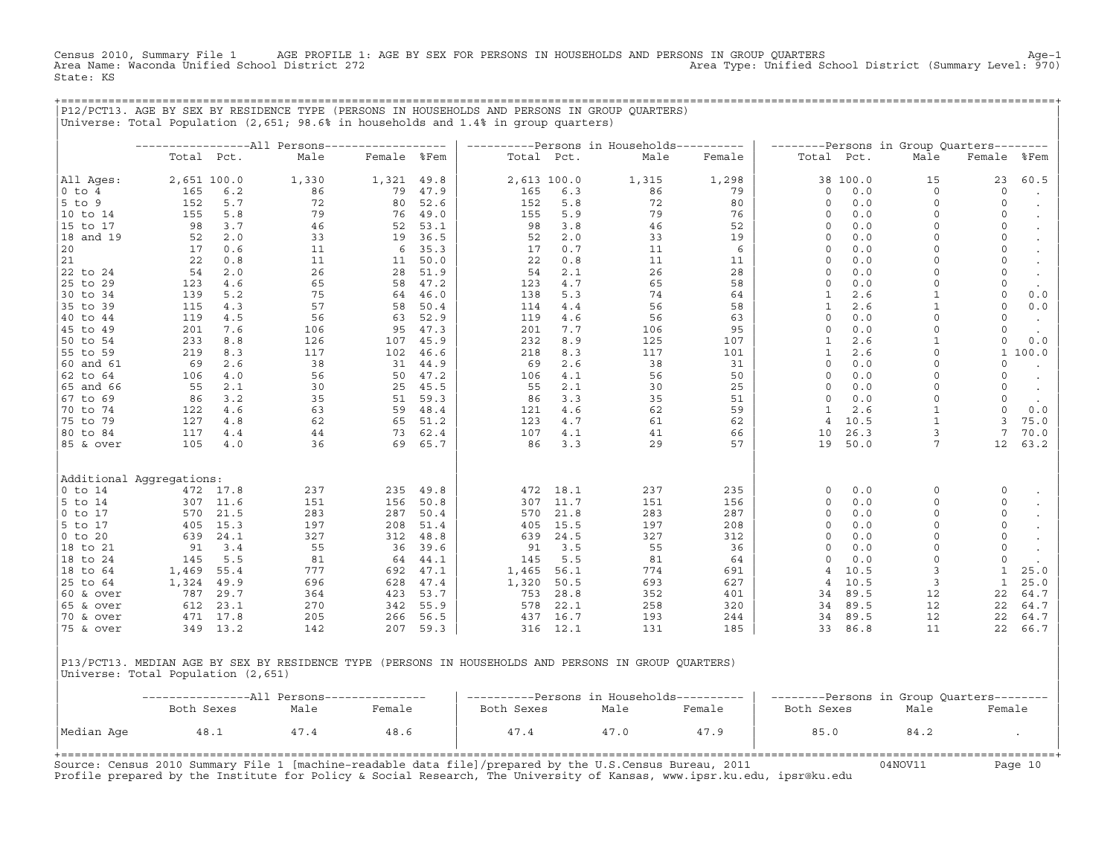Census 2010, Summary File 1 AGE PROFILE 1: AGE BY SEX FOR PERSONS IN HOUSEHOLDS AND PERSONS IN GROUP QUARTERS Age−1<br>Area Name: Waconda Unified School District 272 Area Type: Unified School District (Summary Level: 970) State: KS

+===================================================================================================================================================+

| Total Pct.<br>All Ages:<br>2,651 100.0<br>$0$ to $4$<br>165<br>6.2<br>$5$ to $9$<br>5.7<br>152<br>10 to 14<br>155<br>5.8<br>15 to 17<br>3.7<br>98<br>18 and 19<br>52<br>2.0<br>20<br>0.6<br>17<br>21<br>22<br>0.8<br>22 to 24<br>54<br>2.0<br>25 to 29<br>4.6<br>123<br>30 to 34<br>5.2<br>139<br>35 to 39<br>115<br>4.3<br>40 to 44<br>119<br>4.5<br>45 to 49<br>7.6<br>201<br>50 to 54<br>233<br>8.8<br>55 to 59<br>219<br>8.3<br>60 and 61<br>69<br>2.6<br>62 to 64<br>4.0<br>106<br>65 and 66<br>55<br>2.1<br>67 to 69<br>3.2<br>86<br>70 to 74<br>122<br>4.6<br>75 to 79<br>4.8<br>127<br>80 to 84<br>117<br>4.4<br>85 & over<br>105<br>4.0<br>Additional Aggregations:<br>$0$ to 14<br>472 17.8<br>$5$ to 14<br>307 11.6<br>$ 0 \tto 17$<br>570<br>21.5<br>$5$ to 17<br>405<br>15.3<br>$ 0 \t{to} 20$<br>639<br>24.1<br>18 to 21<br>91<br>3.4<br>5.5<br>18 to 24<br>145<br>55.4<br>18 to 64<br>1,469 | Male<br>1,330<br>86<br>72 | Female %Fem<br>1,321 |              | Total Pct.  |              |            |            |              |              |                |              |                      |
|------------------------------------------------------------------------------------------------------------------------------------------------------------------------------------------------------------------------------------------------------------------------------------------------------------------------------------------------------------------------------------------------------------------------------------------------------------------------------------------------------------------------------------------------------------------------------------------------------------------------------------------------------------------------------------------------------------------------------------------------------------------------------------------------------------------------------------------------------------------------------------------------------------|---------------------------|----------------------|--------------|-------------|--------------|------------|------------|--------------|--------------|----------------|--------------|----------------------|
|                                                                                                                                                                                                                                                                                                                                                                                                                                                                                                                                                                                                                                                                                                                                                                                                                                                                                                            |                           |                      |              |             |              | Male       | Female     | Total Pct.   |              | Male           | Female       | %Fem                 |
|                                                                                                                                                                                                                                                                                                                                                                                                                                                                                                                                                                                                                                                                                                                                                                                                                                                                                                            |                           |                      | 49.8         | 2,613 100.0 |              | 1,315      | 1,298      |              | 38 100.0     | 15             | 23           | 60.5                 |
|                                                                                                                                                                                                                                                                                                                                                                                                                                                                                                                                                                                                                                                                                                                                                                                                                                                                                                            |                           | 79                   | 47.9         | 165         | 6.3          | 86         | 79         | $\circ$      | 0.0          | $\Omega$       | $\circ$      | $\bullet$            |
|                                                                                                                                                                                                                                                                                                                                                                                                                                                                                                                                                                                                                                                                                                                                                                                                                                                                                                            |                           | 80                   | 52.6         | 152         | 5.8          | 72         | 80         | 0            | 0.0          | $\circ$        | $\mathbf 0$  | $\bullet$            |
|                                                                                                                                                                                                                                                                                                                                                                                                                                                                                                                                                                                                                                                                                                                                                                                                                                                                                                            | 79                        | 76                   | 49.0         | 155         | 5.9          | 79         | 76         | $\circ$      | 0.0          | $\circ$        | 0            |                      |
|                                                                                                                                                                                                                                                                                                                                                                                                                                                                                                                                                                                                                                                                                                                                                                                                                                                                                                            | 46                        | 52                   | 53.1         | 98          | 3.8          | 46         | 52         | $\Omega$     | 0.0          | $\circ$        | $\circ$      | $\bullet$            |
|                                                                                                                                                                                                                                                                                                                                                                                                                                                                                                                                                                                                                                                                                                                                                                                                                                                                                                            | 33                        | 19                   | 36.5         | 52          | 2.0          | 33         | 19         | 0            | 0.0          | $\Omega$       | 0            | $\bullet$            |
|                                                                                                                                                                                                                                                                                                                                                                                                                                                                                                                                                                                                                                                                                                                                                                                                                                                                                                            | 11                        | 6                    | 35.3         | 17          | 0.7          | 11         | 6          | 0            | 0.0          | $\Omega$       | 0            | $\sim$               |
|                                                                                                                                                                                                                                                                                                                                                                                                                                                                                                                                                                                                                                                                                                                                                                                                                                                                                                            | 11                        | 11                   | 50.0         | 22          | 0.8          | 11         | 11         | $\circ$      | 0.0          | $\Omega$       | 0            | $\bullet$            |
|                                                                                                                                                                                                                                                                                                                                                                                                                                                                                                                                                                                                                                                                                                                                                                                                                                                                                                            | 26                        | 28                   | 51.9         | 54          | 2.1          | 26         | 28         | $\Omega$     | 0.0          | $\Omega$       | 0            | $\bullet$            |
|                                                                                                                                                                                                                                                                                                                                                                                                                                                                                                                                                                                                                                                                                                                                                                                                                                                                                                            | 65                        | 58                   | 47.2         | 123         | 4.7          | 65         | 58         | $\circ$      | 0.0          | $\mathbf 0$    | 0            | $\sim$               |
|                                                                                                                                                                                                                                                                                                                                                                                                                                                                                                                                                                                                                                                                                                                                                                                                                                                                                                            | 75                        | 64                   | 46.0         | 138         | 5.3          | 74         | 64         | 1            | 2.6          | $\mathbf{1}$   | $\circ$      | 0.0                  |
|                                                                                                                                                                                                                                                                                                                                                                                                                                                                                                                                                                                                                                                                                                                                                                                                                                                                                                            | 57                        | 58                   | 50.4         | 114         | 4.4          | 56         | 58         | $\mathbf{1}$ | 2.6          | $\mathbf{1}$   | $\circ$      | 0.0                  |
|                                                                                                                                                                                                                                                                                                                                                                                                                                                                                                                                                                                                                                                                                                                                                                                                                                                                                                            | 56                        | 63                   | 52.9         | 119         | 4.6          | 56         | 63         | $\Omega$     | 0.0          | $\Omega$       | $\circ$      | $\bullet$            |
|                                                                                                                                                                                                                                                                                                                                                                                                                                                                                                                                                                                                                                                                                                                                                                                                                                                                                                            | 106                       | 95                   | 47.3         | 201         | 7.7          | 106        | 95         | $\circ$      | 0.0          | $\Omega$       | 0            | $\sim$               |
|                                                                                                                                                                                                                                                                                                                                                                                                                                                                                                                                                                                                                                                                                                                                                                                                                                                                                                            | 126                       | 107                  | 45.9         | 232         | 8.9          | 125        | 107        | $\mathbf{1}$ | 2.6          | $\overline{1}$ | 0            | 0.0                  |
|                                                                                                                                                                                                                                                                                                                                                                                                                                                                                                                                                                                                                                                                                                                                                                                                                                                                                                            | 117                       | 102                  | 46.6         | 218         | 8.3          | 117        | 101        | 1            | 2.6          | $\Omega$       | $\mathbf{1}$ | 100.0                |
|                                                                                                                                                                                                                                                                                                                                                                                                                                                                                                                                                                                                                                                                                                                                                                                                                                                                                                            | 38                        | 31                   | 44.9         | 69          | 2.6          | 38         | 31         | $\circ$      | 0.0          | $\Omega$       | 0            | $\bullet$            |
|                                                                                                                                                                                                                                                                                                                                                                                                                                                                                                                                                                                                                                                                                                                                                                                                                                                                                                            | 56                        | 50                   | 47.2         | 106         | 4.1          | 56         | 50         | 0            | 0.0          | $\Omega$       | 0            |                      |
|                                                                                                                                                                                                                                                                                                                                                                                                                                                                                                                                                                                                                                                                                                                                                                                                                                                                                                            | 30                        | 25                   | 45.5         | 55          | 2.1          | 30         | 25         | $\circ$      | 0.0          | $\mathbf 0$    | $\circ$      | $\ddot{\phantom{0}}$ |
|                                                                                                                                                                                                                                                                                                                                                                                                                                                                                                                                                                                                                                                                                                                                                                                                                                                                                                            | 35                        | 51                   | 59.3         | 86          | 3.3          | 35         | 51         | $\circ$      | 0.0          | $\Omega$       | 0            | $\sim$               |
|                                                                                                                                                                                                                                                                                                                                                                                                                                                                                                                                                                                                                                                                                                                                                                                                                                                                                                            | 63                        | 59                   | 48.4         | 121         | 4.6          | 62         | 59         | 1            | 2.6          | $\mathbf{1}$   | $\circ$      | 0.0                  |
|                                                                                                                                                                                                                                                                                                                                                                                                                                                                                                                                                                                                                                                                                                                                                                                                                                                                                                            | 62                        | 65                   | 51.2         | 123         | 4.7          | 61         | 62         | 4            | 10.5         | $\mathbf{1}$   | 3            | 75.0                 |
|                                                                                                                                                                                                                                                                                                                                                                                                                                                                                                                                                                                                                                                                                                                                                                                                                                                                                                            | 44                        | 73                   | 62.4         | 107         | 4.1          | 41         | 66         | 10           | 26.3         | 3              | 7            | 70.0                 |
|                                                                                                                                                                                                                                                                                                                                                                                                                                                                                                                                                                                                                                                                                                                                                                                                                                                                                                            | 36                        | 69                   | 65.7         | 86          | 3.3          | 29         | 57         | 19           | 50.0         | 7              | 12           | 63.2                 |
|                                                                                                                                                                                                                                                                                                                                                                                                                                                                                                                                                                                                                                                                                                                                                                                                                                                                                                            |                           |                      |              |             |              |            |            |              |              |                |              |                      |
|                                                                                                                                                                                                                                                                                                                                                                                                                                                                                                                                                                                                                                                                                                                                                                                                                                                                                                            | 237                       | 235                  | 49.8         | 472         | 18.1         | 237        | 235        | 0            | 0.0          | $\mathbf 0$    | 0            |                      |
|                                                                                                                                                                                                                                                                                                                                                                                                                                                                                                                                                                                                                                                                                                                                                                                                                                                                                                            | 151                       | 156                  | 50.8         | 307         | 11.7         | 151        | 156        | $\circ$      | 0.0          | $\Omega$       | $\circ$      |                      |
|                                                                                                                                                                                                                                                                                                                                                                                                                                                                                                                                                                                                                                                                                                                                                                                                                                                                                                            | 283                       | 287                  | 50.4         | 570         | 21.8         | 283        | 287        | $\mathbf 0$  | 0.0          | $\circ$        | $\circ$      |                      |
|                                                                                                                                                                                                                                                                                                                                                                                                                                                                                                                                                                                                                                                                                                                                                                                                                                                                                                            | 197                       | 208                  | 51.4         | 405         | 15.5         | 197        | 208        | $\Omega$     | 0.0          | $\Omega$       | 0            |                      |
|                                                                                                                                                                                                                                                                                                                                                                                                                                                                                                                                                                                                                                                                                                                                                                                                                                                                                                            | 327                       | 312                  | 48.8         | 639         | 24.5         | 327        | 312        | $\mathbf 0$  | 0.0          | $\Omega$       | 0            |                      |
|                                                                                                                                                                                                                                                                                                                                                                                                                                                                                                                                                                                                                                                                                                                                                                                                                                                                                                            | 55                        | 36                   | 39.6         | 91          | 3.5          | 55         | 36         | $\Omega$     | 0.0          | $\Omega$       | $\mathsf O$  | $\bullet$            |
|                                                                                                                                                                                                                                                                                                                                                                                                                                                                                                                                                                                                                                                                                                                                                                                                                                                                                                            | 81                        | 64                   | 44.1         | 145         | 5.5          | 81         | 64         | 0            | 0.0          | $\Omega$       | 0            | $\cdot$              |
|                                                                                                                                                                                                                                                                                                                                                                                                                                                                                                                                                                                                                                                                                                                                                                                                                                                                                                            | 777                       | 692                  | 47.1         | 1,465       | 56.1         | 774        | 691        | 4            | 10.5         | $\overline{3}$ | $\mathbf{1}$ | 25.0                 |
| 25 to 64<br>1,324<br>49.9                                                                                                                                                                                                                                                                                                                                                                                                                                                                                                                                                                                                                                                                                                                                                                                                                                                                                  | 696                       | 628                  | 47.4         | 1,320       | 50.5         | 693        | 627        | 4            | 10.5         | 3              | 1            | 25.0                 |
| 29.7<br>60 & over<br>787                                                                                                                                                                                                                                                                                                                                                                                                                                                                                                                                                                                                                                                                                                                                                                                                                                                                                   | 364                       | 423                  | 53.7         | 753         | 28.8         | 352        | 401        | 34           | 89.5         | 12             | 22           | 64.7                 |
| $ 65 \& over$<br>612<br>23.1                                                                                                                                                                                                                                                                                                                                                                                                                                                                                                                                                                                                                                                                                                                                                                                                                                                                               | 270                       | 342                  | 55.9         | 578         | 22.1         | 258        | 320        | 34           | 89.5         | 12             | 22           | 64.7                 |
| 70 & over<br>17.8<br>471<br>75 & over<br>349 13.2                                                                                                                                                                                                                                                                                                                                                                                                                                                                                                                                                                                                                                                                                                                                                                                                                                                          | 205<br>142                | 266<br>207           | 56.5<br>59.3 | 437<br>316  | 16.7<br>12.1 | 193<br>131 | 244<br>185 | 34<br>33     | 89.5<br>86.8 | 12<br>11       | 22<br>22     | 64.7<br>66.7         |

|P13/PCT13. MEDIAN AGE BY SEX BY RESIDENCE TYPE (PERSONS IN HOUSEHOLDS AND PERSONS IN GROUP QUARTERS) | |Universe: Total Population (2,651) |

|            |            |      |        | ----------Persons in Households---------- |      |        | --------Persons in Group Quarters-------- |      |        |  |  |  |
|------------|------------|------|--------|-------------------------------------------|------|--------|-------------------------------------------|------|--------|--|--|--|
|            | Both Sexes | Male | Female | Both Sexes                                | Male | Female | Both Sexes                                | Male | Female |  |  |  |
| Median Age | 48.1       | 47.4 | 48.6   | 47.4                                      | 47.0 | 47.9   | 85.0                                      | 84.2 |        |  |  |  |
|            |            |      |        |                                           |      |        |                                           |      |        |  |  |  |

Source: Census 2010 Summary File 1 [machine-readable data file]/prepared by the U.S.Census Bureau, 2011 Page 10<br>Profile prepared by the Institute for Policy & Social Research, The University of Kansas, www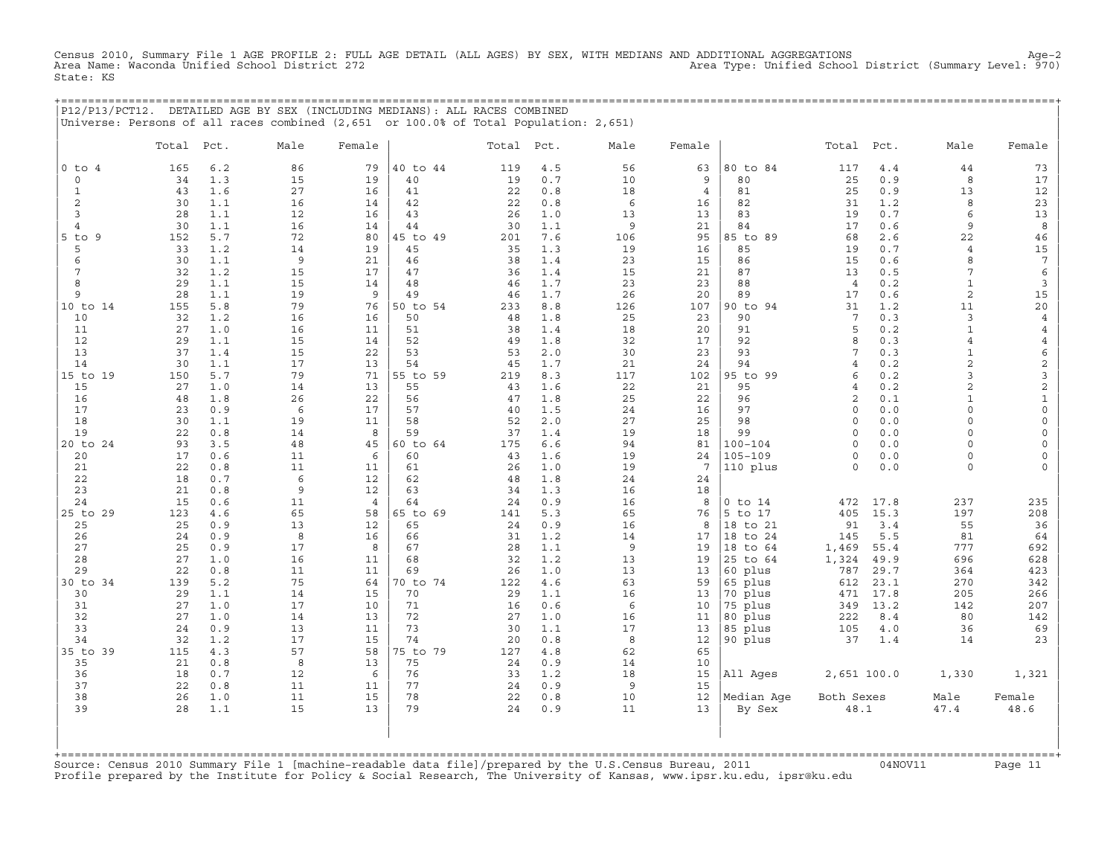Census 2010, Summary File 1 AGE PROFILE 2: FULL AGE DETAIL (ALL AGES) BY SEX, WITH MEDIANS AND ADDITIONAL AGGREGATIONS<br>Area Name: Waconda Unified School District 272 Area Type: Unified Schoo State: KS

+===================================================================================================================================================+

|                |          |            | P12/P13/PCT12. DETAILED AGE BY SEX (INCLUDING MEDIANS): ALL RACES COMBINED<br>Universe: Persons of all races combined (2,651 or 100.0% of Total Population: 2,651) |                |          |          |            |          |                |                     |                    |              |                    |                       |
|----------------|----------|------------|--------------------------------------------------------------------------------------------------------------------------------------------------------------------|----------------|----------|----------|------------|----------|----------------|---------------------|--------------------|--------------|--------------------|-----------------------|
|                | Total    | Pct.       | Male                                                                                                                                                               | Female         |          | Total    | Pct.       | Male     | Female         |                     | Total              | Pct.         | Male               | Female                |
| $0$ to $4$     | 165      | 6.2        | 86                                                                                                                                                                 | 79             | 40 to 44 | 119      | 4.5        | 56       | 63             | 80 to 84            | 117                | 4.4          | 44                 | 73                    |
| $\mathbf 0$    | 34       | 1.3        | 15                                                                                                                                                                 | 19             | 40       | 19       | 0.7        | 10       | 9              | 80                  | 25                 | 0.9          | 8                  | 17                    |
| $\mathbf{1}$   | 43       | 1.6        | 27                                                                                                                                                                 | 16             | 41       | 22       | 0.8        | 18       | $\overline{4}$ | 81                  | 25                 | 0.9          | 13                 | 12                    |
| 2              | 30       | 1.1        | 16                                                                                                                                                                 | 14             | 42       | 22       | 0.8        | 6        | 16             | 82                  | 31                 | 1.2          | 8                  | 23                    |
| 3              | 28       | 1.1        | 12                                                                                                                                                                 | 16             | 43       | 26       | 1.0        | 13       | 13             | 83                  | 19                 | 0.7          | 6                  | 13                    |
| $\overline{4}$ | 30       | 1.1        | 16                                                                                                                                                                 | 14             | 44       | 30       | 1.1        | 9        | 21             | 84                  | 17                 | 0.6          | 9                  | $\boldsymbol{8}$      |
| $5$ to $9$     | 152      | 5.7        | 72                                                                                                                                                                 | 80             | 45 to 49 | 201      | 7.6        | 106      | 95             | 85 to 89            | 68                 | 2.6          | 22                 | 46                    |
| 5<br>6         | 33       | 1.2        | 14                                                                                                                                                                 | 19             | 45       | 35       | 1.3        | 19       | 16             | 85                  | 19                 | 0.7          | $\overline{4}$     | 15<br>$7\phantom{.0}$ |
| 7              | 30<br>32 | 1.1<br>1.2 | 9<br>15                                                                                                                                                            | 21<br>17       | 46<br>47 | 38<br>36 | 1.4<br>1.4 | 23<br>15 | 15<br>21       | 86<br>87            | 15<br>13           | 0.6<br>0.5   | 8<br>7             | 6                     |
| 8              | 29       | 1.1        | 15                                                                                                                                                                 | 14             | 48       | 46       | 1.7        | 23       | 23             | 88                  | $\overline{4}$     | 0.2          | $\mathbf 1$        | 3                     |
| 9              | 28       | 1.1        | 19                                                                                                                                                                 | 9              | 49       | 46       | 1.7        | 26       | 20             | 89                  | 17                 | 0.6          | 2                  | 15                    |
| 10 to 14       | 155      | 5.8        | 79                                                                                                                                                                 | 76             | 50 to 54 | 233      | 8.8        | 126      | 107            | 90 to 94            | 31                 | 1.2          | 11                 | $20$                  |
| 10             | 32       | 1.2        | 16                                                                                                                                                                 | 16             | 50       | 48       | 1.8        | 25       | 23             | 90                  | $7\phantom{.0}$    | 0.3          | 3                  | $\overline{4}$        |
| 11             | 27       | 1.0        | 16                                                                                                                                                                 | 11             | 51       | 38       | 1.4        | 18       | 20             | 91                  | 5                  | 0.2          | $\mathbf{1}$       | 4                     |
| 12             | 29       | 1.1        | 15                                                                                                                                                                 | 14             | 52       | 49       | 1.8        | 32       | 17             | 92                  | 8                  | 0.3          | $\overline{4}$     | $\overline{4}$        |
| 13             | 37       | 1.4        | 15                                                                                                                                                                 | 22             | 53       | 53       | 2.0        | 30       | 23             | 93                  | 7                  | 0.3          | $\mathbf{1}$       | 6                     |
| 14             | 30       | 1.1        | 17                                                                                                                                                                 | 13             | 54       | 45       | 1.7        | 21       | 24             | 94                  | $\overline{4}$     | 0.2          | $\overline{c}$     | $\overline{c}$        |
| 15 to 19       | 150      | 5.7        | 79                                                                                                                                                                 | 71             | 55 to 59 | 219      | 8.3        | 117      | 102            | 95 to 99            | 6                  | 0.2          | 3                  | 3                     |
| 15             | 27       | 1.0        | 14                                                                                                                                                                 | 13             | 55       | 43       | 1.6        | 22       | 21             | 95                  | $\overline{4}$     | 0.2          | $\overline{a}$     | $\overline{c}$        |
| 16             | 48       | 1.8        | 26                                                                                                                                                                 | 22             | 56       | 47       | 1.8        | 25       | 22             | 96                  | 2                  | 0.1          | $\mathbf{1}$       | $\mathbf{1}$          |
| 17             | 23       | 0.9        | 6                                                                                                                                                                  | 17             | 57       | 40       | 1.5        | 24       | 16             | 97                  | $\circ$            | 0.0          | $\circ$            | $\mathsf{O}\xspace$   |
| 18<br>19       | 30<br>22 | 1.1<br>0.8 | 19<br>14                                                                                                                                                           | 11<br>8        | 58<br>59 | 52<br>37 | 2.0<br>1.4 | 27<br>19 | 25<br>18       | 98<br>99            | $\circ$<br>$\circ$ | 0.0<br>0.0   | $\circ$<br>$\circ$ | $\mathsf O$<br>0      |
| 20 to 24       | 93       | 3.5        | 48                                                                                                                                                                 | 45             | 60 to 64 | 175      | 6.6        | 94       | 81             | $100 - 104$         | $\Omega$           | 0.0          | $\circ$            | 0                     |
| 20             | 17       | 0.6        | 11                                                                                                                                                                 | 6              | 60       | 43       | 1.6        | 19       | 24             | $105 - 109$         | $\Omega$           | 0.0          | $\circ$            | 0                     |
| 21             | 22       | 0.8        | 11                                                                                                                                                                 | 11             | 61       | 26       | 1.0        | 19       | 7              | 110 plus            | $\circ$            | 0.0          | $\circ$            | $\mathbf 0$           |
| 22             | 18       | 0.7        | 6                                                                                                                                                                  | 12             | 62       | 48       | 1.8        | 24       | 24             |                     |                    |              |                    |                       |
| 23             | 21       | 0.8        | 9                                                                                                                                                                  | 12             | 63       | 34       | 1.3        | 16       | 18             |                     |                    |              |                    |                       |
| 24             | 15       | 0.6        | 11                                                                                                                                                                 | $\overline{4}$ | 64       | 24       | 0.9        | 16       | 8              | $0$ to $14$         | 472                | 17.8         | 237                | 235                   |
| 25 to 29       | 123      | 4.6        | 65                                                                                                                                                                 | 58             | 65 to 69 | 141      | 5.3        | 65       | 76             | 5 to 17             | 405                | 15.3         | 197                | 208                   |
| 25             | 25       | 0.9        | 13                                                                                                                                                                 | 12             | 65       | 24       | 0.9        | 16       | 8              | 18 to 21            | 91                 | 3.4          | 55                 | 36                    |
| 26             | 24       | 0.9        | 8                                                                                                                                                                  | 16             | 66       | 31       | 1.2        | 14       | 17             | 18 to 24            | 145                | 5.5          | 81                 | 64                    |
| 27             | 25       | 0.9        | 17                                                                                                                                                                 | 8              | 67       | 28       | 1.1        | 9        | 19             | 18 to 64            | 1,469              | 55.4         | 777                | 692                   |
| 28<br>29       | 27<br>22 | 1.0<br>0.8 | 16<br>11                                                                                                                                                           | 11<br>11       | 68<br>69 | 32<br>26 | 1.2<br>1.0 | 13<br>13 | 19             | 25 to 64<br>60 plus | 1,324<br>787       | 49.9<br>29.7 | 696<br>364         | 628<br>423            |
| 30 to 34       | 139      | 5.2        | 75                                                                                                                                                                 | 64             | 70 to 74 | 122      | 4.6        | 63       | 13<br>59       | 65 plus             | 612                | 23.1         | 270                | 342                   |
| 30             | 29       | 1.1        | 14                                                                                                                                                                 | 15             | 70       | 29       | 1.1        | 16       | 13             | 70 plus             | 471                | 17.8         | 205                | 266                   |
| 31             | 27       | 1.0        | 17                                                                                                                                                                 | 10             | 71       | 16       | 0.6        | 6        | 10             | 75 plus             | 349                | 13.2         | 142                | 207                   |
| 32             | 27       | 1.0        | 14                                                                                                                                                                 | 13             | 72       | 27       | 1.0        | 16       | 11             | 80 plus             | 222                | 8.4          | 80                 | 142                   |
| 33             | 24       | 0.9        | 13                                                                                                                                                                 | 11             | 73       | 30       | 1.1        | 17       | 13             | 85 plus             | 105                | 4.0          | 36                 | 69                    |
| 34             | 32       | 1.2        | 17                                                                                                                                                                 | 15             | 74       | 20       | 0.8        | 8        | 12             | 90 plus             | 37                 | 1.4          | 14                 | 23                    |
| 35 to 39       | 115      | 4.3        | 57                                                                                                                                                                 | 58             | 75 to 79 | 127      | $4.8$      | 62       | 65             |                     |                    |              |                    |                       |
| 35             | 21       | 0.8        | 8                                                                                                                                                                  | 13             | 75       | 24       | 0.9        | 14       | 10             |                     |                    |              |                    |                       |
| 36             | 18       | 0.7        | 12                                                                                                                                                                 | 6              | 76       | 33       | 1.2        | 18       | 15             | All Ages            | 2,651 100.0        |              | 1,330              | 1,321                 |
| 37             | 22       | 0.8        | 11                                                                                                                                                                 | 11             | 77       | 24       | 0.9        | 9        | 15             |                     |                    |              |                    |                       |
| 38             | 26       | 1.0        | 11                                                                                                                                                                 | 15             | 78       | 22       | 0.8        | 10       | 12             | Median Aqe          | Both Sexes         |              | Male               | Female                |
| 39             | 28       | 1.1        | 15                                                                                                                                                                 | 13             | 79       | 24       | 0.9        | 11       | 13             | By Sex              | 48.1               |              | 47.4               | 48.6                  |
|                |          |            |                                                                                                                                                                    |                |          |          |            |          |                |                     |                    |              |                    |                       |

| | +===================================================================================================================================================+ Source: Census 2010 Summary File 1 [machine−readable data file]/prepared by the U.S.Census Bureau, 2011 04NOV11 Page 11 Profile prepared by the Institute for Policy & Social Research, The University of Kansas, www.ipsr.ku.edu, ipsr@ku.edu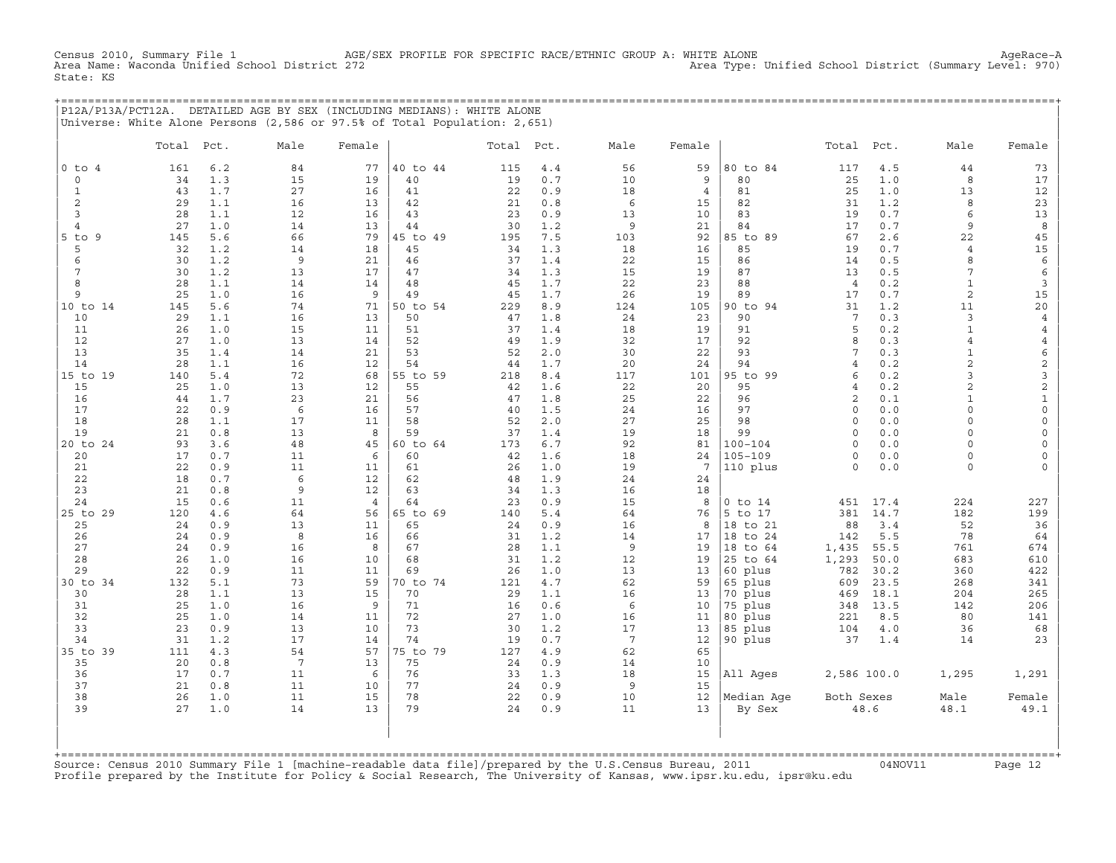Census 2010, Summary File 1 AGE/SEX PROFILE FOR SPECIFIC RACE/ETHNIC GROUP A: WHITE ALONE Agehace-A<br>Area Type: Unified School District (Summary Level: 970) Area Type: Unified School District (Summ Area Type: Unified School District (Summary Level: 970) State: KS

+===================================================================================================================================================+ |P12A/P13A/PCT12A. DETAILED AGE BY SEX (INCLUDING MEDIANS): WHITE ALONE | |Universe: White Alone Persons (2,586 or 97.5% of Total Population: 2,651) |

|              | Total    | Pct.       | Male            | Female         |          | Total Pct. |            | Male            | Female                |                        | Total                | Pct.       | Male                           | Female                  |
|--------------|----------|------------|-----------------|----------------|----------|------------|------------|-----------------|-----------------------|------------------------|----------------------|------------|--------------------------------|-------------------------|
| $0$ to $4$   | 161      | 6.2        | 84              | 77             | 40 to 44 | 115        | $4.4$      | 56              | 59                    | 80 to 84               | 117                  | $4.5\,$    | 44                             | 73                      |
| $\mathbf 0$  | 34       | 1.3        | 15              | 19             | 40       | 19         | 0.7        | 10              | 9                     | 80                     | 25                   | 1.0        | 8                              | 17                      |
| $\mathbf{1}$ | 43       | 1.7        | 27              | 16             | 41       | 22         | 0.9        | 18              | $\overline{4}$        | 81                     | 25                   | 1.0        | 13                             | 12                      |
| 2            | 29       | 1.1        | 16              | 13             | 42       | 21         | 0.8        | 6               | 15                    | 82                     | 31                   | 1.2        | 8                              | 23                      |
| 3            | 28       | 1.1        | 12              | 16             | 43       | 23         | 0.9        | 13              | 10                    | 83                     | 19                   | 0.7        | 6                              | $13$                    |
| 4            | 27       | 1.0        | 14              | 13             | 44       | 30         | 1.2        | 9               | 21                    | 84                     | 17                   | 0.7        | 9                              | $\boldsymbol{8}$        |
| $5$ to<br>9  | 145      | 5.6        | 66              | 79             | 45 to 49 | 195        | 7.5        | 103             | 92                    | 85 to 89               | 67                   | 2.6        | 22                             | 45                      |
| 5            | 32       | 1.2        | 14              | 18             | 45       | 34         | 1.3        | 18              | 16                    | 85                     | 19                   | 0.7        | $\overline{4}$                 | $15\,$                  |
| 6            | 30       | 1.2        | 9               | 21             | 46       | 37         | 1.4        | 22              | 15                    | 86                     | 14                   | 0.5        | 8                              | $\epsilon$              |
| 7            | 30       | 1.2        | 13              | 17             | 47<br>48 | 34         | 1.3        | 15              | 19                    | 87<br>88               | 13<br>$\overline{4}$ | 0.5        | 7                              | $\epsilon$              |
| 8<br>9       | 28<br>25 | 1.1<br>1.0 | 14<br>16        | 14<br>9        | 49       | 45<br>45   | 1.7<br>1.7 | 22<br>26        | 23<br>19              | 89                     | 17                   | 0.2<br>0.7 | $\mathbf{1}$<br>$\overline{c}$ | $\mathbf{3}$<br>15      |
| 10 to 14     | 145      | 5.6        | 74              | 71             | 50 to 54 | 229        | 8.9        | 124             | 105                   | 90 to 94               | 31                   | 1.2        | 11                             | 20                      |
| 10           | 29       | 1.1        | 16              | 13             | 50       | 47         | 1.8        | 24              | 23                    | 90                     | $7\phantom{.0}$      | 0.3        | 3                              | $\overline{4}$          |
| 11           | 26       | 1.0        | 15              | 11             | 51       | 37         | 1.4        | 18              | 19                    | 91                     | 5                    | 0.2        | $\mathbf{1}$                   | $\overline{4}$          |
| 12           | 27       | 1.0        | 13              | 14             | 52       | 49         | 1.9        | 32              | 17                    | 92                     | 8                    | 0.3        | $\overline{4}$                 | $\overline{4}$          |
| 13           | 35       | 1.4        | 14              | 21             | 53       | 52         | $2.0$      | 30              | 22                    | 93                     | 7                    | 0.3        | $\mathbf{1}$                   | 6                       |
| 14           | 28       | 1.1        | 16              | 12             | 54       | 44         | 1.7        | 20              | 24                    | 94                     | $\overline{4}$       | 0.2        | $\overline{c}$                 | $\overline{\mathbf{c}}$ |
| 15 to 19     | 140      | 5.4        | 72              | 68             | 55 to 59 | 218        | 8.4        | 117             | 101                   | 95 to 99               | 6                    | 0.2        | 3                              | 3                       |
| 15           | 25       | 1.0        | 13              | 12             | 55       | 42         | 1.6        | 22              | 20                    | 95                     | $\overline{4}$       | 0.2        | $\overline{a}$                 | $\overline{\mathbf{c}}$ |
| 16           | 44       | 1.7        | 23              | 21             | 56       | 47         | 1.8        | 25              | 22                    | 96                     | 2                    | 0.1        | $\mathbf{1}$                   | $\mathbf 1$             |
| 17           | 22       | 0.9        | 6               | 16             | 57       | 40         | 1.5        | 24              | 16                    | 97                     | $\Omega$             | 0.0        | $\Omega$                       | $\mathsf{O}$            |
| 18           | 28       | 1.1        | 17              | 11             | 58       | 52         | 2.0        | 27              | 25                    | 98                     | $\circ$              | 0.0        | $\circ$                        | $\mathsf O$             |
| 19           | 21       | 0.8        | 13              | 8              | 59       | 37         | 1.4        | 19              | 18                    | 99                     | $\mathbf 0$          | 0.0        | $\circ$                        | $\mathsf{O}\xspace$     |
| 20 to 24     | 93       | 3.6        | 48              | 45             | 60 to 64 | 173        | 6.7        | 92              | 81                    | $100 - 104$<br>105-109 | $\Omega$             | 0.0        | $\Omega$                       | 0                       |
| 20<br>21     | 17<br>22 | 0.7<br>0.9 | 11<br>11        | 6<br>11        | 60<br>61 | 42<br>26   | 1.6<br>1.0 | 18<br>19        | 24<br>$7\phantom{.0}$ |                        | $\circ$<br>$\circ$   | 0.0<br>0.0 | $\circ$<br>$\circ$             | $\circ$<br>$\mathsf O$  |
| 22           | 18       | 0.7        | 6               | 12             | 62       | 48         | 1.9        | 24              | 24                    | 110 plus               |                      |            |                                |                         |
| 23           | 21       | 0.8        | 9               | 12             | 63       | 34         | 1.3        | 16              | 18                    |                        |                      |            |                                |                         |
| 24           | 15       | 0.6        | 11              | $\overline{4}$ | 64       | 23         | 0.9        | 15              | 8                     | $0$ to $14$            | 451                  | 17.4       | 224                            | 227                     |
| 25 to 29     | 120      | 4.6        | 64              | 56             | 65 to 69 | 140        | 5.4        | 64              | 76                    | 5 to 17                | 381                  | 14.7       | 182                            | 199                     |
| 25           | 24       | 0.9        | 13              | 11             | 65       | 24         | 0.9        | 16              | 8                     | 18 to 21               | 88                   | 3.4        | 52                             | 36                      |
| 26           | 24       | 0.9        | 8               | 16             | 66       | 31         | 1.2        | 14              | 17                    | 18 to 24               | 142                  | 5.5        | 78                             | 64                      |
| 27           | 24       | 0.9        | 16              | 8              | 67       | 28         | 1.1        | 9               | 19                    | 18 to 64               | 1,435                | 55.5       | 761                            | 674                     |
| 28           | 26       | 1.0        | 16              | 10             | 68       | 31         | 1.2        | 12              | 19                    | 25 to 64               | 1,293                | 50.0       | 683                            | 610                     |
| 29           | 22       | 0.9        | 11              | 11             | 69       | 26         | 1.0        | 13              | 13                    | 60 plus                | 782                  | 30.2       | 360                            | 422                     |
| 30 to 34     | 132      | 5.1        | 73              | 59             | 70 to 74 | 121        | 4.7        | 62              | 59                    | 65 plus                | 609                  | 23.5       | 268                            | 341                     |
| 30           | 28       | 1.1        | 13              | 15             | 70       | 29         | 1.1        | 16              | 13                    | 70 plus                | 469                  | 18.1       | 204                            | 265                     |
| 31           | 25       | 1.0        | 16              | 9              | 71       | 16         | 0.6        | 6               | 10                    | 75 plus                | 348                  | 13.5       | 142                            | 206                     |
| 32<br>33     | 25<br>23 | 1.0<br>0.9 | 14<br>13        | 11<br>10       | 72<br>73 | 27<br>30   | 1.0<br>1.2 | 16<br>17        | 11                    | 80 plus                | 221                  | 8.5        | 80                             | 141                     |
| 34           | 31       | 1.2        | 17              | 14             | 74       | 19         | 0.7        | $7\phantom{.0}$ | 13<br>12              | 85 plus<br>90 plus     | 104<br>37            | 4.0<br>1.4 | 36<br>14                       | 68<br>23                |
| 35 to 39     | 111      | 4.3        | 54              | 57             | 75 to 79 | 127        | 4.9        | 62              | 65                    |                        |                      |            |                                |                         |
| 35           | 20       | 0.8        | $7\phantom{.0}$ | 13             | 75       | 24         | 0.9        | 14              | 10                    |                        |                      |            |                                |                         |
| 36           | 17       | 0.7        | 11              | 6              | 76       | 33         | 1.3        | 18              | 15                    | All Ages               | 2,586 100.0          |            | 1,295                          | 1,291                   |
| 37           | 21       | 0.8        | 11              | 10             | 77       | 24         | 0.9        | 9               | 15                    |                        |                      |            |                                |                         |
| 38           | 26       | 1.0        | 11              | 15             | 78       | 22         | 0.9        | 10              | 12                    | Median Age             | Both Sexes           |            | Male                           | Female                  |
| 39           | 27       | 1.0        | 14              | 13             | 79       | 24         | 0.9        | 11              | 13                    | By Sex                 |                      | 48.6       | 48.1                           | 49.1                    |
|              |          |            |                 |                |          |            |            |                 |                       |                        |                      |            |                                |                         |

+===================================================================================================================================================+Source: Census 2010 Summary File 1 [machine−readable data file]/prepared by the U.S.Census Bureau, 2011 04NOV11 Page 12 Profile prepared by the Institute for Policy & Social Research, The University of Kansas, www.ipsr.ku.edu, ipsr@ku.edu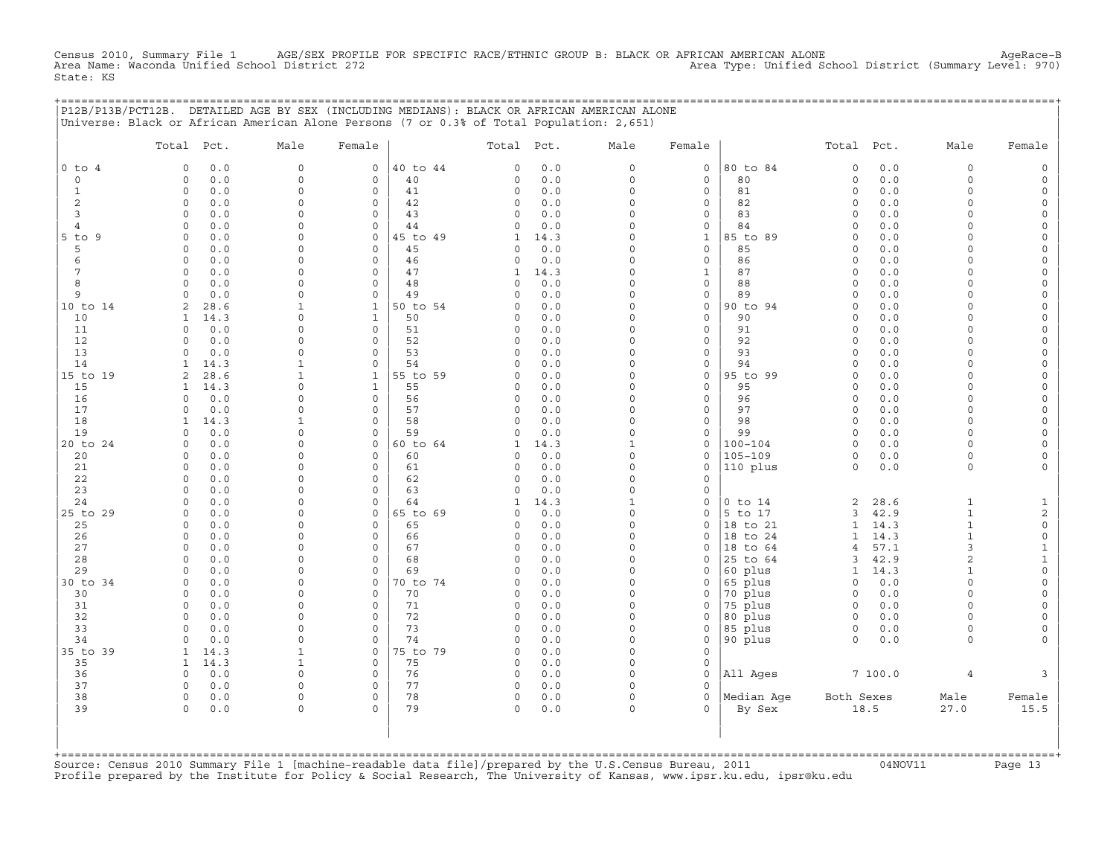Census 2010, Summary File 1 AGE/SEX PROFILE FOR SPECIFIC RACE/ETHNIC GROUP B: BLACK OR AFRICAN AMERICAN ALONE<br>Area Name: Waconda Unified School District 272 Area Name: Waconda Unified School District (Summary Level: 970) State: KS

|                   | P12B/P13B/PCT12B. DETAILED AGE BY SEX (INCLUDING MEDIANS): BLACK OR AFRICAN AMERICAN ALONE<br>Universe: Black or African American Alone Persons (7 or 0.3% of Total Population: 2,651) |                      |                          |                                        |             |                          |                          | <u>===================================</u> |                         |              |                      |                      |
|-------------------|----------------------------------------------------------------------------------------------------------------------------------------------------------------------------------------|----------------------|--------------------------|----------------------------------------|-------------|--------------------------|--------------------------|--------------------------------------------|-------------------------|--------------|----------------------|----------------------|
|                   | Total Pct.                                                                                                                                                                             | Male                 | Female                   | Total Pct.                             |             | Male                     | Female                   |                                            | Total Pct.              |              | Male                 | Female               |
| $0$ to $4$        | 0.0<br>$\circ$                                                                                                                                                                         | $\mathbf 0$          | $\mathbf{0}$             | 40 to 44<br>$\circ$                    | 0.0         | $\circ$                  | $\circ$                  | 80 to 84                                   | $\mathsf{O}\xspace$     | 0.0          | $\circ$              |                      |
| $\mathbf 0$       | 0.0<br>$\circ$                                                                                                                                                                         | $\Omega$             | $\mathbf 0$              | 40<br>$\mathbf 0$                      | 0.0         | $\circ$                  | $\mathbf 0$              | 80                                         | $\circ$                 | 0.0          | $\circ$              | $\Omega$             |
| $\mathbf{1}$<br>2 | $\circ$<br>0.0<br>0.0<br>0                                                                                                                                                             | $\Omega$<br>$\Omega$ | $\mathbf 0$<br>$\Omega$  | 41<br>$\mathbf 0$<br>42<br>0           | 0.0<br>0.0  | $\Omega$<br>0            | 0<br>0                   | 81<br>82                                   | $\mathbf 0$<br>$\Omega$ | 0.0<br>0.0   | $\Omega$<br>$\cap$   | $\Omega$<br>$\Omega$ |
| 3                 | 0.0<br>$\Omega$                                                                                                                                                                        | $\Omega$             | $\Omega$                 | 43<br>$\mathbf 0$                      | 0.0         | $\Omega$                 | 0                        | 83                                         | $\Omega$                | 0.0          | $\cap$               | $\Omega$             |
| 4                 | 0.0<br>$\Omega$                                                                                                                                                                        | $\Omega$             | $\Omega$                 | 44<br>$\Omega$                         | 0.0         | $\Omega$                 | 0                        | 84                                         | $\Omega$                | 0.0          | $\Omega$             |                      |
| 5 to 9            | 0.0<br>$\Omega$                                                                                                                                                                        | $\Omega$             | $\circ$                  | 45 to 49<br>1                          | 14.3        | $\Omega$                 | 1                        | 85 to 89                                   | $\Omega$                | 0.0          |                      |                      |
| 5                 | 0.0<br>0                                                                                                                                                                               | $\Omega$             | $\Omega$                 | 45<br>$\Omega$                         | 0.0         | $\Omega$                 | 0                        | 85                                         | $\circ$                 | 0.0          | $\Omega$             | $\Omega$             |
| 6                 | 0.0<br>0                                                                                                                                                                               | $\Omega$             | $\circ$                  | 46<br>$\circ$                          | 0.0         | $\Omega$                 | 0                        | 86                                         | $\circ$                 | 0.0          | $\Omega$<br>$\Omega$ | $\Omega$             |
| 7<br>8            | 0.0<br>$\circ$<br>0.0<br>$\Omega$                                                                                                                                                      | $\Omega$<br>$\Omega$ | $\mathbf{0}$<br>$\Omega$ | 47<br>$\mathbf{1}$<br>48<br>$\Omega$   | 14.3<br>0.0 | $\Omega$<br>0            | $\mathbf{1}$<br>$\Omega$ | 87<br>88                                   | $\circ$<br>$\Omega$     | 0.0<br>0.0   | $\Omega$             | $\Omega$             |
| 9                 | 0.0<br>$\Omega$                                                                                                                                                                        | $\Omega$             | $\mathbf 0$              | 49<br>$\Omega$                         | 0.0         | $\Omega$                 | 0                        | 89                                         | $\Omega$                | $0.0$        | $\Omega$             | $\Omega$             |
| 10 to 14          | 28.6<br>2                                                                                                                                                                              | 1                    | $\mathbf{1}$             | 50 to 54<br>$\Omega$                   | 0.0         | $\Omega$                 | $\mathbf{0}$             | 90 to 94                                   | $\Omega$                | 0.0          | $\cap$               | $\Omega$             |
| 10                | 14.3<br>$\mathbf{1}$                                                                                                                                                                   | $\Omega$             | $\mathbf{1}$             | 50<br>$\circ$                          | 0.0         | $\Omega$                 | $\mathbf{0}$             | 90                                         | $\circ$                 | 0.0          | $\Omega$             | $\Omega$             |
| 11                | 0.0<br>$\circ$                                                                                                                                                                         | $\Omega$             | $\mathbf 0$              | 51<br>$\mathbf 0$                      | 0.0         | $\Omega$                 | 0                        | 91                                         | $\circ$                 | 0.0          | $\Omega$             |                      |
| 12                | 0.0<br>$\Omega$                                                                                                                                                                        | $\Omega$             | $\Omega$                 | 52<br>$\Omega$                         | 0.0         | $\Omega$                 | $\mathbf{0}$             | 92                                         | $\Omega$                | 0.0          | $\Omega$             | $\Omega$             |
| 13<br>14          | 0.0<br>$\mathbf 0$                                                                                                                                                                     | $\Omega$<br>1        | $\mathbf 0$<br>$\Omega$  | 53<br>$\mathbf 0$<br>54<br>$\Omega$    | 0.0         | 0<br>$\Omega$            | 0                        | 93<br>94                                   | $\circ$<br>$\Omega$     | 0.0<br>0.0   | $\cap$<br>$\cap$     | $\Omega$<br>$\Omega$ |
| 15 to 19          | 14.3<br>1<br>28.6<br>$\overline{2}$                                                                                                                                                    | 1                    | $\mathbf{1}$             | 55 to 59<br>$\Omega$                   | 0.0<br>0.0  | $\Omega$                 | 0<br>$\mathbf{0}$        | 95 to 99                                   | $\Omega$                | 0.0          | $\Omega$             |                      |
| 15                | 14.3<br>1                                                                                                                                                                              | $\Omega$             | $\mathbf{1}$             | 55<br>$\mathbf 0$                      | 0.0         | $\Omega$                 | $\Omega$                 | 95                                         | $\Omega$                | 0.0          | $\Omega$             |                      |
| 16                | 0.0<br>$\Omega$                                                                                                                                                                        | $\Omega$             | $\Omega$                 | 56<br>$\circ$                          | 0.0         | $\Omega$                 | $\mathbf{0}$             | 96                                         | $\Omega$                | $0.0$        | $\Omega$             | $\Omega$             |
| 17                | 0.0<br>$\circ$                                                                                                                                                                         | $\Omega$             | $\circ$                  | 57<br>$\circ$                          | 0.0         | $\Omega$                 | 0                        | 97                                         | $\circ$                 | 0.0          | $\Omega$             | $\Omega$             |
| 18                | 14.3<br>$\mathbf{1}$                                                                                                                                                                   | $\mathbf{1}$         | $\circ$                  | 58<br>$\circ$                          | 0.0         | $\Omega$                 | $\mathbf{0}$             | 98                                         | $\mathbf 0$             | 0.0          | $\Omega$             |                      |
| 19                | $\circ$<br>0.0                                                                                                                                                                         | $\Omega$             | $\mathbf 0$              | 59<br>$\mathbf 0$                      | 0.0         | $\circ$                  | 0                        | 99                                         | $\circ$                 | 0.0          | $\Omega$             |                      |
| 20 to 24<br>20    | 0.0<br>$\Omega$<br>0.0<br>$\Omega$                                                                                                                                                     | $\Omega$<br>$\Omega$ | $\circ$<br>$\Omega$      | 60 to 64<br>1<br>60<br>$\Omega$        | 14.3<br>0.0 | $\mathbf{1}$<br>$\Omega$ | $\circ$<br>0             | $100 - 104$<br>$105 - 109$                 | $\Omega$<br>$\Omega$    | 0.0<br>0.0   | $\Omega$<br>$\Omega$ | $\Omega$             |
| 21                | 0.0<br>$\mathbf 0$                                                                                                                                                                     | $\Omega$             | $\circ$                  | 61<br>0                                | 0.0         | $\Omega$                 | 0                        | 110 plus                                   | $\circ$                 | 0.0          | $\circ$              |                      |
| 22                | 0.0<br>$\Omega$                                                                                                                                                                        | $\Omega$             | $\mathbf 0$              | 62<br>0                                | 0.0         | $\Omega$                 | 0                        |                                            |                         |              |                      |                      |
| 23                | 0.0<br>0                                                                                                                                                                               | $\Omega$             | $\circ$                  | 63<br>0                                | 0.0         | $\Omega$                 | 0                        |                                            |                         |              |                      |                      |
| 24                | 0.0<br>0                                                                                                                                                                               | $\Omega$             | $\mathbf 0$              | 64<br>1                                | 14.3        | $\mathbf{1}$             | 0                        | $0$ to $14$                                | 2                       | 28.6         | $\mathbf{1}$         | 1                    |
| 25 to 29          | $\circ$<br>0.0                                                                                                                                                                         | $\Omega$             | $\circ$                  | 65 to 69<br>0                          | 0.0         | $\Omega$                 | 0                        | 5 to 17                                    | 3                       | 42.9         | $\mathbf{1}$         | $\overline{c}$       |
| 25                | 0.0<br>$\Omega$                                                                                                                                                                        | $\Omega$<br>$\Omega$ | $\Omega$<br>$\Omega$     | 65<br>$\mathbf 0$                      | 0.0         | $\Omega$<br>$\Omega$     | $\Omega$                 | 18 to 21                                   | $\mathbf{1}$            | 14.3         | $\mathbf{1}$         | $\circ$              |
| 26<br>27          | 0.0<br>0<br>$\mathbf 0$<br>0.0                                                                                                                                                         | $\Omega$             | $\Omega$                 | 66<br>$\mathbf 0$<br>67<br>$\mathbf 0$ | 0.0<br>0.0  | $\circ$                  | 0<br>0                   | 18 to 24<br>18 to 64                       | 1<br>4                  | 14.3<br>57.1 | 1<br>3               | $\circ$<br>1         |
| 28                | 0.0<br>$\circ$                                                                                                                                                                         | $\Omega$             | $\circ$                  | 68<br>$\mathbf 0$                      | 0.0         | $\Omega$                 | 0                        | 25 to 64                                   | 3                       | 42.9         | $\mathbf{2}$         | $\mathbf{1}$         |
| 29                | 0.0<br>$\circ$                                                                                                                                                                         | $\Omega$             | $\mathbf 0$              | 69<br>$\circ$                          | 0.0         | $\Omega$                 | 0                        | 60 plus                                    | $\mathbf{1}$            | 14.3         | $\mathbf{1}$         | $\circ$              |
| 30 to 34          | 0.0<br>$\mathbf 0$                                                                                                                                                                     | $\Omega$             | $\circ$                  | 70 to 74<br>0                          | 0.0         | 0                        | 0                        | 65 plus                                    | 0                       | 0.0          | $\Omega$             | $\Omega$             |
| 30                | 0.0<br>$\Omega$                                                                                                                                                                        | $\Omega$             | $\Omega$                 | 70<br>$\Omega$                         | 0.0         | $\Omega$                 | 0                        | 70 plus                                    | $\Omega$                | 0.0          | $\Omega$             |                      |
| 31                | 0.0<br>$\Omega$                                                                                                                                                                        | $\cap$               | $\Omega$                 | 71<br>$\Omega$                         | 0.0         | $\Omega$                 | 0                        | 75 plus                                    | $\Omega$                | 0.0          | $\cap$               |                      |
| 32<br>33          | 0.0<br>$\mathbf 0$                                                                                                                                                                     | $\Omega$             | $\mathbf 0$              | 72<br>0<br>73                          | 0.0         | $\circ$<br>$\Omega$      | 0                        | 80 plus                                    | $\circ$                 | 0.0          | $\Omega$<br>$\Omega$ |                      |
| 34                | 0.0<br>$\Omega$<br>0.0<br>$\Omega$                                                                                                                                                     | $\Omega$<br>$\Omega$ | $\mathbf 0$<br>$\Omega$  | $\mathbf 0$<br>74<br>$\mathbf 0$       | 0.0<br>0.0  | $\circ$                  | 0<br>$\circ$             | 85 plus<br>90 plus                         | $\mathbf 0$<br>$\Omega$ | 0.0<br>0.0   | $\Omega$             |                      |
| 35 to 39          | $\mathbf{1}$<br>14.3                                                                                                                                                                   | $\mathbf{1}$         | $\mathbf 0$              | 75 to 79<br>$\circ$                    | 0.0         | $\circ$                  | 0                        |                                            |                         |              |                      |                      |
| 35                | 14.3<br>$\mathbf{1}$                                                                                                                                                                   | $\mathbf{1}$         | $\circ$                  | 75<br>$\mathbf 0$                      | 0.0         | $\circ$                  | 0                        |                                            |                         |              |                      |                      |
| 36                | 0.0<br>$\Omega$                                                                                                                                                                        | $\Omega$             | $\Omega$                 | 76<br>0                                | 0.0         | $\Omega$                 | $\Omega$                 | All Ages                                   |                         | 7100.0       | $\overline{4}$       |                      |
| 37                | $\Omega$<br>0.0                                                                                                                                                                        | $\Omega$             | $\Omega$                 | 77<br>$\mathbf 0$                      | 0.0         | $\Omega$                 | $\Omega$                 |                                            |                         |              |                      |                      |
| 38                | $\circ$<br>0.0                                                                                                                                                                         | $\Omega$             | $\Omega$                 | 78<br>$\mathbf 0$                      | 0.0         | 0                        | $\Omega$                 | Median Age                                 | Both Sexes              |              | Male                 | Female               |
| 39                | $\Omega$<br>0.0                                                                                                                                                                        | $\Omega$             | $\Omega$                 | 79<br>$\Omega$                         | 0.0         | $\Omega$                 | $\Omega$                 | By Sex                                     |                         | 18.5         | 27.0                 | 15.5                 |
|                   |                                                                                                                                                                                        |                      |                          |                                        |             |                          |                          |                                            |                         |              |                      |                      |
|                   |                                                                                                                                                                                        |                      |                          |                                        |             |                          |                          |                                            |                         |              |                      |                      |
|                   |                                                                                                                                                                                        |                      |                          |                                        |             |                          |                          |                                            |                         |              |                      |                      |

+===================================================================================================================================================+Source: Census 2010 Summary File 1 [machine−readable data file]/prepared by the U.S.Census Bureau, 2011 04NOV11 Page 13 Profile prepared by the Institute for Policy & Social Research, The University of Kansas, www.ipsr.ku.edu, ipsr@ku.edu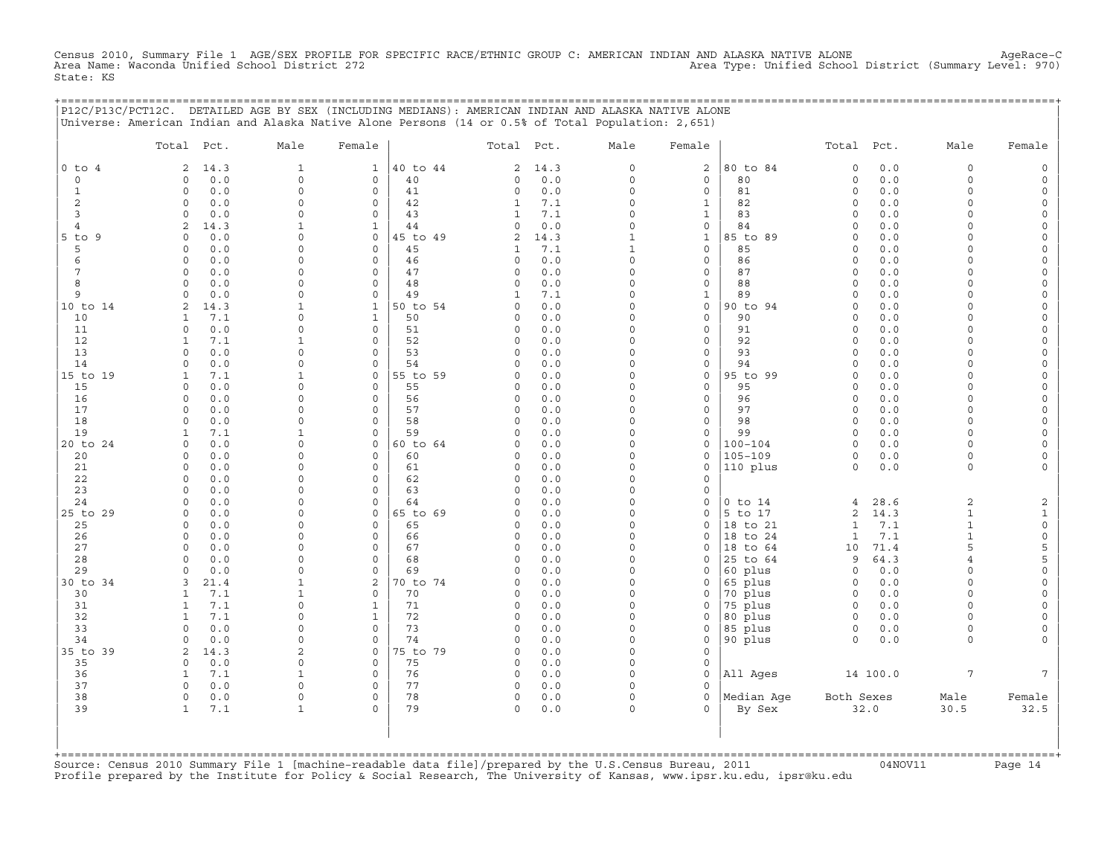Census 2010, Summary File 1 AGE/SEX PROFILE FOR SPECIFIC RACE/ETHNIC GROUP C: AMERICAN INDIAN AND ALASKA NATIVE ALONE AgeRace−C Area Name: Waconda Unified School District 272 Area Type: Unified School District (Summary Level: 970) State: KS

+===================================================================================================================================================+

|                 | Total Pct.           |             | Male                     | Female                     |                | Total Pct.                     |             | Male                         | Female                              |                    | Total Pct.           |            | Male                 | Female                                     |
|-----------------|----------------------|-------------|--------------------------|----------------------------|----------------|--------------------------------|-------------|------------------------------|-------------------------------------|--------------------|----------------------|------------|----------------------|--------------------------------------------|
| $0$ to $4$      | 2                    | 14.3        | $\mathbf{1}$             | $\mathbf{1}$               | 40 to 44       | $\overline{c}$                 | 14.3        | $\mathsf O$                  | 2                                   | 80 to 84           | $\mathbf 0$          | 0.0        | 0                    | $\mathsf{O}\xspace$                        |
| $\circ$         | $\Omega$             | 0.0         | $\Omega$                 | $\Omega$                   | 40             | $\Omega$                       | 0.0         | $\Omega$                     | $\Omega$                            | 80                 | $\circ$              | 0.0        | $\Omega$             | $\mathsf{O}\xspace$                        |
| 1               | $\circ$              | 0.0         | $\Omega$                 | $\mathbf 0$                | 41             | 0                              | 0.0         | $\mathbf 0$                  | $\mathbf 0$                         | 81                 | $\circ$              | 0.0        | $\circ$              | $\mathsf{O}$                               |
| 2               | $\circ$              | 0.0         | $\Omega$                 | $\mathbf 0$                | 42             | $\mathbf{1}$                   | 7.1         | $\Omega$                     | $\mathbf{1}$                        | 82                 | $\circ$              | 0.0        | $\circ$              | $\mathsf{O}\xspace$                        |
| 3               | $\circ$              | 0.0         | $\Omega$                 | $\mathbf 0$                | 43             | $\mathbf{1}$                   | 7.1         | $\Omega$                     | $\mathbf{1}$                        | 83                 | $\circ$              | 0.0        | $\circ$              | $\mathsf{O}$                               |
| 4               | $\overline{2}$       | 14.3        | $\mathbf{1}$<br>$\Omega$ | $\mathbf{1}$               | 44             | 0                              | 0.0         | $\Omega$                     | $\mathbf 0$                         | 84                 | $\Omega$             | 0.0        | $\Omega$             | $\mathsf{O}\xspace$                        |
| $5$ to $9$<br>5 | $\Omega$<br>0        | 0.0<br>0.0  | $\Omega$                 | $\mathbf 0$<br>$\mathbf 0$ | 45 to 49<br>45 | $\overline{a}$<br>$\mathbf{1}$ | 14.3<br>7.1 | $\mathbf{1}$<br>$\mathbf{1}$ | $\mathbf{1}$<br>$\mathsf{O}\xspace$ | 85 to 89<br>85     | $\Omega$<br>$\Omega$ | 0.0<br>0.0 | $\Omega$<br>$\circ$  | $\mathsf{O}\xspace$<br>$\mathsf{O}\xspace$ |
| 6               | $\Omega$             | 0.0         | $\Omega$                 | $\Omega$                   | 46             | $\Omega$                       | 0.0         | $\Omega$                     | $\mathbf 0$                         | 86                 | $\Omega$             | 0.0        | $\Omega$             | $\mathsf{O}\xspace$                        |
| 7               | $\Omega$             | 0.0         | $\Omega$                 | $\Omega$                   | 47             | 0                              | 0.0         | $\Omega$                     | $\mathbf 0$                         | 87                 | $\circ$              | 0.0        | $\Omega$             | 0                                          |
| 8               | $\Omega$             | 0.0         | $\Omega$                 | $\mathbf 0$                | 48             | 0                              | 0.0         | $\Omega$                     | $\mathsf{O}\xspace$                 | 88                 | $\Omega$             | 0.0        | $\circ$              | $\mathsf{O}\xspace$                        |
| 9               | $\cap$               | 0.0         | $\Omega$                 | $\mathbf 0$                | 49             | 1                              | 7.1         | $\Omega$                     | $1\,$                               | 89                 | $\Omega$             | 0.0        | $\Omega$             | $\mathsf{O}\xspace$                        |
| 10 to 14        | 2                    | 14.3        | $\mathbf{1}$             | $\mathbf{1}$               | 50 to 54       | 0                              | 0.0         | $\Omega$                     | $\mathbf 0$                         | 90 to 94           | $\circ$              | 0.0        | $\Omega$             | $\mathsf O$                                |
| 10              | 1                    | 7.1         | $\Omega$                 | 1                          | 50             | 0                              | 0.0         | $\Omega$                     | $\mathbf 0$                         | 90                 | $\Omega$             | 0.0        | $\Omega$             | 0                                          |
| 11              | $\Omega$             | 0.0         | $\Omega$                 | $\mathbf 0$                | 51             | 0                              | 0.0         | $\Omega$                     | $\mathbf 0$                         | 91                 | $\circ$              | 0.0        | $\Omega$             | $\mathsf{O}\xspace$                        |
| 12              | $\mathbf{1}$         | 7.1         | $\mathbf{1}$             | $\mathbf 0$                | 52             | 0                              | 0.0         | $\Omega$                     | $\mathbf 0$                         | 92                 | $\circ$              | 0.0        | $\Omega$             | $\mathsf{O}\xspace$                        |
| 13              | $\Omega$             | 0.0         | $\Omega$                 | $\mathbf 0$                | 53             | 0                              | 0.0         | $\Omega$                     | $\mathbf 0$                         | 93                 | $\circ$              | 0.0        | $\Omega$             | 0                                          |
| 14              | $\Omega$             | 0.0         | $\Omega$                 | $\Omega$                   | 54             | $\Omega$                       | 0.0         | $\Omega$                     | $\mathbf 0$                         | 94                 | $\Omega$             | 0.0        | $\Omega$             | $\mathsf{O}\xspace$                        |
| 15 to 19        | $\mathbf{1}$         | 7.1         | $\mathbf{1}$             | $\mathsf{O}\xspace$        | 55 to 59       | 0                              | 0.0         | $\mathbf 0$                  | $\mathsf O$                         | 95 to 99           | $\Omega$             | 0.0        | $\Omega$             | $\mathsf{O}\xspace$                        |
| 15              | $\Omega$             | 0.0         | 0                        | $\Omega$                   | 55             | C)                             | 0.0         | $\Omega$                     | $\mathbf 0$                         | 95                 | $\Omega$             | 0.0        | $\Omega$             | $\mathsf{O}\xspace$                        |
| 16              | $\Omega$             | 0.0         | $\Omega$                 | $\mathbf 0$                | 56             | 0                              | 0.0         | $\Omega$                     | $\mathbf 0$                         | 96                 | $\circ$              | 0.0        | $\Omega$             | $\mathsf O$                                |
| 17<br>18        | $\Omega$<br>$\Omega$ | 0.0         | 0<br>$\Omega$            | $\Omega$<br>$\Omega$       | 57<br>58       | 0<br>$\Omega$                  | 0.0         | $\mathbf 0$<br>$\Omega$      | $\mathsf{O}\xspace$                 | 97<br>98           | $\Omega$<br>$\Omega$ | 0.0        | $\Omega$<br>$\Omega$ | $\mathsf{O}\xspace$                        |
| 19              | $\mathbf{1}$         | 0.0<br>7.1  | $\mathbf{1}$             | $\mathbf 0$                | 59             | O                              | 0.0<br>0.0  | $\Omega$                     | $\mathbf 0$<br>$\mathbf 0$          | 99                 | $\Omega$             | 0.0<br>0.0 | $\Omega$             | $\mathsf{O}\xspace$<br>$\mathsf O$         |
| 20 to 24        | $\Omega$             | 0.0         | $\Omega$                 | $\mathbf 0$                | 60 to 64       | 0                              | 0.0         | $\Omega$                     | $\mathbf 0$                         | $100 - 104$        | $\circ$              | 0.0        | $\Omega$             | $\mathsf{O}\xspace$                        |
| 20              | $\mathbf 0$          | 0.0         | $\Omega$                 | $\mathbf 0$                | 60             | 0                              | 0.0         | $\Omega$                     | $\mathbf 0$                         | $105 - 109$        | $\circ$              | 0.0        | 0                    | $\mathsf{O}\xspace$                        |
| 21              | $\Omega$             | 0.0         | $\Omega$                 | $\mathbf 0$                | 61             | 0                              | 0.0         | $\Omega$                     | $\mathbf 0$                         | 110 plus           | $\circ$              | 0.0        | $\Omega$             | $\Omega$                                   |
| 22              | $\Omega$             | 0.0         | $\Omega$                 | $\mathbf 0$                | 62             | 0                              | 0.0         | $\Omega$                     | $\mathbf 0$                         |                    |                      |            |                      |                                            |
| 23              | $\circ$              | 0.0         | $\Omega$                 | $\mathbf 0$                | 63             | 0                              | 0.0         | $\Omega$                     | $\mathbf 0$                         |                    |                      |            |                      |                                            |
| 24              | $\Omega$             | 0.0         | $\Omega$                 | $\Omega$                   | 64             | C)                             | 0.0         | $\Omega$                     | $\mathsf{O}\xspace$                 | $0$ to $14$        | 4                    | 28.6       | 2                    | 2                                          |
| 25 to 29        | $\Omega$             | 0.0         | $\Omega$                 | $\mathbf 0$                | 65 to 69       | $\Omega$                       | 0.0         | $\Omega$                     | $\Omega$                            | 5 to 17            | 2                    | 14.3       | $\mathbf{1}$         | $\mathbf{1}$                               |
| 25              | $\circ$              | 0.0         | $\Omega$                 | $\mathbf 0$                | 65             | 0                              | $0.0$       | $\Omega$                     | $\mathbf 0$                         | 18 to 21           | $\mathbf{1}$         | 7.1        | $\mathbf{1}$         | $\mathsf{O}\xspace$                        |
| 26              | $\Omega$             | 0.0         | 0                        | $\mathbf 0$                | 66             | 0                              | 0.0         | $\Omega$                     | $\Omega$                            | 18 to 24           | $\mathbf{1}$         | 7.1        | $\mathbf{1}$         | $\mathbb O$                                |
| 27              | $\Omega$             | 0.0         | $\Omega$                 | $\Omega$                   | 67             | $\Omega$                       | 0.0         | $\Omega$                     | $\Omega$                            | 18 to 64           | 10                   | 71.4       | 5                    | 5                                          |
| 28              | $\Omega$             | 0.0         | $\Omega$                 | $\mathbf 0$                | 68             | 0                              | 0.0         | $\Omega$                     | $\mathbf 0$                         | 25 to 64           | 9                    | 64.3       | $\overline{4}$       | 5                                          |
| 29              | $\Omega$<br>3        | 0.0         | $\Omega$<br>$\mathbf{1}$ | $\mathbf 0$                | 69             | $\Omega$<br>O                  | 0.0         | $\Omega$<br>$\Omega$         | $\Omega$                            | 60 plus            | $\circ$<br>$\Omega$  | 0.0        | $\Omega$<br>$\Omega$ | $\mathsf{O}\xspace$                        |
| 30 to 34<br>30  | 1                    | 21.4<br>7.1 | $\mathbf{1}$             | 2<br>$\Omega$              | 70 to 74<br>70 | 0                              | 0.0<br>0.0  | $\Omega$                     | $\Omega$<br>$\mathbf 0$             | 65 plus<br>70 plus | $\circ$              | 0.0<br>0.0 | $\Omega$             | $\mathsf{O}$<br>$\mathbf 0$                |
| 31              | $\mathbf{1}$         | 7.1         | $\Omega$                 | $\mathbf{1}$               | 71             | 0                              | 0.0         | $\Omega$                     | $\mathbf 0$                         | 75 plus            | 0                    | 0.0        | 0                    | $\mathsf{O}\xspace$                        |
| 32              | $\mathbf{1}$         | 7.1         | $\Omega$                 | $\mathbf{1}$               | 72             | 0                              | 0.0         | $\Omega$                     | $\Omega$                            | 80 plus            | $\circ$              | 0.0        | $\circ$              | $\mathsf O$                                |
| 33              | $\Omega$             | 0.0         | $\Omega$                 | $\Omega$                   | 73             | $\Omega$                       | 0.0         | $\Omega$                     | $\mathbf 0$                         | 85 plus            | $\circ$              | 0.0        | $\Omega$             | $\mathbf 0$                                |
| 34              | $\Omega$             | 0.0         | $\Omega$                 | $\Omega$                   | 74             | 0                              | 0.0         | $\Omega$                     | $\mathbf 0$                         | 90 plus            | $\circ$              | 0.0        | $\Omega$             | $\Omega$                                   |
| 35 to 39        | $\overline{2}$       | 14.3        | $\overline{2}$           | $\mathbf 0$                | 75 to 79       | 0                              | 0.0         | $\Omega$                     | $\mathbf 0$                         |                    |                      |            |                      |                                            |
| 35              | $\Omega$             | 0.0         | $\mathbf 0$              | $\mathbf 0$                | 75             | 0                              | 0.0         | $\mathbf 0$                  | $\mathsf{O}\xspace$                 |                    |                      |            |                      |                                            |
| 36              | $\mathbf{1}$         | 7.1         | $\mathbf{1}$             | $\Omega$                   | 76             | 0                              | 0.0         | $\Omega$                     | $\mathbf 0$                         | All Ages           |                      | 14 100.0   | $7\phantom{.0}$      | 7                                          |
| 37              | $\circ$              | 0.0         | $\Omega$                 | $\mathbf 0$                | 77             | 0                              | 0.0         | $\Omega$                     | $\Omega$                            |                    |                      |            |                      |                                            |
| 38              | $\circ$              | 0.0         | $\Omega$                 | $\mathbf 0$                | 78             | 0                              | 0.0         | $\Omega$                     | $\mathbf 0$                         | Median Age         | Both Sexes           |            | Male                 | Female                                     |
| 39              | $\mathbf{1}$         | 7.1         | $\mathbf{1}$             | $\Omega$                   | 79             | $\Omega$                       | 0.0         | $\Omega$                     | $\Omega$                            | By Sex             |                      | 32.0       | 30.5                 | 32.5                                       |

+===================================================================================================================================================+Source: Census 2010 Summary File 1 [machine−readable data file]/prepared by the U.S.Census Bureau, 2011 04NOV11 Page 14 Profile prepared by the Institute for Policy & Social Research, The University of Kansas, www.ipsr.ku.edu, ipsr@ku.edu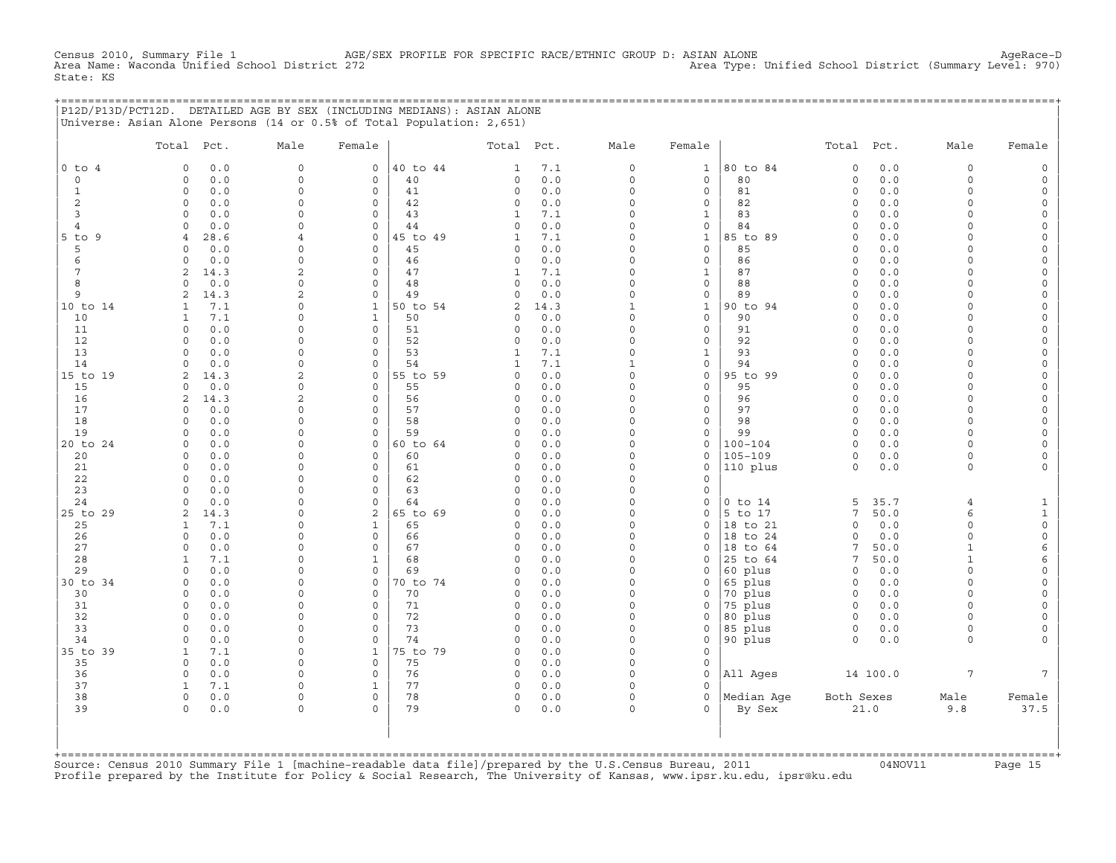Census 2010, Summary File 1 AGE/SEX PROFILE FOR SPECIFIC RACE/ETHNIC GROUP D: ASIAN ALONE AgeRace-D<br>Area Name: Waconda Unified School District 272 Area Type: Unified School District (Summary Level: 970) State: KS

+===================================================================================================================================================+ |P12D/P13D/PCT12D. DETAILED AGE BY SEX (INCLUDING MEDIANS): ASIAN ALONE | |Universe: Asian Alone Persons (14 or 0.5% of Total Population: 2,651) |

|                | Total                      | Pct.          | Male                                  | Female              |                | Total Pct.              |            | Male                 | Female                              |                            | Total Pct.              |            | Male                 | Female                                     |
|----------------|----------------------------|---------------|---------------------------------------|---------------------|----------------|-------------------------|------------|----------------------|-------------------------------------|----------------------------|-------------------------|------------|----------------------|--------------------------------------------|
| $0$ to $4$     | $\circ$                    | 0.0           | $\mathbf{0}$                          | $\mathbf{0}$        | 40 to 44       | $\mathbf{1}$            | 7.1        | $\circ$              | $\mathbf{1}$                        | 80 to 84                   | $\circ$                 | 0.0        | $\circ$              | $\mathbb O$                                |
| $\circ$        | $\circ$                    | 0.0           | $\circ$                               | 0                   | 40             | $\circ$                 | $0.0$      | $\circ$              | $\mathbf 0$                         | 80                         | $\mathbf 0$             | 0.0        | $\circ$              | $\mathsf{O}\xspace$                        |
| $\mathbf{1}$   | $\mathbf{0}$               | 0.0           | $\mathsf{O}\xspace$                   | $\circ$             | 41             | $\circ$                 | 0.0        | $\Omega$             | $\mathbf 0$                         | 81                         | $\mathbf 0$             | 0.0        | $\circ$              | $\mathsf{O}\xspace$                        |
| 2              | $\circ$                    | 0.0           | 0                                     | 0                   | 42             | $\circ$                 | 0.0        | $\mathbf 0$          | $\mathsf{O}\xspace$                 | 82                         | $\circ$                 | 0.0        | $\circ$              | $\mathsf{O}\xspace$                        |
| 3              | $\circ$                    | 0.0           | 0                                     | 0                   | 43             | $\mathbf{1}$            | 7.1        | $\Omega$             | $\mathbf{1}$                        | 83                         | $\circ$                 | 0.0        | $\circ$              | $\mathsf{O}\xspace$                        |
| $\overline{4}$ | $\Omega$                   | 0.0           | $\Omega$                              | $\Omega$            | 44             | $\Omega$                | $0.0$      | $\Omega$             | $\mathbf 0$                         | 84                         | $\Omega$                | 0.0        | $\Omega$             | $\mathsf{O}\xspace$                        |
| $5$ to $9$     | $\overline{4}$             | 28.6          | $\overline{4}$                        | $\circ$             | 45 to 49       | $\mathbf{1}$            | 7.1        | $\Omega$             | $\mathbf{1}$                        | 85 to 89                   | $\mathbf 0$             | 0.0        | $\Omega$             | $\mathsf{O}$                               |
| 5              | $\Omega$                   | 0.0           | 0                                     | 0                   | 45             | $\circ$                 | 0.0        | $\Omega$             | $\mathbf 0$                         | 85                         | $\circ$                 | 0.0        | $\Omega$             | $\mathsf{O}$                               |
| 6              | $\Omega$                   | 0.0           | $\mathbf 0$                           | $\Omega$            | 46             | $\circ$                 | 0.0        | $\Omega$             | $\mathbf 0$                         | 86                         | $\Omega$                | 0.0        | $\Omega$             | $\mathsf{O}\xspace$                        |
| 7<br>8         | $\overline{2}$<br>$\Omega$ | 14.3          | $\overline{c}$<br>$\mathsf{O}\xspace$ | $\Omega$<br>0       | 47<br>48       | $\mathbf{1}$<br>$\circ$ | 7.1<br>0.0 | $\Omega$<br>$\Omega$ | $\mathbf{1}$<br>$\mathsf{O}\xspace$ | 87<br>88                   | $\mathbf 0$<br>$\circ$  | 0.0<br>0.0 | $\Omega$<br>$\circ$  | $\mathsf{O}\xspace$                        |
| 9              | $\overline{2}$             | $0.0$<br>14.3 | $\overline{2}$                        | $\circ$             | 49             | $\circ$                 | 0.0        | $\Omega$             | $\mathsf{O}\xspace$                 | 89                         | $\circ$                 | 0.0        | $\circ$              | $\mathsf{O}$<br>$\mathsf{O}\xspace$        |
| 10 to 14       | $\mathbf{1}$               | 7.1           | $\Omega$                              | $\mathbf{1}$        | 50 to 54       | 2                       | 14.3       | $\mathbf{1}$         | $\mathbf{1}$                        | 90 to 94                   | $\Omega$                | 0.0        | $\Omega$             | 0                                          |
| 10             | $\mathbf{1}$               | 7.1           | $\Omega$                              | $\mathbf{1}$        | 50             | $\Omega$                | $0.0$      | $\Omega$             | $\Omega$                            | 90                         | $\Omega$                | 0.0        | $\Omega$             | $\mathsf{O}\xspace$                        |
| 11             | $\circ$                    | 0.0           | $\Omega$                              | $\Omega$            | 51             | $\circ$                 | 0.0        | $\Omega$             | $\mathbf 0$                         | 91                         | $\circ$                 | 0.0        | $\circ$              | $\mathsf{O}\xspace$                        |
| 12             | $\Omega$                   | 0.0           | 0                                     | 0                   | 52             | $\circ$                 | 0.0        | $\Omega$             | $\circ$                             | 92                         | $\circ$                 | 0.0        | $\Omega$             | $\mathsf{O}$                               |
| 13             | $\Omega$                   | 0.0           | $\Omega$                              | $\Omega$            | 53             | $\mathbf{1}$            | 7.1        | $\Omega$             | $\mathbf{1}$                        | 93                         | $\Omega$                | 0.0        | $\Omega$             | $\mathsf{O}\xspace$                        |
| 14             | $\circ$                    | 0.0           | $\circ$                               | $\circ$             | 54             | $\mathbf{1}$            | 7.1        | $\mathbf{1}$         | $\mathsf{O}\xspace$                 | 94                         | $\circ$                 | 0.0        | $\Omega$             | $\mathsf{O}$                               |
| 15 to 19       | 2                          | 14.3          | 2                                     | 0                   | 55 to 59       | $\circ$                 | 0.0        | $\Omega$             | $\mathsf{O}\xspace$                 | 95 to 99                   | $\Omega$                | 0.0        | $\Omega$             | $\mathsf{O}$                               |
| 15             | $\circ$                    | 0.0           | $\Omega$                              | $\circ$             | 55             | $\circ$                 | 0.0        | $\Omega$             | $\mathbf 0$                         | 95                         | $\Omega$                | 0.0        | $\Omega$             | $\mathsf{O}\xspace$                        |
| 16             | 2                          | 14.3          | 2                                     | $\Omega$            | 56             | $\Omega$                | 0.0        | $\Omega$             | $\Omega$                            | 96                         | $\Omega$                | 0.0        | $\Omega$             | $\mathsf{O}$                               |
| 17             | $\Omega$                   | 0.0           | $\Omega$                              | $\Omega$            | 57             | $\Omega$                | 0.0        | $\Omega$             | $\mathbf 0$                         | 97                         | $\circ$                 | 0.0        | $\Omega$             | $\mathsf{O}\xspace$                        |
| 18             | $\Omega$                   | 0.0           | $\Omega$                              | $\Omega$            | 58             | $\Omega$                | 0.0        | $\Omega$             | $\mathbf 0$                         | 98                         | $\mathbf 0$             | 0.0        | $\Omega$             | $\mathsf{O}\xspace$                        |
| 19             | $\Omega$<br>$\Omega$       | 0.0           | $\Omega$<br>$\Omega$                  | $\Omega$<br>$\circ$ | 59<br>60 to 64 | $\Omega$<br>$\Omega$    | 0.0        | $\Omega$<br>$\Omega$ | $\mathbf 0$                         | 99                         | $\mathbf 0$<br>$\Omega$ | 0.0        | $\Omega$<br>$\Omega$ | $\mathsf{O}\xspace$                        |
| 20 to 24<br>20 | $\circ$                    | 0.0<br>0.0    | 0                                     | 0                   | 60             | $\circ$                 | 0.0<br>0.0 | $\Omega$             | $\circ$<br>$\circ$                  | $100 - 104$<br>$105 - 109$ | $\circ$                 | 0.0<br>0.0 | $\circ$              | $\mathsf{O}\xspace$<br>$\mathsf{O}\xspace$ |
| 21             | 0                          | 0.0           | 0                                     | 0                   | 61             | $\circ$                 | $0.0$      | $\Omega$             | $\mathsf O$                         | 110 plus                   | $\circ$                 | $0.0$      | $\circ$              | $\circ$                                    |
| 22             | $\mathbf{0}$               | 0.0           | $\mathsf{O}\xspace$                   | 0                   | 62             | $\circ$                 | 0.0        | $\Omega$             | 0                                   |                            |                         |            |                      |                                            |
| 23             | $\Omega$                   | 0.0           | $\circ$                               | $\Omega$            | 63             | $\Omega$                | 0.0        | $\Omega$             | $\circ$                             |                            |                         |            |                      |                                            |
| 24             | $\Omega$                   | 0.0           | $\Omega$                              | $\circ$             | 64             | $\Omega$                | 0.0        | $\Omega$             | $\circ$                             | $0$ to $14$                | 5                       | 35.7       | $\overline{4}$       | $\mathbf{1}$                               |
| 25 to 29       | $\overline{2}$             | 14.3          | $\Omega$                              | 2                   | 65 to 69       | $\Omega$                | 0.0        | $\Omega$             | $\circ$                             | 5 to 17                    | 7                       | 50.0       | 6                    | $\mathtt 1$                                |
| 25             | 1                          | 7.1           | $\Omega$                              | $\mathbf{1}$        | 65             | $\circ$                 | 0.0        | $\Omega$             | $\circ$                             | 18 to 21                   | $\Omega$                | 0.0        | $\circ$              | $\mathsf{O}\xspace$                        |
| 26             | $\mathbf{0}$               | 0.0           | $\Omega$                              | $\circ$             | 66             | $\circ$                 | 0.0        | $\Omega$             | $\circ$                             | 18 to 24                   | $\mathbf 0$             | 0.0        | $\circ$              | $\mathsf{O}\xspace$                        |
| 27             | $\circ$                    | 0.0           | 0                                     | 0                   | 67             | $\circ$                 | 0.0        | $\Omega$             | $\circ$                             | 18 to 64                   | 7                       | 50.0       | $\mathbf{1}$         | 6                                          |
| 28             | 1                          | 7.1           | 0                                     | $\mathbf{1}$        | 68             | $\circ$                 | 0.0        | $\Omega$             | $\circ$                             | 25 to 64                   | 7                       | 50.0       | $\mathbf{1}$         | 6                                          |
| 29             | $\Omega$                   | 0.0           | $\Omega$                              | 0                   | 69             | $\Omega$                | 0.0        | $\Omega$             | $\circ$                             | 60 plus                    | $\circ$                 | 0.0        | $\Omega$             | $\mathsf{O}\xspace$                        |
| 30 to 34       | $\circ$                    | 0.0           | $\Omega$                              | 0                   | 70 to 74       | $\circ$                 | 0.0        | $\Omega$<br>$\Omega$ | $\mathbf 0$                         | 65 plus                    | $\circ$                 | 0.0        | $\Omega$             | $\mathsf{O}\xspace$                        |
| 30<br>31       | $\Omega$<br>$\Omega$       | 0.0<br>0.0    | 0<br>$\Omega$                         | 0<br>$\Omega$       | 70<br>71       | $\circ$<br>$\circ$      | 0.0<br>0.0 | $\Omega$             | $\circ$<br>$\circ$                  | 70 plus                    | $\circ$<br>$\circ$      | 0.0<br>0.0 | $\Omega$<br>$\Omega$ | $\mathsf{O}$<br>$\mathsf{O}\xspace$        |
| 32             | $\Omega$                   | 0.0           | $\Omega$                              | $\Omega$            | 72             | $\circ$                 | 0.0        | $\Omega$             | $\circ$                             | 75 plus<br>80 plus         | $\circ$                 | 0.0        | $\Omega$             | $\mathsf{O}\xspace$                        |
| 33             | $\Omega$                   | 0.0           | $\Omega$                              | $\circ$             | 73             | $\Omega$                | 0.0        | $\Omega$             | $\circ$                             | 85 plus                    | $\circ$                 | 0.0        | $\circ$              | $\mathsf{O}\xspace$                        |
| 34             | $\circ$                    | 0.0           | 0                                     | 0                   | 74             | $\circ$                 | 0.0        | $\mathbf 0$          | $\mathsf O$                         | 90 plus                    | $\circ$                 | 0.0        | $\Omega$             | $\mathbf{0}$                               |
| 35 to 39       | 1                          | 7.1           | 0                                     | $\mathbf{1}$        | 75 to 79       | $\circ$                 | 0.0        | $\Omega$             | $\mathsf{O}\xspace$                 |                            |                         |            |                      |                                            |
| 35             | $\Omega$                   | 0.0           | 0                                     | 0                   | 75             | $\circ$                 | $0.0$      | $\Omega$             | $\mathbf 0$                         |                            |                         |            |                      |                                            |
| 36             | $\circ$                    | 0.0           | $\circ$                               | $\Omega$            | 76             | $\circ$                 | 0.0        | $\Omega$             | $\mathbf 0$                         | All Ages                   |                         | 14 100.0   | $\overline{7}$       | $7\overline{ }$                            |
| 37             | 1                          | 7.1           | $\Omega$                              | 1                   | 77             | $\circ$                 | 0.0        | $\Omega$             | $\Omega$                            |                            |                         |            |                      |                                            |
| 38             | $\Omega$                   | 0.0           | $\circ$                               | $\Omega$            | 78             | $\circ$                 | 0.0        | $\Omega$             | $\Omega$                            | Median Age                 | Both Sexes              |            | Male                 | Female                                     |
| 39             | $\Omega$                   | 0.0           | $\circ$                               | $\Omega$            | 79             | $\Omega$                | 0.0        | $\Omega$             | $\Omega$                            | By Sex                     |                         | 21.0       | 9.8                  | 37.5                                       |
|                |                            |               |                                       |                     |                |                         |            |                      |                                     |                            |                         |            |                      |                                            |

+===================================================================================================================================================+Source: Census 2010 Summary File 1 [machine−readable data file]/prepared by the U.S.Census Bureau, 2011 04NOV11 Page 15 Profile prepared by the Institute for Policy & Social Research, The University of Kansas, www.ipsr.ku.edu, ipsr@ku.edu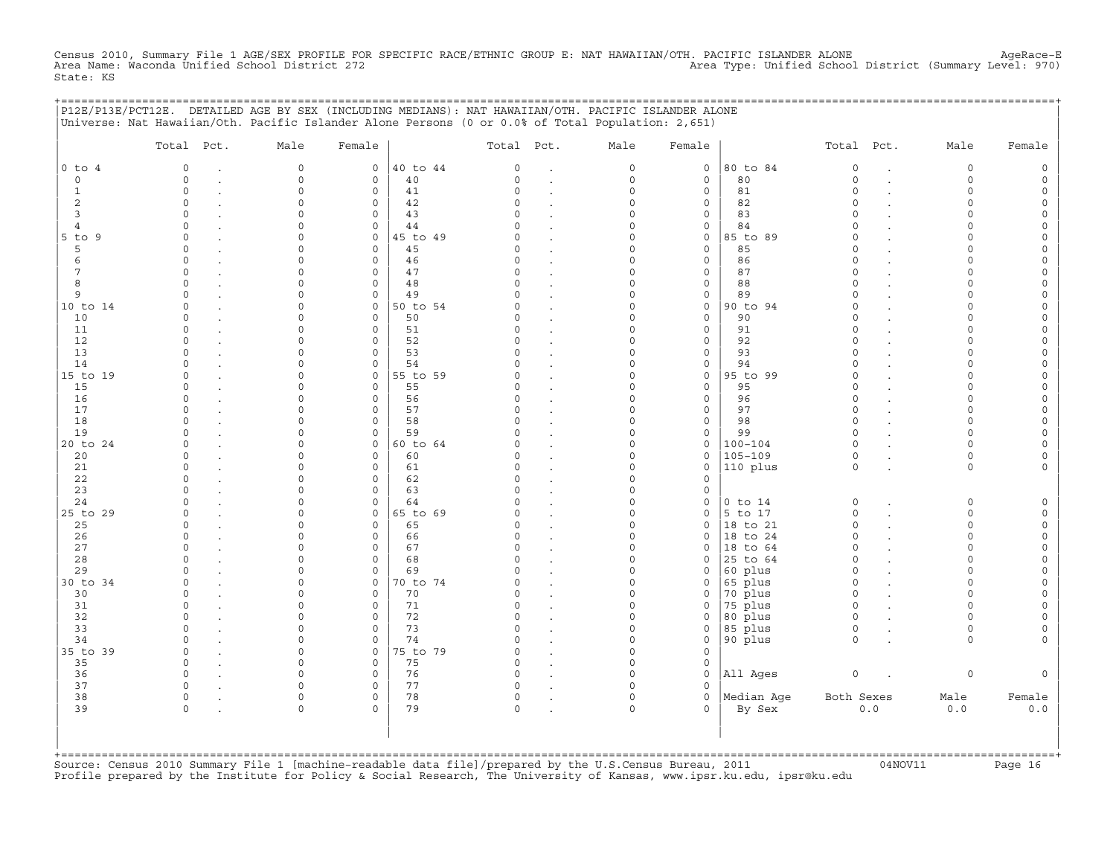Census 2010, Summary File 1 AGE/SEX PROFILE FOR SPECIFIC RACE/ETHNIC GROUP E: NAT HAWAIIAN/OTH. PACIFIC ISLANDER ALONE AgeRace-E<br>Area Name: Waconda Unified School District 272 State: KS

|                     | P12E/P13E/PCT12E. DETAILED AGE BY SEX (INCLUDING MEDIANS): NAT HAWAIIAN/OTH. PACIFIC ISLANDER ALONE<br>Universe: Nat Hawaiian/Oth. Pacific Islander Alone Persons (0 or 0.0% of Total Population: 2,651) |                      |                            |                |                      |                      |                      |                     | ;=========================== |                      |        |                      |        |
|---------------------|----------------------------------------------------------------------------------------------------------------------------------------------------------------------------------------------------------|----------------------|----------------------------|----------------|----------------------|----------------------|----------------------|---------------------|------------------------------|----------------------|--------|----------------------|--------|
|                     | Total Pct.                                                                                                                                                                                               | Male                 | Female                     |                | Total Pct.           |                      | Male                 | Female              |                              | Total Pct.           |        | Male                 | Female |
| $0$ to $4$          | $\circ$                                                                                                                                                                                                  | $\mathbf 0$          | $\circ$                    | 40 to 44       | $\circ$              | $\cdot$              | $\circ$              | $\circ$             | 80 to 84                     | $\circ$              |        | $\circ$              |        |
| $\circ$             | $\Omega$                                                                                                                                                                                                 | $\mathbf 0$          | $\mathbf 0$                | 40             | $\Omega$             | $\cdot$              | 0                    | $\mathbf 0$         | 80                           | $\circ$              | $\sim$ | $\circ$              | $\cap$ |
| 1                   | $\Omega$                                                                                                                                                                                                 | $\Omega$             | $\mathbf 0$                | 41             | $\Omega$             | $\ddot{\phantom{a}}$ | $\Omega$             | $\mathbf 0$         | 81                           | $\Omega$             |        | $\Omega$             |        |
| 2                   | $\Omega$                                                                                                                                                                                                 | $\Omega$             | $\mathbf 0$                | 42             | $\Omega$<br>$\cap$   |                      | $\Omega$             | 0                   | 82                           | $\Omega$<br>$\cap$   |        | $\Omega$             |        |
| 3<br>$\overline{4}$ | $\Omega$<br>$\Omega$                                                                                                                                                                                     | ∩                    | $\Omega$<br>$\mathbf{0}$   | 43<br>44       |                      |                      | $\Omega$<br>$\Omega$ | 0<br>0              | 83<br>84                     | $\Omega$             |        | ∩<br>$\cap$          |        |
| $5$ to $9$          | $\Omega$                                                                                                                                                                                                 |                      | $\circ$                    | 45 to 49       | $\Omega$             | $\cdot$<br>$\cdot$   | $\Omega$             | 0                   | 85 to 89                     | $\Omega$             |        |                      |        |
| 5                   | $\Omega$                                                                                                                                                                                                 |                      | $\mathbf 0$                | 45             | $\Omega$             | $\bullet$            | $\Omega$             | $\mathbf 0$         | 85                           | $\Omega$             |        |                      |        |
| 6                   | $\Omega$                                                                                                                                                                                                 |                      | $\mathbf 0$                | 46             | $\Omega$             | $\bullet$            | $\Omega$             | 0                   | 86                           | $\Omega$             |        | $\Omega$             |        |
| 7                   | $\Omega$                                                                                                                                                                                                 | $\Omega$             | $\mathbf 0$                | 47             | $\Omega$             |                      | $\Omega$             | $\mathbf 0$         | 87                           | $\Omega$             |        | $\cap$               |        |
| 8                   | $\circ$                                                                                                                                                                                                  | $\Omega$             | $\circ$                    | 48             | $\circ$              | $\cdot$              | $\Omega$             | 0                   | 88                           | $\circ$              |        | $\Omega$             |        |
| 9                   | $\Omega$                                                                                                                                                                                                 | $\Omega$             | 0                          | 49             | $\Omega$             | $\cdot$              | $\Omega$             | 0                   | 89                           | $\Omega$             |        | $\cap$               |        |
| 10 to 14            | $\Omega$                                                                                                                                                                                                 | $\Omega$             | $\mathbf 0$                | 50 to 54       |                      | $\ddot{\phantom{a}}$ | $\Omega$             | $\mathbf 0$         | 90 to 94                     | $\Omega$             |        | $\Omega$             |        |
| 10                  | $\Omega$                                                                                                                                                                                                 | $\Omega$             | $\mathbf 0$                | 50             | 0                    |                      | $\Omega$             | 0                   | 90                           | $\Omega$             |        | $\Omega$             |        |
| 11                  | $\Omega$                                                                                                                                                                                                 |                      | $\mathbf 0$                | 51             | $\Omega$             | $\bullet$            | $\cap$               | 0                   | 91                           | $\cap$               |        | $\cap$               |        |
| 12<br>13            | $\cap$<br>$\cap$                                                                                                                                                                                         |                      | $\mathbf 0$<br>$\mathbf 0$ | 52<br>53       | C)<br>$\Omega$       | $\ddot{\phantom{a}}$ | O<br>$\Omega$        | $\circ$<br>$\Omega$ | 92<br>93                     | $\Omega$<br>$\Omega$ |        |                      |        |
| 14                  |                                                                                                                                                                                                          |                      | $\mathbf 0$                | 54             |                      | $\ddot{\phantom{a}}$ | $\Omega$             | 0                   | 94                           | $\Omega$             |        |                      |        |
| 15 to 19            | $\cap$                                                                                                                                                                                                   | $\cap$               | $\mathbf{0}$               | 55 to 59       | U                    | $\cdot$              | $\Omega$             | 0                   | 95 to 99                     | $\Omega$             |        | $\cap$               |        |
| 15                  | $\Omega$                                                                                                                                                                                                 | $\Omega$             | $\Omega$                   | 55             | $\cap$               | $\cdot$              | $\Omega$             | $\mathbf 0$         | 95                           | $\Omega$             |        | $\cap$               |        |
| 16                  | $\Omega$                                                                                                                                                                                                 | $\Omega$             | $\mathbf 0$                | 56             | 0                    |                      | $\Omega$             | $\mathbf 0$         | 96                           | $\circ$              |        | $\cap$               |        |
| 17                  | $\Omega$                                                                                                                                                                                                 |                      | $\mathbf{0}$               | 57             | $\Omega$             | $\cdot$              | 0                    | $\circ$             | 97                           | $\circ$              |        | $\Omega$             |        |
| 18                  | $\cap$                                                                                                                                                                                                   | $\cap$               | $\mathbf{0}$               | 58             | C)                   |                      | $\Omega$             | 0                   | 98                           | $\Omega$             |        | $\Omega$             |        |
| 19                  | $\Omega$                                                                                                                                                                                                 | $\Omega$             | $\mathbf 0$                | 59             | $\Omega$             |                      | $\Omega$             | 0                   | 99                           | $\circ$              |        | $\Omega$             |        |
| 20 to 24            | $\Omega$                                                                                                                                                                                                 | $\cap$               | $\mathsf{O}$               | 60 to 64       | $\Omega$             |                      | $\Omega$             | 0                   | $100 - 104$                  | $\circ$              |        | $\Omega$             |        |
| 20                  | $\Omega$                                                                                                                                                                                                 |                      | $\mathbf 0$                | 60             | C)                   | $\ddot{\phantom{a}}$ | $\Omega$             | 0                   | $105 - 109$                  | $\mathsf O$          |        | $\Omega$             |        |
| 21                  | $\Omega$                                                                                                                                                                                                 |                      | $\mathbf 0$                | 61             | $\Omega$             |                      | $\Omega$             | 0                   | 110 plus                     | $\circ$              |        | $\circ$              |        |
| 22                  | $\Omega$<br>$\Omega$                                                                                                                                                                                     |                      | $\mathbf 0$                | 62             | $\Omega$<br>O        |                      | $\Omega$             | $\Omega$            |                              |                      |        |                      |        |
| 23<br>24            | $\cap$                                                                                                                                                                                                   |                      | $\mathbf 0$<br>$\circ$     | 63<br>64       |                      |                      | $\Omega$<br>$\Omega$ | 0<br>0              | $0$ to $14$                  | 0                    |        | $\Omega$             |        |
| 25 to 29            | $\circ$                                                                                                                                                                                                  | $\cap$               | $\mathsf{O}$               | 65 to 69       | 0                    | $\cdot$              | $\Omega$             | 0                   | $5$ to 17                    | $\circ$              |        | $\Omega$             |        |
| 25                  | $\Omega$                                                                                                                                                                                                 |                      | 0                          | 65             | O                    | $\ddot{\phantom{a}}$ | $\Omega$             | 0                   | 18 to 21                     | $\circ$              |        | $\Omega$             |        |
| 26                  | $\Omega$                                                                                                                                                                                                 |                      | $\Omega$                   | 66             | U                    | $\cdot$              | $\Omega$             | $\Omega$            | 18 to 24                     | $\Omega$             |        | $\cap$               |        |
| 27                  | $\Omega$                                                                                                                                                                                                 | $\cap$               | $\mathbf 0$                | 67             | $\Omega$             |                      | $\Omega$             | 0                   | $ 18$ to $64$                | $\Omega$             |        | $\cap$               |        |
| 28                  | $\cap$                                                                                                                                                                                                   | $\cap$               | $\mathbf 0$                | 68             | $\Omega$             | $\cdot$              | $\Omega$             | 0                   | 25 to 64                     | $\circ$              |        | $\cap$               |        |
| 29                  | $\cap$                                                                                                                                                                                                   | $\Omega$             | $\mathbf 0$                | 69             | O                    | $\cdot$              | $\Omega$             | $\Omega$            | 60 plus                      | $\Omega$             |        | $\Omega$             |        |
| 30 to 34            | $\Omega$                                                                                                                                                                                                 | $\Omega$             | $\mathbf{0}$               | 70 to 74       | $\Omega$             | $\cdot$              | $\Omega$             | 0                   | 65 plus                      | $\Omega$             |        | $\Omega$             |        |
| 30                  | $\Omega$                                                                                                                                                                                                 | $\Omega$             | 0                          | 70             | $\Omega$             | $\bullet$            | $\Omega$             | 0                   | 70 plus                      | $\circ$              |        | $\Omega$             |        |
| 31                  | $\Omega$                                                                                                                                                                                                 | ∩                    | $\mathbf 0$                | 71             | $\Omega$             | $\bullet$            | 0                    | 0                   | 75 plus                      | $\circ$              |        | $\Omega$             |        |
| 32                  | $\cap$                                                                                                                                                                                                   | $\Omega$             | $\mathbf 0$                | 72             | $\Omega$             | $\ddot{\phantom{a}}$ | $\Omega$             | $\mathsf{O}$        | 80 plus                      | $\Omega$             |        | $\cap$               |        |
| 33<br>34            | $\Omega$<br>$\Omega$                                                                                                                                                                                     | $\Omega$<br>$\Omega$ | $\mathbf 0$<br>$\mathbf 0$ | 73             | $\Omega$<br>$\Omega$ | $\ddot{\phantom{a}}$ | $\Omega$<br>$\Omega$ | $\mathsf{O}$        | 85 plus                      | $\circ$<br>$\circ$   |        | $\Omega$<br>$\Omega$ |        |
| 35 to 39            | $\Omega$                                                                                                                                                                                                 | $\Omega$             | $\mathbf 0$                | 74<br>75 to 79 | $\Omega$             | $\ddot{\phantom{a}}$ | $\Omega$             | 0<br>$\Omega$       | 90 plus                      |                      |        |                      |        |
| 35                  | $\circ$                                                                                                                                                                                                  | $\Omega$             | $\mathbf 0$                | 75             | $\mathsf{O}$         |                      | $\Omega$             | 0                   |                              |                      |        |                      |        |
| 36                  | $\circ$                                                                                                                                                                                                  | $\Omega$             | $\mathsf{O}$               | 76             | $\mathsf{O}$         | $\cdot$              | $\Omega$             | 0                   | All Ages                     | $\mathsf O$          |        | 0                    |        |
| 37                  | $\circ$                                                                                                                                                                                                  | $\Omega$             | $\mathbf 0$                | 77             | 0                    | $\cdot$              | $\Omega$             | 0                   |                              |                      |        |                      |        |
| 38                  | $\circ$                                                                                                                                                                                                  | $\Omega$             | 0                          | 78             | 0                    |                      | $\Omega$             | 0                   | Median Age                   | Both Sexes           |        | Male                 | Female |
| 39                  | $\Omega$                                                                                                                                                                                                 | $\Omega$             | $\Omega$                   | 79             | $\Omega$             |                      | $\cap$               | $\Omega$            | By Sex                       |                      | $0.0$  | 0.0                  | 0.0    |
|                     |                                                                                                                                                                                                          |                      |                            |                |                      |                      |                      |                     |                              |                      |        |                      |        |
|                     |                                                                                                                                                                                                          |                      |                            |                |                      |                      |                      |                     |                              |                      |        |                      |        |

+===================================================================================================================================================+Source: Census 2010 Summary File 1 [machine−readable data file]/prepared by the U.S.Census Bureau, 2011 04NOV11 Page 16 Profile prepared by the Institute for Policy & Social Research, The University of Kansas, www.ipsr.ku.edu, ipsr@ku.edu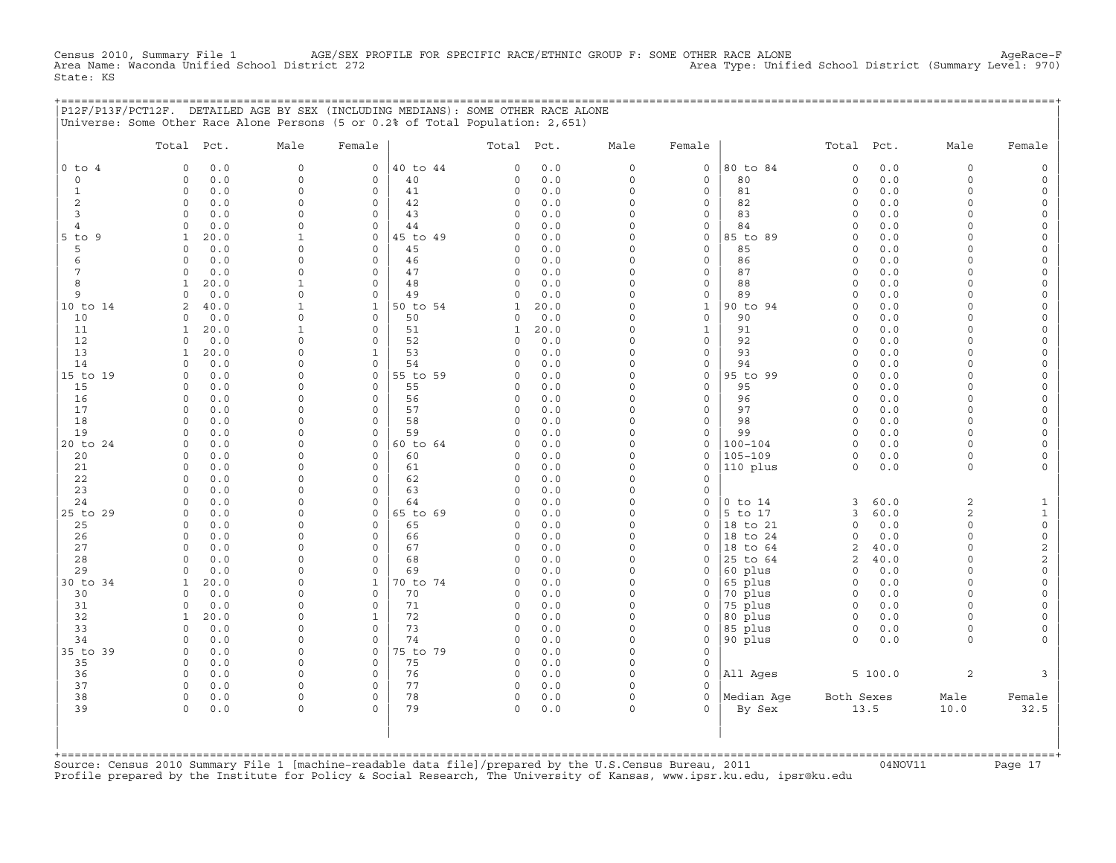Census 2010, Summary File 1 AGE/SEX PROFILE FOR SPECIFIC RACE/ETHNIC GROUP F: SOME OTHER RACE ALONE AgeRace−F<br>Area Name: Waconda Unified School District 272 Area Type: Unified School District (Summary Level: 970) State: KS

|                |                        |             | P12F/P13F/PCT12F. DETAILED AGE BY SEX (INCLUDING MEDIANS): SOME OTHER RACE ALONE |                          |          |                    |             |                      |                         |                |                |            |          |        |
|----------------|------------------------|-------------|----------------------------------------------------------------------------------|--------------------------|----------|--------------------|-------------|----------------------|-------------------------|----------------|----------------|------------|----------|--------|
|                |                        |             | Universe: Some Other Race Alone Persons (5 or 0.2% of Total Population: 2,651)   |                          |          |                    |             |                      |                         |                |                |            |          |        |
|                | Total Pct.             |             | Male                                                                             | Female                   |          | Total Pct.         |             | Male                 | Female                  |                | Total Pct.     |            | Male     | Female |
| $0$ to $4$     | $\Omega$               | 0.0         | $\mathbf 0$                                                                      | $\mathbf 0$              | 40 to 44 | $\circ$            | 0.0         | $\circ$              | $\mathsf{O}$            | 80 to 84       | $\Omega$       | 0.0        | $\Omega$ |        |
| $\mathbf 0$    | $\Omega$               | 0.0         | $\Omega$                                                                         | $\mathbf 0$              | 40       | $\circ$            | 0.0         | $\mathsf{O}\xspace$  | $\mathsf{O}$            | 80             | $\circ$        | 0.0        | $\Omega$ |        |
| $\mathbf{1}$   | $\Omega$               | 0.0         | $\Omega$                                                                         | $\Omega$                 | 41       | $\Omega$           | 0.0         | $\Omega$             | $\circ$                 | 81             | $\Omega$       | 0.0        |          |        |
| 2              | $\Omega$               | 0.0         | $\Omega$                                                                         | $\Omega$                 | 42       | $\Omega$           | 0.0         | $\Omega$             | $\circ$                 | 82             | $\Omega$       | 0.0        |          |        |
| $\overline{3}$ | $\Omega$               | 0.0         | $\Omega$                                                                         | $\Omega$                 | 43       | $\Omega$           | 0.0         | $\Omega$             | $\circ$                 | 83             | $\cap$         | 0.0        |          |        |
| $\overline{4}$ | $\Omega$               | 0.0         | $\Omega$                                                                         | $\mathbf 0$              | 44       | $\Omega$           | 0.0         | $\Omega$             | $\mathsf{O}$            | 84             | $\cap$         | 0.0        |          |        |
| $5$ to $9$     | 1                      | 20.0        |                                                                                  | $\mathbf 0$              | 45 to 49 | $\Omega$           | 0.0         | $\Omega$             | $\mathbf 0$             | 85 to 89       | $\Omega$       | $0.0$      |          |        |
| 5              | $\Omega$               | 0.0         | $\Omega$                                                                         | $\Omega$                 | 45       | $\Omega$           | 0.0         | $\Omega$             | $\mathbf 0$             | 85             | $\cap$         | 0.0        |          |        |
| 6              | $\Omega$               | 0.0         | $\Omega$                                                                         | $\Omega$                 | 46       | $\Omega$           | 0.0         | $\Omega$             | $\circ$                 | 86             | $\Omega$       | 0.0        |          |        |
| 7              | $\Omega$               | 0.0         | $\Omega$                                                                         | $\Omega$                 | 47       | $\Omega$           | 0.0         | $\Omega$             | $\circ$                 | 87             | $\Omega$       | 0.0        |          |        |
| 8              | $\mathbf{1}$<br>$\cap$ | 20.0        | $\cap$                                                                           | $\Omega$<br>$\Omega$     | 48       | $\Omega$<br>$\cap$ | 0.0         | $\Omega$<br>$\Omega$ | $\circ$                 | 88             | $\Omega$       | 0.0        |          |        |
| 9<br>10 to 14  |                        | 0.0<br>40.0 | 1                                                                                |                          | 49       |                    | 0.0<br>20.0 | $\Omega$             | $\circ$<br>$\mathbf{1}$ | 89<br>90 to 94 | $\cap$         | 0.0<br>0.0 |          |        |
|                | 2                      | 0.0         | $\cap$                                                                           | $\mathbf{1}$<br>$\Omega$ | 50 to 54 | 1<br>$\Omega$      | 0.0         | $\Omega$             |                         | 90             | $\cap$         |            |          |        |
| 10             | $\Omega$               | 20.0        |                                                                                  | $\Omega$                 | 50<br>51 | $\mathbf{1}$       | 20.0        | $\Omega$             | $\mathbf 0$             | 91             | $\Omega$       | 0.0<br>0.0 |          |        |
| 11<br>12       | 1<br>$\Omega$          | 0.0         | $\Omega$                                                                         | $\Omega$                 | 52       | $\Omega$           | 0.0         | $\Omega$             | $\mathbf{1}$<br>$\circ$ | 92             | $\Omega$       | 0.0        |          |        |
| 13             | 1                      | 20.0        | $\Omega$                                                                         | $\mathbf 1$              | 53       | $\Omega$           | 0.0         | $\Omega$             | 0                       | 93             | $\Omega$       | 0.0        |          |        |
| 14             | $\Omega$               | 0.0         | $\Omega$                                                                         | $\Omega$                 | 54       | $\Omega$           | 0.0         | $\Omega$             | $\mathsf{O}\xspace$     | 94             |                | 0.0        |          |        |
| 15 to 19       | $\Omega$               | 0.0         | 0                                                                                | $\mathbf 0$              | 55 to 59 | $\Omega$           | 0.0         | $\Omega$             | $\mathbf 0$             | 95 to 99       | $\cap$         | 0.0        |          |        |
| 15             | $\Omega$               | 0.0         | $\Omega$                                                                         | $\Omega$                 | 55       | $\Omega$           | 0.0         | $\Omega$             | $\mathbf 0$             | 95             | $\Omega$       | 0.0        |          |        |
| 16             | $\Omega$               | 0.0         | $\Omega$                                                                         | $\Omega$                 | 56       | $\Omega$           | 0.0         | $\Omega$             | $\mathbf 0$             | 96             | $\Omega$       | 0.0        |          |        |
| 17             | $\Omega$               | 0.0         | $\Omega$                                                                         | $\mathbf 0$              | 57       | $\circ$            | 0.0         | $\Omega$             | $\circ$                 | 97             | $\Omega$       | 0.0        |          |        |
| 18             | $\cap$                 | 0.0         | $\Omega$                                                                         | $\Omega$                 | 58       | $\Omega$           | 0.0         | $\Omega$             | $\circ$                 | 98             | $\Omega$       | 0.0        |          |        |
| 19             | $\Omega$               | 0.0         |                                                                                  | $\Omega$                 | 59       | $\Omega$           | 0.0         | $\Omega$             | $\circ$                 | 99             | $\Omega$       | 0.0        |          |        |
| 20 to 24       | $\cap$                 | 0.0         |                                                                                  | $\Omega$                 | 60 to 64 |                    | 0.0         | $\Omega$             | $\mathbf 0$             | $100 - 104$    | $\Omega$       | 0.0        |          |        |
| 20             | $\cap$                 | 0.0         |                                                                                  | $\Omega$                 | 60       | $\Omega$           | 0.0         | $\Omega$             | $\mathbf 0$             | $105 - 109$    | $\Omega$       | 0.0        |          |        |
| 21             | $\Omega$               | 0.0         |                                                                                  | $\Omega$                 | 61       | $\Omega$           | 0.0         | $\Omega$             | $\mathbf 0$             | 110 plus       | $\Omega$       | 0.0        | $\Omega$ |        |
| 22             | $\Omega$               | 0.0         | $\Omega$                                                                         | $\mathbf 0$              | 62       | $\circ$            | 0.0         | $\circ$              | $\mathbf 0$             |                |                |            |          |        |
| 23             | $\Omega$               | 0.0         | $\cap$                                                                           | $\Omega$                 | 63       | $\Omega$           | 0.0         | $\circ$              | $\mathbf 0$             |                |                |            |          |        |
| 24             | $\Omega$               | 0.0         | $\Omega$                                                                         | $\Omega$                 | 64       | $\Omega$           | 0.0         | $\mathsf{O}\xspace$  | $\mathsf{O}$            | $0$ to $14$    | 3              | 60.0       | 2        |        |
| 25 to 29       | $\Omega$               | 0.0         | $\Omega$                                                                         | $\Omega$                 | 65 to 69 | $\Omega$           | 0.0         | $\Omega$             | $\circ$                 | 5 to 17        | 3              | 60.0       | 2        |        |
| 25             | $\Omega$               | 0.0         |                                                                                  | $\Omega$                 | 65       | $\Omega$           | 0.0         | $\Omega$             | $\mathbf 0$             | 18 to 21       | $\cap$         | 0.0        |          |        |
| 26             | $\Omega$               | 0.0         |                                                                                  | $\Omega$                 | 66       | $\Omega$           | 0.0         | $\Omega$             | $\mathbf 0$             | 18 to 24       | $\Omega$       | 0.0        |          |        |
| 27             | $\Omega$               | 0.0         | $\Omega$                                                                         | $\Omega$                 | 67       | $\Omega$           | 0.0         | $\Omega$             | 0                       | 18 to 64       | $\overline{2}$ | 40.0       |          |        |
| 28             | $\cap$                 | 0.0         | $\Omega$                                                                         | $\Omega$                 | 68       | $\Omega$           | 0.0         | $\Omega$             | $\mathbf 0$             | 25 to 64       | $\overline{2}$ | 40.0       |          |        |
| 29             | $\cap$                 | 0.0         | $\cap$                                                                           | $\Omega$                 | 69       | $\cap$             | 0.0         | $\Omega$             | $\mathbf 0$             | 60 plus        | $\Omega$       | 0.0        |          |        |
| 30 to 34       | $\mathbf{1}$           | 20.0        | $\Omega$                                                                         | $\mathbf{1}$             | 70 to 74 | $\Omega$           | $0.0$       | $\Omega$             | $\mathbf 0$             | 65 plus        | $\Omega$       | 0.0        |          |        |
| 30             | $\Omega$               | 0.0         | $\Omega$                                                                         | $\Omega$                 | 70       | $\Omega$           | 0.0         | $\Omega$             | $\Omega$                | 70 plus        | $\Omega$       | 0.0        |          |        |
| 31             | $\Omega$               | 0.0         |                                                                                  | $\Omega$                 | 71       | $\Omega$           | 0.0         | $\Omega$             | $\mathbf 0$             | 75 plus        | $\Omega$       | 0.0        |          |        |
| 32             |                        | 20.0        |                                                                                  | $\mathbf{1}$             | 72       | $\Omega$           | 0.0         | $\Omega$             | $\mathbf 0$             | 80 plus        |                | 0.0        |          |        |
| 33             | $\Omega$               | 0.0         |                                                                                  | $\Omega$                 | 73       | $\Omega$           | 0.0         | $\Omega$             | 0                       | 85 plus        | $\Omega$       | 0.0        |          |        |
| 34             | <sup>n</sup>           | 0.0         |                                                                                  | $\Omega$                 | 74       | $\Omega$           | 0.0         | $\Omega$             | $\mathbf 0$             | 90 plus        | $\cap$         | 0.0        | $\cap$   |        |
| 35 to 39       | $\Omega$               | 0.0         | $\Omega$                                                                         | $\mathbf{0}$             | 75 to 79 | $\Omega$           | 0.0         | $\Omega$             | $\Omega$                |                |                |            |          |        |

| | +===================================================================================================================================================+ Source: Census 2010 Summary File 1 [machine-readable data file]/prepared by the U.S.Census Bureau, 2011 Page 17<br>Profile prepared by the Institute for Policy & Social Research, The University of Kansas, www

| 35 0 0.0 0 0 | 75 0 0.0 0 0 | | | 36 0 0.0 0 0 | 76 0 0.0 0 0 |All Ages 5 100.0 2 3 | | 37 0 0.0 0 0 | 77 0 0.0 0 0 | | | 38 0 0.0 0 0 | 78 0 0.0 0 0 |Median Age Both Sexes Male Female | | 39 0 0.0 0 0 | 79 0 0.0 0 0 | By Sex 13.5 10.0 32.5 | | | | | | | | |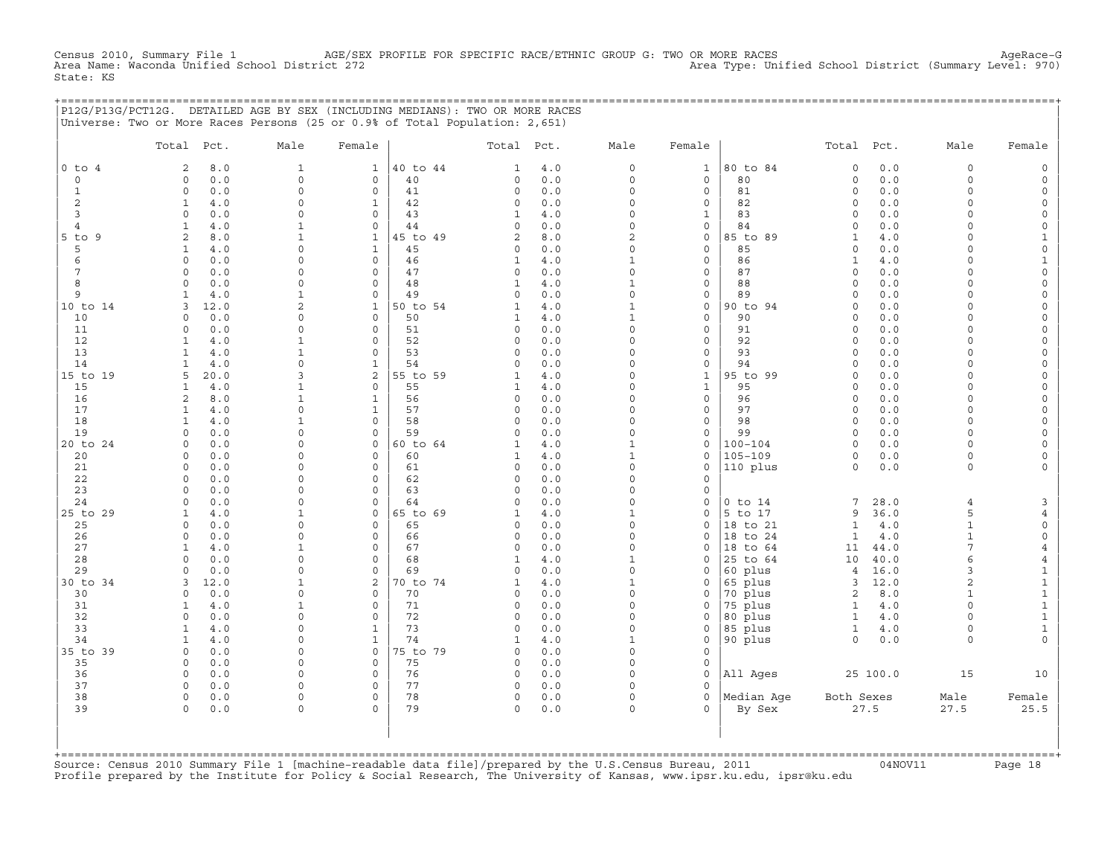Census 2010, Summary File 1 AGE/SEX PROFILE FOR SPECIFIC RACE/ETHNIC GROUP G: TWO OR MORE RACES AgeRace−G<br>Area Name: Waconda Unified School District 272 Area Type: Unified School District (Summary Level: 970) State: KS

|                              | P12G/P13G/PCT12G. DETAILED AGE BY SEX (INCLUDING MEDIANS): TWO OR MORE RACES<br>Universe: Two or More Races Persons (25 or 0.9% of Total Population: 2,651) |                      |                              |                |                    |            |                         |                            |                      |                     |              |                          |                |
|------------------------------|-------------------------------------------------------------------------------------------------------------------------------------------------------------|----------------------|------------------------------|----------------|--------------------|------------|-------------------------|----------------------------|----------------------|---------------------|--------------|--------------------------|----------------|
|                              | Total Pct.                                                                                                                                                  | Male                 | Female                       |                | Total Pct.         |            | Male                    | Female                     |                      | Total Pct.          |              | Male                     | Female         |
| $0$ to $4$                   | 8.0<br>2                                                                                                                                                    | $\mathbf{1}$         | $\mathbf{1}$                 | 40 to 44       | 1                  | 4.0        | $\circ$                 | $\mathbf{1}$               | 80 to 84             | $\mathbf 0$         | 0.0          | $\circ$                  |                |
| $\circ$                      | 0.0<br>$\circ$                                                                                                                                              | $\mathbf 0$          | $\circ$                      | 40             | 0                  | 0.0        | $\circ$                 | $\mathbf 0$                | 80                   | $\mathbf 0$         | 0.0          | $\circ$                  | $\Omega$       |
| $\mathbf{1}$                 | 0.0<br>$\Omega$                                                                                                                                             | $\Omega$<br>$\Omega$ | $\mathbf{0}$                 | 41             | 0                  | 0.0        | $\Omega$                | $\circ$                    | 81                   | $\Omega$            | $0.0$        | $\Omega$<br>$\Omega$     |                |
| $\overline{\mathbf{c}}$<br>3 | $\mathbf{1}$<br>4.0<br>$\Omega$<br>0.0                                                                                                                      | $\cap$               | $\mathbf{1}$<br>$\mathbf 0$  | 42<br>43       | 0<br>1             | 0.0<br>4.0 | $\circ$<br>$\circ$      | 0<br>$\mathbf{1}$          | 82<br>83             | $\circ$<br>$\circ$  | 0.0<br>0.0   | $\cap$                   | $\Omega$       |
| 4                            | 4.0<br>$\mathbf{1}$                                                                                                                                         |                      | $\circ$                      | 44             | 0                  | 0.0        | $\circ$                 | 0                          | 84                   | $\Omega$            | 0.0          | $\cap$                   |                |
| $5$ to $9$                   | 8.0<br>$\overline{2}$                                                                                                                                       |                      | $\mathbf{1}$                 | 45 to 49       | $\overline{a}$     | 8.0        | $\overline{a}$          | 0                          | 85 to 89             | $\mathbf{1}$        | 4.0          | $\cap$                   |                |
| 5                            | 1<br>4.0                                                                                                                                                    | <sup>0</sup>         | $\mathbf{1}$                 | 45             | 0                  | 0.0        | $\Omega$                | $\mathbf 0$                | 85                   | $\Omega$            | 0.0          | $\cap$                   |                |
| 6                            | 0.0<br>$\Omega$                                                                                                                                             | $\cap$               | $\circ$                      | 46             | 1                  | 4.0        | 1                       | 0                          | 86                   | 1                   | 4.0          | $\cap$                   | -1             |
| 7                            | 0.0<br>$\Omega$                                                                                                                                             | $\cap$               | $\circ$                      | 47             | $\circ$            | 0.0        | $\Omega$                | $\mathbf{0}$               | 87                   | $\Omega$            | 0.0          | $\cap$                   |                |
| 8                            | 0.0<br>$\circ$                                                                                                                                              | $\circ$              | $\mathbf{0}$                 | 48             | $\mathbf{1}$       | 4.0        | $\mathbf{1}$            | $\circ$                    | 88                   | $\mathbf 0$         | 0.0          | $\Omega$<br>$\Omega$     |                |
| 9<br>10 to 14                | 4.0<br>1<br>3<br>12.0                                                                                                                                       | -1<br>$\overline{a}$ | $\circ$<br>$\mathbf{1}$      | 49<br>50 to 54 | 0<br>1             | 0.0<br>4.0 | $\circ$<br>$\mathbf{1}$ | 0<br>$\mathbf{0}$          | 89<br>90 to 94       | $\circ$<br>$\Omega$ | $0.0$<br>0.0 | $\Omega$                 | $\Omega$       |
| 10                           | 0.0<br>0                                                                                                                                                    | $\Omega$             | $\mathsf O$                  | 50             | 1                  | 4.0        | $\mathbf{1}$            | $\circ$                    | 90                   | $\mathbf 0$         | 0.0          | $\Omega$                 |                |
| 11                           | 0.0<br>$\Omega$                                                                                                                                             | $\Omega$             | $\circ$                      | 51             | 0                  | 0.0        | $\circ$                 | 0                          | 91                   | $\circ$             | 0.0          | $\cap$                   |                |
| 12                           | 4.0<br>$\mathbf{1}$                                                                                                                                         |                      | $\Omega$                     | 52             | $\Omega$           | 0.0        | O                       | $\Omega$                   | 92                   | $\Omega$            | 0.0          | $\cap$                   |                |
| 13                           | $\mathbf{1}$<br>4.0                                                                                                                                         |                      | $\mathbf 0$                  | 53             | 0                  | 0.0        | $\Omega$                | $\mathbf{0}$               | 93                   | $\Omega$            | 0.0          | $\cap$                   |                |
| 14                           | 4.0<br>$\mathbf{1}$                                                                                                                                         | $\cap$               | $\mathbf{1}$                 | 54             | 0                  | 0.0        | $\Omega$                | $\mathbf{0}$               | 94                   | $\Omega$            | 0.0          | $\cap$                   |                |
| 15 to 19                     | 20.0<br>5                                                                                                                                                   | 3                    | 2                            | 55 to 59       | 1                  | 4.0        | $\circ$                 | $\mathbf{1}$               | 95 to 99             | $\mathbf 0$         | 0.0          | $\cap$                   |                |
| 15<br>16                     | 4.0<br>$\mathbf{1}$<br>2<br>8.0                                                                                                                             | 1                    | $\mathbf{0}$<br>$\mathbf{1}$ | 55<br>56       | 1<br>$\circ$       | 4.0<br>0.0 | $\Omega$<br>$\circ$     | $\mathbf{1}$<br>$\circ$    | 95<br>96             | $\circ$<br>$\circ$  | 0.0<br>0.0   | $\Omega$<br>$\Omega$     |                |
| 17                           | $\mathbf{1}$<br>4.0                                                                                                                                         | $\Omega$             | $\mathbf{1}$                 | 57             | $\circ$            | 0.0        | $\circ$                 | 0                          | 97                   | $\circ$             | 0.0          | $\Omega$                 | $\Omega$       |
| 18                           | 4.0<br>$\mathbf{1}$                                                                                                                                         | -1                   | $\circ$                      | 58             | $\circ$            | 0.0        | $\circ$                 | 0                          | 98                   | $\circ$             | 0.0          | $\Omega$                 |                |
| 19                           | $\circ$<br>0.0                                                                                                                                              | $\Omega$             | $\mathsf{O}\xspace$          | 59             | $\circ$            | 0.0        | $\circ$                 | 0                          | 99                   | $\circ$             | 0.0          | $\Omega$                 |                |
| 20 to 24                     | 0.0<br>$\Omega$                                                                                                                                             | $\Omega$             | $\circ$                      | 60 to 64       | 1                  | 4.0        | 1                       | 0                          | 100-104              | $\Omega$            | 0.0          | $\cap$                   | $\Omega$       |
| 20                           | 0.0<br>$\Omega$                                                                                                                                             | $\cap$               | $\Omega$                     | 60             | 1                  | 4.0        | 1                       | 0                          | $105 - 109$          | $\Omega$            | 0.0          | $\Omega$                 |                |
| 21                           | 0.0<br>$\circ$                                                                                                                                              | $\cap$               | $\mathbf 0$                  | 61             | 0                  | 0.0        | $\circ$                 | 0                          | 110 plus             | $\circ$             | 0.0          | $\Omega$                 |                |
| 22                           | 0.0<br>$\Omega$                                                                                                                                             | <sup>n</sup>         | $\mathbf 0$                  | 62             | $\circ$            | 0.0        | $\Omega$                | 0                          |                      |                     |              |                          |                |
| 23<br>24                     | 0.0<br>$\Omega$<br>0.0<br>$\Omega$                                                                                                                          | $\Omega$<br>$\Omega$ | $\mathbf{0}$<br>$\mathbf 0$  | 63<br>64       | 0<br>$\circ$       | 0.0<br>0.0 | $\circ$<br>$\circ$      | $\mathbf 0$<br>$\mathbf 0$ | $0$ to $14$          | 7                   | 28.0         | $\overline{4}$           |                |
| 25 to 29                     | $\mathbf{1}$<br>4.0                                                                                                                                         | $\mathbf{1}$         | $\mathbf{0}$                 | 65 to 69       | $\mathbf{1}$       | 4.0        | $\mathbf{1}$            | $\mathbf{0}$               | 5 to 17              | 9                   | 36.0         | 5                        |                |
| 25                           | $\circ$<br>0.0                                                                                                                                              | $\Omega$             | $\mathsf{O}$                 | 65             | 0                  | 0.0        | $\circ$                 | 0                          | 18 to 21             | $\mathbf{1}$        | 4.0          | $\mathbf{1}$             | $\circ$        |
| 26                           | $\Omega$<br>0.0                                                                                                                                             | $\Omega$             | $\mathbf 0$                  | 66             | 0                  | 0.0        | $\circ$                 | $\mathbf{0}$               | 18 to 24             | $\mathbf{1}$        | 4.0          | $\mathbf{1}$             | $\circ$        |
| 27                           | $\mathbf{1}$<br>4.0                                                                                                                                         | 1                    | $\mathbf{0}$                 | 67             | $\circ$            | 0.0        | $\Omega$                | 0                          | 18 to 64             | 11                  | 44.0         | 7                        |                |
| 28                           | 0.0<br>$\Omega$                                                                                                                                             | $\Omega$             | $\circ$                      | 68             | 1                  | 4.0        | 1                       | 0                          | 25 to 64             | 10                  | 40.0         | 6                        | $\overline{4}$ |
| 29                           | 0.0<br>$\cap$                                                                                                                                               | $\cap$               | $\Omega$                     | 69             | $\Omega$           | 0.0        | $\Omega$                | $\Omega$                   | 60 plus              | 4                   | 16.0         | 3                        | 1              |
| 30 to 34                     | 3<br>12.0                                                                                                                                                   | 1<br>$\Omega$        | 2                            | 70 to 74       | $\mathbf{1}$       | 4.0        | 1                       | 0                          | 65 plus              | 3                   | 12.0         | $\mathfrak{D}$           | 1              |
| 30<br>31                     | 0.0<br>$\Omega$<br>4.0<br>$\mathbf{1}$                                                                                                                      |                      | $\circ$<br>$\mathbf 0$       | 70<br>71       | 0<br>0             | 0.0<br>0.0 | $\circ$<br>$\Omega$     | 0<br>$\mathbf 0$           | 70 plus<br>75 plus   | 2<br>$\mathbf{1}$   | 8.0<br>4.0   | $\mathbf{1}$<br>$\Omega$ | $\mathbf{1}$   |
| 32                           | $\circ$<br>0.0                                                                                                                                              | $\Omega$             | $\mathbf 0$                  | 72             | 0                  | 0.0        | $\circ$                 | 0                          | 80 plus              | $\mathbf{1}$        | 4.0          | $\Omega$                 | $\mathbf{1}$   |
| 33                           | $\mathbf{1}$<br>4.0                                                                                                                                         | $\cap$               | $\mathbf{1}$                 | 73             | $\circ$            | 0.0        | $\circ$                 | 0                          | 85 plus              | $\mathbf{1}$        | 4.0          | $\Omega$                 | $\mathbf{1}$   |
| 34                           | $4.0$<br>$\mathbf{1}$                                                                                                                                       | $\Omega$             | $\mathbf{1}$                 | 74             | 1                  | 4.0        | $\mathbf{1}$            | 0                          | 90 plus              | $\Omega$            | 0.0          | $\Omega$                 |                |
| 35 to 39                     | 0.0<br>$\Omega$                                                                                                                                             | $\cap$               | $\circ$                      | 75 to 79       | $\Omega$           | 0.0        | $\Omega$                | $\Omega$                   |                      |                     |              |                          |                |
| 35                           | 0.0<br>$\Omega$                                                                                                                                             | $\Omega$             | $\circ$                      | 75             | $\circ$            | 0.0        | $\Omega$                | 0                          |                      |                     |              |                          |                |
| 36                           | 0.0<br>$\circ$                                                                                                                                              | $\cap$               | $\mathbf 0$                  | 76             | $\circ$            | 0.0        | $\Omega$                | $\mathbf 0$                | All Ages             |                     | 25 100.0     | 15                       | 10             |
| 37                           | $\Omega$<br>0.0                                                                                                                                             | $\Omega$             | $\Omega$                     | 77             | $\circ$            | 0.0        | $\Omega$                | $\Omega$                   |                      |                     |              |                          |                |
| 38<br>39                     | $\circ$<br>0.0<br>0.0<br>$\Omega$                                                                                                                           | $\circ$<br>$\Omega$  | $\mathbf{0}$<br>$\Omega$     | 78<br>79       | $\circ$<br>$\circ$ | 0.0<br>0.0 | $\circ$<br>$\Omega$     | $\circ$<br>$\Omega$        | Median Age<br>By Sex | Both Sexes          | 27.5         | Male<br>27.5             | Female<br>25.5 |
| $+$ = = = = = = = = = = = =  |                                                                                                                                                             |                      |                              |                |                    |            |                         |                            |                      |                     |              |                          |                |

Source: Census 2010 Summary File 1 [machine-readable data file]/prepared by the U.S.Census Bureau, 2011 Page 18<br>Profile prepared by the Institute for Policy & Social Research, The University of Kansas, www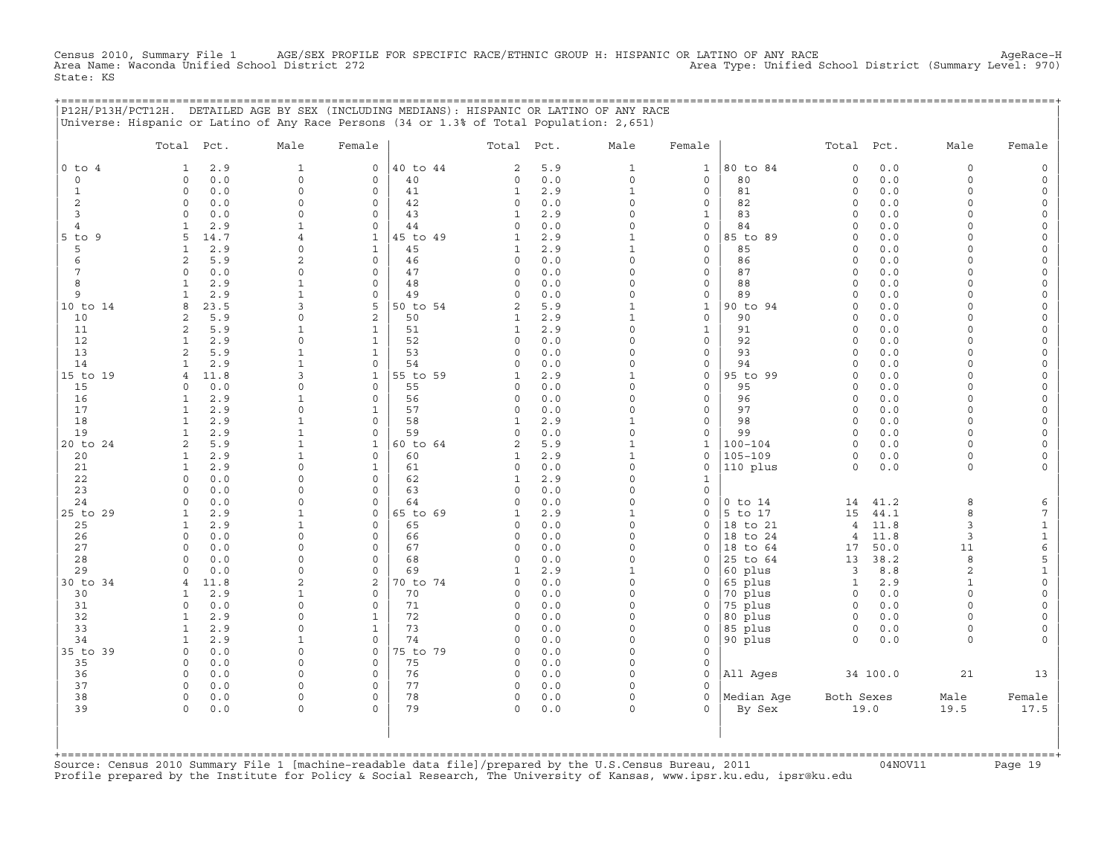Census 2010, Summary File 1 AGE/SEX PROFILE FOR SPECIFIC RACE/ETHNIC GROUP H: HISPANIC OR LATINO OF ANY RACE<br>Area Name: Waconda Unified School District 272 Area Name: Waconda Unified School District (Summary Level: 970) State: KS

+===================================================================================================================================================+

|                | P12H/P13H/PCT12H. DETAILED AGE BY SEX (INCLUDING MEDIANS): HISPANIC OR LATINO OF ANY RACE<br>Universe: Hispanic or Latino of Any Race Persons (34 or 1.3% of Total Population: 2,651) |                          |                          |          |                   |            |                          |                                    |                    |                        |            |                     |                     |
|----------------|---------------------------------------------------------------------------------------------------------------------------------------------------------------------------------------|--------------------------|--------------------------|----------|-------------------|------------|--------------------------|------------------------------------|--------------------|------------------------|------------|---------------------|---------------------|
|                | Total Pct.                                                                                                                                                                            | Male                     | Female                   |          | Total             | Pct.       | Male                     | Female                             |                    | Total                  | Pct.       | Male                | Female              |
| $0$ to $4$     | 2.9<br>1                                                                                                                                                                              | $\mathbf{1}$             | $\circ$                  | 40 to 44 | 2                 | 5.9        | $\mathbf{1}$             | $\mathbf{1}$                       | 80 to 84           | $\mathbf 0$            | 0.0        | 0                   | $\mathsf{O}$        |
| 0              | 0.0<br>$\Omega$                                                                                                                                                                       | $\mathbf 0$              | 0                        | 40       | 0                 | 0.0        | $\mathsf O$              | $\mathbf{0}$                       | 80                 | $\mathsf{O}\xspace$    | 0.0        | $\circ$             | $\mathsf{O}\xspace$ |
| $\mathbf{1}$   | $\circ$<br>0.0                                                                                                                                                                        | $\Omega$                 | $\mathbf 0$              | 41       | $\mathbf{1}$      | 2.9        | $\mathbf{1}$             | $\mathbf 0$                        | 81                 | $\mathsf{O}\xspace$    | 0.0        | $\circ$             | $\mathsf{O}\xspace$ |
| 2              | $\circ$<br>0.0                                                                                                                                                                        | $\Omega$                 | $\mathbf 0$              | 42       | 0                 | 0.0        | $\Omega$                 | $\mathbf 0$                        | 82                 | $\circ$                | 0.0        | $\circ$             | 0                   |
| 3              | 0.0<br>$\Omega$                                                                                                                                                                       | $\Omega$                 | $\mathbf 0$              | 43       | $\mathbf{1}$      | 2.9        | $\Omega$                 | $\mathbf 1$                        | 83                 | $\circ$                | 0.0        | $\circ$             | 0                   |
| $\overline{4}$ | 2.9<br>$\mathbf{1}$                                                                                                                                                                   | $\mathbf{1}$             | $\mathbf 0$              | 44       | 0                 | 0.0        | $\mathbf 0$              | $\mathsf{O}\xspace$                | 84                 | $\mathbf 0$            | 0.0        | $\circ$             | $\mathsf{O}\xspace$ |
| $5$ to $9$     | 14.7<br>5                                                                                                                                                                             | $\overline{4}$           | $\mathbf{1}$             | 45 to 49 | $\mathbf{1}$      | 2.9        | $\mathbf{1}$             | $\mathbf 0$                        | 85 to 89           | $\circ$                | 0.0        | $\Omega$            | 0                   |
| 5              | $\mathbf{1}$<br>2.9                                                                                                                                                                   | $\Omega$                 | $\mathbf{1}$             | 45       | $\mathbf{1}$      | 2.9        | $\mathbf{1}$             | $\mathbf 0$                        | 85                 | $\circ$                | 0.0        | 0                   | $\circ$             |
| 6              | 2<br>5.9                                                                                                                                                                              | $\overline{2}$           | $\mathbf 0$              | 46       | 0                 | 0.0        | $\mathbf 0$<br>$\Omega$  | $\mathsf{O}\xspace$                | 86                 | $\circ$                | 0.0        | $\Omega$            | $\mathsf{O}\xspace$ |
| 7<br>8         | $\Omega$<br>0.0<br>2.9<br>$\mathbf{1}$                                                                                                                                                | $\Omega$<br>$\mathbf{1}$ | 0<br>$\mathbf 0$         | 47<br>48 | 0<br>$\circ$      | 0.0<br>0.0 | $\Omega$                 | $\mathbf 0$<br>$\mathsf{O}\xspace$ | 87<br>88           | $\Omega$<br>$\circ$    | 0.0<br>0.0 | $\Omega$<br>$\circ$ | 0<br>$\circ$        |
| 9              | $\mathbf{1}$<br>2.9                                                                                                                                                                   | $\mathbf{1}$             | $\mathsf{O}\xspace$      | 49       | 0                 | 0.0        | $\mathbf 0$              | $\mathsf{O}\xspace$                | 89                 | $\circ$                | 0.0        | $\circ$             | $\mathsf{O}\xspace$ |
| 10 to 14       | 23.5<br>8                                                                                                                                                                             | 3                        | 5                        | 50 to 54 | $\overline{c}$    | 5.9        | $\mathbf{1}$             | $\mathbf{1}$                       | 90 to 94           | $\Omega$               | 0.0        | $\Omega$            | 0                   |
| 10             | $\overline{a}$<br>5.9                                                                                                                                                                 | $\Omega$                 | $\overline{c}$           | 50       | $\mathbf{1}$      | 2.9        | $\mathbf{1}$             | $\mathbf 0$                        | 90                 | $\circ$                | 0.0        | $\circ$             | $\mathsf{O}\xspace$ |
| 11             | 2<br>5.9                                                                                                                                                                              | $\mathbf{1}$             | $\mathbf{1}$             | 51       | $\mathbf{1}$      | 2.9        | $\Omega$                 | $1\,$                              | 91                 | $\mathsf{O}\xspace$    | 0.0        | $\Omega$            | $\mathsf{O}\xspace$ |
| 12             | 2.9<br>$\mathbf{1}$                                                                                                                                                                   | $\Omega$                 | $\mathbf{1}$             | 52       | 0                 | 0.0        | $\Omega$                 | $\mathbf 0$                        | 92                 | $\Omega$               | 0.0        | $\Omega$            | $\mathsf{O}\xspace$ |
| 13             | $\overline{a}$<br>5.9                                                                                                                                                                 | $\mathbf{1}$             | $\mathbf 1$              | 53       | $\circ$           | 0.0        | $\Omega$                 | $\mathbf 0$                        | 93                 | $\Omega$               | 0.0        | $\Omega$            | $\mathsf{O}\xspace$ |
| 14             | $\mathbf{1}$<br>2.9                                                                                                                                                                   | $\mathbf{1}$             | $\mathbf 0$              | 54       | 0                 | $0.0$      | $\Omega$                 | $\mathbf 0$                        | 94                 | $\Omega$               | 0.0        | $\Omega$            | $\mathsf{O}\xspace$ |
| 15 to 19       | 11.8<br>$\overline{4}$                                                                                                                                                                | 3                        | $\mathbf{1}$             | 55 to 59 | $\mathbf{1}$      | 2.9        | $\mathbf{1}$             | $\mathbf 0$                        | 95 to 99           | $\circ$                | 0.0        | $\Omega$            | 0                   |
| 15             | 0.0<br>$\Omega$                                                                                                                                                                       | $\Omega$                 | $\mathbf 0$              | 55       | 0                 | 0.0        | $\Omega$                 | $\mathbf 0$                        | 95                 | $\Omega$               | 0.0        | $\Omega$            | $\mathsf{O}\xspace$ |
| 16             | $\mathbf{1}$<br>2.9                                                                                                                                                                   | $\mathbf{1}$             | $\mathbf 0$              | 56       | 0                 | 0.0        | $\mathbf 0$              | $\mathbf 0$                        | 96                 | $\circ$                | 0.0        | $\Omega$            | $\mathsf{O}\xspace$ |
| 17             | $\mathbf{1}$<br>2.9                                                                                                                                                                   | $\Omega$                 | $\mathbf{1}$             | 57       | 0                 | 0.0        | 0                        | $\mathbf 0$                        | 97                 | $\circ$                | 0.0        | $\circ$             | 0                   |
| 18             | 2.9<br>$\mathbf{1}$                                                                                                                                                                   | $\mathbf{1}$             | $\circ$                  | 58       | $\mathbf{1}$      | 2.9        | $\mathbf{1}$             | $\mathsf{O}\xspace$                | 98                 | $\circ$                | 0.0        | $\circ$             | $\mathsf{O}\xspace$ |
| 19             | 2.9<br>$\mathbf{1}$                                                                                                                                                                   | $\mathbf{1}$             | $\Omega$                 | 59       | 0                 | 0.0        | 0                        | $\mathbf 0$                        | 99                 | $\circ$                | 0.0        | $\circ$             | $\mathsf{O}\xspace$ |
| 20 to 24       | 2<br>5.9                                                                                                                                                                              | $\mathbf{1}$             | $\mathbf{1}$             | 60 to 64 | 2                 | 5.9        | $\mathbf{1}$             | $\mathbf{1}$                       | $100 - 104$        | $\circ$                | 0.0        | 0                   | 0                   |
| 20             | $\mathbf{1}$<br>2.9<br>2.9                                                                                                                                                            | $\mathbf{1}$<br>$\Omega$ | $\circ$<br>$\mathbf 1$   | 60<br>61 | $\mathbf{1}$<br>0 | 2.9<br>0.0 | $\mathbf{1}$<br>$\Omega$ | $\mathsf O$<br>$\mathbf 0$         | $105 - 109$        | $\mathsf O$<br>$\circ$ | 0.0        | 0<br>$\circ$        | $\mathsf{O}\xspace$ |
| 21<br>22       | $\mathbf{1}$<br>$\Omega$<br>0.0                                                                                                                                                       | $\Omega$                 | $\mathbf 0$              | 62       | $\mathbf{1}$      | 2.9        | $\Omega$                 | 1                                  | 110 plus           |                        | 0.0        |                     | 0                   |
| 23             | $\circ$<br>0.0                                                                                                                                                                        | $\mathbf 0$              | 0                        | 63       | 0                 | 0.0        | $\mathbf 0$              | $\mathsf{O}$                       |                    |                        |            |                     |                     |
| 24             | 0.0<br>$\Omega$                                                                                                                                                                       | $\Omega$                 | 0                        | 64       | 0                 | 0.0        | $\Omega$                 | $\mathbf 0$                        | $0$ to $14$        | 14                     | 41.2       | 8                   | 6                   |
| 25 to 29       | $\mathbf{1}$<br>2.9                                                                                                                                                                   | $\mathbf{1}$             | $\mathsf{O}\xspace$      | 65 to 69 | $\mathbf{1}$      | 2.9        | $\mathbf{1}$             | $\mathbf 0$                        | 5 to 17            | 15                     | 44.1       | 8                   | $\overline{7}$      |
| 25             | 2.9<br>$\mathbf{1}$                                                                                                                                                                   | $\mathbf{1}$             | $\mathsf{O}\xspace$      | 65       | 0                 | 0.0        | $\mathbf 0$              | $\mathsf{O}$                       | 18 to 21           | $\overline{4}$         | 11.8       | 3                   | $\mathbf{1}$        |
| 26             | $\circ$<br>0.0                                                                                                                                                                        | $\Omega$                 | $\mathbf 0$              | 66       | 0                 | 0.0        | $\Omega$                 | $\Omega$                           | 18 to 24           | $\overline{4}$         | 11.8       | 3                   | $\mathbf{1}$        |
| 27             | 0.0<br>$\circ$                                                                                                                                                                        | $\Omega$                 | $\mathbf 0$              | 67       | 0                 | 0.0        | $\Omega$                 | $\mathbf 0$                        | to 64<br>18        | 17                     | 50.0       | 11                  | $\epsilon$          |
| 28             | 0.0<br>$\Omega$                                                                                                                                                                       | $\Omega$                 | 0                        | 68       | 0                 | 0.0        | $\Omega$                 | $\Omega$                           | 25 to 64           | 13                     | 38.2       | 8                   | 5                   |
| 29             | 0.0<br>$\Omega$                                                                                                                                                                       | $\Omega$                 | $\Omega$                 | 69       | $\mathbf{1}$      | 2.9        | $\mathbf{1}$             | $\Omega$                           | 60 plus            | 3                      | 8.8        | 2                   | $1\,$               |
| 30 to 34       | 11.8<br>4                                                                                                                                                                             | $\overline{2}$           | 2                        | 70 to 74 | 0                 | 0.0        | $\mathbf 0$              | $\mathsf{O}$                       | 65 plus            | $\mathbf{1}$           | 2.9        | $\mathbf{1}$        | $\mathsf{O}\xspace$ |
| 30             | 2.9<br>1                                                                                                                                                                              | $\mathbf{1}$             | $\mathbf 0$              | 70       | 0                 | 0.0        | $\Omega$                 | $\Omega$                           | 70 plus            | $\circ$                | 0.0        | $\Omega$            | $\mathsf{O}\xspace$ |
| 31             | $\Omega$<br>0.0                                                                                                                                                                       | $\Omega$                 | $\Omega$                 | 71       | 0                 | 0.0        | $\Omega$                 | $\Omega$                           | 75 plus            | $\Omega$               | 0.0        | $\Omega$            | 0                   |
| 32             | $\mathbf{1}$<br>2.9                                                                                                                                                                   | $\mathbf 0$              | $\mathbf{1}$             | 72       | 0                 | 0.0        | $\mathbf 0$              | $\mathsf{O}\xspace$                | 80 plus            | $\mathsf{O}$           | 0.0        | $\circ$             | $\mathsf{O}\xspace$ |
| 33<br>34       | 2.9<br>$\mathbf{1}$<br>2.9<br>$\mathbf{1}$                                                                                                                                            | $\Omega$<br>1            | $\mathbf{1}$<br>$\Omega$ | 73<br>74 | 0<br>$\Omega$     | 0.0<br>0.0 | $\Omega$<br>$\Omega$     | $\Omega$<br>$\mathbf 0$            | 85 plus<br>90 plus | 0<br>$\circ$           | 0.0<br>0.0 | $\Omega$<br>$\circ$ | 0<br>$\mathbf{0}$   |
| 35 to 39       | $\circ$<br>0.0                                                                                                                                                                        | $\mathbf 0$              | $\mathsf{O}\xspace$      | 75 to 79 | 0                 | 0.0        | $\mathbf 0$              | $\mathbf 0$                        |                    |                        |            |                     |                     |
| 35             | 0.0<br>$\mathbf 0$                                                                                                                                                                    | $\Omega$                 | $\mathbf{0}$             | 75       | 0                 | 0.0        | $\Omega$                 | $\mathbf 0$                        |                    |                        |            |                     |                     |
| 36             | 0.0<br>$\Omega$                                                                                                                                                                       | $\Omega$                 | $\mathbf 0$              | 76       | 0                 | 0.0        | $\Omega$                 | $\mathbf 0$                        | All Ages           |                        | 34 100.0   | 21                  | 13                  |
| 37             | $\circ$<br>0.0                                                                                                                                                                        | $\mathbf 0$              | 0                        | 77       | 0                 | 0.0        | $\mathbf 0$              | $\Omega$                           |                    |                        |            |                     |                     |
| 38             | $\circ$<br>0.0                                                                                                                                                                        | $\Omega$                 | $\mathbf 0$              | 78       | 0                 | 0.0        | $\circ$                  | $\Omega$                           | Median Age         | Both Sexes             |            | Male                | Female              |
| 39             | 0.0<br>0                                                                                                                                                                              | $\Omega$                 | $\Omega$                 | 79       | $\circ$           | 0.0        | $\Omega$                 | $\Omega$                           | By Sex             |                        | 19.0       | 19.5                | 17.5                |
| +========      |                                                                                                                                                                                       |                          |                          |          |                   |            |                          |                                    |                    |                        |            |                     |                     |

+===================================================================================================================================================+Source: Census 2010 Summary File 1 [machine−readable data file]/prepared by the U.S.Census Bureau, 2011 04NOV11 Page 19 Profile prepared by the Institute for Policy & Social Research, The University of Kansas, www.ipsr.ku.edu, ipsr@ku.edu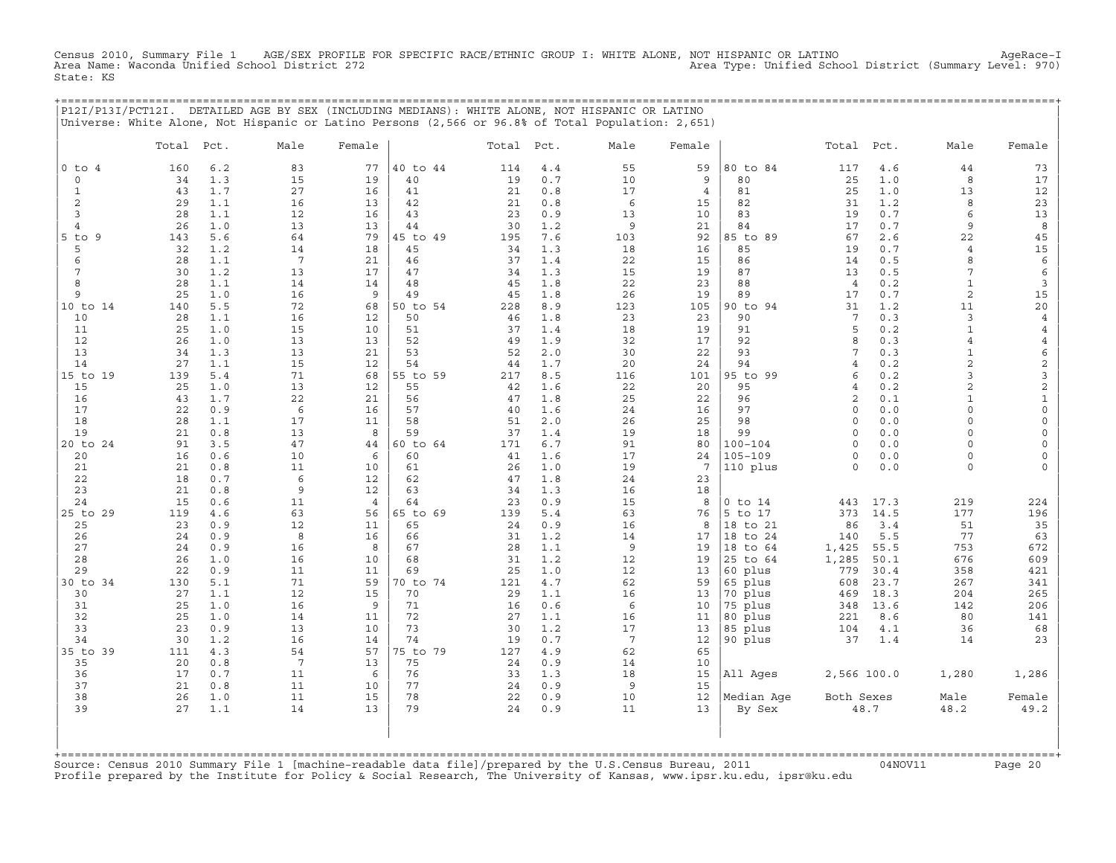Census 2010, Summary File 1 AGE/SEX PROFILE FOR SPECIFIC RACE/ETHNIC GROUP I: WHITE ALONE, NOT HISPANIC OR LATINO<br>Area Name: Waconda Unified School District 272 State: KS

+===================================================================================================================================================+

|                               |            |            | P12I/P13I/PCT12I. DETAILED AGE BY SEX (INCLUDING MEDIANS): WHITE ALONE, NOT HISPANIC OR LATINO<br>Universe: White Alone, Not Hispanic or Latino Persons (2,566 or 96.8% of Total Population: 2,651) |                |                |            |            |                 |                |                      |                    |            |                                |                                            |
|-------------------------------|------------|------------|-----------------------------------------------------------------------------------------------------------------------------------------------------------------------------------------------------|----------------|----------------|------------|------------|-----------------|----------------|----------------------|--------------------|------------|--------------------------------|--------------------------------------------|
|                               | Total Pct. |            | Male                                                                                                                                                                                                | Female         |                | Total Pct. |            | Male            | Female         |                      | Total              | Pct.       | Male                           | Female                                     |
| $0$ to $4$                    | 160        | 6.2        | 83                                                                                                                                                                                                  | 77             | 40 to 44       | 114        | 4.4        | 55              | 59             | 80 to 84             | 117                | $4.6$      | 44                             | 73                                         |
| 0                             | 34         | 1.3        | 15                                                                                                                                                                                                  | 19             | 40             | 19         | 0.7        | 10              | 9              | 80                   | 25                 | 1.0        | 8                              | 17                                         |
| $\mathbf{1}$                  | 43         | 1.7        | 27                                                                                                                                                                                                  | 16             | 41             | 21         | 0.8        | 17              | $\overline{4}$ | 81                   | 25                 | 1.0        | 13                             | 12                                         |
| $\overline{c}$                | 29         | 1.1        | 16                                                                                                                                                                                                  | 13             | 42             | 21         | 0.8        | 6               | 15             | 82                   | 31                 | 1.2        | 8                              | 23                                         |
| 3                             | 28         | 1.1        | 12                                                                                                                                                                                                  | 16             | 43             | 23         | 0.9        | 13              | 10             | 83                   | 19                 | 0.7        | 6                              | 13                                         |
| $\overline{4}$<br>$5$ to<br>9 | 26<br>143  | 1.0<br>5.6 | 13<br>64                                                                                                                                                                                            | 13<br>79       | 44<br>45 to 49 | 30<br>195  | 1.2<br>7.6 | 9<br>103        | 21<br>92       | 84<br>85 to 89       | 17<br>67           | 0.7<br>2.6 | 9<br>22                        | $\boldsymbol{8}$<br>45                     |
| 5                             | 32         | 1.2        | 14                                                                                                                                                                                                  | 18             | 45             | 34         | 1.3        | 18              | 16             | 85                   | 19                 | 0.7        | 4                              | $15$                                       |
| 6                             | 28         | 1.1        | $7\phantom{.0}$                                                                                                                                                                                     | 21             | 46             | 37         | 1.4        | 22              | 15             | 86                   | 14                 | 0.5        | 8                              | $\epsilon$                                 |
| 7                             | 30         | 1.2        | 13                                                                                                                                                                                                  | 17             | 47             | 34         | 1.3        | 15              | 19             | 87                   | 13                 | 0.5        | 7                              | $\epsilon$                                 |
| 8                             | 28         | 1.1        | 14                                                                                                                                                                                                  | 14             | 48             | 45         | 1.8        | 22              | 23             | 88                   | $\overline{4}$     | 0.2        | $1\,$                          | $\overline{3}$                             |
| 9                             | 25         | 1.0        | 16                                                                                                                                                                                                  | 9              | 49             | 45         | 1.8        | 26              | 19             | 89                   | 17                 | 0.7        | $\overline{c}$                 | $15\,$                                     |
| 10 to 14                      | 140        | 5.5        | 72                                                                                                                                                                                                  | 68             | 50 to 54       | 228        | 8.9        | 123             | 105            | 90 to 94             | 31                 | 1.2        | 11                             | $20$                                       |
| 10                            | 28         | 1.1        | 16                                                                                                                                                                                                  | 12             | 50             | 46         | 1.8        | 23              | 23             | 90                   | 7<br>5             | 0.3        | 3                              | $\overline{4}$                             |
| 11<br>12                      | 25<br>26   | 1.0<br>1.0 | 15<br>13                                                                                                                                                                                            | 10<br>13       | 51<br>52       | 37<br>49   | 1.4<br>1.9 | 18<br>32        | 19<br>17       | 91<br>92             | 8                  | 0.2<br>0.3 | $\mathbf{1}$<br>$\overline{4}$ | 4<br>$\,4$                                 |
| 13                            | 34         | 1.3        | 13                                                                                                                                                                                                  | 21             | 53             | 52         | 2.0        | 30              | 22             | 93                   | 7                  | 0.3        | $\mathbf{1}$                   | 6                                          |
| 14                            | 27         | 1.1        | 15                                                                                                                                                                                                  | 12             | 54             | 44         | 1.7        | 20              | 24             | 94                   | $\overline{4}$     | 0.2        | $\overline{c}$                 | $\overline{c}$                             |
| 15 to 19                      | 139        | 5.4        | 71                                                                                                                                                                                                  | 68             | 55 to 59       | 217        | 8.5        | 116             | 101            | 95 to 99             | 6                  | 0.2        | 3                              | 3                                          |
| 15                            | 25         | 1.0        | 13                                                                                                                                                                                                  | 12             | 55             | 42         | 1.6        | 22              | 20             | 95                   | $\overline{4}$     | 0.2        | $\overline{c}$                 | $\overline{c}$                             |
| 16                            | 43         | 1.7        | 22                                                                                                                                                                                                  | 21             | 56             | 47         | 1.8        | 25              | 22             | 96                   | $\overline{c}$     | 0.1        | $\mathbf{1}$                   | $\mathbf 1$                                |
| 17                            | 22         | 0.9        | 6                                                                                                                                                                                                   | 16             | 57             | 40         | 1.6        | 24              | 16             | 97                   | $\circ$            | 0.0        | $\circ$                        | $\mathsf{O}\xspace$                        |
| 18<br>19                      | 28<br>21   | 1.1<br>0.8 | 17                                                                                                                                                                                                  | 11<br>8        | 58<br>59       | 51         | 2.0<br>1.4 | 26              | 25             | 98<br>99             | $\circ$<br>$\circ$ | 0.0<br>0.0 | $\Omega$<br>0                  | $\mathsf{O}\xspace$<br>$\mathsf{O}\xspace$ |
| 20 to 24                      | 91         | 3.5        | 13<br>47                                                                                                                                                                                            | 44             | 60 to 64       | 37<br>171  | 6.7        | 19<br>91        | 18<br>80       | $100 - 104$          | $\circ$            | 0.0        | $\circ$                        | 0                                          |
| 20                            | 16         | 0.6        | 10                                                                                                                                                                                                  | 6              | 60             | 41         | 1.6        | 17              | 24             | $105 - 109$          | $\Omega$           | 0.0        | $\Omega$                       | $\mathsf{O}\xspace$                        |
| 21                            | 21         | 0.8        | 11                                                                                                                                                                                                  | 10             | 61             | 26         | 1.0        | 19              | 7              | 110 plus             | $\Omega$           | 0.0        | $\circ$                        | 0                                          |
| 22                            | 18         | 0.7        | 6                                                                                                                                                                                                   | 12             | 62             | 47         | 1.8        | 24              | 23             |                      |                    |            |                                |                                            |
| 23                            | 21         | 0.8        | 9                                                                                                                                                                                                   | 12             | 63             | 34         | 1.3        | 16              | 18             |                      |                    |            |                                |                                            |
| 24                            | 15         | 0.6        | 11                                                                                                                                                                                                  | $\overline{4}$ | 64             | 23         | 0.9        | 15              | 8              | $0$ to $14$          | 443                | 17.3       | 219                            | 224                                        |
| 25 to 29                      | 119        | 4.6        | 63                                                                                                                                                                                                  | 56             | 65 to 69       | 139        | 5.4        | 63              | 76             | 5 to 17              | 373                | 14.5       | 177                            | 196                                        |
| 25<br>26                      | 23<br>24   | 0.9<br>0.9 | 12<br>8                                                                                                                                                                                             | 11<br>16       | 65<br>66       | 24<br>31   | 0.9<br>1.2 | 16<br>14        | 8<br>17        | 18 to 21<br>18 to 24 | 86<br>140          | 3.4<br>5.5 | 51<br>77                       | $35$<br>63                                 |
| 27                            | 24         | 0.9        | 16                                                                                                                                                                                                  | 8              | 67             | 28         | 1.1        | $\overline{9}$  | 19             | 18 to 64             | 1,425              | 55.5       | 753                            | 672                                        |
| 28                            | 26         | 1.0        | 16                                                                                                                                                                                                  | 10             | 68             | 31         | 1.2        | 12              | 19             | 25 to 64             | 1,285              | 50.1       | 676                            | 609                                        |
| 29                            | 22         | 0.9        | 11                                                                                                                                                                                                  | 11             | 69             | 25         | 1.0        | 12              | 13             | 60 plus              | 779                | 30.4       | 358                            | 421                                        |
| 30 to 34                      | 130        | 5.1        | 71                                                                                                                                                                                                  | 59             | 70 to 74       | 121        | 4.7        | 62              | 59             | 65 plus              | 608                | 23.7       | 267                            | 341                                        |
| 30                            | 27         | 1.1        | 12                                                                                                                                                                                                  | 15             | 70             | 29         | 1.1        | 16              | 13             | 70 plus              | 469                | 18.3       | 204                            | 265                                        |
| 31                            | 25         | 1.0        | 16                                                                                                                                                                                                  | 9              | 71             | 16         | 0.6        | 6               | 10             | 75 plus              | 348                | 13.6       | 142                            | 206                                        |
| 32<br>33                      | 25<br>23   | 1.0<br>0.9 | 14<br>13                                                                                                                                                                                            | 11<br>10       | 72<br>73       | 27<br>30   | 1.1<br>1.2 | 16<br>17        | 11<br>13       | 80 plus<br>85 plus   | 221<br>104         | 8.6<br>4.1 | 80<br>36                       | 141<br>68                                  |
| 34                            | 30         | 1.2        | 16                                                                                                                                                                                                  | 14             | 74             | 19         | 0.7        | $7\phantom{.0}$ | 12             | 90 plus              | 37                 | 1.4        | 14                             | 23                                         |
| 35 to 39                      | 111        | 4.3        | 54                                                                                                                                                                                                  | 57             | 75 to 79       | 127        | 4.9        | 62              | 65             |                      |                    |            |                                |                                            |
| 35                            | 20         | 0.8        | $7\phantom{.0}$                                                                                                                                                                                     | 13             | 75             | 24         | 0.9        | 14              | 10             |                      |                    |            |                                |                                            |
| 36                            | 17         | 0.7        | 11                                                                                                                                                                                                  | 6              | 76             | 33         | 1.3        | 18              | 15             | All Ages             | 2,566 100.0        |            | 1,280                          | 1,286                                      |
| 37                            | 21         | 0.8        | 11                                                                                                                                                                                                  | 10             | 77             | 24         | 0.9        | 9               | 15             |                      |                    |            |                                |                                            |
| 38                            | 26         | 1.0        | 11                                                                                                                                                                                                  | 15             | 78             | 22         | 0.9        | 10              | 12             | Median Age           | Both Sexes         |            | Male                           | Female                                     |
| 39                            | 27         | $1.1\,$    | 14                                                                                                                                                                                                  | 13             | 79             | 24         | 0.9        | 11              | 13             | By Sex               |                    | 48.7       | 48.2                           | 49.2                                       |
|                               |            |            |                                                                                                                                                                                                     |                |                |            |            |                 |                |                      |                    |            |                                |                                            |
|                               |            |            |                                                                                                                                                                                                     |                |                |            |            |                 |                |                      |                    |            |                                |                                            |

+===================================================================================================================================================+Source: Census 2010 Summary File 1 [machine−readable data file]/prepared by the U.S.Census Bureau, 2011 04NOV11 Page 20 Profile prepared by the Institute for Policy & Social Research, The University of Kansas, www.ipsr.ku.edu, ipsr@ku.edu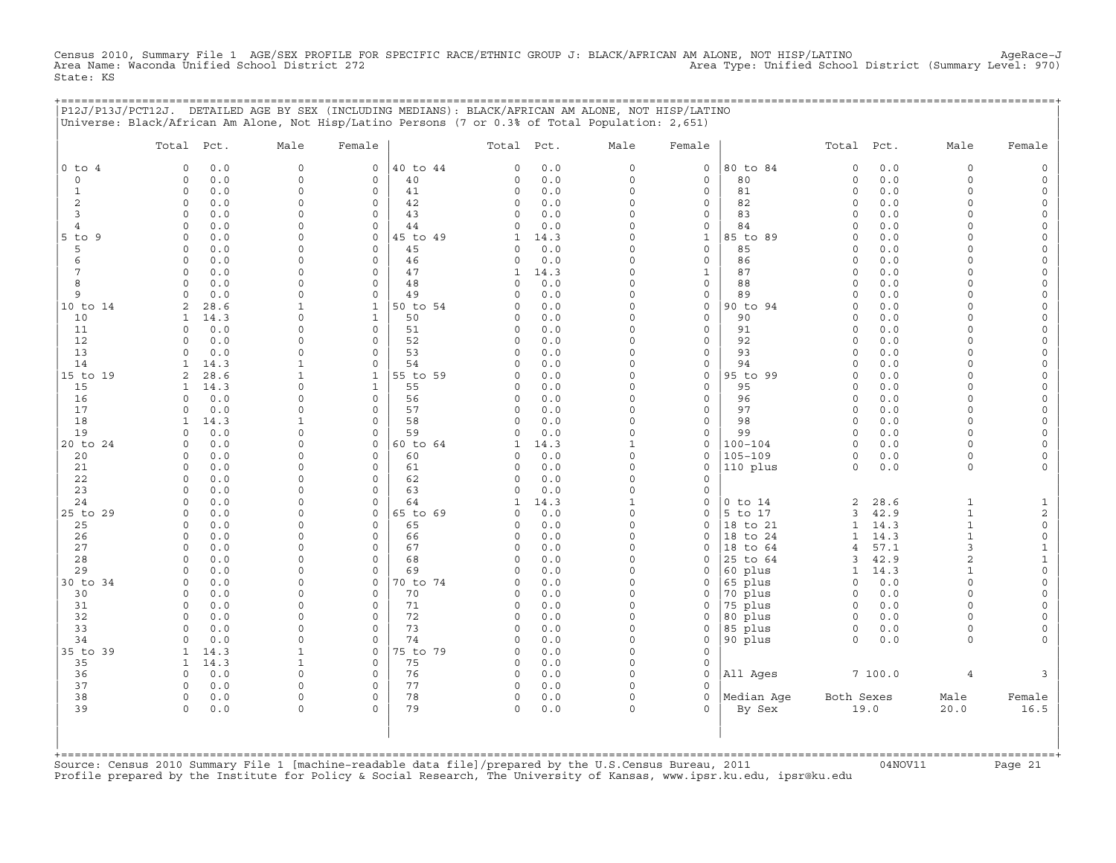Census 2010, Summary File 1 AGE/SEX PROFILE FOR SPECIFIC RACE/ETHNIC GROUP J: BLACK/AFRICAN AM ALONE, NOT HISP/LATINO<br>Area Name: Waconda Unified School District 272 State: KS

|                | P12J/P13J/PCT12J. DETAILED AGE BY SEX (INCLUDING MEDIANS): BLACK/AFRICAN AM ALONE, NOT HISP/LATINO<br>Universe: Black/African Am Alone, Not Hisp/Latino Persons (7 or 0.3% of Total Population: 2,651) |                            |                                    |                |               |            |                      |                              | ================================= |                         |              |                      |                      |
|----------------|--------------------------------------------------------------------------------------------------------------------------------------------------------------------------------------------------------|----------------------------|------------------------------------|----------------|---------------|------------|----------------------|------------------------------|-----------------------------------|-------------------------|--------------|----------------------|----------------------|
|                | Total Pct.                                                                                                                                                                                             | Male                       | Female                             |                | Total Pct.    |            | Male                 | Female                       |                                   | Total Pct.              |              | Male                 | Female               |
| $0$ to $4$     | $\mathbf 0$<br>0.0                                                                                                                                                                                     | $\circ$                    | $\mathsf{O}$                       | 40 to 44       | 0             | 0.0        | 0                    | $\mathsf{O}\xspace$          | 80 to 84                          | $\mathsf O$             | 0.0          | $\mathsf O$          |                      |
| $\circ$        | 0.0<br>$\Omega$                                                                                                                                                                                        | $\mathbf 0$                | 0                                  | 40             | $\Omega$      | 0.0        | $\circ$              | 0                            | 80                                | 0                       | 0.0          | $\mathbf 0$          |                      |
| 1              | $\Omega$<br>0.0                                                                                                                                                                                        | $\Omega$                   | $\circ$                            | 41             | 0             | 0.0        | $\Omega$             | 0                            | 81                                | $\circ$                 | 0.0          | $\Omega$             | $\Omega$             |
| 2<br>3         | $\circ$<br>0.0<br>$\mathbf 0$<br>0.0                                                                                                                                                                   | $\mathbf 0$<br>$\mathbf 0$ | $\mathsf{O}\xspace$<br>$\mathbf 0$ | 42<br>43       | 0<br>$\Omega$ | 0.0<br>0.0 | 0<br>$\Omega$        | $\circ$<br>0                 | 82<br>83                          | 0<br>$\Omega$           | 0.0<br>0.0   | $\Omega$<br>$\cap$   | $\Omega$<br>$\Omega$ |
| $\overline{4}$ | 0.0<br>$\mathbf 0$                                                                                                                                                                                     | $\Omega$                   | $\mathbf 0$                        | 44             | $\Omega$      | 0.0        | $\Omega$             | 0                            | 84                                | $\Omega$                | 0.0          | $\Omega$             |                      |
| 5 to 9         | $\Omega$<br>0.0                                                                                                                                                                                        | $\Omega$                   | $\mathbf 0$                        | 45 to 49       | 1             | 14.3       | $\circ$              | $\mathbf{1}$                 | 85 to 89                          | $\mathbf 0$             | 0.0          | $\cap$               | $\Omega$             |
| 5              | 0.0<br>$\Omega$                                                                                                                                                                                        | $\Omega$                   | $\mathbf 0$                        | 45             | $\Omega$      | 0.0        | $\Omega$             | $\mathbf{0}$                 | 85                                | $\Omega$                | 0.0          | $\cap$               | $\Omega$             |
| 6              | 0.0<br>$\circ$                                                                                                                                                                                         | $\mathbf 0$                | 0                                  | 46             | 0             | 0.0        | $\Omega$             | 0                            | 86                                | $\Omega$                | 0.0          | $\Omega$             | $\Omega$             |
| 7              | 0.0<br>$\mathbf 0$                                                                                                                                                                                     | $\mathbf 0$                | $\mathbf 0$                        | 47             | 1             | 14.3       | $\Omega$             | $\mathbf{1}$                 | 87                                | $\Omega$                | 0.0          | $\Omega$             |                      |
| 8              | $\Omega$<br>0.0                                                                                                                                                                                        | $\Omega$                   | $\mathbf 0$                        | 48             | $\Omega$      | 0.0        | $\Omega$             | 0                            | 88                                | $\mathbf 0$             | 0.0          | $\Omega$             | $\Omega$             |
| 9              | 0.0<br>$\Omega$                                                                                                                                                                                        | $\Omega$                   | $\mathbf 0$                        | 49             | <sup>0</sup>  | 0.0        | $\Omega$             | 0                            | 89                                | $\Omega$                | 0.0          | $\cap$               | $\Omega$             |
| 10 to 14       | 28.6<br>2<br>14.3                                                                                                                                                                                      | $\mathbf{1}$<br>$\Omega$   | $\mathbf{1}$<br>$\mathbf{1}$       | 50 to 54<br>50 | $\Omega$<br>0 | 0.0<br>0.0 | $\Omega$<br>$\Omega$ | 0<br>$\mathbf 0$             | 90 to 94<br>90                    | $\Omega$<br>$\Omega$    | 0.0<br>0.0   | $\cap$<br>$\Omega$   |                      |
| 10<br>11       | 1<br>$\mathbf 0$<br>0.0                                                                                                                                                                                | $\Omega$                   | 0                                  | 51             | 0             | 0.0        | $\Omega$             | 0                            | 91                                | $\mathbf 0$             | 0.0          | $\Omega$             | $\Omega$             |
| 12             | $\Omega$<br>0.0                                                                                                                                                                                        | $\Omega$                   | $\circ$                            | 52             | $\Omega$      | 0.0        | $\Omega$             | 0                            | 92                                | $\circ$                 | 0.0          | $\Omega$             | $\Omega$             |
| 13             | 0.0<br>$\Omega$                                                                                                                                                                                        | $\Omega$                   | $\mathbf 0$                        | 53             | 0             | 0.0        | $\circ$              | $\mathbf{0}$                 | 93                                | $\mathbf 0$             | 0.0          | $\Omega$             | $\Omega$             |
| 14             | 14.3                                                                                                                                                                                                   | 1                          | 0                                  | 54             | $\Omega$      | 0.0        | $\Omega$             | 0                            | 94                                | $\Omega$                | 0.0          | $\Omega$             | $\Omega$             |
| 15 to 19       | 28.6<br>2                                                                                                                                                                                              | 1                          | 1                                  | 55 to 59       | <sup>0</sup>  | 0.0        | $\Omega$             | 0                            | 95 to 99                          | $\Omega$                | 0.0          | $\Omega$             | $\Omega$             |
| 15             | 14.3<br>$\mathbf{1}$                                                                                                                                                                                   | $\mathbf 0$                | $\mathbf{1}$                       | 55             | 0             | 0.0        | 0                    | $\circ$                      | 95                                | $\Omega$                | 0.0          | $\Omega$             | $\Omega$             |
| 16             | 0.0<br>$\Omega$                                                                                                                                                                                        | $\mathbf 0$                | 0                                  | 56             | 0             | 0.0        | 0                    | 0                            | 96                                | $\circ$                 | 0.0          | $\Omega$             | $\Omega$             |
| 17             | 0.0<br>$\Omega$                                                                                                                                                                                        | $\Omega$                   | 0                                  | 57             | $\Omega$      | 0.0        | $\Omega$             | 0                            | 97                                | $\Omega$                | 0.0          | $\Omega$             |                      |
| 18<br>19       | 14.3<br>1<br>0.0<br>$\Omega$                                                                                                                                                                           | 1<br>$\Omega$              | $\mathbf 0$<br>$\mathbf 0$         | 58<br>59       | 0<br>$\Omega$ | 0.0<br>0.0 | $\Omega$<br>$\circ$  | $\mathbf{0}$<br>$\mathbf{0}$ | 98<br>99                          | $\Omega$<br>$\mathbf 0$ | 0.0<br>0.0   | $\Omega$<br>$\Omega$ | $\Omega$             |
| 20 to 24       | $\mathbf 0$<br>0.0                                                                                                                                                                                     | $\mathbf 0$                | 0                                  | 60 to 64       | 1             | 14.3       | $\mathbf{1}$         | 0                            | $100 - 104$                       | $\circ$                 | 0.0          | $\Omega$             | $\Omega$             |
| 20             | $\mathbf 0$<br>0.0                                                                                                                                                                                     | $\mathbf 0$                | $\mathsf{O}\xspace$                | 60             | $\Omega$      | 0.0        | $\circ$              | 0                            | $105 - 109$                       | $\circ$                 | 0.0          | $\mathbf 0$          |                      |
| 21             | $\Omega$<br>0.0                                                                                                                                                                                        | $\Omega$                   | 0                                  | 61             | $\Omega$      | 0.0        | 0                    | 0                            | 110 plus                          | $\mathsf O$             | 0.0          | $\mathsf{O}$         |                      |
| 22             | 0.0<br>$\Omega$                                                                                                                                                                                        | $\Omega$                   | $\Omega$                           | 62             | $\Omega$      | 0.0        | 0                    | 0                            |                                   |                         |              |                      |                      |
| 23             | 0.0<br>$\Omega$                                                                                                                                                                                        | $\Omega$                   | $\circ$                            | 63             | $\Omega$      | 0.0        | 0                    | 0                            |                                   |                         |              |                      |                      |
| 24             | $\mathbf 0$<br>0.0                                                                                                                                                                                     | $\mathbf 0$                | $\mathsf{O}\xspace$                | 64             | $\mathbf{1}$  | 14.3       | $\mathbf{1}$         | 0                            | $0$ to $14$                       | 2                       | 28.6         | $\mathbf{1}$         |                      |
| 25 to 29       | 0.0<br>$\mathbf 0$                                                                                                                                                                                     | $\mathbf 0$                | 0                                  | 65 to 69       | $\Omega$      | 0.0        | 0                    | 0                            | 5 to 17                           | 3                       | 42.9         | $\mathbf{1}$         | $\overline{c}$       |
| 25             | $\Omega$<br>0.0                                                                                                                                                                                        | $\Omega$<br>$\Omega$       | $\mathbf 0$                        | 65             | $\Omega$      | 0.0        | $\Omega$             | $\mathbf 0$                  | 18 to 21                          | $\mathbf{1}$            | 14.3         | $\mathbf{1}$         | $\mathsf O$          |
| 26<br>27       | $\mathbf 0$<br>0.0<br>0.0<br>$\Omega$                                                                                                                                                                  | $\Omega$                   | 0<br>$\mathbf 0$                   | 66<br>67       | 0<br>0        | 0.0<br>0.0 | 0<br>$\Omega$        | 0<br>0                       | 18 to 24<br>18 to 64              | 1<br>4                  | 14.3<br>57.1 | 1<br>3               | $\mathsf O$<br>1     |
| 28             | 0.0<br>$\Omega$                                                                                                                                                                                        | $\Omega$                   | $\mathbf 0$                        | 68             | $\Omega$      | 0.0        | $\Omega$             | $\mathbf 0$                  | 25 to 64                          | 3                       | 42.9         | 2                    |                      |
| 29             | $\Omega$<br>0.0                                                                                                                                                                                        | $\mathbf 0$                | $\mathsf O$                        | 69             | 0             | 0.0        | $\circ$              | 0                            | 60 plus                           | $\mathbf{1}$            | 14.3         | $\mathbf{1}$         | $\Omega$             |
| 30 to 34       | $\mathbf 0$<br>0.0                                                                                                                                                                                     | $\Omega$                   | 0                                  | 70 to 74       | 0             | 0.0        | $\circ$              | 0                            | 65 plus                           | $\circ$                 | 0.0          | $\mathbf 0$          | $\Omega$             |
| 30             | 0.0<br>$\Omega$                                                                                                                                                                                        | $\Omega$                   | $\mathbf 0$                        | 70             | $\Omega$      | 0.0        | $\circ$              | 0                            | 70 plus                           | $\circ$                 | 0.0          | $\Omega$             |                      |
| 31             | $\mathbf 0$<br>0.0                                                                                                                                                                                     | $\Omega$                   | $\mathbf 0$                        | 71             | 0             | 0.0        | $\Omega$             | 0                            | 75 plus                           | $\mathbf 0$             | 0.0          | $\Omega$             |                      |
| 32             | $\Omega$<br>0.0                                                                                                                                                                                        | $\Omega$                   | $\mathbf 0$                        | 72             | 0             | 0.0        | $\Omega$             | 0                            | 80 plus                           | $\circ$                 | 0.0          | $\Omega$             | $\Omega$             |
| 33             | 0.0<br>$\Omega$                                                                                                                                                                                        | $\Omega$                   | 0                                  | 73             | $\mathbf 0$   | 0.0        | $\Omega$             | 0                            | 85 plus                           | $\circ$                 | 0.0          | $\mathbf 0$          | $\Omega$             |
| 34             | 0.0<br>$\Omega$                                                                                                                                                                                        | $\Omega$                   | $\circ$                            | 74             | $\Omega$      | 0.0        | $\Omega$             | 0                            | 90 plus                           | $\circ$                 | 0.0          | $\mathbf 0$          |                      |
| 35 to 39       | 14.3<br>$\mathbf{1}$                                                                                                                                                                                   | 1<br>1                     | $\circ$<br>0                       | 75 to 79<br>75 | 0<br>0        | 0.0        | $\Omega$<br>$\Omega$ | $\mathbf 0$<br>0             |                                   |                         |              |                      |                      |
| 35<br>36       | 14.3<br>1<br>0.0<br>$\Omega$                                                                                                                                                                           | $\Omega$                   | $\mathbf 0$                        | 76             | $\circ$       | 0.0<br>0.0 | $\Omega$             | $\mathbf 0$                  | All Ages                          |                         | 7100.0       | $\overline{4}$       | 3                    |
| 37             | $\mathbf 0$<br>0.0                                                                                                                                                                                     | $\mathsf{O}$               | $\mathbf 0$                        | 77             | $\circ$       | 0.0        | 0                    | 0                            |                                   |                         |              |                      |                      |
| 38             | $\mathbf 0$<br>0.0                                                                                                                                                                                     | $\mathsf{O}$               | $\mathsf{O}$                       | 78             | 0             | 0.0        | 0                    | 0                            | Median Aqe                        | Both Sexes              |              | Male                 | Female               |
| 39             | 0.0<br>$\Omega$                                                                                                                                                                                        | $\Omega$                   | $\Omega$                           | 79             | $\Omega$      | 0.0        | $\Omega$             | $\Omega$                     | By Sex                            |                         | 19.0         | 20.0                 | 16.5                 |
|                |                                                                                                                                                                                                        |                            |                                    |                |               |            |                      |                              |                                   |                         |              |                      |                      |

+===================================================================================================================================================+Source: Census 2010 Summary File 1 [machine−readable data file]/prepared by the U.S.Census Bureau, 2011 04NOV11 Page 21 Profile prepared by the Institute for Policy & Social Research, The University of Kansas, www.ipsr.ku.edu, ipsr@ku.edu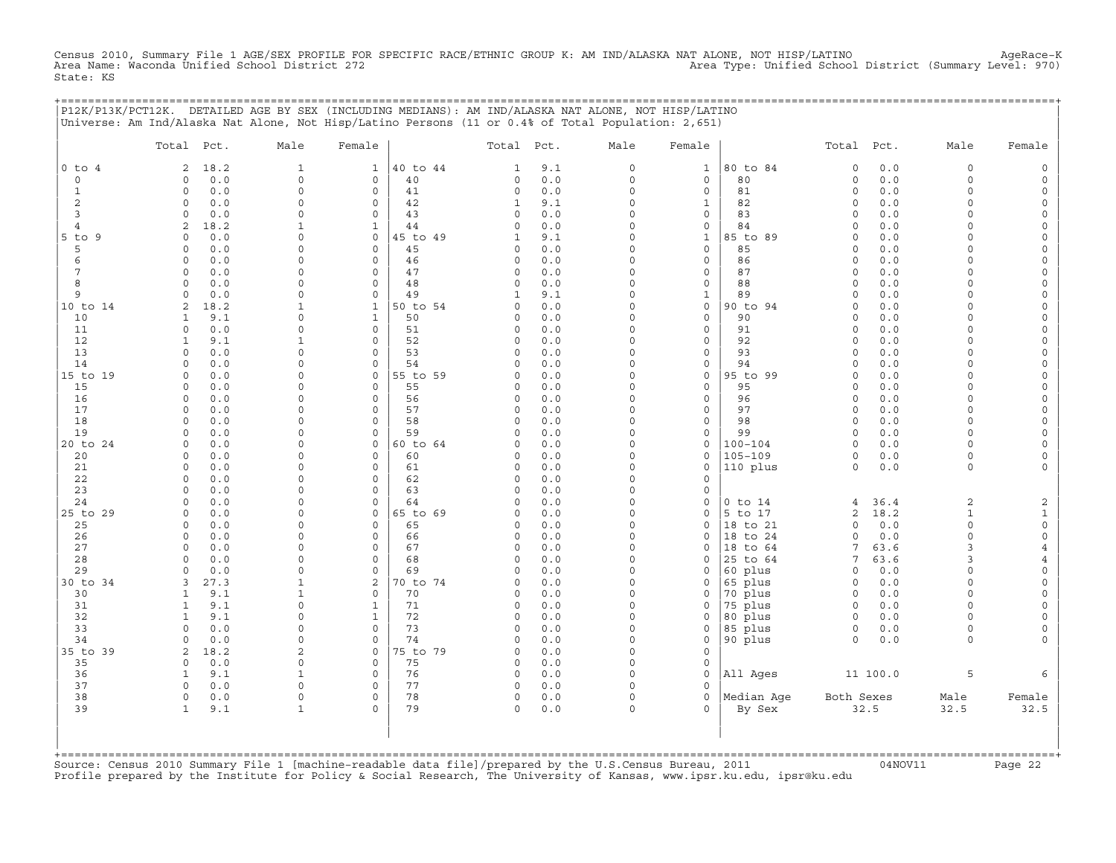Census 2010, Summary File 1 AGE/SEX PROFILE FOR SPECIFIC RACE/ETHNIC GROUP K: AM IND/ALASKA NAT ALONE, NOT HISP/LATINO<br>Area Name: Waconda Unified School District 272 State: KS

+===================================================================================================================================================+

|                     | P12K/P13K/PCT12K. DETAILED AGE BY SEX (INCLUDING MEDIANS): AM IND/ALASKA NAT ALONE, NOT HISP/LATINO<br>Universe: Am Ind/Alaska Nat Alone, Not Hisp/Latino Persons (11 or 0.4% of Total Population: 2,651) |                          |                                     |          |               |              |                         |                                    |                      |                        |              |                      |                                     |
|---------------------|-----------------------------------------------------------------------------------------------------------------------------------------------------------------------------------------------------------|--------------------------|-------------------------------------|----------|---------------|--------------|-------------------------|------------------------------------|----------------------|------------------------|--------------|----------------------|-------------------------------------|
|                     | Total Pct.                                                                                                                                                                                                | Male                     | Female                              |          | Total Pct.    |              | Male                    | Female                             |                      | Total Pct.             |              | Male                 | Female                              |
| $0$ to $4$          | 18.2<br>2                                                                                                                                                                                                 | 1                        | 1                                   | 40 to 44 | 1             | 9.1          | $\mathbf 0$             | $\mathbf{1}$                       | 80 to 84             | $\mathbf 0$            | 0.0          | $\circ$              | $\mathsf{O}\xspace$                 |
| $\mathbf 0$         | 0.0<br>0                                                                                                                                                                                                  | $\Omega$                 | $\mathbf 0$                         | 40       | 0             | 0.0          | $\Omega$                | $\mathbf 0$                        | 80                   | $\circ$                | 0.0          | $\circ$              | $\mathsf{O}$                        |
| $\mathbf{1}$        | 0.0<br>0                                                                                                                                                                                                  | $\Omega$                 | $\mathsf{O}\xspace$                 | 41       | 0             | $0.0$        | $\mathbf 0$             | $\mathsf{O}\xspace$                | 81                   | $\mathsf{O}\xspace$    | 0.0          | 0                    | $\mathsf{O}\xspace$                 |
| 2                   | 0.0<br>$\Omega$                                                                                                                                                                                           | $\Omega$                 | $\mathbf 0$                         | 42       | 1             | 9.1          | $\Omega$                | $\mathbf{1}$                       | 82                   | $\circ$                | 0.0          | 0                    | 0                                   |
| 3<br>$\overline{4}$ | 0.0<br>0<br>18.2<br>2                                                                                                                                                                                     | $\Omega$<br>$\mathbf{1}$ | $\mathbf 0$<br>$\mathbf{1}$         | 43<br>44 | 0<br>0        | 0.0<br>0.0   | $\Omega$<br>$\mathbf 0$ | $\mathbf 0$<br>$\mathsf{O}\xspace$ | 83<br>84             | $\circ$<br>$\Omega$    | 0.0<br>$0.0$ | $\Omega$<br>$\Omega$ | $\mathsf{O}$<br>$\mathsf{O}\xspace$ |
| $5$ to $9$          | 0.0<br>$\Omega$                                                                                                                                                                                           | $\Omega$                 | $\mathbf 0$                         | 45 to 49 | $\mathbf{1}$  | 9.1          | $\Omega$                | $\mathbf{1}$                       | 85 to 89             | $\circ$                | 0.0          | $\Omega$             | $\mathbf 0$                         |
| 5                   | 0.0<br>0                                                                                                                                                                                                  | $\Omega$                 | $\mathbf 0$                         | 45       | 0             | 0.0          | $\Omega$                | $\mathbf 0$                        | 85                   | $\circ$                | 0.0          | 0                    | 0                                   |
| 6                   | 0.0<br>$\Omega$                                                                                                                                                                                           | $\Omega$                 | $\mathbf 0$                         | 46       | 0             | 0.0          | $\mathbf 0$             | $\mathsf{O}\xspace$                | 86                   | $\circ$                | 0.0          | $\Omega$             | $\mathsf{O}\xspace$                 |
| 7                   | $\Omega$<br>0.0                                                                                                                                                                                           | $\Omega$                 | $\Omega$                            | 47       | 0             | 0.0          | $\Omega$                | $\mathbf 0$                        | 87                   | $\Omega$               | 0.0          | $\Omega$             | 0                                   |
| 8                   | 0.0<br>0                                                                                                                                                                                                  | $\Omega$                 | 0                                   | 48       | 0             | 0.0          | $\Omega$                | $\mathsf{O}\xspace$                | 88                   | $\circ$                | 0.0          | $\circ$              | 0                                   |
| 9                   | 0.0<br>$\Omega$                                                                                                                                                                                           | $\Omega$                 | $\mathbf 0$                         | 49       | 1             | 9.1          | $\mathbf 0$             | $1\,$                              | 89                   | $\circ$                | 0.0          | $\circ$              | $\mathsf{O}\xspace$                 |
| 10 to 14            | 18.2<br>2                                                                                                                                                                                                 | $\mathbf{1}$             | $\mathbf{1}$                        | 50 to 54 | 0             | 0.0          | $\Omega$                | $\mathbf 0$                        | 90 to 94             | $\circ$                | 0.0          | $\Omega$             | 0                                   |
| 10<br>11            | 9.1<br>1<br>$\circ$<br>0.0                                                                                                                                                                                | $\Omega$<br>$\Omega$     | $\mathbf{1}$<br>$\mathsf{O}\xspace$ | 50<br>51 | 0<br>0        | 0.0<br>0.0   | $\Omega$<br>$\mathbf 0$ | $\mathbf 0$<br>$\mathsf{O}\xspace$ | 90<br>91             | $\circ$<br>$\circ$     | 0.0<br>0.0   | 0<br>$\circ$         | 0<br>$\mathsf{O}\xspace$            |
| 12                  | $\mathbf{1}$<br>9.1                                                                                                                                                                                       | $\mathbf{1}$             | $\mathbf 0$                         | 52       | 0             | $0.0$        | $\Omega$                | $\mathbf 0$                        | 92                   | $\circ$                | 0.0          | $\Omega$             | 0                                   |
| 13                  | 0.0<br>$\Omega$                                                                                                                                                                                           | 0                        | 0                                   | 53       | 0             | 0.0          | $\mathbf 0$             | $\mathsf{O}\xspace$                | 93                   | $\Omega$               | 0.0          | $\Omega$             | 0                                   |
| 14                  | 0.0<br>$\Omega$                                                                                                                                                                                           | $\Omega$                 | $\Omega$                            | 54       | 0             | 0.0          | $\Omega$                | $\mathsf{O}\xspace$                | 94                   | $\circ$                | 0.0          | $\Omega$             | $\mathsf{O}\xspace$                 |
| 15 to 19            | $\circ$<br>0.0                                                                                                                                                                                            | $\Omega$                 | $\mathbf 0$                         | 55 to 59 | 0             | 0.0          | $\Omega$                | $\mathbf 0$                        | 95 to 99             | $\circ$                | 0.0          | $\Omega$             | $\mathsf{O}\xspace$                 |
| 15                  | 0.0<br>$\Omega$                                                                                                                                                                                           | 0                        | $\mathbf 0$                         | 55       | 0             | 0.0          | $\Omega$                | $\mathbf 0$                        | 95                   | $\Omega$               | 0.0          | $\Omega$             | 0                                   |
| 16                  | 0.0<br>$\circ$                                                                                                                                                                                            | $\Omega$                 | $\mathbf 0$                         | 56       | 0             | 0.0          | $\Omega$                | $\mathsf{O}\xspace$                | 96                   | $\Omega$               | $0.0$        | $\Omega$             | $\mathsf{O}\xspace$                 |
| 17                  | $\circ$<br>0.0                                                                                                                                                                                            | $\Omega$                 | $\mathbf 0$                         | 57       | 0             | 0.0          | $\Omega$                | $\mathbf 0$                        | 97                   | $\circ$                | 0.0          | $\circ$              | 0                                   |
| 18<br>19            | 0.0<br>$\Omega$<br>$\Omega$                                                                                                                                                                               | 0<br>$\Omega$            | $\mathbf 0$<br>$\Omega$             | 58<br>59 | 0<br>$\Omega$ | 0.0<br>0.0   | $\mathbf 0$<br>$\Omega$ | $\mathsf{O}\xspace$<br>$\mathbf 0$ | 98<br>99             | $\circ$<br>$\circ$     | 0.0<br>0.0   | $\circ$<br>$\Omega$  | 0<br>$\mathsf{O}\xspace$            |
| 20 to 24            | 0.0<br>0.0<br>$\Omega$                                                                                                                                                                                    | $\Omega$                 | 0                                   | 60 to 64 | 0             | 0.0          | $\Omega$                | $\mathbf 0$                        | $100 - 104$          | $\circ$                | 0.0          | $\Omega$             | $\mathbf 0$                         |
| 20                  | 0.0<br>$\Omega$                                                                                                                                                                                           | 0                        | $\mathbf 0$                         | 60       | 0             | 0.0          | $\Omega$                | $\mathbf 0$                        | $105 - 109$          | 0                      | 0.0          | 0                    | 0                                   |
| 21                  | 0.0<br>$\Omega$                                                                                                                                                                                           | 0                        | $\mathbf 0$                         | 61       | 0             | 0.0          | $\Omega$                | $\mathsf{O}\xspace$                | 110 plus             | $\circ$                | $0.0$        | $\circ$              | $\mathsf{O}\xspace$                 |
| 22                  | $\Omega$<br>0.0                                                                                                                                                                                           | $\Omega$                 | $\Omega$                            | 62       | 0             | 0.0          | $\Omega$                | $\mathbf 0$                        |                      |                        |              |                      |                                     |
| 23                  | 0.0<br>$\Omega$                                                                                                                                                                                           | $\Omega$                 | $\Omega$                            | 63       | 0             | 0.0          | $\Omega$                | $\mathbf 0$                        |                      |                        |              |                      |                                     |
| 24                  | 0.0<br>$\Omega$                                                                                                                                                                                           | $\Omega$                 | 0                                   | 64       | 0             | 0.0          | $\mathbf 0$             | $\mathsf{O}\xspace$                | $0$ to $14$          | $\overline{4}$         | 36.4         | 2                    | $\sqrt{2}$                          |
| 25 to 29            | 0.0<br>$\Omega$                                                                                                                                                                                           | 0                        | $\circ$                             | 65 to 69 | 0             | 0.0          | $\Omega$<br>$\Omega$    | $\mathbf 0$                        | 5 to 17              | $\mathbf{2}$           | 18.2         | $\mathbf{1}$         | $\mathbf 1$                         |
| 25<br>26            | 0.0<br>$\Omega$<br>0.0<br>0                                                                                                                                                                               | $\Omega$<br>$\mathbf 0$  | $\mathbf 0$<br>0                    | 65<br>66 | 0<br>0        | 0.0<br>$0.0$ | $\mathbf 0$             | $\mathbf 0$<br>$\mathbf 0$         | 18 to 21<br>18 to 24 | $\circ$<br>$\mathbf 0$ | 0.0<br>0.0   | $\circ$<br>$\circ$   | $\circ$<br>$\mathsf{O}\xspace$      |
| 27                  | 0.0<br>$\Omega$                                                                                                                                                                                           | $\Omega$                 | $\Omega$                            | 67       | 0             | 0.0          | $\Omega$                | $\mathbf 0$                        | 18 to 64             | 7                      | 63.6         | 3                    | $\overline{4}$                      |
| 28                  | 0.0<br>$\Omega$                                                                                                                                                                                           | 0                        | $\mathbf 0$                         | 68       | 0             | 0.0          | $\Omega$                | $\mathbf 0$                        | 25 to 64             | 7                      | 63.6         | 3                    | 4                                   |
| 29                  | 0.0<br>$\Omega$                                                                                                                                                                                           | $\Omega$                 | $\mathbf 0$                         | 69       | 0             | 0.0          | $\Omega$                | $\mathbf 0$                        | 60 plus              | $\circ$                | 0.0          | $\circ$              | $\mathsf{O}\xspace$                 |
| 30 to 34            | 27.3<br>3                                                                                                                                                                                                 | 1                        | $\overline{a}$                      | 70 to 74 | <sup>o</sup>  | 0.0          | $\Omega$                | $\mathbf 0$                        | 65 plus              | $\circ$                | 0.0          | $\Omega$             | $\mathbf 0$                         |
| 30                  | 9.1<br>$\mathbf{1}$                                                                                                                                                                                       | 1                        | $\mathbf 0$                         | 70       | 0             | 0.0          | $\Omega$                | $\mathbf 0$                        | 70 plus              | $\circ$                | 0.0          | $\Omega$             | $\mathsf{O}\xspace$                 |
| 31                  | 9.1<br>$\mathbf{1}$                                                                                                                                                                                       | 0                        | $\mathbf 1$                         | 71       | 0             | 0.0          | $\mathbf 0$             | $\mathbf 0$                        | 75 plus              | $\circ$                | $0.0$        | $\Omega$             | $\mathsf{O}\xspace$                 |
| 32                  | 9.1<br>$\mathbf{1}$                                                                                                                                                                                       | $\Omega$                 | $\mathbf 1$                         | 72       | 0             | 0.0          | $\Omega$                | $\Omega$                           | 80 plus              | $\circ$                | 0.0          | $\Omega$             | $\mathbf 0$                         |
| 33<br>34            | $\circ$<br>0.0<br>0.0<br>$\Omega$                                                                                                                                                                         | $\Omega$<br>$\mathbf 0$  | $\mathbf 0$<br>$\mathbf 0$          | 73<br>74 | 0<br>0        | 0.0<br>0.0   | $\Omega$<br>$\mathbf 0$ | $\mathbf 0$<br>$\mathbf 0$         | 85 plus<br>90 plus   | $\circ$<br>$\circ$     | 0.0<br>0.0   | $\circ$<br>$\circ$   | 0<br>$\mathbf 0$                    |
| 35 to 39            | 18.2<br>2                                                                                                                                                                                                 | $\overline{2}$           | $\Omega$                            | 75 to 79 | $\Omega$      | 0.0          | $\Omega$                | $\mathbf 0$                        |                      |                        |              |                      |                                     |
| 35                  | 0.0<br>$\circ$                                                                                                                                                                                            | $\mathbf 0$              | 0                                   | 75       | 0             | 0.0          | $\mathbf 0$             | $\mathbf 0$                        |                      |                        |              |                      |                                     |
| 36                  | 9.1<br>$\mathbf{1}$                                                                                                                                                                                       | 1                        | 0                                   | 76       | 0             | 0.0          | $\mathbf 0$             | $\mathbf 0$                        | All Ages             |                        | 11 100.0     | 5                    | 6                                   |
| 37                  | 0.0<br>$\Omega$                                                                                                                                                                                           | $\Omega$                 | $\Omega$                            | 77       | 0             | 0.0          | $\Omega$                | $\Omega$                           |                      |                        |              |                      |                                     |
| 38                  | 0<br>0.0                                                                                                                                                                                                  | $\Omega$                 | $\mathsf{O}$                        | 78       | 0             | 0.0          | $\mathbf 0$             | $\mathbf 0$                        | Median Age           | Both Sexes             |              | Male                 | Female                              |
| 39                  | $\mathbf{1}$<br>9.1                                                                                                                                                                                       | $\mathbf{1}$             | $\Omega$                            | 79       | 0             | 0.0          | $\Omega$                | $\Omega$                           | By Sex               |                        | 32.5         | 32.5                 | 32.5                                |
|                     |                                                                                                                                                                                                           |                          |                                     |          |               |              |                         |                                    |                      |                        |              |                      |                                     |
|                     |                                                                                                                                                                                                           |                          |                                     |          |               |              |                         |                                    |                      |                        |              |                      |                                     |
|                     |                                                                                                                                                                                                           |                          |                                     |          |               |              |                         |                                    |                      |                        |              |                      |                                     |

+===================================================================================================================================================+Source: Census 2010 Summary File 1 [machine−readable data file]/prepared by the U.S.Census Bureau, 2011 04NOV11 Page 22 Profile prepared by the Institute for Policy & Social Research, The University of Kansas, www.ipsr.ku.edu, ipsr@ku.edu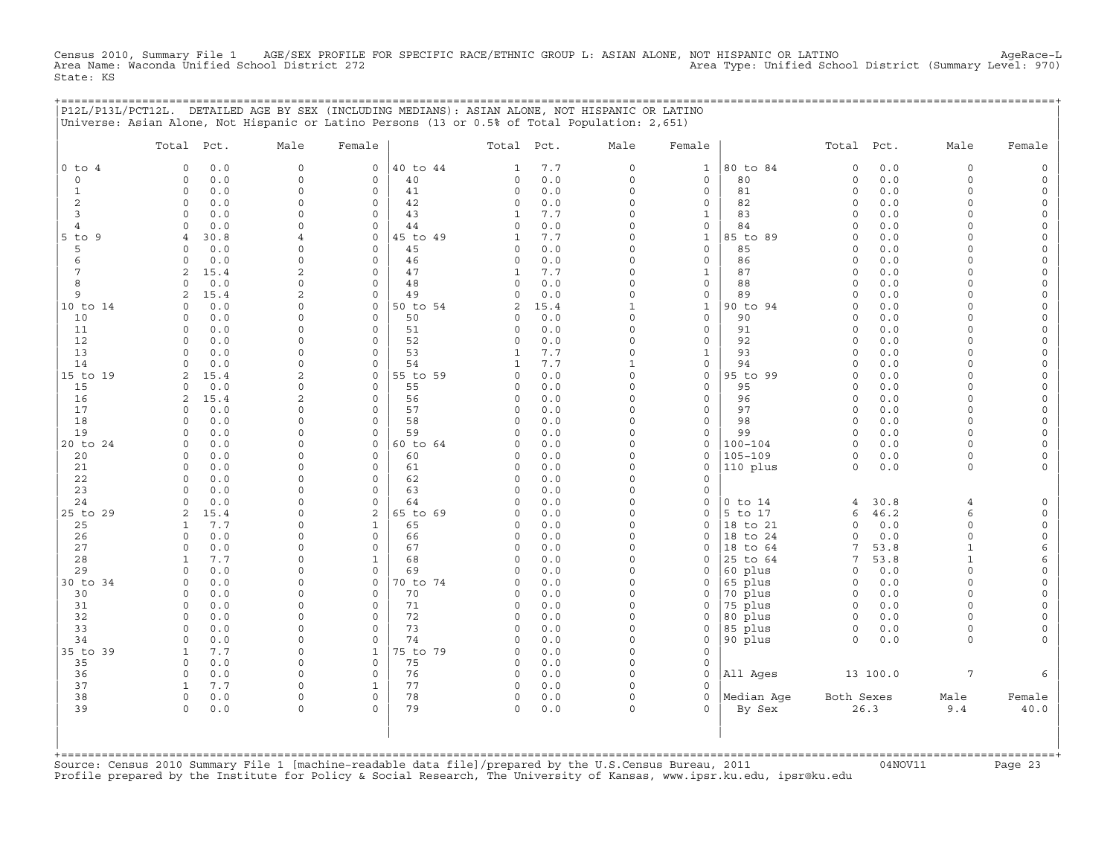Census 2010, Summary File 1 AGE/SEX PROFILE FOR SPECIFIC RACE/ETHNIC GROUP L: ASIAN ALONE, NOT HISPANIC OR LATINO<br>Area Name: Waconda Unified School District 272 State: KS

+===================================================================================================================================================+

|                     | P12L/P13L/PCT12L. DETAILED AGE BY SEX (INCLUDING MEDIANS): ASIAN ALONE, NOT HISPANIC OR LATINO<br>Universe: Asian Alone, Not Hispanic or Latino Persons (13 or 0.5% of Total Population: 2,651) |                                 |                                            |                |               |              |                        |                                     |                         |                    |             |                             |                          |
|---------------------|-------------------------------------------------------------------------------------------------------------------------------------------------------------------------------------------------|---------------------------------|--------------------------------------------|----------------|---------------|--------------|------------------------|-------------------------------------|-------------------------|--------------------|-------------|-----------------------------|--------------------------|
|                     | Total<br>Pct.                                                                                                                                                                                   | Male                            | Female                                     |                | Total         | Pct.         | Male                   | Female                              |                         | Total              | Pct.        | Male                        | Female                   |
| $0$ to $4$          | 0.0<br>0                                                                                                                                                                                        | $\mathsf{O}\xspace$             | $\circ$                                    | 40 to 44       | 1             | $7.7\,$      | $\mathsf O$            | $\mathbf 1$                         | 80 to 84                | $\mathbb O$        | $0.0$       | $\mathbf 0$                 | $\mathsf{O}$             |
| 0                   | $\mathbf 0$<br>0.0                                                                                                                                                                              | $\mathbf 0$                     | $\circ$                                    | 40             | 0             | 0.0          | $\mathsf O$            | $\mathsf{O}\xspace$                 | 80                      | $\circ$            | 0.0         | $\Omega$                    | $\mathsf{O}\xspace$      |
| $\mathbf{1}$        | $\circ$<br>0.0                                                                                                                                                                                  | $\mathbf 0$                     | $\mathbf 0$                                | 41             | 0             | 0.0          | 0                      | 0                                   | 81                      | $\circ$            | 0.0         | $\Omega$<br>$\Omega$        | 0                        |
| $\overline{c}$<br>3 | 0.0<br>$\mathbf 0$<br>$\circ$<br>0.0                                                                                                                                                            | $\mathbf 0$<br>$\mathbf 0$      | 0<br>$\mathbf 0$                           | 42<br>43       | 0<br>1        | 0.0<br>7.7   | $\mathsf O$<br>0       | $\mathsf{O}\xspace$<br>$\mathbf{1}$ | 82<br>83                | $\circ$<br>$\circ$ | 0.0<br>0.0  | $\Omega$                    | $\mathsf{O}\xspace$<br>0 |
| $\overline{4}$      | $\circ$<br>0.0                                                                                                                                                                                  | $\mathbf 0$                     | $\mathbf 0$                                | 44             | 0             | 0.0          | $\mathsf O$            | $\mathsf{O}\xspace$                 | 84                      | $\circ$            | 0.0         | $\Omega$                    | $\mathsf{O}\xspace$      |
| $5$ to<br>9         | 30.8<br>$\overline{4}$                                                                                                                                                                          | $\overline{4}$                  | $\mathbf 0$                                | 45 to 49       | $\mathbf{1}$  | 7.7          | $\circ$                | $\mathbf{1}$                        | 85 to 89                | $\circ$            | 0.0         | $\Omega$                    | $\mathsf{O}\xspace$      |
| 5                   | $\mathbf 0$<br>0.0                                                                                                                                                                              | $\mathbf 0$                     | $\circ$                                    | 45             | 0             | 0.0          | $\mathsf O$            | $\mathsf{O}\xspace$                 | 85                      | $\circ$            | 0.0         | $\Omega$                    | $\mathsf{O}\xspace$      |
| 6                   | $\circ$<br>0.0                                                                                                                                                                                  | $\Omega$                        | $\circ$                                    | 46             | 0             | 0.0          | $\circ$                | $\mathsf{O}\xspace$                 | 86                      | $\circ$            | 0.0         | $\Omega$                    | $\mathsf{O}\xspace$      |
| 7                   | 2<br>15.4                                                                                                                                                                                       | 2                               | $\mathbf 0$                                | 47             | $\mathbf 1$   | 7.7          | 0                      | $\mathbf{1}$                        | 87                      | $\circ$            | 0.0         | $\Omega$<br>$\Omega$        | 0                        |
| 8<br>9              | $\circ$<br>$0.0$<br>2<br>15.4                                                                                                                                                                   | $\mathbf 0$<br>2                | $\circ$<br>$\mathbf 0$                     | 48<br>49       | 0<br>0        | 0.0<br>0.0   | 0<br>$\mathsf O$       | $\mathsf{O}\xspace$<br>0            | 88<br>89                | $\circ$<br>$\circ$ | 0.0<br>0.0  | $\Omega$                    | $\mathsf{O}\xspace$<br>0 |
| 10 to 14            | $0.0$<br>$\mathbf 0$                                                                                                                                                                            | $\mathbf 0$                     | 0                                          | 50 to 54       | $\mathbf{2}$  | 15.4         | $\mathbf{1}$           | $\mathbf{1}$                        | 90 to 94                | $\circ$            | 0.0         | $\mathbf 0$                 | $\mathsf{O}\xspace$      |
| 10                  | $\circ$<br>0.0                                                                                                                                                                                  | $\mathbf 0$                     | $\mathbf 0$                                | 50             | 0             | 0.0          | $\circ$                | $\mathbf 0$                         | 90                      | $\circ$            | 0.0         | $\Omega$                    | 0                        |
| 11                  | $\circ$<br>0.0                                                                                                                                                                                  | $\mathbf 0$                     | $\circ$                                    | 51             | 0             | $0.0$        | $\mathsf{O}\xspace$    | $\mathsf{O}\xspace$                 | 91                      | $\circ$            | 0.0         | $\mathbf 0$                 | $\mathsf{O}\xspace$      |
| 12                  | $\Omega$<br>0.0                                                                                                                                                                                 | $\mathbf 0$                     | $\mathbf 0$                                | 52             | 0             | 0.0          | $\circ$                | $\mathsf{O}\xspace$                 | 92                      | $\circ$            | 0.0         | $\Omega$                    | 0                        |
| 13                  | $\mathbf 0$<br>0.0                                                                                                                                                                              | $\mathbf 0$                     | $\mathbf 0$                                | 53             | 1             | 7.7          | 0                      | $\mathbf{1}$                        | 93                      | $\circ$            | 0.0         | $\Omega$                    | 0                        |
| 14                  | $\circ$<br>0.0                                                                                                                                                                                  | $\mathbf 0$                     | $\Omega$                                   | 54             | $1\,$         | $7.7\,$      | $\mathbf{1}$           | $\mathsf{O}\xspace$                 | 94                      | $\circ$            | 0.0         | $\Omega$<br>$\Omega$        | $\mathsf{O}\xspace$      |
| 15 to 19<br>15      | 2<br>15.4<br>$\mathbf 0$<br>0.0                                                                                                                                                                 | 2<br>$\mathbf 0$                | 0<br>$\circ$                               | 55 to 59<br>55 | 0<br>0        | 0.0<br>$0.0$ | 0<br>$\mathsf O$       | 0<br>$\mathsf{O}\xspace$            | 95 to 99<br>95          | $\circ$<br>$\circ$ | 0.0<br>0.0  | $\Omega$                    | 0<br>$\mathsf{O}\xspace$ |
| 16                  | 2<br>15.4                                                                                                                                                                                       | 2                               | $\mathbf 0$                                | 56             | 0             | 0.0          | $\circ$                | $\mathsf{O}\xspace$                 | 96                      | $\circ$            | 0.0         | $\Omega$                    | $\mathsf{O}\xspace$      |
| 17                  | $0.0$<br>$\circ$                                                                                                                                                                                | $\Omega$                        | 0                                          | 57             | 0             | 0.0          | 0                      | $\mathsf{O}\xspace$                 | 97                      | $\circ$            | 0.0         | $\mathbf 0$                 | $\mathsf{O}\xspace$      |
| 18                  | 0.0<br>$\Omega$                                                                                                                                                                                 | $\Omega$                        | $\mathbf 0$                                | 58             | $\Omega$      | 0.0          | $\Omega$               | $\mathsf{O}\xspace$                 | 98                      | $\circ$            | 0.0         | $\Omega$                    | 0                        |
| 19                  | $\circ$<br>0.0                                                                                                                                                                                  | $\mathbf 0$                     | $\mathbf 0$                                | 59             | 0             | 0.0          | $\mathsf{O}\xspace$    | $\mathsf{O}\xspace$                 | 99                      | $\mathbf 0$        | 0.0         | $\Omega$                    | $\mathsf{O}\xspace$      |
| 20 to 24            | $\mathbf 0$<br>0.0                                                                                                                                                                              | $\Omega$                        | $\mathbf 0$                                | 60 to 64       | 0             | 0.0          | 0                      | $\mathsf{O}\xspace$                 | $100 - 104$             | $\circ$            | 0.0         | $\Omega$                    | $\mathsf{O}\xspace$      |
| 20<br>21            | $\mathbf 0$<br>0.0<br>$\circ$<br>0.0                                                                                                                                                            | $\Omega$<br>$\mathsf{O}\xspace$ | $\mathbf 0$<br>$\mathsf{O}\xspace$         | 60<br>61       | 0<br>0        | 0.0<br>$0.0$ | $\circ$<br>$\mathsf O$ | $\mathbf 0$<br>$\mathsf{O}\xspace$  | $105 - 109$<br>110 plus | $\circ$<br>$\circ$ | 0.0<br>0.0  | $\Omega$<br>0               | 0<br>$\mathsf{O}\xspace$ |
| 22                  | $\circ$<br>0.0                                                                                                                                                                                  | $\Omega$                        | $\mathbf 0$                                | 62             | $\mathbf 0$   | 0.0          | 0                      | 0                                   |                         |                    |             |                             |                          |
| 23                  | $\mathbf 0$<br>0.0                                                                                                                                                                              | $\Omega$                        | $\circ$                                    | 63             | 0             | 0.0          | $\Omega$               | 0                                   |                         |                    |             |                             |                          |
| 24                  | $\circ$<br>0.0                                                                                                                                                                                  | $\mathbf 0$                     | $\mathbf 0$                                | 64             | $\mathbf 0$   | 0.0          | $\mathsf O$            | 0                                   | $0$ to $14$             | 4                  | 30.8        | $\overline{4}$              | 0                        |
| 25 to 29            | $\mathbf{2}$<br>15.4                                                                                                                                                                            | $\Omega$                        | $\overline{\mathbf{c}}$                    | 65 to 69       | 0             | 0.0          | $\mathsf O$            | $\mathbf 0$                         | 5 to 17                 | 6                  | 46.2        | 6                           | $\mathsf{O}\xspace$      |
| 25                  | $\mathbf{1}$<br>7.7                                                                                                                                                                             | $\Omega$                        | $\mathbf 1$                                | 65             | $\Omega$      | 0.0          | $\Omega$               | $\Omega$                            | 18 to 21                | $\Omega$           | 0.0         | $\Omega$                    | $\mathsf{O}\xspace$      |
| 26<br>27            | $\circ$<br>0.0<br>$\circ$<br>$0.0$                                                                                                                                                              | $\mathbf 0$<br>0                | $\mathsf{O}\xspace$<br>$\mathsf{O}\xspace$ | 66<br>67       | 0<br>0        | 0.0          | 0<br>$\mathsf O$       | 0<br>0                              | 18 to 24<br>18 to 64    | $\circ$<br>7       | 0.0<br>53.8 | $\mathbf 0$<br>$\mathbf{1}$ | 0                        |
| 28                  | $\mathbf{1}$<br>7.7                                                                                                                                                                             | $\Omega$                        | $\mathbf{1}$                               | 68             | $\Omega$      | 0.0<br>0.0   | $\circ$                | $\Omega$                            | 25 to 64                | $\overline{7}$     | 53.8        | $\mathbf{1}$                | 6<br>6                   |
| 29                  | $\circ$<br>0.0                                                                                                                                                                                  | $\mathsf{O}\xspace$             | $\circ$                                    | 69             | $\mathbf 0$   | 0.0          | $\mathsf O$            | $\mathsf{O}\xspace$                 | 60 plus                 | $\circ$            | 0.0         | $\mathbf 0$                 | $\mathsf{O}\xspace$      |
| 30 to 34            | $\circ$<br>0.0                                                                                                                                                                                  | $\Omega$                        | $\mathbf 0$                                | 70 to 74       | $\mathbf 0$   | 0.0          | 0                      | 0                                   | 65 plus                 | $\circ$            | 0.0         | $\Omega$                    | 0                        |
| 30                  | $\circ$<br>0.0                                                                                                                                                                                  | $\mathbf 0$                     | $\circ$                                    | 70             | 0             | 0.0          | $\circ$                | $\Omega$                            | 70 plus                 | $\circ$            | 0.0         | $\Omega$                    | $\mathsf{O}\xspace$      |
| 31                  | $\circ$<br>0.0                                                                                                                                                                                  | $\mathbf 0$                     | $\circ$                                    | 71             | $\mathbf 0$   | 0.0          | $\circ$                | 0                                   | 75 plus                 | $\circ$            | 0.0         | $\Omega$                    | 0                        |
| 32                  | $\circ$<br>0.0                                                                                                                                                                                  | $\mathbf 0$                     | $\mathbf 0$                                | 72             | 0             | 0.0          | 0                      | 0                                   | 80 plus                 | $\circ$            | 0.0         | $\Omega$                    | 0                        |
| 33<br>34            | $\circ$<br>$0.0$<br>$\circ$<br>0.0                                                                                                                                                              | $\Omega$<br>$\mathbf 0$         | $\Omega$<br>$\mathbf 0$                    | 73<br>74       | $\Omega$<br>0 | 0.0<br>0.0   | $\mathsf O$<br>0       | $\Omega$<br>0                       | 85 plus<br>90 plus      | $\circ$<br>$\circ$ | 0.0<br>0.0  | $\Omega$<br>0               | 0<br>0                   |
| 35 to 39            | $\mathbf{1}$<br>7.7                                                                                                                                                                             | $\mathbf 0$                     | $\mathbf{1}$                               | 75 to 79       | $\mathbf 0$   | 0.0          | $\mathsf O$            | 0                                   |                         |                    |             |                             |                          |
| 35                  | $\circ$<br>0.0                                                                                                                                                                                  | $\mathbf 0$                     | $\mathbf 0$                                | 75             | $\mathbf 0$   | 0.0          | $\circ$                | $\mathsf{O}\xspace$                 |                         |                    |             |                             |                          |
| 36                  | $\mathbb O$<br>0.0                                                                                                                                                                              | $\mathbf 0$                     | $\mathsf{O}\xspace$                        | 76             | 0             | $0.0$        | $\mathsf O$            | $\mathbf 0$                         | All Ages                |                    | 13 100.0    | $\overline{7}$              | 6                        |
| 37                  | $\mathbf{1}$<br>7.7                                                                                                                                                                             | $\Omega$                        | $\mathbf{1}$                               | 77             | 0             | 0.0          | $\circ$                | 0                                   |                         |                    |             |                             |                          |
| 38                  | $\mathsf O$<br>$0.0$                                                                                                                                                                            | $\mathsf{O}\xspace$             | $\mathsf{O}\xspace$                        | 78             | 0             | $0.0$        | $\mathsf O$            | $\mathsf{O}\xspace$                 | Median Aqe              | Both Sexes         |             | Male                        | Female                   |
| 39                  | $\Omega$<br>$0.0$                                                                                                                                                                               | $\mathbf 0$                     | $\Omega$                                   | 79             | 0             | $0.0$        | $\circ$                | $\Omega$                            | By Sex                  |                    | 26.3        | 9.4                         | $40.0$                   |
|                     |                                                                                                                                                                                                 |                                 |                                            |                |               |              |                        |                                     |                         |                    |             |                             |                          |

| | +===================================================================================================================================================+Source: Census 2010 Summary File 1 [machine−readable data file]/prepared by the U.S.Census Bureau, 2011 04NOV11 Page 23 Profile prepared by the Institute for Policy & Social Research, The University of Kansas, www.ipsr.ku.edu, ipsr@ku.edu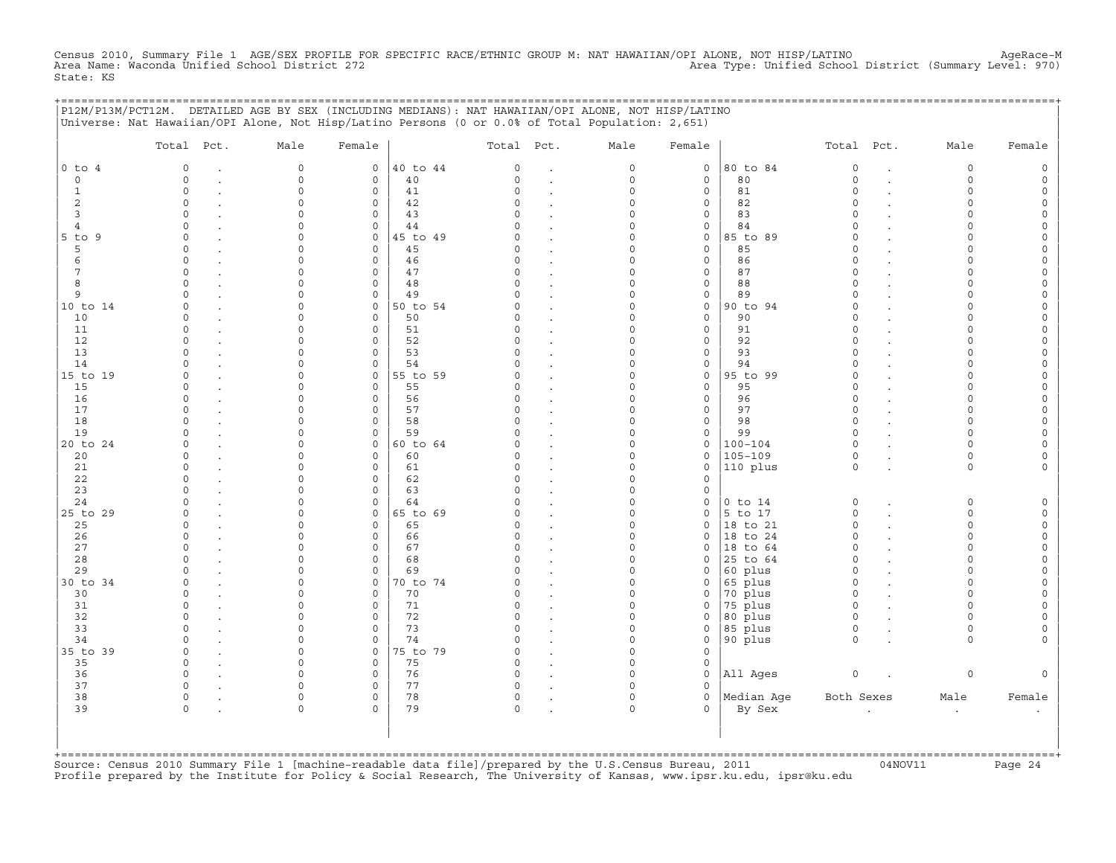Census 2010, Summary File 1 AGE/SEX PROFILE FOR SPECIFIC RACE/ETHNIC GROUP M: NAT HAWAIIAN/OPI ALONE, NOT HISP/LATINO<br>Area Name: Waconda Unified School District 272 State: KS

|                   | P12M/P13M/PCT12M. DETAILED AGE BY SEX (INCLUDING MEDIANS): NAT HAWAIIAN/OPI ALONE, NOT HISP/LATINO<br>Universe: Nat Hawaiian/OPI Alone, Not Hisp/Latino Persons (0 or 0.0% of Total Population: 2,651) |                    |                             |                |                      |                                  |               |                   | ======================= |                        |                      |        |
|-------------------|--------------------------------------------------------------------------------------------------------------------------------------------------------------------------------------------------------|--------------------|-----------------------------|----------------|----------------------|----------------------------------|---------------|-------------------|-------------------------|------------------------|----------------------|--------|
|                   | Total Pct.                                                                                                                                                                                             | Male               | Female                      |                | Total Pct.           |                                  | Male          | Female            |                         | Total Pct.             | Male                 | Female |
| $0$ to $4$        | $\circ$                                                                                                                                                                                                | $\circ$            | $\circ$                     | 40 to 44       | $\circ$              |                                  | $\circ$       | 0                 | 80 to 84                | $\mathbf 0$            | $\circ$              |        |
| $\Omega$          | $\Omega$                                                                                                                                                                                               | $\circ$            | $\circ$                     | 40             | $\Omega$             | $\cdot$                          | $\circ$       | $\mathbf{0}$      | 80                      | $\circ$                | $\Omega$             |        |
| 1                 | $\Omega$                                                                                                                                                                                               | $\Omega$           | $\circ$                     | 41             | $\Omega$             |                                  | $\Omega$      | $\mathbf{0}$      | 81                      | $\Omega$               | $\cap$               |        |
| 2                 | $\Omega$                                                                                                                                                                                               |                    | $\circ$                     | 42             | $\Omega$             |                                  | O             | 0                 | 82                      | $\Omega$               | ∩                    |        |
| 3                 | $\cap$                                                                                                                                                                                                 |                    | $\Omega$                    | 43             | 0                    |                                  | U             | 0                 | 83                      | $\Omega$               |                      |        |
| 4<br>5 to 9       | $\Omega$<br>$\Omega$                                                                                                                                                                                   |                    | 0<br>$\mathbf{0}$           | 44<br>45 to 49 | 0<br>$\Omega$        |                                  | 0<br>O        | 0                 | 84<br>85 to 89          | $\Omega$<br>$\Omega$   | ∩                    |        |
| 5                 | $\Omega$                                                                                                                                                                                               |                    | $\circ$                     | 45             | $\Omega$             | $\overline{a}$<br>$\overline{a}$ | O             | 0<br>$\circ$      | 85                      | $\Omega$               |                      |        |
| 6                 | $\Omega$                                                                                                                                                                                               |                    | $\mathsf{O}$                | 46             | $\Omega$             |                                  | O             | 0                 | 86                      | $\Omega$               |                      |        |
| 7                 | $\Omega$                                                                                                                                                                                               |                    | $\mathbf 0$                 | 47             | $\Omega$             |                                  | O             | 0                 | 87                      | $\Omega$               | $\cap$               |        |
| 8                 | $\Omega$                                                                                                                                                                                               |                    | $\mathsf O$                 | 48             | $\Omega$             |                                  | 0             | 0                 | 88                      | $\Omega$               | $\cap$               |        |
| 9                 |                                                                                                                                                                                                        |                    | $\mathsf{O}$                | 49             | $\Omega$             |                                  | 0             | 0                 | 89                      | $\Omega$               |                      |        |
| 10 to 14          | $\Omega$                                                                                                                                                                                               |                    | $\mathsf{O}$                | 50 to 54       |                      |                                  | O             | 0                 | 90 to 94                | $\Omega$               |                      |        |
| 10                | $\Omega$                                                                                                                                                                                               |                    | $\mathbf 0$                 | 50             | $\Omega$             |                                  | O             | 0                 | 90                      | $\Omega$               |                      |        |
| 11                | $\Omega$                                                                                                                                                                                               |                    | $\mathsf{O}$                | 51             | $\cap$               |                                  | U             | 0                 | 91                      | $\Omega$               | $\cap$               |        |
| 12                | $\Omega$                                                                                                                                                                                               |                    | $\mathsf{O}$                | 52             | $\Omega$             |                                  | O             | 0                 | 92                      | $\Omega$               |                      |        |
| 13                | $\Omega$                                                                                                                                                                                               |                    | $\circ$                     | 53             | $\Omega$             |                                  | O             | $\mathbf{0}$      | 93                      | $\Omega$               |                      |        |
| 14                |                                                                                                                                                                                                        |                    | $\circ$                     | 54             | $\Omega$             |                                  | U             | 0                 | 94                      | $\Omega$               |                      |        |
| 15 to 19          | $\Omega$                                                                                                                                                                                               | ∩                  | $\circ$                     | 55 to 59       | ∩                    |                                  | U             | 0                 | 95 to 99                | $\Omega$<br>$\Omega$   | ∩<br>$\cap$          |        |
| 15<br>16          | $\Omega$<br>$\Omega$                                                                                                                                                                                   |                    | $\mathbf 0$<br>$\mathsf{O}$ | 55<br>56       | $\Omega$<br>$\Omega$ |                                  | O<br>U        | $\mathbf{0}$<br>0 | 95<br>96                | $\Omega$               | $\cap$               |        |
| 17                |                                                                                                                                                                                                        |                    | $\circ$                     | 57             |                      |                                  |               | 0                 | 97                      | $\Omega$               |                      |        |
| 18                |                                                                                                                                                                                                        |                    | $\circ$                     | 58             | 0                    |                                  | U             | 0                 | 98                      | $\Omega$               | ∩                    |        |
| 19                | $\Omega$                                                                                                                                                                                               | ∩                  | $\mathbf 0$                 | 59             | $\Omega$             |                                  | U             | 0                 | 99                      | $\Omega$               | $\Omega$             |        |
| 20 to 24          | $\Omega$                                                                                                                                                                                               |                    | $\mathsf{O}$                | 60 to 64       | $\Omega$             |                                  | O             | 0                 | $100 - 104$             | $\Omega$               | $\cap$               |        |
| 20                | $\Omega$                                                                                                                                                                                               |                    | $\mathsf{O}\xspace$         | 60             | $\Omega$             |                                  | 0             | $\circ$           | 105-109                 | 0                      | $\Omega$             |        |
| 21                | $\Omega$                                                                                                                                                                                               |                    | $\mathsf{O}\xspace$         | 61             | $\Omega$             |                                  | 0             | 0                 | 110 plus                | $\mathbf 0$            | $\circ$              |        |
| 22                | $\Omega$                                                                                                                                                                                               | ∩                  | $\mathbf 0$                 | 62             | $\circ$              |                                  | O             | $\mathbf 0$       |                         |                        |                      |        |
| 23                | $\Omega$                                                                                                                                                                                               | ∩                  | $\mathsf{O}$                | 63             | $\Omega$             |                                  | 0             | 0                 |                         |                        |                      |        |
| 24                | $\Omega$                                                                                                                                                                                               |                    | $\mathsf{O}$                | 64             | $\cap$               |                                  | $\Omega$      | 0                 | $0$ to $14$             | $\circ$                | $\Omega$             |        |
| 25 to 29          | $\Omega$                                                                                                                                                                                               |                    | $\mathsf{O}$                | 65 to 69       | $\Omega$             |                                  | 0             | 0                 | 5 to 17                 | $\circ$                | $\cap$               |        |
| 25                |                                                                                                                                                                                                        |                    | $\mathsf{O}$                | 65             |                      |                                  | O             | 0                 | 18 to 21                | $\Omega$               |                      |        |
| 26                | $\Omega$                                                                                                                                                                                               |                    | $\circ$                     | 66             | 0                    |                                  | O             | 0                 | 18 to 24                | $\Omega$               | $\cap$               |        |
| 27<br>28          | $\Omega$<br>$\cap$                                                                                                                                                                                     |                    | $\mathbf 0$                 | 67             | $\Omega$<br>$\Omega$ |                                  | O<br>O        | 0                 | 18 to 64                | $\Omega$               | $\cap$               |        |
| 29                |                                                                                                                                                                                                        |                    | $\mathbf 0$<br>$\mathbf 0$  | 68<br>69       |                      |                                  | O             | 0<br>0            | 25 to 64<br>60 plus     | $\circ$<br>$\mathbf 0$ | $\cap$               |        |
| 30 to 34          | $\Omega$                                                                                                                                                                                               |                    | $\circ$                     | 70 to 74       | $\Omega$             | $\overline{a}$<br>$\overline{a}$ | O             | 0                 | 65 plus                 | $\circ$                | $\cap$               |        |
| 30                | $\Omega$                                                                                                                                                                                               |                    | $\mathbf 0$                 | 70             | 0                    |                                  | <sup>0</sup>  | 0                 | 70 plus                 | $\circ$                | ∩                    |        |
| 31                | $\Omega$                                                                                                                                                                                               | U                  | $\mathsf{O}$                | 71             | $\Omega$             |                                  | 0             | 0                 | 75 plus                 | $\mathbf 0$            | ∩                    |        |
| 32                | $\Omega$                                                                                                                                                                                               |                    | $\mathsf O$                 | 72             | $\Omega$             |                                  | O             | $\mathbf{0}$      | 80 plus                 | $\circ$                | $\cap$               |        |
| 33                |                                                                                                                                                                                                        |                    | $\mathbf{0}$                | 73             | $\Omega$             |                                  | O             | $\mathbf{0}$      | 85 plus                 | $\circ$                | $\Omega$             |        |
| 34                |                                                                                                                                                                                                        |                    | $\mathsf{O}$                | 74             |                      | $\ddot{\phantom{0}}$             | 0             | 0                 | 90 plus                 | $\Omega$               | $\Omega$             |        |
| 35 to 39          | $\Omega$                                                                                                                                                                                               | $\Omega$           | $\mathbf 0$                 | 75 to 79       |                      |                                  | O             | $\Omega$          |                         |                        |                      |        |
| 35                | $\circ$                                                                                                                                                                                                | $\Omega$           | $\mathsf{O}$                | 75             | 0                    |                                  | $\Omega$      | 0                 |                         |                        |                      |        |
| 36                | $\Omega$                                                                                                                                                                                               |                    | $\mathsf{O}$                | 76             | 0                    |                                  | 0             | 0                 | All Ages                | $\circ$                | 0                    |        |
| 37                | $\Omega$                                                                                                                                                                                               |                    | $\mathsf{O}$                | 77             | $\Omega$             |                                  | 0             | 0                 |                         |                        |                      |        |
| 38<br>39          | 0<br>$\Omega$                                                                                                                                                                                          | $\Omega$<br>$\cap$ | $\mathsf{O}$<br>$\Omega$    | 78<br>79       | 0<br>$\Omega$        |                                  | 0<br>$\Omega$ | 0<br>$\Omega$     | Median Age              | Both Sexes             | Male                 | Female |
|                   |                                                                                                                                                                                                        |                    |                             |                |                      |                                  |               |                   | By Sex                  |                        | $\ddot{\phantom{a}}$ |        |
| +================ |                                                                                                                                                                                                        |                    |                             |                |                      |                                  |               |                   |                         |                        |                      |        |

+===================================================================================================================================================+Source: Census 2010 Summary File 1 [machine−readable data file]/prepared by the U.S.Census Bureau, 2011 04NOV11 Page 24 Profile prepared by the Institute for Policy & Social Research, The University of Kansas, www.ipsr.ku.edu, ipsr@ku.edu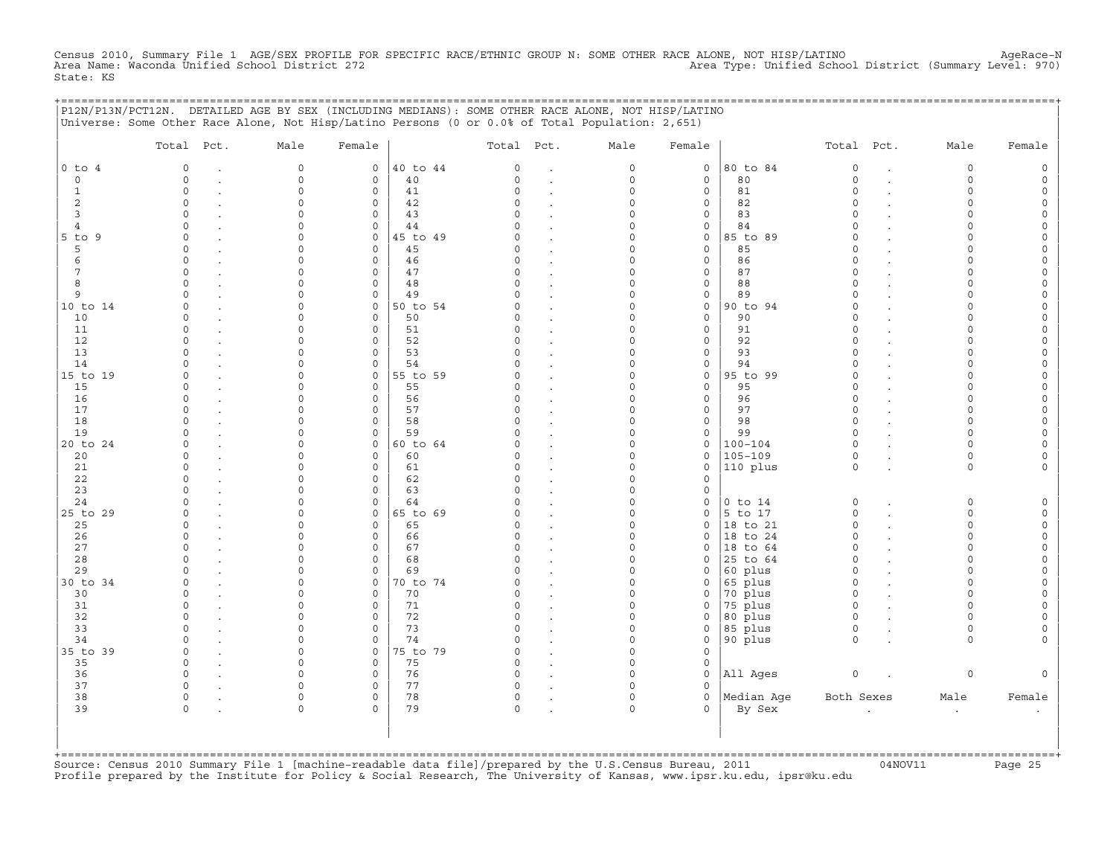Census 2010, Summary File 1 AGE/SEX PROFILE FOR SPECIFIC RACE/ETHNIC GROUP N: SOME OTHER RACE ALONE, NOT HISP/LATINO<br>Area Name: Waconda Unified School District 272 State: KS

+===================================================================================================================================================+

|                | Total Pct.           | Male                 | Female                      |                | Total Pct.   |                      | Male                 | Female                     |                   | Total Pct.          |                      | Male                 | Female                                     |
|----------------|----------------------|----------------------|-----------------------------|----------------|--------------|----------------------|----------------------|----------------------------|-------------------|---------------------|----------------------|----------------------|--------------------------------------------|
| $0$ to $4$     | $\mathbf 0$          | $\mathsf{O}\xspace$  | $\circ$                     | 40 to 44       | 0            | $\cdot$              | $\mathsf O$          | $\mathsf O$                | 80 to 84          | $\mathbb O$         | $\ddot{\phantom{a}}$ | 0                    | $\mathsf{O}\xspace$                        |
| $\circ$        | $\Omega$             | $\Omega$             | $\mathbf 0$                 | 40             | $\Omega$     | $\bullet$            | $\mathbf 0$          | $\mathbf 0$                | 80                | $\Omega$            | $\ddot{\phantom{a}}$ | $\Omega$             | $\mathsf{O}\xspace$                        |
| $\mathbf{1}$   | $\circ$              | $\Omega$             | 0                           | 41             | $\Omega$     |                      | $\mathbf 0$          | $\mathbf 0$                | 81                | $\circ$             |                      | $\Omega$             | $\circ$                                    |
| 2              | $\circ$              | $\Omega$             | $\mathbf 0$                 | 42             | $\Omega$     | $\cdot$              | $\Omega$             | $\mathsf{O}$               | 82                | $\circ$             |                      | $\circ$              | 0                                          |
| $\overline{3}$ | $\circ$              | $\Omega$             | 0                           | 43             | $\cap$       | $\cdot$              | $\Omega$             | $\mathsf{O}\xspace$        | 83                | $\circ$             |                      | $\Omega$             | $\mathsf O$                                |
| 4              | $\Omega$             | $\Omega$             | $\mathbf 0$                 | 44             | U            |                      | $\Omega$             | $\mathbf 0$                | 84                | $\Omega$            |                      | $\Omega$             | 0                                          |
| $5$ to $9$     | $\Omega$             | $\Omega$             | $\mathbf 0$                 | 45 to 49       | U            | $\ddot{\phantom{a}}$ | $\Omega$             | $\mathsf{O}$               | 85 to 89          | $\Omega$            |                      | $\Omega$             | $\mathsf{O}\xspace$                        |
| 5              | $\Omega$             | $\Omega$             | $\mathsf{O}\xspace$         | 45             | <sup>o</sup> | $\ddot{\phantom{a}}$ | $\Omega$             | $\mathsf O$                | 85                | $\Omega$            |                      | $\Omega$             | $\mathsf{O}\xspace$                        |
| 6              | $\Omega$             | $\cap$               | $\mathbf 0$                 | 46             | $\cap$       | $\ddot{\phantom{a}}$ | $\Omega$             | $\mathbf{0}$               | 86                | $\Omega$            |                      | $\cap$               | $\circ$                                    |
| 7              | $\Omega$             | $\Omega$             | $\mathbf 0$                 | 47             | <sup>o</sup> | $\ddot{\phantom{a}}$ | $\Omega$             | $\mathbf 0$                | 87                | $\Omega$            |                      | $\Omega$             | 0                                          |
| 8              | $\Omega$             | $\Omega$             | $\mathbf 0$                 | 48             | $\Omega$     | $\ddot{\phantom{a}}$ | $\Omega$             | $\mathsf{O}\xspace$        | 88                | $\Omega$            |                      | $\Omega$             | $\mathsf{O}\xspace$                        |
| 9              | $\cap$               | $\cap$               | $\mathbf 0$                 | 49             | $\cap$       | $\ddot{\phantom{a}}$ | $\Omega$             | $\mathsf{O}\xspace$        | 89                | $\Omega$            |                      | $\Omega$             | $\mathsf{O}\xspace$                        |
| 10 to 14       | $\Omega$             | $\Omega$             | $\mathbf{0}$                | 50 to 54       | <sup>o</sup> | $\sim$               | $\Omega$             | $\mathbf 0$                | 90 to 94          | $\circ$             |                      | $\Omega$             | $\mathsf{O}\xspace$                        |
| 10             | $\Omega$             | $\Omega$             | $\mathbf 0$                 | 50             | O.           |                      | $\Omega$             | $\mathbf 0$                | 90                | $\Omega$            |                      | $\Omega$             | 0                                          |
| 11             | $\Omega$             | $\Omega$             | $\mathbf 0$                 | 51             | $\Omega$     | $\ddot{\phantom{a}}$ | $\Omega$             | $\mathsf{O}\xspace$        | 91                | $\Omega$            |                      | $\Omega$             | $\mathsf{O}\xspace$                        |
| 12             | $\Omega$             | $\Omega$             | $\mathbf 0$                 | 52             | $\Omega$     | $\ddot{\phantom{a}}$ | $\Omega$             | $\mathbf 0$                | 92                | $\Omega$            |                      | $\Omega$             | $\mathsf{O}\xspace$                        |
| 13             | $\Omega$             | $\Omega$             | $\mathbf 0$                 | 53             | C)           | $\ddot{\phantom{a}}$ | $\Omega$             | $\mathbf 0$                | 93                | $\Omega$            |                      | $\Omega$             | 0                                          |
| 14             | $\Omega$             | $\Omega$             | $\mathbf 0$                 | 54             |              |                      | $\Omega$             | $\mathsf{O}\xspace$        | 94                | $\Omega$            |                      | $\Omega$             | $\mathsf{O}\xspace$                        |
| 15 to 19       | $\Omega$             | $\Omega$             | $\mathsf{O}\xspace$         | 55 to 59       | $\Omega$     |                      | $\mathbf 0$          | $\mathsf O$                | 95 to 99          | $\Omega$            |                      | $\Omega$             | $\mathsf{O}\xspace$                        |
| 15             | $\Omega$             | $\Omega$             | $\mathbf 0$                 | 55             | C            | $\sim$               | $\Omega$             | $\mathbf 0$                | 95                | $\Omega$            |                      | $\cap$               | $\mathsf{O}\xspace$                        |
| 16             | $\Omega$             | $\Omega$             | $\mathbf 0$                 | 56             |              | $\cdot$              | $\Omega$             | $\mathbf 0$                | 96                | $\circ$             |                      | $\Omega$             | 0                                          |
| 17             | $\Omega$             | $\Omega$             | $\mathsf{O}\xspace$         | 57             | $\Omega$     |                      | $\mathbf 0$          | $\mathsf{O}\xspace$        | 97                | $\Omega$            |                      | $\Omega$             | $\mathsf{O}\xspace$                        |
| 18             | $\cap$               | $\cap$               | $\Omega$                    | 58             | $\cap$       | $\ddot{\phantom{a}}$ | $\Omega$             | $\mathbf 0$                | 98                | $\Omega$            |                      | $\Omega$             | $\circ$                                    |
| 19<br>20 to 24 | $\Omega$<br>$\Omega$ | $\Omega$<br>$\Omega$ | $\mathbf 0$<br>$\mathbf{0}$ | 59<br>60 to 64 |              | $\ddot{\phantom{a}}$ | $\Omega$<br>$\Omega$ | $\mathbf 0$<br>$\mathsf O$ | 99<br>$100 - 104$ | $\Omega$<br>$\circ$ |                      | $\Omega$<br>$\Omega$ | $\mathsf{O}\xspace$<br>$\mathsf{O}\xspace$ |
|                | $\Omega$             | $\Omega$             | $\mathbf 0$                 | 60             | C)           | $\cdot$              | $\Omega$             | $\mathsf{O}$               | $105 - 109$       | $\circ$             |                      | $\circ$              | 0                                          |
| 20<br>21       | $\Omega$             | $\Omega$             | $\mathbf 0$                 | 61             | C)           | $\ddot{\phantom{a}}$ | $\Omega$             | $\mathbf 0$                | 110 plus          | $\circ$             |                      | $\Omega$             | $\mathbf 0$                                |
| 22             | $\Omega$             | $\Omega$             | $\mathbf 0$                 | 62             | $\Omega$     | $\ddot{\phantom{a}}$ | $\Omega$             | $\mathbf 0$                |                   |                     |                      |                      |                                            |
| 23             | $\Omega$             | $\Omega$             | $\mathbf 0$                 | 63             | $\Omega$     | $\sim$               | $\Omega$             | $\mathsf O$                |                   |                     |                      |                      |                                            |
| 24             | $\cap$               | $\Omega$             | 0                           | 64             | U            | $\ddot{\phantom{a}}$ | $\Omega$             | $\mathsf{O}$               | $0$ to $14$       | $\circ$             |                      | 0                    | $\mathsf{O}\xspace$                        |
| 25 to 29       | $\Omega$             | $\cap$               | $\mathbf 0$                 | 65 to 69       | U            | $\sim$               | $\circ$              | $\mathbf 0$                | 5 to 17           | $\circ$             |                      | $\Omega$             | $\circ$                                    |
| 25             | $\Omega$             | $\Omega$             | $\mathbf 0$                 | 65             | C)           |                      | $\Omega$             | $\mathbf 0$                | 18 to 21          | $\circ$             |                      | $\Omega$             | $\mathsf{O}$                               |
| 26             | $\Omega$             | 0                    | 0                           | 66             | C)           | $\cdot$              | $\mathbf 0$          | $\mathbf 0$                | 18 to 24          | $\circ$             |                      | $\circ$              | $\mathsf{O}$                               |
| 27             | $\cap$               | $\cap$               | $\Omega$                    | 67             | U            |                      | $\Omega$             | $\Omega$                   | 18 to 64          | $\Omega$            |                      | $\Omega$             | $\mathsf{O}\xspace$                        |
| 28             | $\Omega$             | 0                    | $\mathsf{O}\xspace$         | 68             | C)           |                      | $\Omega$             | $\mathbf 0$                | 25 to 64          | $\circ$             |                      | $\Omega$             | 0                                          |
| 29             |                      | 0                    | $\mathbf 0$                 | 69             |              | $\cdot$              | $\mathbf 0$          | $\mathbf 0$                | 60 plus           | $\circ$             |                      | $\Omega$             | $\mathsf{O}\xspace$                        |
| 30 to 34       | $\cap$               | $\Omega$             | $\mathsf{O}$                | 70 to 74       |              | $\cdot$              | $\Omega$             | 0                          | 65 plus           | $\Omega$            |                      | $\cap$               | $\mathsf{O}\xspace$                        |
| 30             | $\Omega$             | $\Omega$             | $\mathbf 0$                 | 70             | U            |                      | $\Omega$             | $\mathbf 0$                | 70 plus           | $\Omega$            |                      | $\Omega$             | $\mathbf 0$                                |
| 31             | $\Omega$             | $\Omega$             | $\mathbf 0$                 | 71             | C)           | $\ddot{\phantom{a}}$ | $\mathbf 0$          | 0                          | 75 plus           | $\circ$             |                      | $\Omega$             | $\mathsf{O}\xspace$                        |
| 32             | $\Omega$             | $\Omega$             | $\mathbf 0$                 | 72             | $\Omega$     | $\ddot{\phantom{a}}$ | $\Omega$             | $\mathbf 0$                | 80 plus           | $\circ$             |                      | $\Omega$             | $\mathsf O$                                |
| 33             | $\Omega$             | $\Omega$             | $\mathbf 0$                 | 73             | $\cap$       |                      | $\Omega$             | $\mathbf 0$                | 85 plus           | $\circ$             |                      | $\Omega$             | $\mathbf 0$                                |
| 34             | $\Omega$             | $\Omega$             | $\Omega$                    | 74             | $\cap$       | $\ddot{\phantom{a}}$ | $\Omega$             | $\mathbf 0$                | 90 plus           | $\Omega$            |                      | $\Omega$             | $\mathbf{0}$                               |
| 35 to 39       | $\Omega$             | $\circ$              | $\circ$                     | 75 to 79       | $\Omega$     | $\ddot{\phantom{a}}$ | $\mathbf 0$          | $\mathbf 0$                |                   |                     |                      |                      |                                            |
| 35             | $\Omega$             | $\Omega$             | $\mathbf 0$                 | 75             | $\Omega$     |                      | $\mathbf 0$          | $\mathsf{O}$               |                   |                     |                      |                      |                                            |
| 36             | $\Omega$             | $\Omega$             | $\mathbf 0$                 | 76             | $\Omega$     |                      | $\Omega$             | $\mathbf 0$                | All Ages          | $\circ$             |                      | 0                    | $\mathbf{0}$                               |
| 37             | $\Omega$             | $\Omega$             | $\mathbf 0$                 | 77             | <sup>o</sup> |                      | $\Omega$             | $\Omega$                   |                   |                     |                      |                      |                                            |
| 38             | $\Omega$             | $\Omega$             | $\mathbf 0$                 | 78             | $\circ$      | $\bullet$            | $\mathbf 0$          | $\mathbf 0$                | Median Aqe        | Both Sexes          |                      | Male                 | Female                                     |
| 39             | $\Omega$             | $\Omega$             | $\Omega$                    | 79             | $\Omega$     |                      | $\Omega$             | $\Omega$                   | By Sex            |                     | $\cdot$              | $\bullet$            | $\bullet$                                  |
|                |                      |                      |                             |                |              |                      |                      |                            |                   |                     |                      |                      |                                            |

+===================================================================================================================================================+Source: Census 2010 Summary File 1 [machine−readable data file]/prepared by the U.S.Census Bureau, 2011 04NOV11 Page 25 Profile prepared by the Institute for Policy & Social Research, The University of Kansas, www.ipsr.ku.edu, ipsr@ku.edu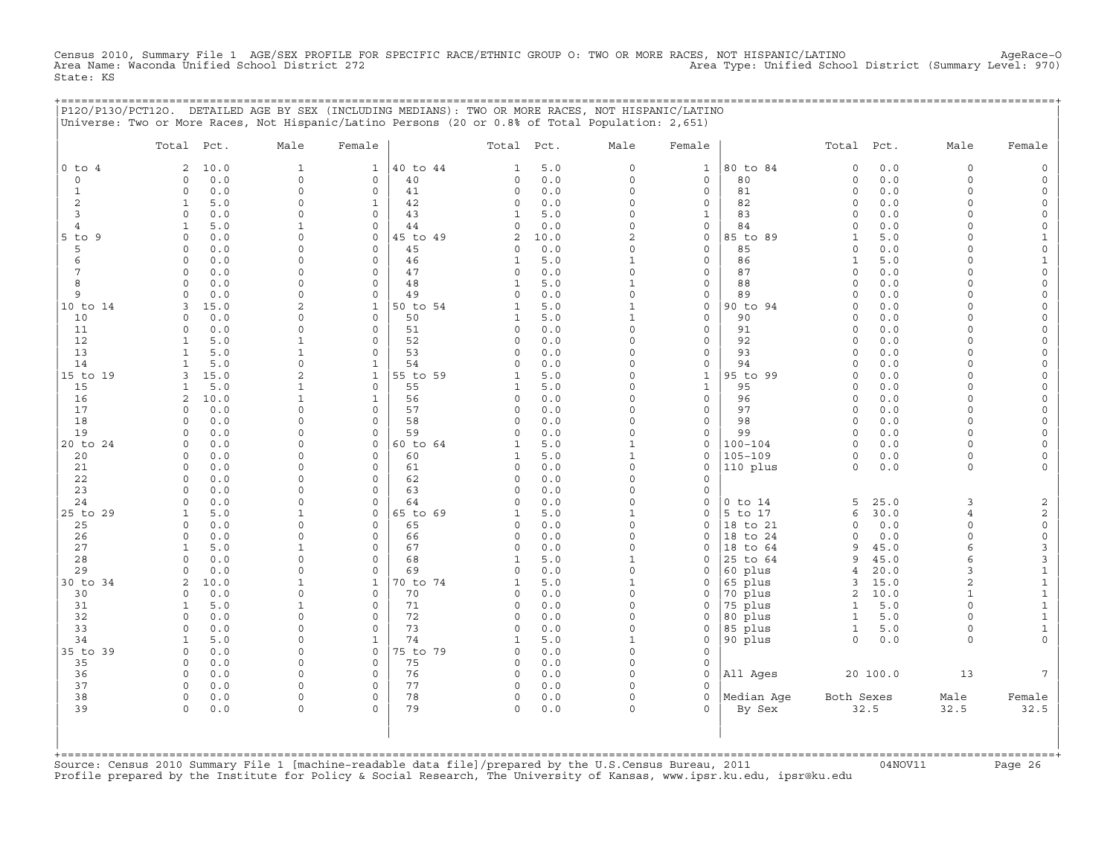Census 2010, Summary File 1 AGE/SEX PROFILE FOR SPECIFIC RACE/ETHNIC GROUP O: TWO OR MORE RACES, NOT HISPANIC/LATINO<br>Area Name: Waconda Unified School District 272 State: KS

|                           | P120/P130/PCT120. DETAILED AGE BY SEX (INCLUDING MEDIANS): TWO OR MORE RACES, NOT HISPANIC/LATINO<br>Universe: Two or More Races, Not Hispanic/Latino Persons (20 or 0.8% of Total Population: 2,651) |                             |                            |                |                          |             |                          |                   | ============================= |                            |              |                      |                |
|---------------------------|-------------------------------------------------------------------------------------------------------------------------------------------------------------------------------------------------------|-----------------------------|----------------------------|----------------|--------------------------|-------------|--------------------------|-------------------|-------------------------------|----------------------------|--------------|----------------------|----------------|
|                           | Total Pct.                                                                                                                                                                                            | Male                        | Female                     |                | Total Pct.               |             | Male                     | Female            |                               | Total Pct.                 |              | Male                 | Female         |
| $0$ to $4$<br>$\circ$     | 10.0<br>2<br>0.0                                                                                                                                                                                      | $\mathbf{1}$<br>$\mathbf 0$ | $\mathbf{1}$               | 40 to 44<br>40 | 1<br>0                   | 5.0<br>0.0  | $\circ$<br>$\circ$       | $\mathbf{1}$      | 80 to 84<br>80                | $\mathbf 0$<br>$\mathbf 0$ | 0.0<br>0.0   | $\circ$<br>$\circ$   |                |
| $\mathbf{1}$              | 0<br>$0.0$<br>$\Omega$                                                                                                                                                                                | $\Omega$                    | $\circ$<br>$\mathbf 0$     | 41             | 0                        | 0.0         | $\Omega$                 | 0<br>$\circ$      | 81                            | $\circ$                    | 0.0          | $\Omega$             |                |
| $\overline{c}$            | 5.0<br>1                                                                                                                                                                                              | $\Omega$                    | $\mathbf{1}$               | 42             | 0                        | 0.0         | $\circ$                  | 0                 | 82                            | $\Omega$                   | 0.0          | $\Omega$             |                |
| 3                         | $\Omega$<br>0.0                                                                                                                                                                                       | $\cap$                      | $\mathbf 0$                | 43             | 1                        | 5.0         | $\circ$                  | 1                 | 83                            | $\mathbf 0$                | 0.0          | $\cap$               |                |
| 4                         | 5.0                                                                                                                                                                                                   |                             | $\circ$                    | 44             | 0                        | 0.0         | $\circ$                  | 0                 | 84                            | $\Omega$                   | 0.0          | $\cap$               |                |
| $5$ to $9$<br>5           | 0.0<br>$\Omega$<br>0.0<br>$\Omega$                                                                                                                                                                    | $\Omega$<br>$\Omega$        | $\circ$<br>$\circ$         | 45 to 49<br>45 | 2<br>0                   | 10.0<br>0.0 | 2<br>$\Omega$            | 0<br>$\circ$      | 85 to 89<br>85                | 1<br>$\Omega$              | 5.0<br>0.0   |                      |                |
| 6                         | 0.0<br>$\Omega$                                                                                                                                                                                       | $\cap$                      | $\circ$                    | 46             | 1                        | 5.0         | 1                        | 0                 | 86                            | 1                          | 5.0          | $\cap$               |                |
| 7                         | 0.0<br>$\Omega$                                                                                                                                                                                       | $\cap$                      | $\mathbf 0$                | 47             | 0                        | 0.0         | $\circ$                  | $\mathbf{0}$      | 87                            | $\circ$                    | 0.0          | $\cap$               |                |
| 8                         | $\circ$<br>0.0                                                                                                                                                                                        | $\Omega$                    | $\mathbf{0}$               | 48             | $\mathbf{1}$             | 5.0         | $\mathbf{1}$             | $\circ$           | 88                            | $\mathbf 0$                | 0.0          | $\Omega$             |                |
| 9                         | 0.0<br>$\Omega$                                                                                                                                                                                       | $\Omega$                    | $\circ$                    | 49             | 0                        | 0.0         | $\circ$                  | 0                 | 89                            | $\Omega$                   | 0.0          | $\Omega$             |                |
| 10 to 14                  | 15.0<br>3                                                                                                                                                                                             | $\overline{a}$              | $\mathbf{1}$               | 50 to 54       | 1                        | 5.0         | $\mathbf{1}$             | 0                 | 90 to 94                      | $\Omega$                   | 0.0          | $\Omega$             |                |
| 10<br>11                  | 0.0<br>$\Omega$<br>0.0<br>$\Omega$                                                                                                                                                                    | $\Omega$<br>$\cap$          | $\mathsf{O}$<br>$\circ$    | 50<br>51       | 1<br>0                   | 5.0<br>0.0  | $\mathbf{1}$<br>$\circ$  | 0                 | 90<br>91                      | $\Omega$<br>$\mathbf 0$    | 0.0<br>0.0   | $\Omega$<br>$\cap$   |                |
| 12                        | 5.0<br>1                                                                                                                                                                                              |                             | $\Omega$                   | 52             | $\Omega$                 | 0.0         | O                        | 0<br>$\mathbf{0}$ | 92                            | $\Omega$                   | 0.0          |                      |                |
| 13                        | 5.0<br>-1                                                                                                                                                                                             |                             | $\mathbf 0$                | 53             | 0                        | 0.0         | O                        | 0                 | 93                            | $\Omega$                   | 0.0          |                      |                |
| 14                        | 5.0<br>1                                                                                                                                                                                              | $\cap$                      | $\mathbf{1}$               | 54             | $\Omega$                 | 0.0         | $\Omega$                 | 0                 | 94                            | $\Omega$                   | 0.0          | $\cap$               |                |
| 15 to 19                  | 15.0<br>3                                                                                                                                                                                             | $\overline{a}$              | $\mathbf{1}$               | 55 to 59       | 1                        | 5.0         | 0                        | $\mathbf{1}$      | 95 to 99                      | $\Omega$                   | 0.0          | $\cap$               |                |
| 15                        | 5.0<br>1                                                                                                                                                                                              | -1                          | $\mathbf{0}$               | 55             | 1                        | 5.0         | $\circ$                  | $\mathbf{1}$      | 95                            | $\Omega$                   | 0.0          | $\Omega$             |                |
| 16<br>17                  | 2<br>10.0<br>$\Omega$                                                                                                                                                                                 | $\mathbf{1}$<br>$\Omega$    | $\mathbf{1}$<br>$\circ$    | 56<br>57       | $\circ$<br>0             | 0.0<br>0.0  | $\circ$<br>0             | $\mathbf{0}$<br>0 | 96<br>97                      | $\mathbf 0$<br>$\Omega$    | 0.0<br>0.0   | $\Omega$<br>$\Omega$ |                |
| 18                        | 0.0<br>$\Omega$<br>0.0                                                                                                                                                                                | $\cap$                      | $\mathbf 0$                | 58             | 0                        | 0.0         | $\circ$                  | 0                 | 98                            | $\circ$                    | 0.0          | $\Omega$             |                |
| 19                        | 0.0<br>$\circ$                                                                                                                                                                                        | $\Omega$                    | $\circ$                    | 59             | $\circ$                  | 0.0         | $\circ$                  | 0                 | 99                            | $\circ$                    | 0.0          | $\Omega$             |                |
| 20 to 24                  | 0.0<br>$\Omega$                                                                                                                                                                                       | O                           | $\circ$                    | 60 to 64       | 1                        | 5.0         | 1                        | 0                 | $100 - 104$                   | $\Omega$                   | 0.0          | $\cap$               |                |
| 20                        | 0.0<br>$\Omega$                                                                                                                                                                                       | $\Omega$                    | $\Omega$                   | 60             | 1                        | 5.0         | 1                        | 0                 | $105 - 109$                   | $\Omega$                   | 0.0          | $\Omega$             |                |
| 21                        | 0.0<br>$\circ$                                                                                                                                                                                        | $\cap$                      | $\mathbf 0$                | 61             | 0                        | 0.0         | $\circ$                  | 0                 | 110 plus                      | $\circ$                    | 0.0          | $\Omega$             |                |
| 22                        | 0.0<br>$\Omega$                                                                                                                                                                                       | n<br>$\Omega$               | $\mathbf 0$                | 62             | 0                        | 0.0         | $\Omega$<br>0            | 0                 |                               |                            |              |                      |                |
| 23<br>24                  | 0.0<br>$\Omega$<br>0.0<br>$\Omega$                                                                                                                                                                    | $\Omega$                    | $\mathbf 0$<br>$\mathbf 0$ | 63<br>64       | 0<br>0                   | 0.0<br>0.0  | $\circ$                  | $\mathbf 0$<br>0  | $0$ to $14$                   | 5                          | 25.0         | 3                    | $\overline{2}$ |
| 25 to 29                  | $\mathbf{1}$<br>5.0                                                                                                                                                                                   | -1                          | $\circ$                    | 65 to 69       | 1                        | 5.0         | $\mathbf{1}$             | 0                 | 5 to 17                       | 6                          | 30.0         | $\overline{4}$       | $\overline{c}$ |
| 25                        | 0.0<br>0                                                                                                                                                                                              | $\Omega$                    | $\mathsf{O}$               | 65             | 0                        | 0.0         | $\circ$                  | 0                 | 18 to 21                      | $\circ$                    | 0.0          | $\Omega$             | $\mathsf O$    |
| 26                        | 0.0<br>$\Omega$                                                                                                                                                                                       | $\cap$                      | $\mathbf 0$                | 66             | 0                        | 0.0         | $\circ$                  | $\mathbf 0$       | 18 to 24                      | $\circ$                    | 0.0          | $\cap$               | $\mathsf O$    |
| 27                        | $\mathbf{1}$<br>5.0                                                                                                                                                                                   | 1                           | $\mathbf{0}$               | 67             | 0                        | 0.0         | $\Omega$                 | 0                 | 18 to 64                      | 9                          | 45.0         | $\epsilon$           | 3              |
| 28                        | 0.0<br>$\Omega$<br>$\cap$                                                                                                                                                                             | $\Omega$<br>$\cap$          | $\circ$<br>$\Omega$        | 68             | $\mathbf{1}$             | 5.0         | 1<br>$\Omega$            | 0                 | 25 to 64                      | 9                          | 45.0         | 6<br>3               | 3              |
| 29<br>30 to 34            | 0.0<br>2<br>10.0                                                                                                                                                                                      | 1                           | 1                          | 69<br>70 to 74 | $\Omega$<br>$\mathbf{1}$ | 0.0<br>5.0  | 1                        | $\Omega$<br>0     | 60 plus<br>65 plus            | 4<br>3                     | 20.0<br>15.0 | $\mathfrak{D}$       | 1<br>1         |
| 30                        | 0.0<br>$\Omega$                                                                                                                                                                                       | $\Omega$                    | $\mathsf{O}$               | 70             | 0                        | 0.0         | $\circ$                  | 0                 | 70 plus                       | 2                          | 10.0         | $\mathbf{1}$         | $\mathbf{1}$   |
| 31                        | 5.0<br>$\mathbf{1}$                                                                                                                                                                                   |                             | $\mathbf 0$                | 71             | 0                        | 0.0         | O                        | $\Omega$          | 75 plus                       | $\mathbf{1}$               | 5.0          | $\Omega$             |                |
| 32                        | $\circ$<br>0.0                                                                                                                                                                                        | $\Omega$                    | $\mathbf 0$                | 72             | 0                        | 0.0         | $\circ$                  | 0                 | 80 plus                       | $\mathbf{1}$               | 5.0          | $\Omega$             | $\mathbf{1}$   |
| 33                        | $\Omega$<br>0.0                                                                                                                                                                                       | $\cap$                      | $\mathbf 0$                | 73             | 0                        | 0.0         | $\circ$                  | 0                 | 85 plus                       | $\mathbf{1}$               | 5.0          | $\Omega$             | $\mathbf{1}$   |
| 34                        | 5.0<br>$\mathbf{1}$<br>0.0                                                                                                                                                                            | $\cap$<br>$\cap$            | $\mathbf{1}$               | 74             | 1                        | 5.0         | $\mathbf{1}$<br>$\Omega$ | 0                 | 90 plus                       | $\Omega$                   | 0.0          | $\Omega$             |                |
| 35 to 39<br>35            | $\Omega$<br>0.0<br>$\mathbf 0$                                                                                                                                                                        | <sup>0</sup>                | $\circ$<br>$\circ$         | 75 to 79<br>75 | $\Omega$<br>$\circ$      | 0.0<br>0.0  | $\Omega$                 | $\mathbf{0}$<br>0 |                               |                            |              |                      |                |
| 36                        | 0.0<br>$\mathbf 0$                                                                                                                                                                                    | <sup>n</sup>                | $\mathbf 0$                | 76             | $\circ$                  | 0.0         | $\Omega$                 | 0                 | All Ages                      |                            | 20 100.0     | 13                   |                |
| 37                        | $\Omega$<br>0.0                                                                                                                                                                                       | $\Omega$                    | $\mathbf 0$                | 77             | $\circ$                  | 0.0         | $\Omega$                 | $\Omega$          |                               |                            |              |                      |                |
| 38                        | $\circ$<br>0.0                                                                                                                                                                                        | $\circ$                     | $\mathsf{O}\xspace$        | 78             | $\circ$                  | 0.0         | $\circ$                  | $\circ$           | Median Aqe                    | Both Sexes                 |              | Male                 | Female         |
| 39                        | 0.0<br>$\Omega$                                                                                                                                                                                       | $\Omega$                    | $\Omega$                   | 79             | 0                        | 0.0         | $\Omega$                 | $\Omega$          | By Sex                        |                            | 32.5         | 32.5                 | 32.5           |
|                           |                                                                                                                                                                                                       |                             |                            |                |                          |             |                          |                   |                               |                            |              |                      |                |
|                           |                                                                                                                                                                                                       |                             |                            |                |                          |             |                          |                   |                               |                            |              |                      |                |
| $+$ = = = = = = = = = = = |                                                                                                                                                                                                       |                             |                            |                |                          |             |                          |                   |                               |                            |              |                      |                |

+===================================================================================================================================================+Source: Census 2010 Summary File 1 [machine−readable data file]/prepared by the U.S.Census Bureau, 2011 04NOV11 Page 26 Profile prepared by the Institute for Policy & Social Research, The University of Kansas, www.ipsr.ku.edu, ipsr@ku.edu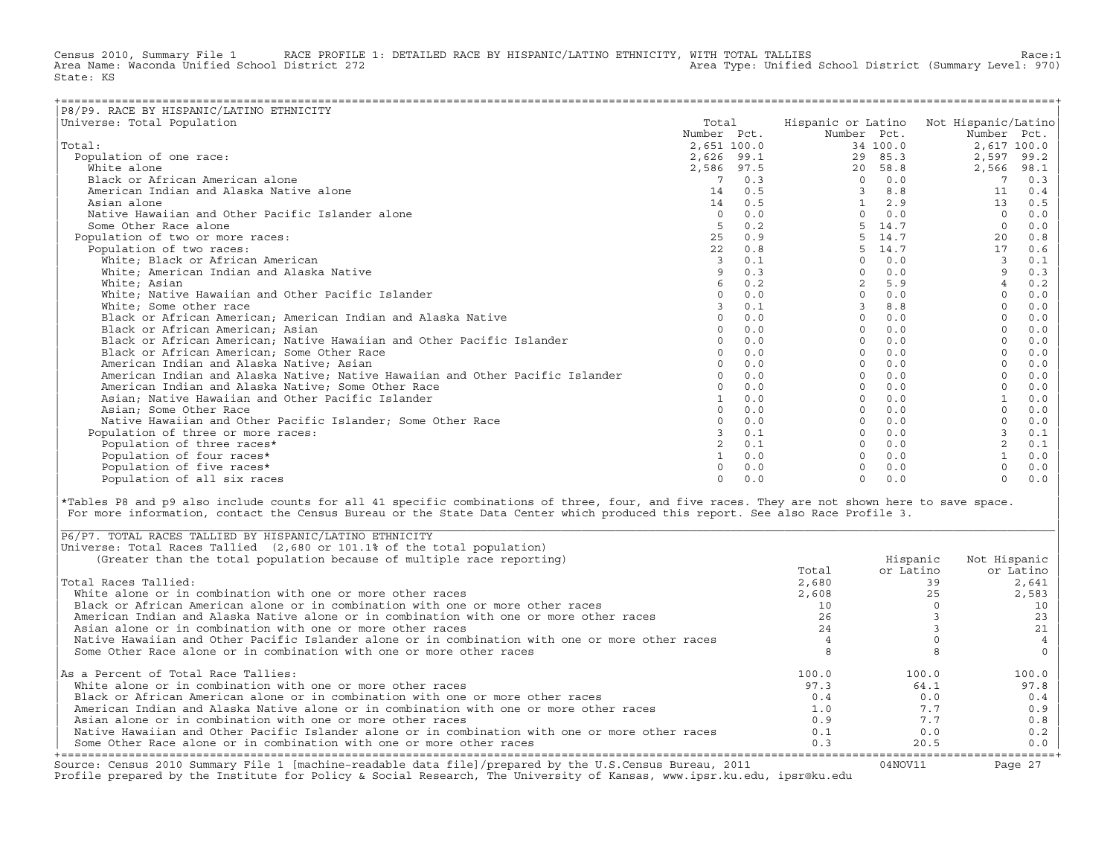Census 2010, Summary File 1 RACE PROFILE 1: DETAILED RACE BY HISPANIC/LATINO ETHNICITY, WITH TOTAL TALLIES Race:1<br>Area Name: Waconda Unified School District 272 Area Type: Unified School District (Summary Level: 970) State: KS

| P8/P9. RACE BY HISPANIC/LATINO ETHNICITY                                      |             |            |                    |          |                     |             |
|-------------------------------------------------------------------------------|-------------|------------|--------------------|----------|---------------------|-------------|
| Universe: Total Population                                                    | Total       |            | Hispanic or Latino |          | Not Hispanic/Latino |             |
|                                                                               | Number Pct. |            | Number Pct.        |          | Number Pct.         |             |
| Total:                                                                        | 2,651 100.0 |            |                    | 34 100.0 |                     | 2,617 100.0 |
| Population of one race:                                                       |             | 2,626 99.1 | 29                 | 85.3     | 2,597               | 99.2        |
| White alone                                                                   | 2,586 97.5  |            | 20                 | 58.8     | 2,566               | 98.1        |
| Black or African American alone                                               | 7           | 0.3        | $\Omega$           | 0.0      | -7                  | 0.3         |
| American Indian and Alaska Native alone                                       | 14          | 0.5        |                    | 8.8      | 11                  | 0.4         |
| Asian alone                                                                   | 14          | 0.5        |                    | 2.9      | 13                  | 0.5         |
| Native Hawaiian and Other Pacific Islander alone                              | $\Omega$    | 0.0        | $\Omega$           | 0.0      | $\Omega$            | 0.0         |
| Some Other Race alone                                                         | 5           | 0.2        |                    | 14.7     | $\Omega$            | 0.0         |
| Population of two or more races:                                              | 25          | 0.9        |                    | 14.7     | 20                  | $0.8$       |
| Population of two races:                                                      | 22          | 0.8        | 5                  | 14.7     | 17                  | 0.6         |
| White; Black or African American                                              | 3           | 0.1        | $\Omega$           | 0.0      | 3                   | 0.1         |
| White; American Indian and Alaska Native                                      | 9           | 0.3        | $\Omega$           | 0.0      | 9                   | 0.3         |
| White: Asian                                                                  |             | 0.2        |                    | 5.9      | $\overline{4}$      | 0.2         |
| White; Native Hawaiian and Other Pacific Islander                             |             | 0.0        |                    | 0.0      |                     | 0.0         |
| White; Some other race                                                        |             | 0.1        |                    | 8.8      |                     | 0.0         |
| Black or African American; American Indian and Alaska Native                  |             | 0.0        | $\Omega$           | 0.0      |                     | 0.0         |
| Black or African American; Asian                                              | $\Omega$    | 0.0        | $\Omega$           | 0.0      | $\Omega$            | 0.0         |
| Black or African American; Native Hawaiian and Other Pacific Islander         |             | 0.0        | $\Omega$           | 0.0      |                     | 0.0         |
| Black or African American; Some Other Race                                    |             | 0.0        |                    | 0.0      |                     | 0.0         |
| American Indian and Alaska Native; Asian                                      | $\Omega$    | 0.0        | $\Omega$           | 0.0      |                     | 0.0         |
| American Indian and Alaska Native; Native Hawaiian and Other Pacific Islander |             | 0.0        | $\Omega$           | 0.0      |                     | 0.0         |
| American Indian and Alaska Native; Some Other Race                            | $\Omega$    | 0.0        | $\cap$             | 0.0      |                     | 0.0         |
| Asian; Native Hawaiian and Other Pacific Islander                             |             | 0.0        |                    | 0.0      |                     | 0.0         |
| Asian; Some Other Race                                                        |             | 0.0        |                    | 0.0      |                     | 0.0         |
| Native Hawaiian and Other Pacific Islander; Some Other Race                   |             | 0.0        |                    | 0.0      |                     | 0.0         |
| Population of three or more races:                                            |             | 0.1        |                    | 0.0      |                     | 0.1         |
| Population of three races*                                                    |             | 0.1        |                    | 0.0      | $\overline{a}$      | 0.1         |
| Population of four races*                                                     |             | 0.0        |                    | 0.0      |                     | 0.0         |
| Population of five races*                                                     |             | 0.0        |                    | 0.0      |                     | 0.0         |
| Population of all six races                                                   | $\Omega$    | 0.0        | $\Omega$           | 0.0      | $\Omega$            | 0.0         |

|\*Tables P8 and p9 also include counts for all 41 specific combinations of three, four, and five races. They are not shown here to save space. | For more information, contact the Census Bureau or the State Data Center which produced this report. See also Race Profile 3.

| |

|\_\_\_\_\_\_\_\_\_\_\_\_\_\_\_\_\_\_\_\_\_\_\_\_\_\_\_\_\_\_\_\_\_\_\_\_\_\_\_\_\_\_\_\_\_\_\_\_\_\_\_\_\_\_\_\_\_\_\_\_\_\_\_\_\_\_\_\_\_\_\_\_\_\_\_\_\_\_\_\_\_\_\_\_\_\_\_\_\_\_\_\_\_\_\_\_\_\_\_\_\_\_\_\_\_\_\_\_\_\_\_\_\_\_\_\_\_\_\_\_\_\_\_\_\_\_\_\_\_\_\_\_\_\_\_\_\_\_\_\_\_\_\_\_\_\_\_|

| Source: Census 2010 Summary File 1 [machine-readable data file]/prepared by the U.S.Census Bureau, 2011<br>Profile prepared by the Institute for Policy & Social Research, The University of Kansas, www.ipsr.ku.edu, ipsr@ku.edu |       | 04NOV11   | Page 27      |
|-----------------------------------------------------------------------------------------------------------------------------------------------------------------------------------------------------------------------------------|-------|-----------|--------------|
| Some Other Race alone or in combination with one or more other races                                                                                                                                                              | 0.3   | 20.5      | $0.0$        |
| Native Hawaiian and Other Pacific Islander alone or in combination with one or more other races                                                                                                                                   | 0.1   | 0.0       | 0.2          |
| Asian alone or in combination with one or more other races                                                                                                                                                                        | 0.9   | 7.7       | 0.8          |
| American Indian and Alaska Native alone or in combination with one or more other races                                                                                                                                            | 1.0   | 7.7       | 0.9          |
| Black or African American alone or in combination with one or more other races                                                                                                                                                    | 0.4   | 0.0       | 0.4          |
| White alone or in combination with one or more other races                                                                                                                                                                        | 97.3  | 64.1      | 97.8         |
| As a Percent of Total Race Tallies:                                                                                                                                                                                               | 100.0 | 100.0     | 100.0        |
| Some Other Race alone or in combination with one or more other races                                                                                                                                                              |       |           |              |
| Native Hawaiian and Other Pacific Islander alone or in combination with one or more other races                                                                                                                                   |       |           |              |
| Asian alone or in combination with one or more other races                                                                                                                                                                        | 24    |           | 21           |
| American Indian and Alaska Native alone or in combination with one or more other races                                                                                                                                            | 26    |           | 23           |
| Black or African American alone or in combination with one or more other races                                                                                                                                                    | 10    |           | 10           |
| White alone or in combination with one or more other races                                                                                                                                                                        | 2,608 | 25        | 2,583        |
| Total Races Tallied:                                                                                                                                                                                                              | 2,680 | 39        | 2,641        |
|                                                                                                                                                                                                                                   | Total | or Latino | or Latino    |
| (Greater than the total population because of multiple race reporting)                                                                                                                                                            |       | Hispanic  | Not Hispanic |
| Universe: Total Races Tallied (2,680 or 101.1% of the total population)                                                                                                                                                           |       |           |              |
| P6/P7. TOTAL RACES TALLIED BY HISPANIC/LATINO ETHNICITY                                                                                                                                                                           |       |           |              |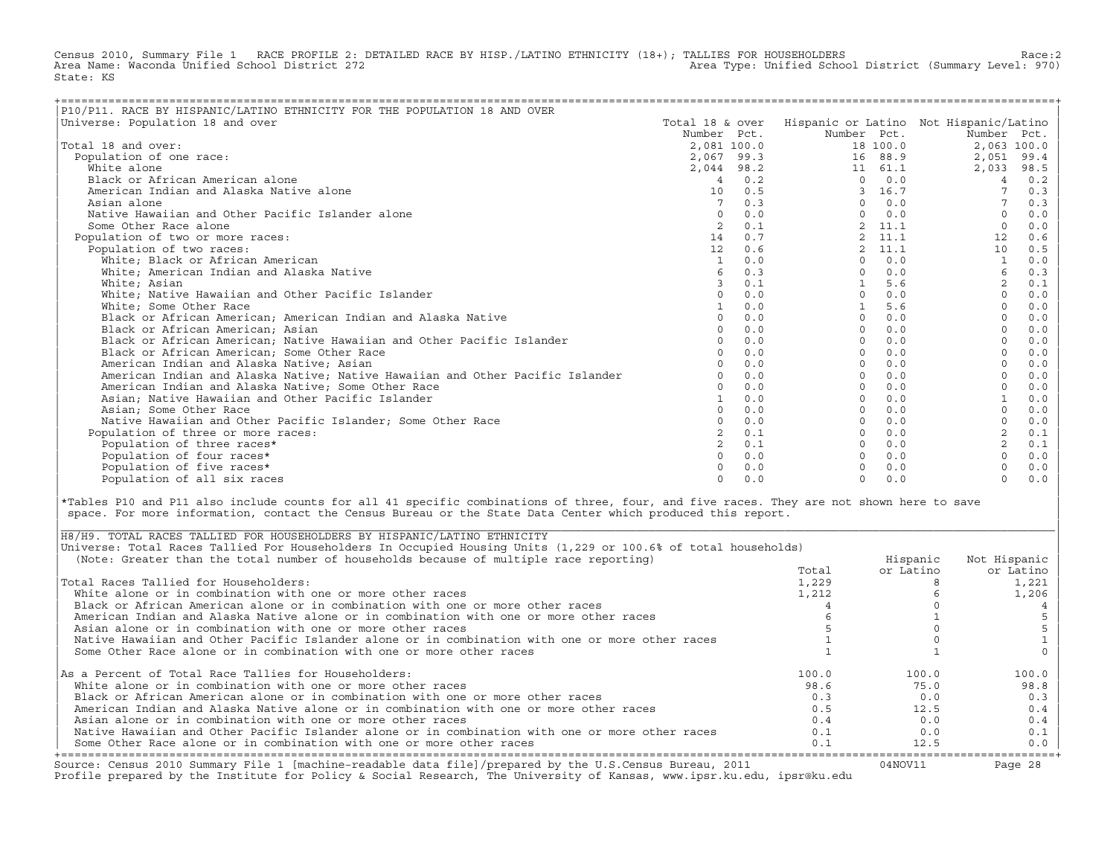Census 2010, Summary File 1 RACE PROFILE 2: DETAILED RACE BY HISP./LATINO ETHNICITY (18+); TALLIES FOR HOUSEHOLDERS Race:2<br>Area Name: Waconda Unified School District 272 Area Type: Unified School District (Summary Level: 970) State: KS

| P10/P11. RACE BY HISPANIC/LATINO ETHNICITY FOR THE POPULATION 18 AND OVER     |                 |     |                |          |                                        |       |
|-------------------------------------------------------------------------------|-----------------|-----|----------------|----------|----------------------------------------|-------|
| Universe: Population 18 and over                                              | Total 18 & over |     |                |          | Hispanic or Latino Not Hispanic/Latino |       |
|                                                                               | Number Pct.     |     | Number Pct.    |          | Number Pct.                            |       |
| Total 18 and over:                                                            | 2,081 100.0     |     |                | 18 100.0 | 2,063 100.0                            |       |
| Population of one race:                                                       | 2,067 99.3      |     |                | 16 88.9  | 2,051                                  | 99.4  |
| White alone                                                                   | 2,044 98.2      |     |                | 11 61.1  | 2,033                                  | 98.5  |
| Black or African American alone                                               | $\overline{4}$  | 0.2 | $\Omega$       | 0.0      | $\overline{4}$                         | 0.2   |
| American Indian and Alaska Native alone                                       | 10              | 0.5 | 3              | 16.7     |                                        | 0.3   |
| Asian alone                                                                   |                 | 0.3 | $\Omega$       | 0.0      |                                        | 0.3   |
| Native Hawaiian and Other Pacific Islander alone                              | $\mathbf 0$     | 0.0 | $\Omega$       | 0.0      |                                        | 0.0   |
| Some Other Race alone                                                         |                 | 0.1 |                | 11.1     | $\Omega$                               | 0.0   |
| Population of two or more races:                                              | 14              | 0.7 | $\mathfrak{D}$ | 11.1     | 12                                     | 0.6   |
| Population of two races:                                                      | 12              | 0.6 | $\mathbf{2}$   | 11.1     | 10                                     | 0.5   |
| White; Black or African American                                              | 1               | 0.0 | $\Omega$       | 0.0      |                                        | 0.0   |
| White; American Indian and Alaska Native                                      | 6               | 0.3 | $\Omega$       | 0.0      | 6                                      | 0.3   |
| White; Asian                                                                  | 3               | 0.1 |                | 5.6      | 2                                      | $0.1$ |
| White; Native Hawaiian and Other Pacific Islander                             | $\cap$          | 0.0 | $\Omega$       | 0.0      | $\Omega$                               | 0.0   |
| White; Some Other Race                                                        |                 | 0.0 |                | 5.6      |                                        | 0.0   |
| Black or African American; American Indian and Alaska Native                  | $\Omega$        | 0.0 | $\Omega$       | 0.0      |                                        | 0.0   |
| Black or African American; Asian                                              |                 | 0.0 | $\Omega$       | 0.0      |                                        | 0.0   |
| Black or African American; Native Hawaiian and Other Pacific Islander         |                 | 0.0 | $\Omega$       | 0.0      |                                        | 0.0   |
| Black or African American; Some Other Race                                    |                 | 0.0 | $\Omega$       | 0.0      |                                        | 0.0   |
| American Indian and Alaska Native; Asian                                      |                 | 0.0 | $\Omega$       | 0.0      |                                        | 0.0   |
| American Indian and Alaska Native; Native Hawaiian and Other Pacific Islander |                 | 0.0 | $\Omega$       | 0.0      |                                        | 0.0   |
| American Indian and Alaska Native; Some Other Race                            |                 | 0.0 | $\Omega$       | 0.0      |                                        | 0.0   |
| Asian; Native Hawaiian and Other Pacific Islander                             |                 | 0.0 | $\Omega$       | 0.0      |                                        | 0.0   |
| Asian; Some Other Race                                                        |                 | 0.0 | $\Omega$       | 0.0      |                                        | 0.0   |
| Native Hawaiian and Other Pacific Islander: Some Other Race                   |                 | 0.0 | $\Omega$       | 0.0      |                                        | 0.0   |
| Population of three or more races:                                            |                 | 0.1 | $\Omega$       | 0.0      | 2                                      | 0.1   |
| Population of three races*                                                    |                 | 0.1 | $\Omega$       | 0.0      | 2                                      | 0.1   |
| Population of four races*                                                     |                 | 0.0 | $\Omega$       | 0.0      |                                        | 0.0   |
| Population of five races*                                                     |                 | 0.0 |                | 0.0      |                                        | $0.0$ |
| Population of all six races                                                   | $\cap$          | 0.0 | $\Omega$       | 0.0      | $\Omega$                               | 0.0   |

|\*Tables P10 and P11 also include counts for all 41 specific combinations of three, four, and five races. They are not shown here to save | space. For more information, contact the Census Bureau or the State Data Center which produced this report.

| Source: Census 2010 Summary File 1 [machine-readable data file]/prepared by the U.S.Census Bureau, 2011<br>Profile prepared by the Institute for Policy & Social Research, The University of Kansas, www.ipsr.ku.edu, ipsr@ku.edu |       | 04NOV11   | Page 28      |
|-----------------------------------------------------------------------------------------------------------------------------------------------------------------------------------------------------------------------------------|-------|-----------|--------------|
| Some Other Race alone or in combination with one or more other races                                                                                                                                                              | 0.1   | 12.5      | $0.0$        |
| Native Hawaiian and Other Pacific Islander alone or in combination with one or more other races                                                                                                                                   | 0.1   | 0.0       | 0.1          |
| Asian alone or in combination with one or more other races                                                                                                                                                                        | 0.4   | 0.0       | 0.4          |
| American Indian and Alaska Native alone or in combination with one or more other races                                                                                                                                            | 0.5   | 12.5      | 0.4          |
| Black or African American alone or in combination with one or more other races                                                                                                                                                    | 0.3   | 0.0       | 0.3          |
| White alone or in combination with one or more other races                                                                                                                                                                        | 98.6  | 75.0      | 98.8         |
| As a Percent of Total Race Tallies for Householders:                                                                                                                                                                              | 100.0 | 100.0     | 100.0        |
| Some Other Race alone or in combination with one or more other races                                                                                                                                                              |       |           |              |
| Native Hawaiian and Other Pacific Islander alone or in combination with one or more other races                                                                                                                                   |       |           |              |
| Asian alone or in combination with one or more other races                                                                                                                                                                        |       |           |              |
| American Indian and Alaska Native alone or in combination with one or more other races                                                                                                                                            |       |           |              |
| Black or African American alone or in combination with one or more other races                                                                                                                                                    |       |           |              |
| White alone or in combination with one or more other races                                                                                                                                                                        | 1,212 |           | 1,206        |
| Total Races Tallied for Householders:                                                                                                                                                                                             | 1,229 |           | 1,221        |
|                                                                                                                                                                                                                                   | Total | or Latino | or Latino    |
| (Note: Greater than the total number of households because of multiple race reporting)                                                                                                                                            |       | Hispanic  | Not Hispanic |
| Universe: Total Races Tallied For Householders In Occupied Housing Units (1,229 or 100.6% of total households)                                                                                                                    |       |           |              |
| H8/H9. TOTAL RACES TALLIED FOR HOUSEHOLDERS BY HISPANIC/LATINO ETHNICITY                                                                                                                                                          |       |           |              |

| |

|\_\_\_\_\_\_\_\_\_\_\_\_\_\_\_\_\_\_\_\_\_\_\_\_\_\_\_\_\_\_\_\_\_\_\_\_\_\_\_\_\_\_\_\_\_\_\_\_\_\_\_\_\_\_\_\_\_\_\_\_\_\_\_\_\_\_\_\_\_\_\_\_\_\_\_\_\_\_\_\_\_\_\_\_\_\_\_\_\_\_\_\_\_\_\_\_\_\_\_\_\_\_\_\_\_\_\_\_\_\_\_\_\_\_\_\_\_\_\_\_\_\_\_\_\_\_\_\_\_\_\_\_\_\_\_\_\_\_\_\_\_\_\_\_\_\_\_|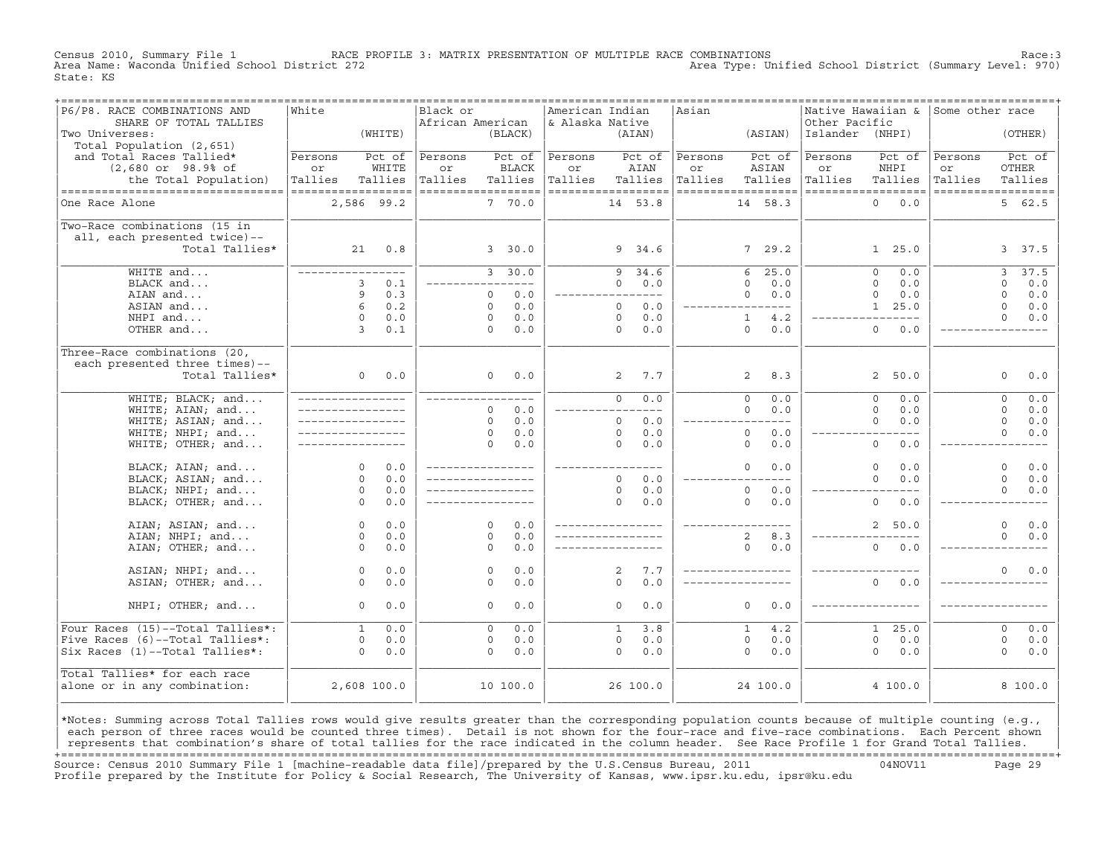Census 2010, Summary File 1 RACE PROFILE 3: MATRIX PRESENTATION OF MULTIPLE RACE COMBINATIONS Race:3 Area Type: Unified School District (Summary Level: 970) State: KS

| ------------------------------<br>P6/P8. RACE COMBINATIONS AND | ===============<br>White |             | Black or           |           |              | American Indian    |                |          | =================================<br>Asian |                       |                 | ------------------------------------<br> Native Hawaiian & | Some other race |                    |
|----------------------------------------------------------------|--------------------------|-------------|--------------------|-----------|--------------|--------------------|----------------|----------|--------------------------------------------|-----------------------|-----------------|------------------------------------------------------------|-----------------|--------------------|
| SHARE OF TOTAL TALLIES                                         |                          |             | African American   |           |              | & Alaska Native    |                |          |                                            |                       | Other Pacific   |                                                            |                 |                    |
| Two Universes:                                                 |                          | (WHITE)     |                    |           | (BLACK)      |                    |                | (AIAN)   |                                            | (ASIAN)               | Islander (NHPI) |                                                            |                 | (OTHER)            |
| Total Population (2,651)                                       |                          |             |                    |           |              |                    |                |          |                                            |                       |                 |                                                            |                 |                    |
| and Total Races Tallied*                                       | Persons                  | Pct of      | Persons            |           | Pct of       | Persons            |                | Pct of   | Persons                                    | Pct of                | Persons         | Pct of                                                     | Persons         | Pct of             |
| $(2,680$ or $98.9$ % of                                        | or                       | WHITE       | or                 |           | <b>BLACK</b> | or                 |                | AIAN     | or                                         | ASIAN                 | or              | NHPI                                                       | or              | OTHER              |
| the Total Population)                                          | Tallies                  | Tallies     | Tallies            |           | Tallies      | Tallies            |                | Tallies  | Tallies                                    | Tallies               | Tallies         | Tallies                                                    | Tallies         | Tallies            |
| ----------------------------------                             | ------------------       |             | ------------------ |           |              | ------------------ |                |          |                                            | ------------------    |                 | ------------------                                         |                 | ------------------ |
| One Race Alone                                                 | 2,586 99.2               |             |                    |           | 7 70.0       |                    |                | 14 53.8  |                                            | 14 58.3               |                 | $\Omega$<br>0.0                                            |                 | 562.5              |
|                                                                |                          |             |                    |           |              |                    |                |          |                                            |                       |                 |                                                            |                 |                    |
| Two-Race combinations (15 in                                   |                          |             |                    |           |              |                    |                |          |                                            |                       |                 |                                                            |                 |                    |
| all, each presented twice)--                                   |                          |             |                    |           |              |                    |                |          |                                            |                       |                 |                                                            |                 |                    |
| Total Tallies*                                                 |                          | $21 \t 0.8$ |                    |           | 3, 30.0      |                    |                | 9, 34.6  |                                            | 7, 29.2               |                 | 1, 25.0                                                    |                 | 3 37.5             |
|                                                                |                          |             |                    |           |              |                    |                |          |                                            |                       |                 |                                                            |                 |                    |
| WHITE and                                                      | _________________        |             |                    |           | 3, 30.0      |                    | 9              | 34.6     |                                            | 25.0<br>6             |                 | $\Omega$<br>0.0                                            |                 | 37.5<br>3          |
| BLACK and                                                      | 3                        | 0.1         |                    | --------- |              |                    | $\Omega$       | 0.0      |                                            | $\Omega$<br>0.0       |                 | $\Omega$<br>0.0                                            |                 | $\Omega$<br>0.0    |
| AIAN and                                                       | 9                        | 0.3         |                    | $\Omega$  | 0.0          |                    |                | ----     |                                            | 0.0<br>$\Omega$       |                 | $\Omega$<br>0.0                                            |                 | $\Omega$<br>0.0    |
| ASIAN and                                                      | $6\overline{6}$          | 0.2         |                    | $\Omega$  | 0.0          |                    | $\Omega$       | 0.0      |                                            | $---$                 |                 | 1, 25.0                                                    |                 | 0.0<br>$\Omega$    |
| NHPI and                                                       | $\Omega$                 | 0.0         |                    | $\Omega$  | 0.0          |                    | $\Omega$       | 0.0      |                                            | $\mathbf{1}$<br>4.2   |                 |                                                            |                 | $\Omega$<br>0.0    |
| OTHER and                                                      | $\overline{3}$           | 0.1         |                    | $\Omega$  | 0.0          |                    | $\Omega$       | 0.0      |                                            | $\Omega$<br>0.0       |                 | $\Omega$<br>0.0                                            |                 |                    |
|                                                                |                          |             |                    |           |              |                    |                |          |                                            |                       |                 |                                                            |                 |                    |
| Three-Race combinations (20,                                   |                          |             |                    |           |              |                    |                |          |                                            |                       |                 |                                                            |                 |                    |
| each presented three times)--                                  |                          |             |                    |           |              |                    |                |          |                                            |                       |                 |                                                            |                 |                    |
| Total Tallies*                                                 | 0                        | 0.0         |                    | $\Omega$  | 0.0          |                    | $\overline{a}$ | 7.7      |                                            | 2<br>8.3              |                 | $\overline{a}$<br>50.0                                     |                 | 0.0<br>$\circ$     |
|                                                                |                          |             |                    |           |              |                    |                |          |                                            |                       |                 |                                                            |                 |                    |
| WHITE; BLACK; and                                              | _________________        |             | _____________      |           |              |                    | $\overline{0}$ | 0.0      |                                            | $\overline{0}$<br>0.0 |                 | $\overline{0}$<br>0.0                                      |                 | 0.0<br>$\circ$     |
| WHITE; AIAN; and                                               | _________________        |             |                    | $\Omega$  | 0.0          |                    |                |          |                                            | $\Omega$<br>0.0       |                 | $\Omega$<br>0.0                                            |                 | $\Omega$<br>0.0    |
| WHITE; ASIAN; and                                              | _________________        |             |                    | $\Omega$  | 0.0          |                    | $\Omega$       | 0.0      |                                            | $---$                 |                 | $\Omega$<br>0.0                                            |                 | $\mathbf 0$<br>0.0 |
| WHITE; NHPI; and                                               |                          |             |                    | $\Omega$  | 0.0          |                    | $\Omega$       | 0.0      |                                            | $\circ$<br>0.0        |                 | $- - - -$                                                  |                 | $\Omega$<br>0.0    |
| WHITE; OTHER; and                                              |                          |             |                    | $\Omega$  | 0.0          |                    | $\Omega$       | 0.0      |                                            | $\circ$<br>0.0        |                 | $\circ$<br>0.0                                             |                 |                    |
|                                                                |                          |             |                    |           |              |                    |                |          |                                            |                       |                 |                                                            |                 |                    |
| BLACK; AIAN; and                                               | $\Omega$                 | 0.0         | ________________   |           |              | ____________       |                |          |                                            | $\Omega$<br>0.0       |                 | $\circ$<br>0.0                                             |                 | $\Omega$<br>0.0    |
| BLACK; ASIAN; and                                              | $\Omega$                 | 0.0         | _________________  |           |              |                    | $\Omega$       | 0.0      |                                            | $---$                 |                 | $\Omega$<br>0.0                                            |                 | $\Omega$<br>0.0    |
| BLACK; NHPI; and                                               | $\Omega$                 | 0.0         |                    |           |              |                    | $\circ$        | 0.0      |                                            | $\circ$<br>0.0        |                 |                                                            |                 | $\Omega$<br>0.0    |
| BLACK; OTHER; and                                              | $\Omega$                 | 0.0         | _________________  |           |              |                    | $\Omega$       | 0.0      |                                            | $\Omega$<br>0.0       |                 | $\Omega$<br>0.0                                            |                 |                    |
|                                                                |                          |             |                    |           |              |                    |                |          |                                            |                       |                 |                                                            |                 |                    |
| AIAN; ASIAN; and                                               | $\Omega$                 | 0.0         |                    | $\Omega$  | 0.0          |                    |                |          |                                            |                       |                 | $\overline{a}$<br>50.0                                     |                 | $\Omega$<br>0.0    |
| AIAN; NHPI; and                                                | $\Omega$                 | 0.0         |                    | $\Omega$  | 0.0          |                    |                |          |                                            | $\overline{2}$<br>8.3 |                 |                                                            |                 | $\Omega$<br>0.0    |
| AIAN; OTHER; and                                               | $\Omega$                 | 0.0         |                    | $\Omega$  | 0.0          |                    |                |          |                                            | $\Omega$<br>0.0       |                 | $\Omega$<br>0.0                                            |                 |                    |
|                                                                |                          |             |                    |           |              |                    |                |          |                                            |                       |                 |                                                            |                 |                    |
| ASIAN; NHPI; and                                               | $\circ$                  | 0.0         |                    | $\circ$   | 0.0          |                    | 2              | 7.7      |                                            | _________________     |                 |                                                            |                 | 0.0<br>$\Omega$    |
| ASIAN; OTHER; and                                              | $\Omega$                 | 0.0         |                    | $\Omega$  | 0.0          |                    | $\Omega$       | 0.0      |                                            |                       |                 | $\Omega$<br>0.0                                            |                 |                    |
|                                                                |                          |             |                    |           |              |                    |                |          |                                            |                       |                 |                                                            |                 |                    |
| NHPI; OTHER; and                                               | $\Omega$                 | 0.0         |                    | $\Omega$  | 0.0          |                    | $\Omega$       | 0.0      |                                            | $\Omega$<br>0.0       |                 |                                                            |                 |                    |
|                                                                |                          |             |                    |           |              |                    |                |          |                                            |                       |                 |                                                            |                 |                    |
| Four Races (15)--Total Tallies*:                               | $\mathbf{1}$             | 0.0         |                    | $\Omega$  | 0.0          |                    | $\mathbf{1}$   | 3.8      |                                            | $\mathbf{1}$<br>4.2   |                 | 25.0<br>1                                                  |                 | 0.0<br>$\Omega$    |
| Five Races (6)--Total Tallies*:                                | $\circ$                  | 0.0         |                    | $\circ$   | 0.0          |                    | $\circ$        | 0.0      |                                            | $\mathsf{O}$<br>0.0   |                 | $\mathbf 0$<br>0.0                                         |                 | $\circ$<br>0.0     |
| Six Races (1)--Total Tallies*:                                 | $\Omega$                 | 0.0         |                    | $\Omega$  | 0.0          |                    | $\Omega$       | 0.0      |                                            | $\Omega$<br>0.0       |                 | $\Omega$<br>0.0                                            |                 | $\Omega$<br>0.0    |
|                                                                |                          |             |                    |           |              |                    |                |          |                                            |                       |                 |                                                            |                 |                    |
| Total Tallies* for each race                                   |                          |             |                    |           |              |                    |                |          |                                            |                       |                 |                                                            |                 |                    |
| alone or in any combination:                                   | 2,608 100.0              |             |                    | 10 100.0  |              |                    |                | 26 100.0 |                                            | 24 100.0              |                 | 4 100.0                                                    |                 | 8 100.0            |
|                                                                |                          |             |                    |           |              |                    |                |          |                                            |                       |                 |                                                            |                 |                    |
|                                                                |                          |             |                    |           |              |                    |                |          |                                            |                       |                 |                                                            |                 |                    |

|\*Notes: Summing across Total Tallies rows would give results greater than the corresponding population counts because of multiple counting (e.g., | each person of three races would be counted three times). Detail is not shown for the four-race and five-race combinations. Each Percent shown represents that combination's share of total tallies for the race indicated in the column header. See Race Profile 1 for Grand Total Tallies. +===================================================================================================================================================+ Source: Census 2010 Summary File 1 [machine−readable data file]/prepared by the U.S.Census Bureau, 2011 04NOV11 Page 29 Profile prepared by the Institute for Policy & Social Research, The University of Kansas, www.ipsr.ku.edu, ipsr@ku.edu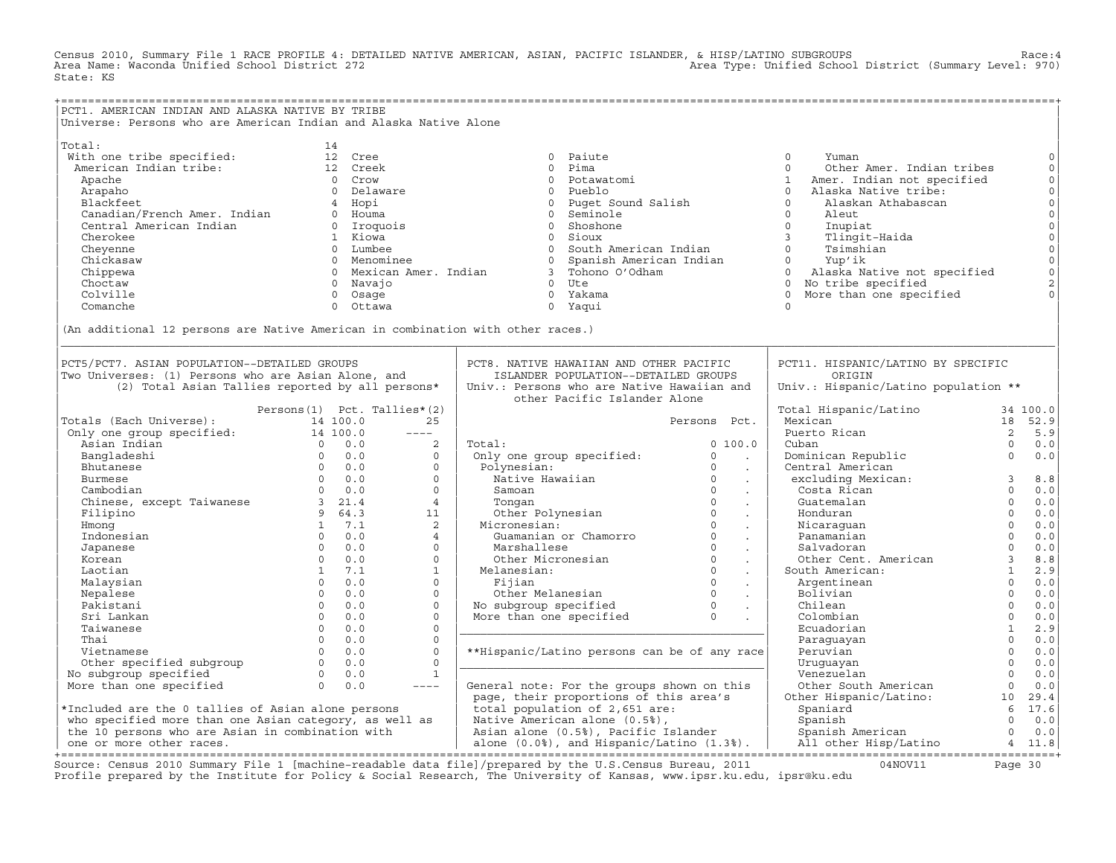Census 2010, Summary File 1 RACE PROFILE 4: DETAILED NATIVE AMERICAN, ASIAN, PACIFIC ISLANDER, & HISP/LATINO SUBGROUPS<br>Area Name: Waconda Unified School District 272 State: KS

| PCT1. AMERICAN INDIAN AND ALASKA NATIVE BY TRIBE                                              |                               |                         |                         |                                                |                                  |                                            |                |                                      |
|-----------------------------------------------------------------------------------------------|-------------------------------|-------------------------|-------------------------|------------------------------------------------|----------------------------------|--------------------------------------------|----------------|--------------------------------------|
| Universe: Persons who are American Indian and Alaska Native Alone                             |                               |                         |                         |                                                |                                  |                                            |                |                                      |
|                                                                                               |                               |                         |                         |                                                |                                  |                                            |                |                                      |
| Total:                                                                                        | 14                            |                         |                         |                                                |                                  |                                            |                |                                      |
|                                                                                               |                               |                         |                         |                                                |                                  |                                            |                |                                      |
| With one tribe specified:                                                                     |                               | 12 Cree                 |                         | 0 Paiute                                       |                                  | $\circ$<br>Yuman                           |                | $\circ$                              |
| American Indian tribe:                                                                        |                               | 12 Creek                |                         | $\Omega$<br>Pima                               |                                  | $\Omega$<br>Other Amer. Indian tribes      |                | $\mathsf{O}\xspace$                  |
| Apache                                                                                        |                               | 0 Crow                  |                         | 0 Potawatomi                                   |                                  | Amer. Indian not specified<br>$\mathbf{1}$ |                |                                      |
| Arapaho                                                                                       |                               | 0 Delaware              |                         | 0 Pueblo                                       |                                  | Alaska Native tribe:<br>$\circ$            |                |                                      |
| Blackfeet                                                                                     |                               | 4 Hopi                  |                         | 0 Puqet Sound Salish                           |                                  | $\Omega$<br>Alaskan Athabascan             |                |                                      |
| Canadian/French Amer. Indian                                                                  |                               | 0 Houma                 |                         | 0 Seminole                                     |                                  | $\circ$<br>Aleut                           |                |                                      |
| Central American Indian                                                                       |                               | 0 Iroquois              |                         | 0 Shoshone                                     |                                  | $\circ$<br>Inupiat                         |                |                                      |
| Cherokee                                                                                      |                               | 1 Kiowa                 |                         | 0 Sioux                                        |                                  | $\overline{3}$<br>Tlingit-Haida            |                |                                      |
| Cheyenne                                                                                      |                               | 0 Lumbee                |                         | 0 South American Indian                        |                                  | $\Omega$<br>Tsimshian                      |                | 000000                               |
| Chickasaw                                                                                     |                               | 0 Menominee             |                         | 0 Spanish American Indian                      |                                  | $\circ$<br>Yup'ik                          |                |                                      |
| Chippewa                                                                                      |                               |                         | 0 Mexican Amer. Indian  | 3 Tohono O'Odham                               |                                  | $\Omega$<br>Alaska Native not specified    |                | $\begin{matrix} 0 \\ 0 \end{matrix}$ |
| Choctaw                                                                                       |                               | 0 Navajo                |                         | $0$ Ute                                        |                                  | 0 No tribe specified                       |                | $\mathbf 2$                          |
| Colville                                                                                      |                               | Osage<br>$\overline{0}$ |                         | 0 Yakama                                       |                                  | More than one specified<br>$\Omega$        |                | $\Omega$                             |
|                                                                                               |                               |                         |                         |                                                |                                  |                                            |                |                                      |
| Comanche                                                                                      |                               | Ottawa<br>$\Omega$      |                         | 0 Yaqui                                        |                                  | $\Omega$                                   |                |                                      |
|                                                                                               |                               |                         |                         |                                                |                                  |                                            |                |                                      |
| (An additional 12 persons are Native American in combination with other races.)               |                               |                         |                         |                                                |                                  |                                            |                |                                      |
|                                                                                               |                               |                         |                         |                                                |                                  |                                            |                |                                      |
|                                                                                               |                               |                         |                         |                                                |                                  |                                            |                |                                      |
| PCT5/PCT7. ASIAN POPULATION--DETAILED GROUPS                                                  |                               |                         |                         | PCT8. NATIVE HAWAIIAN AND OTHER PACIFIC        |                                  | PCT11. HISPANIC/LATINO BY SPECIFIC         |                |                                      |
| Two Universes: (1) Persons who are Asian Alone, and                                           |                               |                         |                         | ISLANDER POPULATION--DETAILED GROUPS           |                                  | ORIGIN                                     |                |                                      |
| (2) Total Asian Tallies reported by all persons*                                              |                               |                         |                         | Univ.: Persons who are Native Hawaiian and     |                                  | Univ.: Hispanic/Latino population **       |                |                                      |
|                                                                                               |                               |                         |                         | other Pacific Islander Alone                   |                                  |                                            |                |                                      |
|                                                                                               | Persons (1) Pct. Tallies* (2) |                         |                         |                                                |                                  | Total Hispanic/Latino                      |                | 34 100.0                             |
| Totals (Each Universe):                                                                       |                               | 14 100.0                | 25                      |                                                | Persons Pct.                     | Mexican                                    |                | 18 52.9                              |
| 001 (Each Universe): 14 100.0<br>01 only one group specified: 14 100.0<br>Asian Indian (00.0) |                               |                         | $\qquad \qquad - - - -$ |                                                |                                  | Puerto Rican                               | 2              | 5.9                                  |
|                                                                                               |                               |                         |                         |                                                |                                  |                                            | $\Omega$       |                                      |
| Asian Indian                                                                                  |                               |                         | 2                       | Total:                                         | 0 100.0                          | Cuban                                      |                | 0.0                                  |
| Bangladeshi                                                                                   |                               | $0 \quad 0.0$           | $\circ$                 | Only one group specified:                      | $\circ$<br>$\sim 100$            | Dominican Republic                         | $\Omega$       | 0.0                                  |
| Bhutanese                                                                                     |                               | $0 \t 0.0$              | $\Omega$                | Polynesian:                                    | $\Omega$<br>$\ddot{\phantom{a}}$ | Central American                           |                |                                      |
| Burmese                                                                                       |                               | $0 \qquad 0.0$          | $\circ$                 | Native Hawaiian                                | $\circ$<br>$\sim$                | excluding Mexican:                         | $\overline{3}$ | 8.8                                  |
| Cambodian                                                                                     |                               | $0 \t 0.0$              | $\circ$                 | Samoan                                         | $\Omega$<br>$\sim$               | Costa Rican                                | $\circ$        | 0.0                                  |
| Chinese, except Taiwanese 3 21.4                                                              |                               |                         | $\overline{4}$          | Tonqan                                         | $\circ$<br>$\sim$                | Guatemalan                                 | $\Omega$       | 0.0                                  |
| Filipino                                                                                      |                               | 964.3                   | 11                      | Other Polynesian 0                             | $\epsilon$                       | Honduran                                   | $\circ$        | $0.0$                                |
| Hmong                                                                                         |                               | 1 7.1                   | $\overline{2}$          | Micronesian:                                   | $\Omega$<br>$\sim$               | Nicaraquan                                 | $\Omega$       | 0.0                                  |
| Indonesian                                                                                    |                               | $0 \t 0.0$              | $\overline{4}$          | Guamanian or Chamorro                          | $\Omega$<br>$\ddot{\phantom{a}}$ | Panamanian                                 | $\Omega$       | 0.0                                  |
| Japanese                                                                                      | $\Omega$                      | 0.0                     | $\Omega$                | Marshallese                                    | $\Omega$<br>$\sim$               | Salvadoran                                 | $\Omega$       | 0.0                                  |
| Korean                                                                                        | $\Omega$                      | 0.0                     | $\Omega$                | Other Micronesian                              | $\Omega$<br>$\blacksquare$       | Other Cent. American                       | $\overline{3}$ | 8.8                                  |
| Laotian                                                                                       | 1                             | 7.1                     | $\mathbf{1}$            | Melanesian:                                    | $\Omega$                         | South American:                            | $\mathbf{1}$   | 2.9                                  |
|                                                                                               | $\Omega$                      | 0.0                     | $\Omega$                | Fijian                                         | $\sim$<br>$\Omega$               | Argentinean                                | $\Omega$       | 0.0                                  |
| Malaysian                                                                                     | 0                             |                         |                         |                                                | $\ddot{\phantom{a}}$<br>$\circ$  |                                            | $\mathbf{0}$   |                                      |
| Nepalese                                                                                      |                               | 0.0                     | $\mathbf{0}$            | Other Melanesian                               |                                  | Bolivian                                   |                | 0.0                                  |
| Pakistani                                                                                     | $\Omega$                      | 0.0                     | $\mathbf{0}$            |                                                | $\sim$                           | Chilean                                    | $\overline{0}$ | 0.0                                  |
| Sri Lankan                                                                                    | $\Omega$                      | 0.0                     | $\Omega$                | More than one specified                        |                                  | Colombian                                  | $\Omega$       | 0.0                                  |
| Taiwanese                                                                                     | $\Omega$                      | 0.0                     | $\mathbf{0}$            |                                                |                                  | Ecuadorian                                 | $\mathbf{1}$   | 2.9                                  |
| Thai                                                                                          | $\Omega$                      | 0.0                     | $\Omega$                |                                                |                                  | Paraguayan                                 | $\circ$        | 0.0                                  |
| Vietnamese                                                                                    | $\Omega$                      | 0.0                     | $\mathbf{0}$            | **Hispanic/Latino persons can be of any race   |                                  | Peruvian                                   | $\circ$        | 0.0                                  |
| Other specified subgroup                                                                      |                               | $0 \t 0.0$              | $\mathbf{0}$            |                                                |                                  | Uruquayan                                  | $\mathbf 0$    | 0.0                                  |
| No subgroup specified                                                                         |                               | $0 \t 0.0$              | $\mathbf{1}$            |                                                |                                  | Venezuelan                                 | $\Omega$       | 0.0                                  |
| More than one specified                                                                       | $\Omega$                      | 0.0                     | $\frac{1}{2}$           | General note: For the groups shown on this     |                                  | Other South American                       | $\overline{0}$ | 0.0                                  |
|                                                                                               |                               |                         |                         | page, their proportions of this area's         |                                  | Other Hispanic/Latino:                     | 10             | 29.4                                 |
| *Included are the 0 tallies of Asian alone persons                                            |                               |                         |                         | total population of 2,651 are:                 |                                  | Spaniard                                   | 6              | 17.6                                 |
|                                                                                               |                               |                         |                         |                                                |                                  |                                            | $\Omega$       | 0.0                                  |
| who specified more than one Asian category, as well as                                        |                               |                         |                         | Native American alone (0.5%),                  |                                  | Spanish                                    | $\Omega$       |                                      |
| the 10 persons who are Asian in combination with                                              |                               |                         |                         | Asian alone (0.5%), Pacific Islander           |                                  | Spanish American                           |                | 0.0                                  |
| one or more other races.                                                                      |                               |                         |                         | alone $(0.0%$ , and Hispanic/Latino $(1.3%)$ . |                                  | All other Hisp/Latino                      |                | 4 11.8                               |

| one or more other races. | alone (0.0%), and Hispanic/Latino (1.3%). | All other Hisp/Latino 4 11.8| +===================================================================================================================================================+ Source: Census 2010 Summary File 1 [machine−readable data file]/prepared by the U.S.Census Bureau, 2011 04NOV11 Page 30 Profile prepared by the Institute for Policy & Social Research, The University of Kansas, www.ipsr.ku.edu, ipsr@ku.edu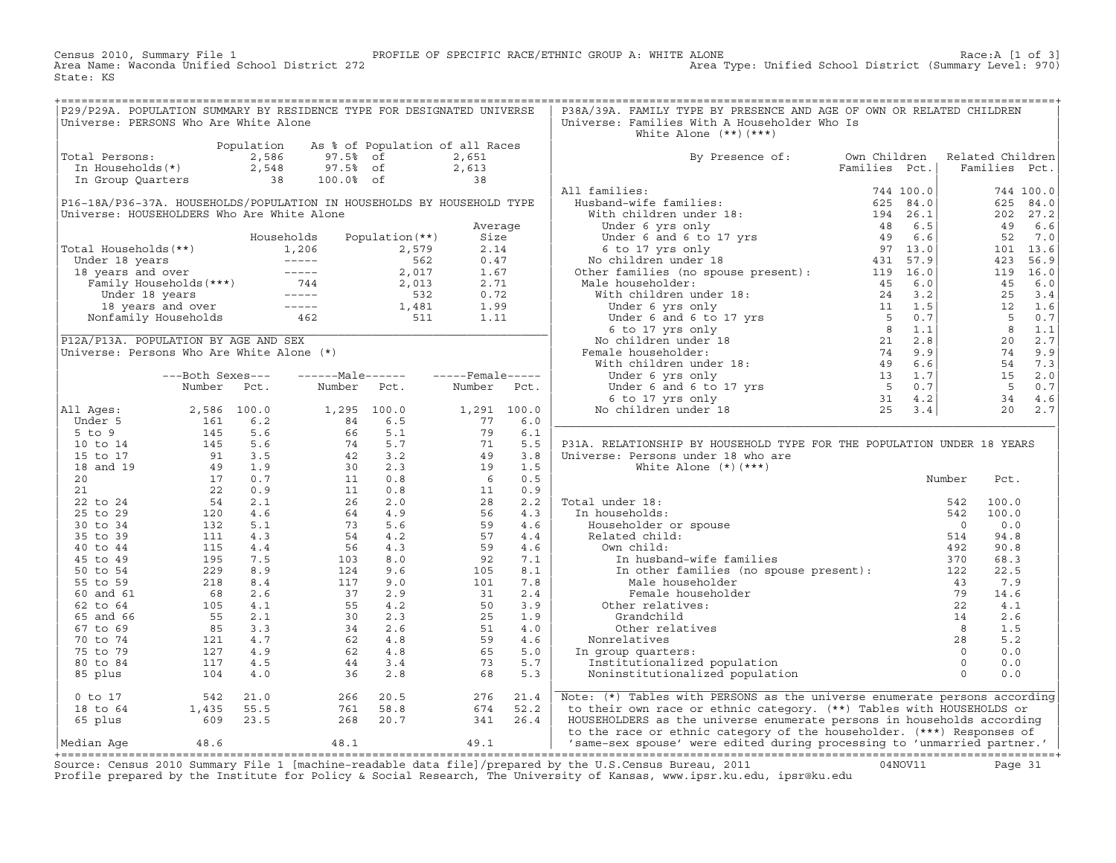Census 2010, Summary File 1 PROFILE OF SPECIFIC RACE/ETHNIC GROUP A: WHITE ALONE Race:A [1 of 3] Area Type: Unified School District (Summary Level: 970) State: KS

| P29/P29A. POPULATION SUMMARY BY RESIDENCE TYPE FOR DESIGNATED UNIVERSE<br>Universe: PERSONS Who Are White Alone                                                 |  |                                                                                                                                                                                                                                                                  |  | P38A/39A. FAMILY TYPE BY PRESENCE AND AGE OF OWN OR RELATED CHILDREN<br>Universe: Families With A Householder Who Is |  |  |  |
|-----------------------------------------------------------------------------------------------------------------------------------------------------------------|--|------------------------------------------------------------------------------------------------------------------------------------------------------------------------------------------------------------------------------------------------------------------|--|----------------------------------------------------------------------------------------------------------------------|--|--|--|
|                                                                                                                                                                 |  |                                                                                                                                                                                                                                                                  |  | White Alone $(**)$ $(***)$                                                                                           |  |  |  |
| Population As % of Population of all Races<br>Total Persons: 2,586 97.5% of 2,651<br>In Households(*) 2,548 97.5% of 2,613<br>In Group Quarters 38 100.0% of 38 |  |                                                                                                                                                                                                                                                                  |  |                                                                                                                      |  |  |  |
|                                                                                                                                                                 |  |                                                                                                                                                                                                                                                                  |  | By Presence of: Own Children Related Children<br>Families Pct.   Families Pct.                                       |  |  |  |
|                                                                                                                                                                 |  |                                                                                                                                                                                                                                                                  |  |                                                                                                                      |  |  |  |
|                                                                                                                                                                 |  |                                                                                                                                                                                                                                                                  |  |                                                                                                                      |  |  |  |
|                                                                                                                                                                 |  |                                                                                                                                                                                                                                                                  |  |                                                                                                                      |  |  |  |
|                                                                                                                                                                 |  |                                                                                                                                                                                                                                                                  |  |                                                                                                                      |  |  |  |
|                                                                                                                                                                 |  |                                                                                                                                                                                                                                                                  |  |                                                                                                                      |  |  |  |
|                                                                                                                                                                 |  |                                                                                                                                                                                                                                                                  |  |                                                                                                                      |  |  |  |
|                                                                                                                                                                 |  |                                                                                                                                                                                                                                                                  |  |                                                                                                                      |  |  |  |
|                                                                                                                                                                 |  |                                                                                                                                                                                                                                                                  |  |                                                                                                                      |  |  |  |
|                                                                                                                                                                 |  |                                                                                                                                                                                                                                                                  |  |                                                                                                                      |  |  |  |
|                                                                                                                                                                 |  |                                                                                                                                                                                                                                                                  |  |                                                                                                                      |  |  |  |
|                                                                                                                                                                 |  |                                                                                                                                                                                                                                                                  |  |                                                                                                                      |  |  |  |
|                                                                                                                                                                 |  |                                                                                                                                                                                                                                                                  |  |                                                                                                                      |  |  |  |
|                                                                                                                                                                 |  |                                                                                                                                                                                                                                                                  |  |                                                                                                                      |  |  |  |
|                                                                                                                                                                 |  |                                                                                                                                                                                                                                                                  |  |                                                                                                                      |  |  |  |
|                                                                                                                                                                 |  |                                                                                                                                                                                                                                                                  |  |                                                                                                                      |  |  |  |
|                                                                                                                                                                 |  |                                                                                                                                                                                                                                                                  |  |                                                                                                                      |  |  |  |
|                                                                                                                                                                 |  |                                                                                                                                                                                                                                                                  |  |                                                                                                                      |  |  |  |
|                                                                                                                                                                 |  |                                                                                                                                                                                                                                                                  |  |                                                                                                                      |  |  |  |
|                                                                                                                                                                 |  |                                                                                                                                                                                                                                                                  |  |                                                                                                                      |  |  |  |
|                                                                                                                                                                 |  |                                                                                                                                                                                                                                                                  |  |                                                                                                                      |  |  |  |
|                                                                                                                                                                 |  |                                                                                                                                                                                                                                                                  |  |                                                                                                                      |  |  |  |
|                                                                                                                                                                 |  |                                                                                                                                                                                                                                                                  |  |                                                                                                                      |  |  |  |
|                                                                                                                                                                 |  |                                                                                                                                                                                                                                                                  |  | P31A. RELATIONSHIP BY HOUSEHOLD TYPE FOR THE POPULATION UNDER 18 YEARS                                               |  |  |  |
|                                                                                                                                                                 |  |                                                                                                                                                                                                                                                                  |  |                                                                                                                      |  |  |  |
|                                                                                                                                                                 |  |                                                                                                                                                                                                                                                                  |  |                                                                                                                      |  |  |  |
|                                                                                                                                                                 |  |                                                                                                                                                                                                                                                                  |  |                                                                                                                      |  |  |  |
|                                                                                                                                                                 |  |                                                                                                                                                                                                                                                                  |  |                                                                                                                      |  |  |  |
|                                                                                                                                                                 |  |                                                                                                                                                                                                                                                                  |  |                                                                                                                      |  |  |  |
|                                                                                                                                                                 |  |                                                                                                                                                                                                                                                                  |  |                                                                                                                      |  |  |  |
|                                                                                                                                                                 |  |                                                                                                                                                                                                                                                                  |  |                                                                                                                      |  |  |  |
|                                                                                                                                                                 |  |                                                                                                                                                                                                                                                                  |  |                                                                                                                      |  |  |  |
|                                                                                                                                                                 |  |                                                                                                                                                                                                                                                                  |  |                                                                                                                      |  |  |  |
|                                                                                                                                                                 |  |                                                                                                                                                                                                                                                                  |  |                                                                                                                      |  |  |  |
|                                                                                                                                                                 |  |                                                                                                                                                                                                                                                                  |  |                                                                                                                      |  |  |  |
|                                                                                                                                                                 |  |                                                                                                                                                                                                                                                                  |  |                                                                                                                      |  |  |  |
|                                                                                                                                                                 |  |                                                                                                                                                                                                                                                                  |  |                                                                                                                      |  |  |  |
|                                                                                                                                                                 |  |                                                                                                                                                                                                                                                                  |  |                                                                                                                      |  |  |  |
|                                                                                                                                                                 |  |                                                                                                                                                                                                                                                                  |  |                                                                                                                      |  |  |  |
|                                                                                                                                                                 |  |                                                                                                                                                                                                                                                                  |  |                                                                                                                      |  |  |  |
|                                                                                                                                                                 |  |                                                                                                                                                                                                                                                                  |  |                                                                                                                      |  |  |  |
|                                                                                                                                                                 |  |                                                                                                                                                                                                                                                                  |  |                                                                                                                      |  |  |  |
|                                                                                                                                                                 |  |                                                                                                                                                                                                                                                                  |  |                                                                                                                      |  |  |  |
|                                                                                                                                                                 |  | $\begin{array}{cccccc} 0 & \texttt{to} & 17 & & & 542 & 21.0 & & 266 & 20.5 & & 276 & 21.4 \\ 18 & \texttt{to} & 64 & & 1,435 & 55.5 & & 761 & 58.8 & & 674 & 52.2 \\ 65 & \texttt{plus} & & & 609 & 23.5 & & 268 & 20.7 & & 341 & 26.4 \end{array} \bigg  \, .$ |  | Note: (*) Tables with PERSONS as the universe enumerate persons according                                            |  |  |  |
|                                                                                                                                                                 |  |                                                                                                                                                                                                                                                                  |  | to their own race or ethnic category. (**) Tables with HOUSEHOLDS or                                                 |  |  |  |
|                                                                                                                                                                 |  |                                                                                                                                                                                                                                                                  |  | HOUSEHOLDERS as the universe enumerate persons in households according                                               |  |  |  |
|                                                                                                                                                                 |  |                                                                                                                                                                                                                                                                  |  |                                                                                                                      |  |  |  |
|                                                                                                                                                                 |  |                                                                                                                                                                                                                                                                  |  |                                                                                                                      |  |  |  |

Source: Census 2010 Summary File 1 [machine-readable data file]/prepared by the U.S.Census Bureau, 2011 Page 31<br>Profile prepared by the Institute for Policy & Social Research, The University of Kansas, www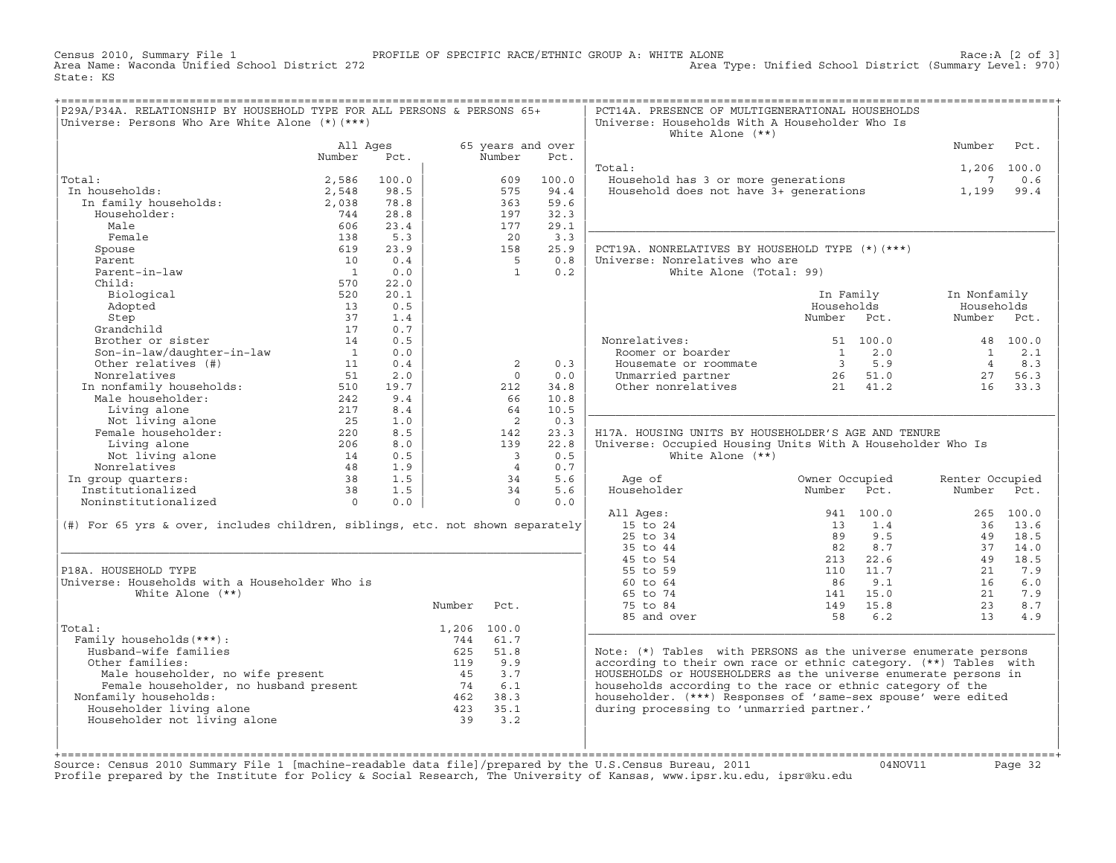Census 2010, Summary File 1 PROFILE OF SPECIFIC RACE/ETHNIC GROUP A: WHITE ALONE Race:A [2 of 3] Area Type: Unified School District (Summary Level: 970) State: KS

| P29A/P34A. RELATIONSHIP BY HOUSEHOLD TYPE FOR ALL PERSONS & PERSONS 65+<br>Universe: Persons Who Are White Alone (*) (***)                                                                                                                                        |                                               |            |             |                                            |            | PCT14A. PRESENCE OF MULTIGENERATIONAL HOUSEHOLDS<br>Universe: Households With A Householder Who Is<br>White Alone $(**)$ |                |                 |           |
|-------------------------------------------------------------------------------------------------------------------------------------------------------------------------------------------------------------------------------------------------------------------|-----------------------------------------------|------------|-------------|--------------------------------------------|------------|--------------------------------------------------------------------------------------------------------------------------|----------------|-----------------|-----------|
|                                                                                                                                                                                                                                                                   | All Ages                                      |            |             | 65 years and over                          |            |                                                                                                                          |                | Number          | Pct.      |
|                                                                                                                                                                                                                                                                   | Number                                        | Pct.       |             | Number                                     | Pct.       |                                                                                                                          |                |                 |           |
|                                                                                                                                                                                                                                                                   |                                               |            |             |                                            |            | Total:                                                                                                                   |                | 1,206 100.0     |           |
| Total:                                                                                                                                                                                                                                                            | 2,586                                         | 100.0      |             | 609                                        | 100.0      | Household has 3 or more generations                                                                                      |                | $7\overline{ }$ | 0.6       |
| In households:                                                                                                                                                                                                                                                    | 2,548                                         | 98.5       |             | 575                                        | 94.4       | Household does not have 3+ generations                                                                                   |                | 1,199           | 99.4      |
| :aı:<br>ı households:<br>In family households:                                                                                                                                                                                                                    | 2,038                                         | 78.8       |             | 363                                        | 59.6       |                                                                                                                          |                |                 |           |
| Householder:                                                                                                                                                                                                                                                      | 744                                           | 28.8       |             | 197                                        | 32.3       |                                                                                                                          |                |                 |           |
| Male                                                                                                                                                                                                                                                              | 606                                           | 23.4       |             | 177                                        | 29.1       |                                                                                                                          |                |                 |           |
| Female                                                                                                                                                                                                                                                            | 138                                           | 5.3        |             | 20                                         | 3.3        |                                                                                                                          |                |                 |           |
| Spouse                                                                                                                                                                                                                                                            | 619                                           | 23.9       |             | 158                                        | 25.9       | PCT19A. NONRELATIVES BY HOUSEHOLD TYPE (*) (***)                                                                         |                |                 |           |
| Parent                                                                                                                                                                                                                                                            | 10                                            | 0.4        |             | $5^{\circ}$                                | 0.8        | Universe: Nonrelatives who are                                                                                           |                |                 |           |
| Parent-in-law                                                                                                                                                                                                                                                     | $\overline{1}$                                | 0.0        |             | <sup>1</sup>                               | 0.2        | White Alone (Total: 99)                                                                                                  |                |                 |           |
| Child:                                                                                                                                                                                                                                                            | 570                                           | 22.0       |             |                                            |            |                                                                                                                          |                |                 |           |
| Biological                                                                                                                                                                                                                                                        | 520                                           | 20.1       |             |                                            |            |                                                                                                                          | In Family      | In Nonfamily    |           |
| Adopted                                                                                                                                                                                                                                                           | 13                                            | 0.5        |             |                                            |            |                                                                                                                          | Households     | Households      |           |
| Step                                                                                                                                                                                                                                                              | 37                                            | 1.4        |             |                                            |            |                                                                                                                          | Number Pct.    | Number Pct.     |           |
| Grandchild                                                                                                                                                                                                                                                        | 17                                            | 0.7        |             |                                            |            |                                                                                                                          |                |                 |           |
| Brother or sister<br>Son-in-law/daughter-in-law<br>Other relatives (#)                                                                                                                                                                                            | 14                                            | 0.5        |             |                                            |            | Nonrelatives:                                                                                                            | 51 100.0       |                 | 48 100.0  |
|                                                                                                                                                                                                                                                                   | $\sim$ $-1$                                   | 0.0        |             |                                            |            | Roomer or boarder                                                                                                        |                | $\mathbf{1}$    | 2.1       |
|                                                                                                                                                                                                                                                                   | 11                                            | 0.4        |             | 2                                          | 0.3        | Housemate or roommate                                                                                                    |                | $\overline{4}$  | 8.3       |
| Nonrelatives                                                                                                                                                                                                                                                      | 51                                            | 2.0        |             | $\Omega$                                   | 0.0        | Unmarried partner<br>Other nonrelatives<br>21 41.2                                                                       |                |                 | 27 56.3   |
| NONIFERALIVED<br>In nonfamily households:                                                                                                                                                                                                                         | $\frac{510}{242}$                             | 19.7       |             | 212                                        | 34.8       |                                                                                                                          |                | 16 33.3         |           |
| Male householder:                                                                                                                                                                                                                                                 |                                               | 9.4        |             | 66                                         | 10.8       |                                                                                                                          |                |                 |           |
| Living alone                                                                                                                                                                                                                                                      | 217                                           | 8.4        |             | 64                                         | 10.5       |                                                                                                                          |                |                 |           |
| Not living alone<br>Female householder:                                                                                                                                                                                                                           |                                               | 1.0        |             | $\overline{2}$                             | 0.3        |                                                                                                                          |                |                 |           |
|                                                                                                                                                                                                                                                                   | $\frac{25}{220}$                              | 8.5        |             | 142                                        | 23.3       | H17A. HOUSING UNITS BY HOUSEHOLDER'S AGE AND TENURE                                                                      |                |                 |           |
| Living alone                                                                                                                                                                                                                                                      |                                               | 8.0        |             | 139                                        | 22.8       | Universe: Occupied Housing Units With A Householder Who Is                                                               |                |                 |           |
| Not living alone<br>Nonrelatives                                                                                                                                                                                                                                  | $\begin{array}{c} 14 \\ 48 \\ 38 \end{array}$ | 0.5<br>1.9 |             | $\overline{\phantom{a}}$<br>$\overline{4}$ | 0.5<br>0.7 | White Alone $(**)$                                                                                                       |                |                 |           |
|                                                                                                                                                                                                                                                                   |                                               | 1.5        |             | 34                                         | 5.6        | Age of                                                                                                                   | Owner Occupied | Renter Occupied |           |
| In group quarters:<br>Institutionalized                                                                                                                                                                                                                           | 38                                            | 1.5        |             | 34                                         | 5.6        | Householder                                                                                                              | Number<br>Pct. | Number Pct.     |           |
| Noninstitutionalized                                                                                                                                                                                                                                              | $\Omega$                                      | 0.0        |             | $\Omega$                                   | 0.0        |                                                                                                                          |                |                 |           |
|                                                                                                                                                                                                                                                                   |                                               |            |             |                                            |            | All Ages:                                                                                                                | 941 100.0      |                 | 265 100.0 |
| (#) For 65 yrs & over, includes children, siblings, etc. not shown separately                                                                                                                                                                                     |                                               |            |             |                                            |            | 15 to 24                                                                                                                 | 13<br>1.4      |                 | 36 13.6   |
|                                                                                                                                                                                                                                                                   |                                               |            |             |                                            |            | 25 to 34                                                                                                                 | 89<br>9.5      |                 | 49 18.5   |
|                                                                                                                                                                                                                                                                   |                                               |            |             |                                            |            | 35 to 44                                                                                                                 | 82<br>8.7      | 37              | 14.0      |
|                                                                                                                                                                                                                                                                   |                                               |            |             |                                            |            | 45 to 54                                                                                                                 | 213 22.6       | 49              | 18.5      |
| P18A. HOUSEHOLD TYPE                                                                                                                                                                                                                                              |                                               |            |             |                                            |            | 55 to 59                                                                                                                 | 110<br>11.7    | 21              | 7.9       |
| Universe: Households with a Householder Who is                                                                                                                                                                                                                    |                                               |            |             |                                            |            | 60 to 64                                                                                                                 | 9.1<br>86      | 16              | 6.0       |
| White Alone $(**)$                                                                                                                                                                                                                                                |                                               |            |             |                                            |            | 65 to 74                                                                                                                 | 141 15.0       | 21              | 7.9       |
|                                                                                                                                                                                                                                                                   |                                               |            | Number Pct. |                                            |            | 75 to 84                                                                                                                 | 149 15.8       | 23              | 8.7       |
|                                                                                                                                                                                                                                                                   |                                               |            |             |                                            |            | 85 and over                                                                                                              | 6.2<br>58      | 13              | 4.9       |
| Total:                                                                                                                                                                                                                                                            |                                               |            | 1,206 100.0 |                                            |            |                                                                                                                          |                |                 |           |
| Family households (***) :                                                                                                                                                                                                                                         |                                               |            |             | 744 61.7                                   |            |                                                                                                                          |                |                 |           |
| Husband-wife families                                                                                                                                                                                                                                             |                                               |            | 625         | 51.8                                       |            | Note: (*) Tables with PERSONS as the universe enumerate persons                                                          |                |                 |           |
| Other families:                                                                                                                                                                                                                                                   |                                               |            |             |                                            |            | according to their own race or ethnic category. (**) Tables with                                                         |                |                 |           |
|                                                                                                                                                                                                                                                                   |                                               |            |             |                                            |            | HOUSEHOLDS or HOUSEHOLDERS as the universe enumerate persons in                                                          |                |                 |           |
|                                                                                                                                                                                                                                                                   |                                               |            |             |                                            |            | households according to the race or ethnic category of the                                                               |                |                 |           |
| Nonfamily households:                                                                                                                                                                                                                                             |                                               |            |             |                                            |            | householder. (***) Responses of 'same-sex spouse' were edited                                                            |                |                 |           |
| Householder living alone                                                                                                                                                                                                                                          |                                               |            |             |                                            |            | during processing to 'unmarried partner.'                                                                                |                |                 |           |
| France nouseholder, no wife present<br>Female householder, no husband present<br>$\begin{array}{cccc}\n & 119 & 9.9 \\ 45 & 3.7 \\ 74 & 6.1 \\ 74 & 6.1 \\ 101 & 462 & 38.3 \\ 101 & 423 & 35.1 \\ 102 & 363 & 35.1\n\end{array}$<br>Householder not living alone |                                               |            |             |                                            |            |                                                                                                                          |                |                 |           |
|                                                                                                                                                                                                                                                                   |                                               |            |             |                                            |            |                                                                                                                          |                |                 |           |
|                                                                                                                                                                                                                                                                   |                                               |            |             |                                            |            |                                                                                                                          |                |                 |           |

Source: Census 2010 Summary File 1 [machine-readable data file]/prepared by the U.S.Census Bureau, 2011 Page 32<br>Profile prepared by the Institute for Policy & Social Research, The University of Kansas, www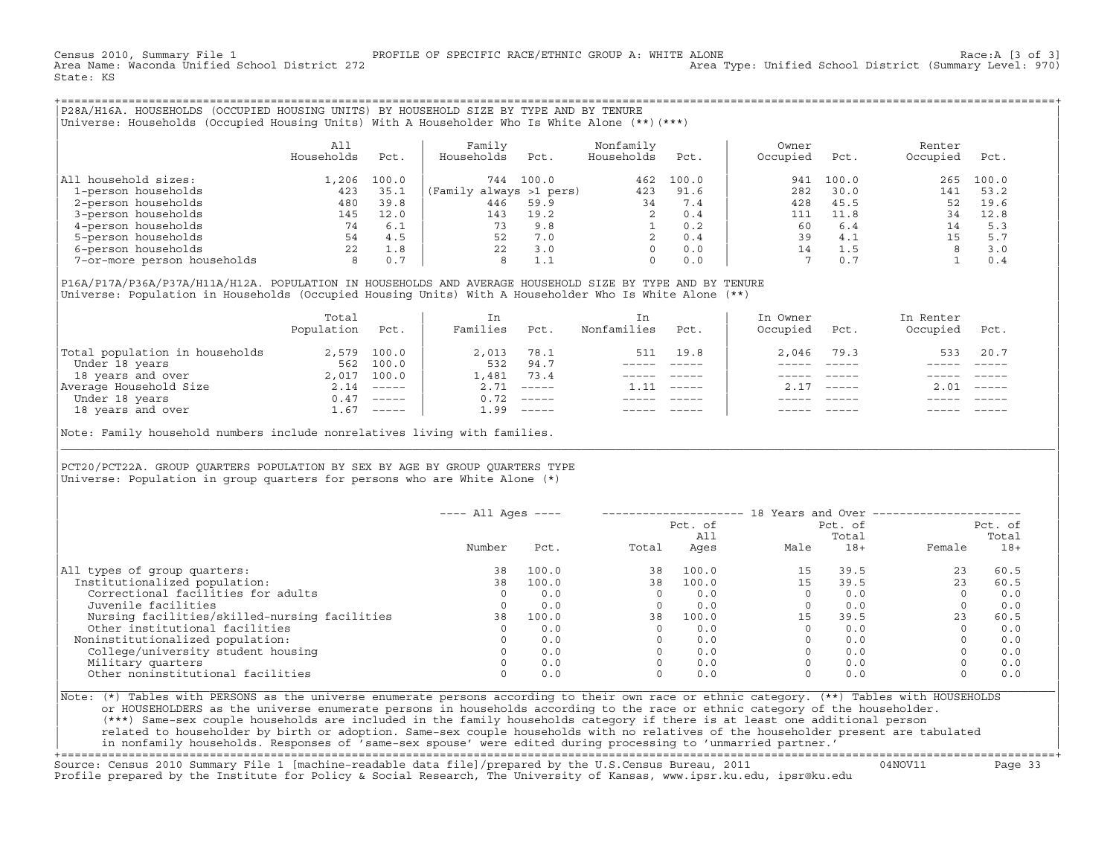Census 2010, Summary File 1 PROFILE OF SPECIFIC RACE/ETHNIC GROUP A: WHITE ALONE Race:A [3 of 3] Area Type: Unified School District (Summary Level: 970) State: KS

+===================================================================================================================================================+|P28A/H16A. HOUSEHOLDS (OCCUPIED HOUSING UNITS) BY HOUSEHOLD SIZE BY TYPE AND BY TENURE | Universe: Households (Occupied Housing Units) With A Householder Who Is White Alone (\*\*)(\*\*\*)

| | | All | Family Nonfamily | Owner Renter Renter | Renter | Renter | Renter | Renter | Renter | Renter | Renter | R | Households Pct. | Households Pct. Households Pct. | Occupied Pct. Occupied Pct. | | | | | |All household sizes:  $\begin{array}{ccccccccc}\n & 1,206 & 100.0 & 744 & 100.0 & 462 & 100.0 & 941 & 100.0 & 265 & 100.0 \\
\hline\n & 1-person households & & & 423 & 35.1 & (Family always >1 pers) & & 423 & 91.6 & 282 & 30.0 & 141 & 53.2\n\end{array}$ | 1−person households 423 35.1 |(Family always >1 pers) 423 91.6 | 282 30.0 141 53.2 | | 2−person households 480 39.8 | 446 59.9 34 7.4 | 428 45.5 52 19.6 | | 3−person households 145 12.0 | 143 19.2 2 0.4 | 111 11.8 34 12.8 | 9−person households 74 6.1 | 73 9.8 1 0.2 | 60 6.4 14 5.3<br>
9−person households 54 4.5 52 7.0 2 0.4 39 4.1 15 5.7<br>
9−person households 22 1.8 22 3.0 0 0.0 14 1.5 8 3.0<br>
9−or-more person households 8 0.7 8 1.1 0 0.0 7 0.7 1 | 5−person households 54 4.5 | 52 7.0 2 0.4 | 39 4.1 15 5.7 | | 6−person households 22 1.8 | 22 3.0 0 0.0 | 14 1.5 8 3.0 | 7-or-more person households

| | |P16A/P17A/P36A/P37A/H11A/H12A. POPULATION IN HOUSEHOLDS AND AVERAGE HOUSEHOLD SIZE BY TYPE AND BY TENURE | Universe: Population in Households (Occupied Housing Units) With A Householder Who Is White Alone (\*\*)

|                                | Total<br>Population | Pct.         | In<br>Families | Pct.     | In<br>Nonfamilies | Pct.     | In Owner<br>Occupied | Pct.          | In Renter<br>Occupied | Pct.     |  |
|--------------------------------|---------------------|--------------|----------------|----------|-------------------|----------|----------------------|---------------|-----------------------|----------|--|
| Total population in households |                     | 2,579 100.0  | 2,013          | 78.1     | 511               | 19.8     | 2,046                | 79.3          | 533                   | 20.7     |  |
| Under 18 years                 | 562                 | 100.0        | 532            | 94.7     |                   |          |                      |               |                       |          |  |
| 18 years and over              |                     | 2,017 100.0  | 1,481          | 73.4     |                   |          |                      |               |                       |          |  |
| Average Household Size         |                     | $2.14$ ----- | 2.71           | $------$ | 11                | $------$ |                      | $- - - - - -$ | 2.01                  | $------$ |  |
| Under 18 years                 |                     | $0.47$ ----- | 0.72           | $------$ |                   |          |                      |               |                       |          |  |
| 18 years and over              | $\pm 0.67$          | $-----$      | 1.99           | $------$ |                   |          |                      |               |                       |          |  |

| |

|\_\_\_\_\_\_\_\_\_\_\_\_\_\_\_\_\_\_\_\_\_\_\_\_\_\_\_\_\_\_\_\_\_\_\_\_\_\_\_\_\_\_\_\_\_\_\_\_\_\_\_\_\_\_\_\_\_\_\_\_\_\_\_\_\_\_\_\_\_\_\_\_\_\_\_\_\_\_\_\_\_\_\_\_\_\_\_\_\_\_\_\_\_\_\_\_\_\_\_\_\_\_\_\_\_\_\_\_\_\_\_\_\_\_\_\_\_\_\_\_\_\_\_\_\_\_\_\_\_\_\_\_\_\_\_\_\_\_\_\_\_\_\_\_\_\_\_|

| |

Note: Family household numbers include nonrelatives living with families.

| | PCT20/PCT22A. GROUP OUARTERS POPULATION BY SEX BY AGE BY GROUP OUARTERS TYPE Universe: Population in group quarters for persons who are White Alone  $(*)$ 

|                                               | $---$ All Ages $---$ |       |       |                | 18 Years and Over ------------- |                  |        |                  |
|-----------------------------------------------|----------------------|-------|-------|----------------|---------------------------------|------------------|--------|------------------|
|                                               |                      |       |       | Pct. of<br>All |                                 | Pct. of<br>Total |        | Pct. of<br>Total |
|                                               | Number               | Pct.  | Total | Ages           | Male                            | $18+$            | Female | $18+$            |
| All types of group quarters:                  | 38                   | 100.0 | 38    | 100.0          | 15                              | 39.5             | 23     | 60.5             |
| Institutionalized population:                 | 38                   | 100.0 | 38    | 100.0          | 1.5                             | 39.5             | 23     | 60.5             |
| Correctional facilities for adults            | $\Omega$             | 0.0   |       | 0.0            |                                 | 0.0              |        | 0.0              |
| Juvenile facilities                           |                      | 0.0   |       | 0.0            |                                 | 0.0              |        | 0.0              |
| Nursing facilities/skilled-nursing facilities | 38                   | 100.0 | 38    | 100.0          | 15                              | 39.5             | 23     | 60.5             |
| Other institutional facilities                |                      | 0.0   |       | 0.0            |                                 | 0.0              |        | 0.0              |
| Noninstitutionalized population:              |                      | 0.0   |       | 0.0            |                                 | 0.0              |        | 0.0              |
| College/university student housing            |                      | 0.0   |       | 0.0            |                                 | 0.0              |        | 0.0              |
| Military quarters                             |                      | 0.0   |       | 0.0            |                                 | 0.0              |        | 0.0              |
| Other noninstitutional facilities             |                      | 0.0   |       | 0.0            |                                 | 0.0              |        | 0.0              |

|Note: (\*) Tables with PERSONS as the universe enumerate persons according to their own race or ethnic category. (\*\*) Tables with HOUSEHOLDS | or HOUSEHOLDERS as the universe enumerate persons in households according to the race or ethnic category of the householder. | (\*\*\*) Same−sex couple households are included in the family households category if there is at least one additional person | | related to householder by birth or adoption. Same−sex couple households with no relatives of the householder present are tabulated | | in nonfamily households. Responses of 'same−sex spouse' were edited during processing to 'unmarried partner.' | +===================================================================================================================================================+

Source: Census 2010 Summary File 1 [machine−readable data file]/prepared by the U.S.Census Bureau, 2011 04NOV11 Page 33 Profile prepared by the Institute for Policy & Social Research, The University of Kansas, www.ipsr.ku.edu, ipsr@ku.edu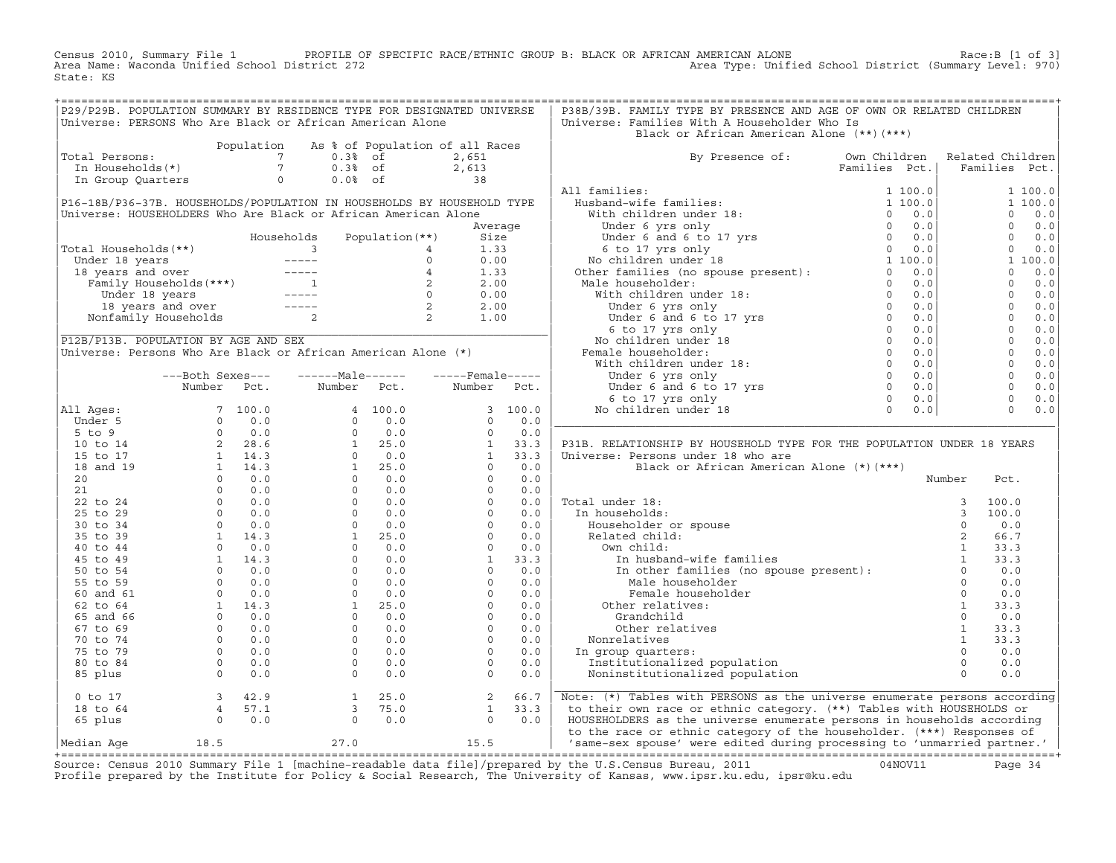Census 2010, Summary File 1 PROFILE OF SPECIFIC RACE/ETHNIC GROUP B: BLACK OR AFRICAN AMERICAN ALONE Race:B [1 of 3] Area Name: Waconda Unified School District 272 Area Type: Unified School District (Summary Level: 970) State: KS

|                                      |                                                                 |            | P29/P29B. POPULATION SUMMARY BY RESIDENCE TYPE FOR DESIGNATED UNIVERSE                                                                                                                                                                                                                         |                 |                                            |          | P38B/39B. FAMILY TYPE BY PRESENCE AND AGE OF OWN OR RELATED CHILDREN                                         |               |                |                  |         |
|--------------------------------------|-----------------------------------------------------------------|------------|------------------------------------------------------------------------------------------------------------------------------------------------------------------------------------------------------------------------------------------------------------------------------------------------|-----------------|--------------------------------------------|----------|--------------------------------------------------------------------------------------------------------------|---------------|----------------|------------------|---------|
|                                      |                                                                 |            | Universe: PERSONS Who Are Black or African American Alone                                                                                                                                                                                                                                      |                 |                                            |          | Universe: Families With A Householder Who Is                                                                 |               |                |                  |         |
|                                      |                                                                 |            |                                                                                                                                                                                                                                                                                                |                 |                                            |          | Black or African American Alone (**)(***)                                                                    |               |                |                  |         |
|                                      |                                                                 | Population |                                                                                                                                                                                                                                                                                                |                 | As % of Population of all Races            |          |                                                                                                              |               |                |                  |         |
| Total Persons:                       |                                                                 |            | $0.3%$ of                                                                                                                                                                                                                                                                                      |                 | 2,651                                      |          |                                                                                                              | Own Children  |                | Related Children |         |
|                                      | Jual Persons: 7<br>In Households(*) 7<br>Transport              |            |                                                                                                                                                                                                                                                                                                |                 |                                            |          | By Presence of:                                                                                              |               |                |                  |         |
|                                      |                                                                 |            | $0.3%$ of                                                                                                                                                                                                                                                                                      |                 | 2,613                                      |          |                                                                                                              | Families Pct. |                | Families Pct.    |         |
|                                      | In Group Quarters                                               |            | $\circ$<br>$0.0%$ of                                                                                                                                                                                                                                                                           |                 | 38                                         |          |                                                                                                              |               |                |                  |         |
|                                      |                                                                 |            |                                                                                                                                                                                                                                                                                                |                 |                                            |          | All families:                                                                                                |               |                |                  | 1 100.0 |
|                                      |                                                                 |            | P16-18B/P36-37B. HOUSEHOLDS/POPULATION IN HOUSEHOLDS BY HOUSEHOLD TYPE                                                                                                                                                                                                                         |                 |                                            |          |                                                                                                              |               |                |                  | 1 100.0 |
|                                      |                                                                 |            | Universe: HOUSEHOLDERS Who Are Black or African American Alone                                                                                                                                                                                                                                 |                 |                                            |          |                                                                                                              |               |                | $\Omega$         | 0.0     |
|                                      |                                                                 |            |                                                                                                                                                                                                                                                                                                |                 | Average                                    |          |                                                                                                              |               |                | $\Omega$         | 0.0     |
|                                      |                                                                 |            |                                                                                                                                                                                                                                                                                                |                 |                                            |          |                                                                                                              |               |                | $\Omega$         |         |
|                                      |                                                                 |            | Households                                                                                                                                                                                                                                                                                     | Population (**) | Size                                       |          |                                                                                                              |               |                |                  | 0.0     |
| Total Households (**)                |                                                                 |            | $\sim$ 3                                                                                                                                                                                                                                                                                       | $\overline{4}$  | 1.33                                       |          |                                                                                                              |               |                | $\Omega$         | 0.0     |
|                                      |                                                                 |            |                                                                                                                                                                                                                                                                                                |                 |                                            |          |                                                                                                              |               |                |                  | 1 100.0 |
|                                      |                                                                 |            |                                                                                                                                                                                                                                                                                                |                 |                                            |          |                                                                                                              |               |                | $\Omega$         | 0.0     |
|                                      |                                                                 |            |                                                                                                                                                                                                                                                                                                |                 |                                            |          |                                                                                                              |               |                | $\Omega$         | 0.0     |
|                                      |                                                                 |            |                                                                                                                                                                                                                                                                                                |                 |                                            |          |                                                                                                              |               |                | $\overline{0}$   | 0.0     |
|                                      |                                                                 |            |                                                                                                                                                                                                                                                                                                |                 |                                            |          |                                                                                                              |               |                | $\overline{0}$   | 0.0     |
|                                      |                                                                 |            |                                                                                                                                                                                                                                                                                                |                 |                                            |          |                                                                                                              |               |                | $\overline{0}$   |         |
|                                      |                                                                 |            |                                                                                                                                                                                                                                                                                                |                 |                                            |          |                                                                                                              |               |                |                  | 0.0     |
|                                      |                                                                 |            |                                                                                                                                                                                                                                                                                                |                 |                                            |          |                                                                                                              |               |                | $\overline{0}$   | 0.0     |
| P12B/P13B. POPULATION BY AGE AND SEX |                                                                 |            |                                                                                                                                                                                                                                                                                                |                 |                                            |          |                                                                                                              |               |                | $\overline{0}$   | 0.0     |
|                                      |                                                                 |            | Universe: Persons Who Are Black or African American Alone (*)                                                                                                                                                                                                                                  |                 |                                            |          |                                                                                                              |               |                | $\overline{0}$   | 0.0     |
|                                      |                                                                 |            |                                                                                                                                                                                                                                                                                                |                 |                                            |          |                                                                                                              |               |                | $\overline{0}$   | 0.0     |
|                                      | ---Both Sexes---                                                |            | $---Male----$                                                                                                                                                                                                                                                                                  |                 | $---$ Female -----                         |          |                                                                                                              |               |                | $\overline{0}$   | 0.0     |
|                                      | Number                                                          | Pct.       | Number                                                                                                                                                                                                                                                                                         | Pct.            | Number                                     | Pct.     |                                                                                                              |               |                | $\Omega$         | 0.0     |
|                                      |                                                                 |            |                                                                                                                                                                                                                                                                                                |                 |                                            |          |                                                                                                              |               |                | $\overline{0}$   |         |
|                                      |                                                                 |            |                                                                                                                                                                                                                                                                                                |                 |                                            |          |                                                                                                              |               |                |                  | $0.0$   |
| All Ages:                            |                                                                 |            |                                                                                                                                                                                                                                                                                                |                 |                                            | 3, 100.0 |                                                                                                              |               |                | $\Omega$         | 0.0     |
|                                      |                                                                 |            |                                                                                                                                                                                                                                                                                                |                 |                                            | 0.0      |                                                                                                              |               |                |                  |         |
|                                      |                                                                 |            |                                                                                                                                                                                                                                                                                                |                 |                                            | 0.0      |                                                                                                              |               |                |                  |         |
|                                      |                                                                 |            |                                                                                                                                                                                                                                                                                                |                 |                                            | 33.3     | P31B. RELATIONSHIP BY HOUSEHOLD TYPE FOR THE POPULATION UNDER 18 YEARS                                       |               |                |                  |         |
|                                      |                                                                 |            |                                                                                                                                                                                                                                                                                                |                 |                                            | 33.3     | Universe: Persons under 18 who are                                                                           |               |                |                  |         |
|                                      |                                                                 |            |                                                                                                                                                                                                                                                                                                |                 |                                            | 0.0      | Black or African American Alone (*) (***)                                                                    |               |                |                  |         |
|                                      |                                                                 |            |                                                                                                                                                                                                                                                                                                |                 |                                            | 0.0      |                                                                                                              |               | Number         | Pct.             |         |
|                                      |                                                                 |            |                                                                                                                                                                                                                                                                                                |                 |                                            |          |                                                                                                              |               |                |                  |         |
|                                      |                                                                 |            |                                                                                                                                                                                                                                                                                                |                 |                                            | 0.0      |                                                                                                              |               |                |                  |         |
|                                      |                                                                 |            |                                                                                                                                                                                                                                                                                                |                 |                                            | 0.0      | Total under 18:                                                                                              |               | $\overline{3}$ | 100.0            |         |
|                                      |                                                                 |            |                                                                                                                                                                                                                                                                                                |                 |                                            | 0.0      | In households:                                                                                               |               | $\overline{3}$ | 100.0            |         |
|                                      |                                                                 |            |                                                                                                                                                                                                                                                                                                |                 |                                            | 0.0      |                                                                                                              |               | $\Omega$       | 0.0              |         |
|                                      |                                                                 |            |                                                                                                                                                                                                                                                                                                |                 |                                            | 0.0      |                                                                                                              |               | 2              | 66.7             |         |
|                                      |                                                                 |            |                                                                                                                                                                                                                                                                                                |                 |                                            | 0.0      | Own child:                                                                                                   |               | $\mathbf{1}$   | 33.3             |         |
|                                      |                                                                 |            |                                                                                                                                                                                                                                                                                                |                 |                                            | 33.3     |                                                                                                              |               | 1              | 33.3             |         |
|                                      |                                                                 |            |                                                                                                                                                                                                                                                                                                |                 |                                            |          | wn child: 1<br>In husband-wife families<br>In other families (no spouse present): 1<br>Male householder<br>C |               |                |                  |         |
|                                      |                                                                 |            |                                                                                                                                                                                                                                                                                                |                 |                                            | 0.0      |                                                                                                              |               |                | 0.0              |         |
|                                      |                                                                 |            |                                                                                                                                                                                                                                                                                                |                 |                                            | 0.0      | Male householder                                                                                             |               | $\circ$        | 0.0              |         |
|                                      |                                                                 |            |                                                                                                                                                                                                                                                                                                |                 |                                            | 0.0      | Female householder                                                                                           |               | $\circ$        | 0.0              |         |
|                                      |                                                                 |            |                                                                                                                                                                                                                                                                                                |                 |                                            | 0.0      | Other relatives:                                                                                             |               | $\mathbf{1}$   | 33.3             |         |
|                                      |                                                                 |            |                                                                                                                                                                                                                                                                                                |                 |                                            | 0.0      | Grandchild                                                                                                   |               | $\circ$        | 0.0              |         |
|                                      |                                                                 |            |                                                                                                                                                                                                                                                                                                |                 |                                            | 0.0      | Other relatives                                                                                              |               | $\mathbf{1}$   | 33.3             |         |
|                                      |                                                                 |            |                                                                                                                                                                                                                                                                                                |                 |                                            | 0.0      | Nonrelatives                                                                                                 |               | $\mathbf{1}$   | 33.3             |         |
|                                      |                                                                 |            |                                                                                                                                                                                                                                                                                                |                 |                                            | 0.0      |                                                                                                              |               | $\circ$        | 0.0              |         |
|                                      |                                                                 |            |                                                                                                                                                                                                                                                                                                |                 |                                            |          | In group quarters:                                                                                           |               |                |                  |         |
|                                      |                                                                 |            |                                                                                                                                                                                                                                                                                                |                 |                                            | 0.0      | Institutionalized population                                                                                 |               | $\overline{0}$ | 0.0              |         |
|                                      |                                                                 |            | Null Ages:<br>10.0<br>5 to 9<br>0 0.0<br>10 to 14<br>2 28.6<br>15 to 17<br>18 and 19<br>1 14.3<br>20<br>20<br>20<br>20<br>20<br>20<br>20<br>0 0.0<br>0 0.0<br>0 0.0<br>0 0.0<br>0 0.0<br>0 0.0<br>0 0.0<br>25.0<br>25.0<br>25.0<br>25.0<br>25 to 29<br>0 0.0<br>0 0.0<br>0 0.0<br>0 0.0<br>0 0 |                 |                                            | 0.0      | Noninstitutionalized population                                                                              |               | $\Omega$       | 0.0              |         |
| $0$ to $17$                          | $\begin{array}{cc} 3 & 42.9 \\ 4 & 57.1 \\ 0 & 0.0 \end{array}$ |            | $\begin{array}{ccc} 1 & 25.0 \\ 3 & 75.0 \\ 0 & 0.0 \end{array}$                                                                                                                                                                                                                               |                 | $\begin{array}{c} 2 \\ 1 \\ 0 \end{array}$ | 66.7     | Note: (*) Tables with PERSONS as the universe enumerate persons according                                    |               |                |                  |         |
| 18 to 64                             |                                                                 |            |                                                                                                                                                                                                                                                                                                |                 |                                            | 33.3     | to their own race or ethnic category. (**) Tables with HOUSEHOLDS or                                         |               |                |                  |         |
| 65 plus                              |                                                                 |            |                                                                                                                                                                                                                                                                                                |                 | $\Omega$                                   | 0.0      | HOUSEHOLDERS as the universe enumerate persons in households according                                       |               |                |                  |         |
|                                      |                                                                 |            |                                                                                                                                                                                                                                                                                                |                 |                                            |          | to the race or ethnic category of the householder. (***) Responses of                                        |               |                |                  |         |
| Median Age                           | 18.5                                                            |            | 27.0                                                                                                                                                                                                                                                                                           |                 | 15.5                                       |          | 'same-sex spouse' were edited during processing to 'unmarried partner.'                                      |               |                |                  |         |
|                                      |                                                                 |            |                                                                                                                                                                                                                                                                                                |                 |                                            |          |                                                                                                              |               |                |                  |         |
|                                      |                                                                 |            |                                                                                                                                                                                                                                                                                                |                 |                                            |          |                                                                                                              |               |                |                  |         |

Source: Census 2010 Summary File 1 [machine-readable data file]/prepared by the U.S.Census Bureau, 2011 Page 34<br>Profile prepared by the Institute for Policy & Social Research, The University of Kansas, www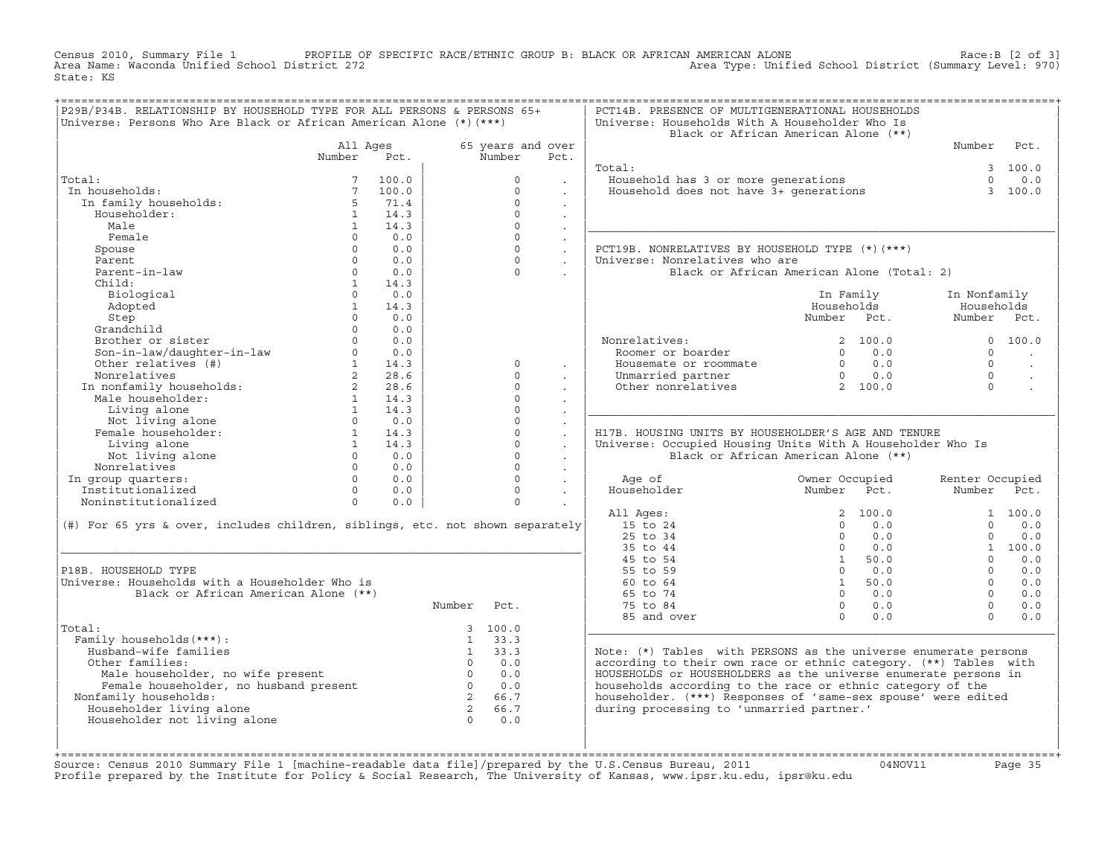Census 2010, Summary File 1 PROFILE OF SPECIFIC RACE/ETHNIC GROUP B: BLACK OR AFRICAN AMERICAN ALONE Race:B [2 of 3] Area Name: Waconda Unified School District 272 Area Type: Unified School District (Summary Level: 970) State: KS

| P29B/P34B. RELATIONSHIP BY HOUSEHOLD TYPE FOR ALL PERSONS & PERSONS 65+          |                                |              |                |                             |                      | PCT14B. PRESENCE OF MULTIGENERATIONAL HOUSEHOLDS                  |                                            |                 |          |
|----------------------------------------------------------------------------------|--------------------------------|--------------|----------------|-----------------------------|----------------------|-------------------------------------------------------------------|--------------------------------------------|-----------------|----------|
| Universe: Persons Who Are Black or African American Alone (*) (***)              |                                |              |                |                             |                      | Universe: Households With A Householder Who Is                    | Black or African American Alone (**)       |                 |          |
|                                                                                  |                                |              |                |                             |                      |                                                                   |                                            | Number          | Pct.     |
|                                                                                  | All Ages<br>Number             | Pct.         |                | 65 years and over<br>Number | Pct.                 |                                                                   |                                            |                 |          |
|                                                                                  |                                |              |                |                             |                      | Total:                                                            |                                            |                 | 3, 100.0 |
| Total:                                                                           | 7                              | 100.0        |                | $\circ$                     |                      | Household has 3 or more generations                               |                                            | $\Omega$        | 0.0      |
|                                                                                  |                                |              |                | $\Omega$                    |                      |                                                                   |                                            |                 |          |
| In households:                                                                   | $7\overline{ }$<br>$5^{\circ}$ | 100.0        |                | $\Omega$                    | $\sim$               | Household does not have 3+ generations                            |                                            |                 | 3 100.0  |
| In family households:                                                            |                                | 71.4<br>14.3 |                | $\Omega$                    | $\ddot{\phantom{0}}$ |                                                                   |                                            |                 |          |
| Householder:                                                                     | $\mathbf{1}$                   |              |                | $\Omega$                    | $\sim$               |                                                                   |                                            |                 |          |
| Male                                                                             | $\overline{1}$                 | 14.3         |                |                             | $\sim$               |                                                                   |                                            |                 |          |
| Female                                                                           | $\Omega$                       | 0.0          |                | $\Omega$                    | $\sim$               |                                                                   |                                            |                 |          |
| Spouse                                                                           | $\Omega$                       | 0.0          |                | $\Omega$                    | $\sim$               | PCT19B. NONRELATIVES BY HOUSEHOLD TYPE (*)(***)                   |                                            |                 |          |
| Parent                                                                           | $\Omega$                       | 0.0          |                | $\Omega$                    | $\mathbf{r}$         | Universe: Nonrelatives who are                                    |                                            |                 |          |
| Parent-in-law                                                                    | $\Omega$                       | 0.0          |                | $\Omega$                    |                      |                                                                   | Black or African American Alone (Total: 2) |                 |          |
| Child:                                                                           | 1                              | 14.3         |                |                             |                      |                                                                   |                                            |                 |          |
| Biological                                                                       | $\Omega$                       | 0.0          |                |                             |                      |                                                                   | In Family                                  | In Nonfamily    |          |
| Adopted                                                                          | $\mathbf{1}$                   | 14.3         |                |                             |                      |                                                                   | Households                                 | Households      |          |
| Step                                                                             | $\Omega$                       | 0.0          |                |                             |                      |                                                                   | Number Pct.                                | Number Pct.     |          |
| Grandchild                                                                       | $\Omega$                       | 0.0          |                |                             |                      |                                                                   |                                            |                 |          |
| Brother or sister                                                                | $\Omega$                       | 0.0          |                |                             |                      | Nonrelatives:                                                     | 2, 100.0                                   |                 | 0 100.0  |
| Son-in-law/daughter-in-law<br>Other relatives (#)                                | $\Omega$                       | 0.0          |                |                             |                      | Roomer or boarder                                                 | $\Omega$<br>0.0                            | $\Omega$        |          |
|                                                                                  | 1                              | 14.3         |                | $\Omega$                    | $\sim$               | Housemate or roommate                                             | $0 \t 0.0$                                 | $\Omega$        | $\sim$   |
| Nonrelatives                                                                     | $2^{\circ}$                    | 28.6         |                | $\Omega$                    |                      | Unmarried partner                                                 | 0.0<br>$\overline{0}$                      | $\Omega$        |          |
| In nonfamily households:<br>Male householder:                                    | $\overline{2}$                 | 28.6         |                | $\Omega$                    |                      | Other nonrelatives                                                | 2 100.0                                    | $\Omega$        |          |
|                                                                                  | 1                              | 14.3         |                | $\Omega$                    | $\cdot$              |                                                                   |                                            |                 |          |
| Living alone                                                                     | 1                              | 14.3         |                | $\Omega$                    | $\sim$               |                                                                   |                                            |                 |          |
| Not living alone                                                                 | $\Omega$                       | 0.0          |                | $\Omega$                    | $\mathbb{Z}^2$       |                                                                   |                                            |                 |          |
| Female householder:                                                              | 1                              | 14.3         |                | $\circ$                     | $\ddot{\phantom{a}}$ | H17B. HOUSING UNITS BY HOUSEHOLDER'S AGE AND TENURE               |                                            |                 |          |
| Living alone                                                                     | 1                              | 14.3         |                | $\Omega$                    | $\mathbb{Z}^2$       | Universe: Occupied Housing Units With A Householder Who Is        |                                            |                 |          |
| Not living alone                                                                 | $\Omega$                       | 0.0          |                | $\circ$                     | $\ddot{\phantom{a}}$ |                                                                   | Black or African American Alone (**)       |                 |          |
| Nonrelatives                                                                     | $\Omega$                       | 0.0          |                | $\Omega$                    | $\ddot{\phantom{0}}$ |                                                                   |                                            |                 |          |
| In group quarters:                                                               | $\Omega$                       | 0.0          |                | $\Omega$                    | $\sim$               | Age of                                                            | Owner Occupied                             | Renter Occupied |          |
| Institutionalized                                                                | $\Omega$                       | 0.0          |                | $\Omega$                    | $\ddot{\phantom{a}}$ | Householder                                                       | Number<br>Pct.                             | Number          | Pct.     |
| Noninstitutionalized                                                             | $\Omega$                       | 0.0          |                | $\Omega$                    |                      |                                                                   |                                            |                 |          |
|                                                                                  |                                |              |                |                             |                      | All Ages:                                                         | 2, 100.0                                   |                 | 1 100.0  |
| $(\#)$ For 65 yrs & over, includes children, siblings, etc. not shown separately |                                |              |                |                             |                      | 15 to 24                                                          | $\Omega$<br>0.0                            | $\Omega$        | 0.0      |
|                                                                                  |                                |              |                |                             |                      | 25 to 34                                                          | $\Omega$<br>0.0                            | $\Omega$        | 0.0      |
|                                                                                  |                                |              |                |                             |                      | 35 to 44                                                          | $\Omega$<br>0.0                            |                 | 1 100.0  |
|                                                                                  |                                |              |                |                             |                      | 45 to 54                                                          | 50.0<br>1                                  | $\Omega$        | 0.0      |
| P18B. HOUSEHOLD TYPE                                                             |                                |              |                |                             |                      | 55 to 59                                                          | $\Omega$<br>0.0                            | $\Omega$        | 0.0      |
| Universe: Households with a Householder Who is                                   |                                |              |                |                             |                      | 60 to 64                                                          | 1 50.0                                     | $\Omega$        | 0.0      |
|                                                                                  |                                |              |                |                             |                      |                                                                   |                                            | $\Omega$        | 0.0      |
| Black or African American Alone (**)                                             |                                |              |                |                             |                      | 65 to 74                                                          | $\Omega$<br>0.0                            |                 |          |
|                                                                                  |                                |              |                |                             |                      |                                                                   | $\overline{0}$                             | $\Omega$        |          |
|                                                                                  |                                |              | Number         | Pct.                        |                      | 75 to 84                                                          | 0.0<br>$\Omega$                            | $\cap$          | 0.0      |
|                                                                                  |                                |              |                |                             |                      | 85 and over                                                       | 0.0                                        |                 | 0.0      |
| Total:                                                                           |                                |              |                | 3 100.0                     |                      |                                                                   |                                            |                 |          |
| Family households (***) :                                                        |                                |              | 1              | $1 \t33.3$<br>33.3          |                      |                                                                   |                                            |                 |          |
| Husband-wife families                                                            |                                |              |                | $0 \t 0.0$                  |                      | Note: $(*)$ Tables with PERSONS as the universe enumerate persons |                                            |                 |          |
| Other families:                                                                  |                                |              |                |                             |                      | according to their own race or ethnic category. (**) Tables with  |                                            |                 |          |
| Male householder, no wife present                                                |                                |              | $\overline{0}$ | 0.0                         |                      | HOUSEHOLDS or HOUSEHOLDERS as the universe enumerate persons in   |                                            |                 |          |
| Female householder, no husband present                                           |                                |              | $\overline{0}$ | 0.0                         |                      | households according to the race or ethnic category of the        |                                            |                 |          |
| Nonfamily households:                                                            |                                |              | $\overline{2}$ | 66.7                        |                      | householder. (***) Responses of 'same-sex spouse' were edited     |                                            |                 |          |
| Householder living alone                                                         |                                |              | $\overline{2}$ | 66.7                        |                      | during processing to 'unmarried partner.'                         |                                            |                 |          |
| Householder not living alone                                                     |                                |              | $\Omega$       | 0.0                         |                      |                                                                   |                                            |                 |          |
|                                                                                  |                                |              |                |                             |                      |                                                                   |                                            |                 |          |

+===================================================================================================================================================+Source: Census 2010 Summary File 1 [machine−readable data file]/prepared by the U.S.Census Bureau, 2011 04NOV11 Page 35 Profile prepared by the Institute for Policy & Social Research, The University of Kansas, www.ipsr.ku.edu, ipsr@ku.edu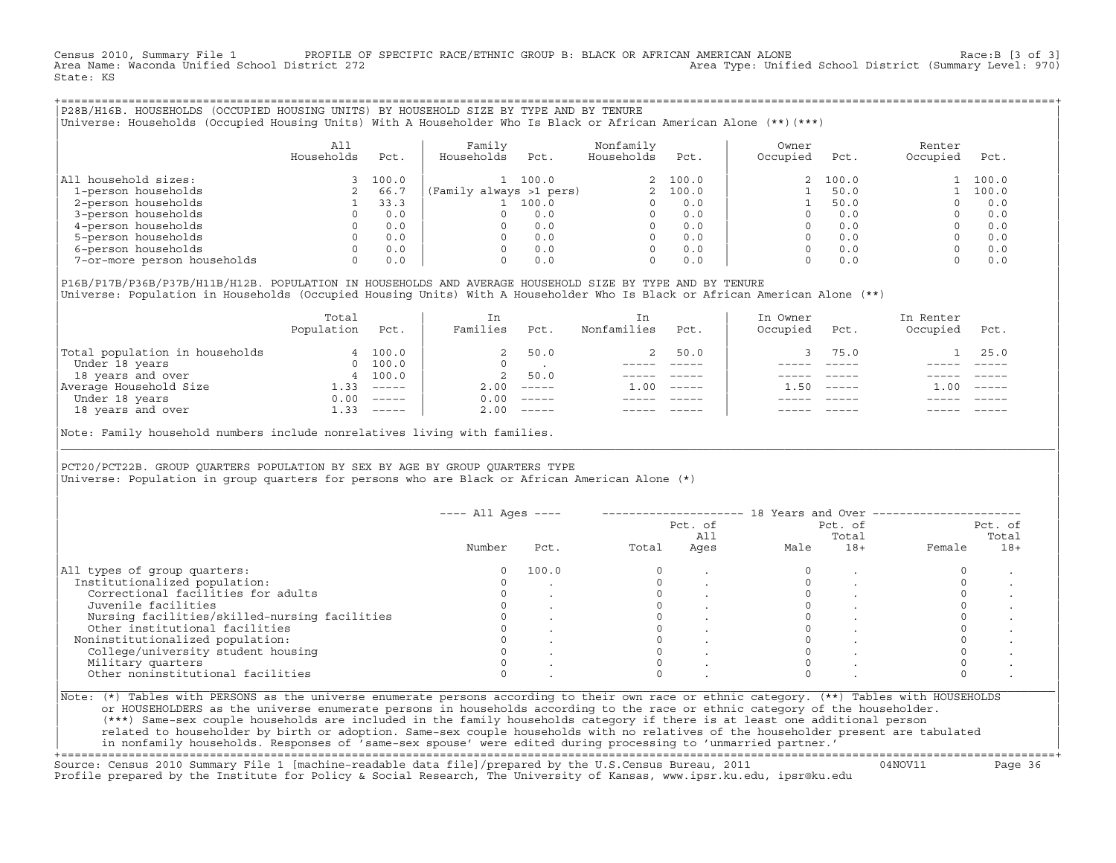Census 2010, Summary File 1 PROFILE OF SPECIFIC RACE/ETHNIC GROUP B: BLACK OR AFRICAN AMERICAN ALONE Race:B [3 of 3]<br>Area Name: Waconda Unified School District 272 Area Type: Unified School District (Summary Level: 970) State: KS

+===================================================================================================================================================+|P28B/H16B. HOUSEHOLDS (OCCUPIED HOUSING UNITS) BY HOUSEHOLD SIZE BY TYPE AND BY TENURE | |Universe: Households (Occupied Housing Units) With A Householder Who Is Black or African American Alone (\*\*)(\*\*\*) |

|                             | All<br>Households | Pct.  | Family<br>Households    | Pct.  | Nonfamily<br>Households | Pct.     | Owner<br>Occupied | Pct.     | Renter<br>Occupied | Pct.  |
|-----------------------------|-------------------|-------|-------------------------|-------|-------------------------|----------|-------------------|----------|--------------------|-------|
| household sizes:<br>All     |                   | 100.0 |                         | 100.0 |                         | 2, 100.0 |                   | 2, 100.0 |                    | 100.0 |
| 1-person households         |                   | 66.7  | (Family always >1 pers) |       |                         | 2, 100.0 |                   | 50.0     |                    | 100.0 |
| 2-person households         |                   | 33.3  |                         | 100.0 |                         | 0.0      |                   | 50.0     |                    | 0.0   |
| 3-person households         |                   | 0.0   |                         | 0.0   | $\Omega$                | 0.0      |                   | 0.0      |                    | 0.0   |
| 4-person households         |                   | 0.0   |                         | 0.0   | $\Omega$                | 0.0      |                   | 0.0      |                    | 0.0   |
| 5-person households         |                   | 0.0   |                         | 0.0   | $\Omega$                | 0.0      |                   | 0.0      |                    | 0.0   |
| 6-person households         |                   | 0.0   |                         | 0.0   | $\Omega$                | 0.0      |                   | 0.0      |                    | 0.0   |
| 7-or-more person households | $\Omega$          | 0.0   |                         | 0.0   | 0                       | 0.0      |                   | 0.0      |                    | 0.0   |

|P16B/P17B/P36B/P37B/H11B/H12B. POPULATION IN HOUSEHOLDS AND AVERAGE HOUSEHOLD SIZE BY TYPE AND BY TENURE | Universe: Population in Households (Occupied Housing Units) With A Householder Who Is Black or African American Alone (\*\*)

|                                | Total<br>Population | Pct.                                                                                                                                                                                                                                                                                                                                                                                                                                                                                   | In<br>Families | Pct.                      | In.<br>Nonfamilies | Pct.     | In Owner<br>Occupied | Pct.          | In Renter<br>Occupied | Pct.     |  |
|--------------------------------|---------------------|----------------------------------------------------------------------------------------------------------------------------------------------------------------------------------------------------------------------------------------------------------------------------------------------------------------------------------------------------------------------------------------------------------------------------------------------------------------------------------------|----------------|---------------------------|--------------------|----------|----------------------|---------------|-----------------------|----------|--|
| Total population in households |                     | 4 100.0                                                                                                                                                                                                                                                                                                                                                                                                                                                                                | 2              | 50.0                      |                    | 50.0     |                      | 75.0          |                       | 25.0     |  |
| Under 18 years                 | $\Omega$            | 100.0                                                                                                                                                                                                                                                                                                                                                                                                                                                                                  | $\Omega$       |                           |                    |          |                      |               |                       |          |  |
| 18 years and over              |                     | 4 100.0                                                                                                                                                                                                                                                                                                                                                                                                                                                                                | 2              | 50.0                      |                    |          |                      |               |                       |          |  |
| Average Household Size         | $-33$               | $------$                                                                                                                                                                                                                                                                                                                                                                                                                                                                               | 2.00           | $------$                  | 1.00               | $------$ | .50                  | $- - - - - -$ | .00                   | $------$ |  |
| Under 18 years                 | 0.00                | $------$                                                                                                                                                                                                                                                                                                                                                                                                                                                                               | 0.00           | $------$                  |                    |          |                      |               |                       |          |  |
| 18 years and over              | 1.33                | $\begin{array}{cccccccccc} \multicolumn{2}{c}{} & \multicolumn{2}{c}{} & \multicolumn{2}{c}{} & \multicolumn{2}{c}{} & \multicolumn{2}{c}{} & \multicolumn{2}{c}{} & \multicolumn{2}{c}{} & \multicolumn{2}{c}{} & \multicolumn{2}{c}{} & \multicolumn{2}{c}{} & \multicolumn{2}{c}{} & \multicolumn{2}{c}{} & \multicolumn{2}{c}{} & \multicolumn{2}{c}{} & \multicolumn{2}{c}{} & \multicolumn{2}{c}{} & \multicolumn{2}{c}{} & \multicolumn{2}{c}{} & \multicolumn{2}{c}{} & \mult$ | 2.00           | $\qquad \qquad - - - - -$ |                    |          |                      |               |                       | $------$ |  |
|                                |                     |                                                                                                                                                                                                                                                                                                                                                                                                                                                                                        |                |                           |                    |          |                      |               |                       |          |  |

Note: Family household numbers include nonrelatives living with families.

| | PCT20/PCT22B. GROUP OUARTERS POPULATION BY SEX BY AGE BY GROUP OUARTERS TYPE Universe: Population in group quarters for persons who are Black or African American Alone (\*)

|                                               |        |       |       | Pct. of<br>All |      | Pct. of<br>Total |        | Pct. of<br>Total |
|-----------------------------------------------|--------|-------|-------|----------------|------|------------------|--------|------------------|
|                                               | Number | Pct.  | Total | Ages           | Male | $18+$            | Female | $18+$            |
| All types of group quarters:                  | 0      | 100.0 |       |                |      |                  |        |                  |
| Institutionalized population:                 |        |       |       |                |      |                  |        |                  |
| Correctional facilities for adults            |        |       |       |                |      |                  |        |                  |
| Juvenile facilities                           |        |       |       |                |      |                  |        |                  |
| Nursing facilities/skilled-nursing facilities |        |       |       |                |      |                  |        |                  |
| Other institutional facilities                |        |       |       |                |      |                  |        |                  |
| Noninstitutionalized population:              |        |       |       |                |      |                  |        |                  |
| College/university student housing            |        |       |       |                |      |                  |        |                  |
| Military quarters                             |        |       |       |                |      |                  |        |                  |
| Other noninstitutional facilities             |        |       |       |                |      |                  |        |                  |

|\_\_\_\_\_\_\_\_\_\_\_\_\_\_\_\_\_\_\_\_\_\_\_\_\_\_\_\_\_\_\_\_\_\_\_\_\_\_\_\_\_\_\_\_\_\_\_\_\_\_\_\_\_\_\_\_\_\_\_\_\_\_\_\_\_\_\_\_\_\_\_\_\_\_\_\_\_\_\_\_\_\_\_\_\_\_\_\_\_\_\_\_\_\_\_\_\_\_\_\_\_\_\_\_\_\_\_\_\_\_\_\_\_\_\_\_\_\_\_\_\_\_\_\_\_\_\_\_\_\_\_\_\_\_\_\_\_\_\_\_\_\_\_\_\_\_\_|

| |

| or HOUSEHOLDERS as the universe enumerate persons in households according to the race or ethnic category of the householder. | | (\*\*\*) Same−sex couple households are included in the family households category if there is at least one additional person | | related to householder by birth or adoption. Same−sex couple households with no relatives of the householder present are tabulated | | in nonfamily households. Responses of 'same−sex spouse' were edited during processing to 'unmarried partner.' |

+===================================================================================================================================================+ Source: Census 2010 Summary File 1 [machine−readable data file]/prepared by the U.S.Census Bureau, 2011 04NOV11 Page 36 Profile prepared by the Institute for Policy & Social Research, The University of Kansas, www.ipsr.ku.edu, ipsr@ku.edu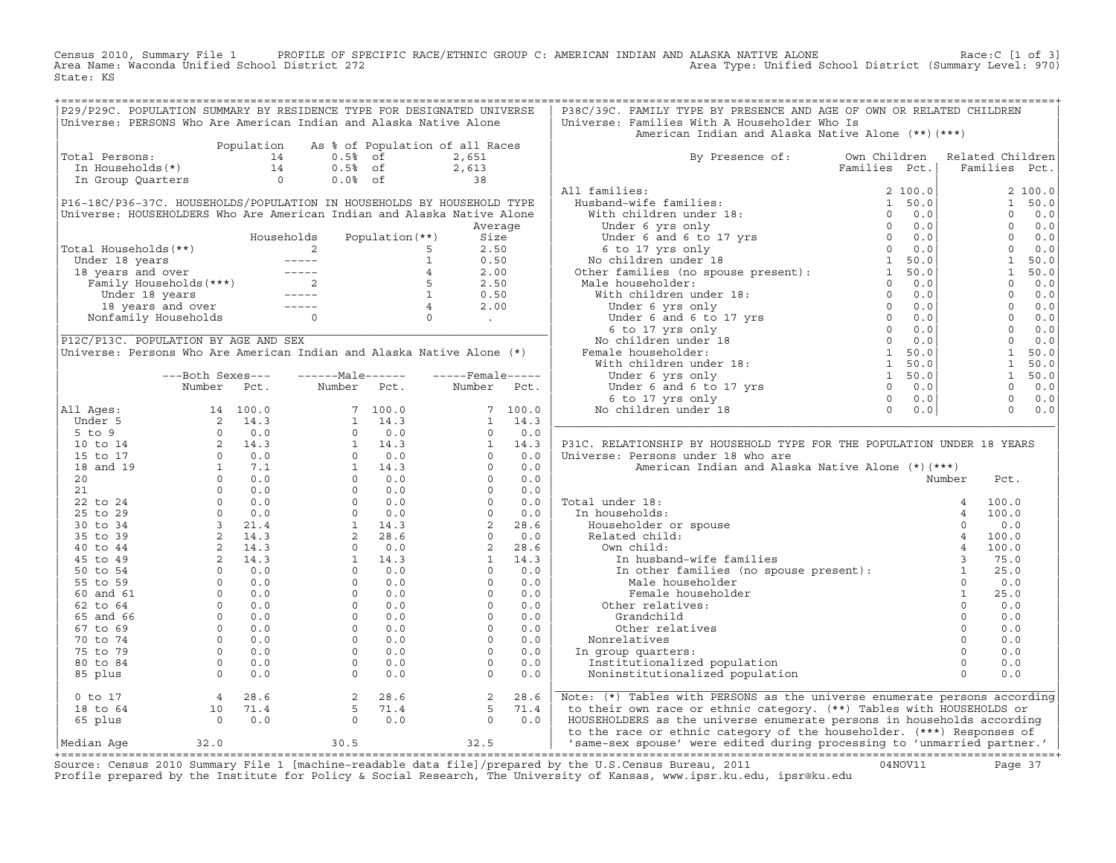Census 2010, Summary File 1 PROFILE OF SPECIFIC RACE/ETHNIC GROUP C: AMERICAN INDIAN AND ALASKA NATIVE ALONE<br>Area Name: Waconda Unified School District 272 Area Type: Unified School Dist State: KS

| P29/P29C. POPULATION SUMMARY BY RESIDENCE TYPE FOR DESIGNATED UNIVERSE           |                                                                                                                                                                                                                                                                                    |            |                                                                                                                                                                                                                                                                                                                     |             |                                 |            | P38C/39C. FAMILY TYPE BY PRESENCE AND AGE OF OWN OR RELATED CHILDREN                                                                                                                                                                                  |               |               |                  |                       |
|----------------------------------------------------------------------------------|------------------------------------------------------------------------------------------------------------------------------------------------------------------------------------------------------------------------------------------------------------------------------------|------------|---------------------------------------------------------------------------------------------------------------------------------------------------------------------------------------------------------------------------------------------------------------------------------------------------------------------|-------------|---------------------------------|------------|-------------------------------------------------------------------------------------------------------------------------------------------------------------------------------------------------------------------------------------------------------|---------------|---------------|------------------|-----------------------|
| Universe: PERSONS Who Are American Indian and Alaska Native Alone                |                                                                                                                                                                                                                                                                                    |            |                                                                                                                                                                                                                                                                                                                     |             |                                 |            | Universe: Families With A Householder Who Is                                                                                                                                                                                                          |               |               |                  |                       |
|                                                                                  |                                                                                                                                                                                                                                                                                    |            |                                                                                                                                                                                                                                                                                                                     |             |                                 |            | American Indian and Alaska Native Alone (**) (***)                                                                                                                                                                                                    |               |               |                  |                       |
|                                                                                  |                                                                                                                                                                                                                                                                                    | Population |                                                                                                                                                                                                                                                                                                                     |             | As % of Population of all Races |            |                                                                                                                                                                                                                                                       |               |               |                  |                       |
| Total Persons:<br>otal Persons: 14<br>In Households(*) 14<br>In Group Quarters 0 |                                                                                                                                                                                                                                                                                    |            | $0.5%$ of                                                                                                                                                                                                                                                                                                           |             | 2,651                           |            | By Presence of: Own Children                                                                                                                                                                                                                          |               |               | Related Children |                       |
|                                                                                  |                                                                                                                                                                                                                                                                                    |            | $0.5%$ of                                                                                                                                                                                                                                                                                                           |             | $2,613$<br>38                   |            |                                                                                                                                                                                                                                                       | Families Pct. |               |                  | Families Pct.         |
|                                                                                  |                                                                                                                                                                                                                                                                                    |            | $0.0%$ of                                                                                                                                                                                                                                                                                                           |             |                                 |            |                                                                                                                                                                                                                                                       |               |               |                  |                       |
|                                                                                  |                                                                                                                                                                                                                                                                                    |            |                                                                                                                                                                                                                                                                                                                     |             |                                 |            | All families:                                                                                                                                                                                                                                         |               |               |                  | 2 100.0               |
| P16-18C/P36-37C. HOUSEHOLDS/POPULATION IN HOUSEHOLDS BY HOUSEHOLD TYPE           |                                                                                                                                                                                                                                                                                    |            |                                                                                                                                                                                                                                                                                                                     |             |                                 |            |                                                                                                                                                                                                                                                       |               |               |                  | 1 50.0                |
| Universe: HOUSEHOLDERS Who Are American Indian and Alaska Native Alone           |                                                                                                                                                                                                                                                                                    |            |                                                                                                                                                                                                                                                                                                                     |             |                                 |            |                                                                                                                                                                                                                                                       |               |               |                  | $\Omega$<br>0.0       |
|                                                                                  |                                                                                                                                                                                                                                                                                    |            |                                                                                                                                                                                                                                                                                                                     |             | Average                         |            |                                                                                                                                                                                                                                                       |               |               |                  | $\Omega$<br>0.0       |
|                                                                                  |                                                                                                                                                                                                                                                                                    |            |                                                                                                                                                                                                                                                                                                                     |             |                                 |            |                                                                                                                                                                                                                                                       |               |               |                  | $\mathbf{0}$<br>0.0   |
| Total Households(**)                                                             |                                                                                                                                                                                                                                                                                    |            |                                                                                                                                                                                                                                                                                                                     |             |                                 |            |                                                                                                                                                                                                                                                       |               |               |                  | $\Omega$<br>0.0       |
|                                                                                  |                                                                                                                                                                                                                                                                                    |            |                                                                                                                                                                                                                                                                                                                     |             |                                 |            |                                                                                                                                                                                                                                                       |               |               |                  | <sup>1</sup><br>50.0  |
|                                                                                  |                                                                                                                                                                                                                                                                                    |            |                                                                                                                                                                                                                                                                                                                     |             |                                 |            |                                                                                                                                                                                                                                                       |               |               |                  | $\mathbf{1}$<br>50.0  |
|                                                                                  |                                                                                                                                                                                                                                                                                    |            |                                                                                                                                                                                                                                                                                                                     |             |                                 |            |                                                                                                                                                                                                                                                       |               |               |                  | $\Omega$<br>0.0       |
|                                                                                  |                                                                                                                                                                                                                                                                                    |            |                                                                                                                                                                                                                                                                                                                     |             |                                 |            |                                                                                                                                                                                                                                                       |               |               |                  | $\overline{0}$<br>0.0 |
|                                                                                  |                                                                                                                                                                                                                                                                                    |            |                                                                                                                                                                                                                                                                                                                     |             |                                 |            |                                                                                                                                                                                                                                                       |               |               |                  | $\Omega$<br>0.0       |
|                                                                                  |                                                                                                                                                                                                                                                                                    |            |                                                                                                                                                                                                                                                                                                                     |             |                                 |            | All families:<br>Huminies:<br>Which children under 18:<br>Under 6 yrs only<br>Under 6 yrs only<br>Under 6 to 17 yrs<br>6 to 17 yrs only<br>6 to 17 yrs only<br>(6 to 17 yrs only<br>(6 to 17 yrs 0<br>O 0.0<br>No children under 18<br>Other families |               |               |                  | $0 \t 0.0$            |
|                                                                                  |                                                                                                                                                                                                                                                                                    |            |                                                                                                                                                                                                                                                                                                                     |             |                                 |            |                                                                                                                                                                                                                                                       |               |               |                  | $\overline{0}$<br>0.0 |
| P12C/P13C. POPULATION BY AGE AND SEX                                             |                                                                                                                                                                                                                                                                                    |            |                                                                                                                                                                                                                                                                                                                     |             |                                 |            |                                                                                                                                                                                                                                                       |               |               |                  | $\bigcap$<br>0.0      |
| Universe: Persons Who Are American Indian and Alaska Native Alone (*)            |                                                                                                                                                                                                                                                                                    |            |                                                                                                                                                                                                                                                                                                                     |             |                                 |            |                                                                                                                                                                                                                                                       |               |               |                  | 1<br>50.0             |
|                                                                                  |                                                                                                                                                                                                                                                                                    |            |                                                                                                                                                                                                                                                                                                                     |             |                                 |            |                                                                                                                                                                                                                                                       |               |               |                  | $\mathbf{1}$<br>50.0  |
|                                                                                  | ---Both Sexes---                                                                                                                                                                                                                                                                   |            | $---Male----$                                                                                                                                                                                                                                                                                                       |             | $---$ Female -----              |            |                                                                                                                                                                                                                                                       |               |               |                  | 1<br>50.0             |
|                                                                                  | Number Pct.                                                                                                                                                                                                                                                                        |            |                                                                                                                                                                                                                                                                                                                     | Number Pct. | Number Pct.                     |            |                                                                                                                                                                                                                                                       |               |               |                  | $\Omega$<br>0.0       |
|                                                                                  |                                                                                                                                                                                                                                                                                    |            |                                                                                                                                                                                                                                                                                                                     |             |                                 |            |                                                                                                                                                                                                                                                       |               |               |                  | $\mathbf{0}$<br>0.0   |
| All Ages:                                                                        |                                                                                                                                                                                                                                                                                    |            |                                                                                                                                                                                                                                                                                                                     |             |                                 | 7 100.0    |                                                                                                                                                                                                                                                       |               |               |                  | $\Omega$<br>0.0       |
| Under 5                                                                          |                                                                                                                                                                                                                                                                                    |            |                                                                                                                                                                                                                                                                                                                     |             |                                 | $1 \t14.3$ |                                                                                                                                                                                                                                                       |               |               |                  |                       |
| $5$ to $9$                                                                       |                                                                                                                                                                                                                                                                                    |            |                                                                                                                                                                                                                                                                                                                     |             |                                 | 0.0        |                                                                                                                                                                                                                                                       |               |               |                  |                       |
| 10 to 14                                                                         |                                                                                                                                                                                                                                                                                    |            |                                                                                                                                                                                                                                                                                                                     |             |                                 | 14.3       | P31C. RELATIONSHIP BY HOUSEHOLD TYPE FOR THE POPULATION UNDER 18 YEARS                                                                                                                                                                                |               |               |                  |                       |
| 15 to 17                                                                         |                                                                                                                                                                                                                                                                                    |            |                                                                                                                                                                                                                                                                                                                     |             |                                 | 0.0        | Universe: Persons under 18 who are                                                                                                                                                                                                                    |               |               |                  |                       |
| 18 and 19                                                                        |                                                                                                                                                                                                                                                                                    |            |                                                                                                                                                                                                                                                                                                                     |             |                                 | 0.0        | American Indian and Alaska Native Alone (*) (***)                                                                                                                                                                                                     |               |               |                  |                       |
|                                                                                  |                                                                                                                                                                                                                                                                                    |            |                                                                                                                                                                                                                                                                                                                     |             |                                 |            |                                                                                                                                                                                                                                                       |               |               |                  |                       |
| 20                                                                               |                                                                                                                                                                                                                                                                                    |            |                                                                                                                                                                                                                                                                                                                     |             |                                 | 0.0        |                                                                                                                                                                                                                                                       |               |               | Number           | Pct.                  |
| 21                                                                               |                                                                                                                                                                                                                                                                                    |            |                                                                                                                                                                                                                                                                                                                     |             |                                 | 0.0        |                                                                                                                                                                                                                                                       |               |               |                  |                       |
| 22 to 24                                                                         |                                                                                                                                                                                                                                                                                    |            |                                                                                                                                                                                                                                                                                                                     |             |                                 | 0.0        | Total under 18:                                                                                                                                                                                                                                       |               |               |                  | 100.0                 |
| 25 to 29                                                                         |                                                                                                                                                                                                                                                                                    |            |                                                                                                                                                                                                                                                                                                                     |             |                                 | 0.0        | In households:                                                                                                                                                                                                                                        |               |               |                  | 100.0                 |
| 30 to 34                                                                         |                                                                                                                                                                                                                                                                                    |            |                                                                                                                                                                                                                                                                                                                     |             | $\overline{2}$                  | 28.6       |                                                                                                                                                                                                                                                       |               |               |                  | 0.0                   |
| 35 to 39                                                                         |                                                                                                                                                                                                                                                                                    |            |                                                                                                                                                                                                                                                                                                                     |             |                                 | 0.0        |                                                                                                                                                                                                                                                       |               |               |                  | 100.0                 |
| 40 to 44                                                                         |                                                                                                                                                                                                                                                                                    |            |                                                                                                                                                                                                                                                                                                                     |             | 2                               | 28.6       |                                                                                                                                                                                                                                                       |               |               |                  | 100.0                 |
| 45 to 49                                                                         |                                                                                                                                                                                                                                                                                    |            |                                                                                                                                                                                                                                                                                                                     |             | 1                               | 14.3       | al under 18:<br>n households:<br>Householder or spouse<br>Related child:<br>0 n child:<br>1 n husband-wife families<br>In other families (no spouse present):<br>1 n m l n householder<br>1 n m l n householder<br>0                                  |               |               |                  | 75.0                  |
| 50 to 54                                                                         |                                                                                                                                                                                                                                                                                    |            |                                                                                                                                                                                                                                                                                                                     |             |                                 | 0.0        |                                                                                                                                                                                                                                                       |               |               |                  | 25.0                  |
| 55 to 59                                                                         |                                                                                                                                                                                                                                                                                    |            |                                                                                                                                                                                                                                                                                                                     |             |                                 | 0.0        | Male householder                                                                                                                                                                                                                                      |               |               | $\circ$          | 0.0                   |
| 60 and 61                                                                        |                                                                                                                                                                                                                                                                                    |            |                                                                                                                                                                                                                                                                                                                     |             |                                 | 0.0        | Female householder                                                                                                                                                                                                                                    |               | $\frac{1}{2}$ |                  | 25.0                  |
| 62 to 64                                                                         |                                                                                                                                                                                                                                                                                    |            |                                                                                                                                                                                                                                                                                                                     |             |                                 | 0.0        | Other relatives:                                                                                                                                                                                                                                      |               |               | $\Omega$         | 0.0                   |
| 65 and 66                                                                        |                                                                                                                                                                                                                                                                                    |            |                                                                                                                                                                                                                                                                                                                     |             |                                 | 0.0        | Grandchild                                                                                                                                                                                                                                            |               |               | $\Omega$         | 0.0                   |
| 67 to 69                                                                         |                                                                                                                                                                                                                                                                                    |            |                                                                                                                                                                                                                                                                                                                     |             |                                 | 0.0        | Other relatives                                                                                                                                                                                                                                       |               |               |                  | 0.0                   |
| 70 to 74                                                                         |                                                                                                                                                                                                                                                                                    |            |                                                                                                                                                                                                                                                                                                                     |             |                                 | 0.0        | Nonrelatives                                                                                                                                                                                                                                          |               |               |                  | 0.0                   |
| 75 to 79                                                                         |                                                                                                                                                                                                                                                                                    |            |                                                                                                                                                                                                                                                                                                                     |             |                                 | 0.0        | In group quarters:                                                                                                                                                                                                                                    |               |               |                  | 0.0                   |
| 80 to 84                                                                         |                                                                                                                                                                                                                                                                                    |            |                                                                                                                                                                                                                                                                                                                     |             |                                 | 0.0        | Institutionalized population                                                                                                                                                                                                                          |               |               |                  | 0.0                   |
| 85 plus                                                                          | Number FCC:<br>14 100.0<br>2 14.3<br>0 0.0<br>19 1 7.1<br>0 0.0<br>0 0.0<br>4 2 14.3<br>2 14.3<br>2 14.3<br>2 14.3<br>2 14.3<br>2 14.3<br>2 14.3<br>2 14.3<br>2 14.3<br>2 14.3<br>2 14.3<br>2 14.3<br>2 14.3<br>2 14.3<br>2 14.3<br>2 14.3<br>2 14.3<br>2 14.3<br>2 14.3<br>2 0 0. |            | $\begin{bmatrix} 7 & 100.0 \\ 1 & 14.3 \\ 0 & 0.0 \\ 1 & 14.3 \\ 0 & 0.0 \\ 1 & 14.3 \\ 0 & 0.0 \\ 0 & 0.0 \\ 0 & 0.0 \\ 0 & 0.0 \\ 1 & 14.3 \\ 2 & 28.6 \\ 0 & 0.0 \\ 1 & 14.3 \\ 0 & 0.0 \\ 0 & 0.0 \\ 0 & 0.0 \\ 0 & 0.0 \\ 0 & 0.0 \\ 0 & 0.0 \\ 0 & 0.0 \\ 0 & 0.0 \\ 0 & 0.0 \\ 0 & 0.0 \\ 0 & 0.0 \\ 0 & 0.$ |             | $\circ$                         | 0.0        | $\begin{array}{ccc} & & & & 0 \\ \text{pulation} & & & & 0 \\ \text{1} & \text{c} & & & 0 \\ \text{2} & \text{c} & & & 0 \\ \text{3} & \text{c} & & & 0 \\ \end{array}$<br>Noninstitutionalized population                                            |               |               |                  | 0.0                   |
| $0$ to $17$                                                                      |                                                                                                                                                                                                                                                                                    |            | $\begin{array}{cc} 2 & 28.6 \\ 5 & 71.4 \\ 0 & 0.0 \end{array}$                                                                                                                                                                                                                                                     |             | 2                               | 28.6       | Note: (*) Tables with PERSONS as the universe enumerate persons according                                                                                                                                                                             |               |               |                  |                       |
|                                                                                  |                                                                                                                                                                                                                                                                                    |            |                                                                                                                                                                                                                                                                                                                     |             | 5                               | 71.4       | to their own race or ethnic category. (**) Tables with HOUSEHOLDS or                                                                                                                                                                                  |               |               |                  |                       |
| 18 to 64                                                                         |                                                                                                                                                                                                                                                                                    |            |                                                                                                                                                                                                                                                                                                                     |             | $\Omega$                        | 0.0        | HOUSEHOLDERS as the universe enumerate persons in households according                                                                                                                                                                                |               |               |                  |                       |
| 65 plus                                                                          |                                                                                                                                                                                                                                                                                    |            |                                                                                                                                                                                                                                                                                                                     |             |                                 |            |                                                                                                                                                                                                                                                       |               |               |                  |                       |
| Median Age                                                                       | $\begin{array}{ccc} 4 & 28.6 \\ 10 & 71.4 \\ 0 & 0.0 \end{array}$<br>32.0                                                                                                                                                                                                          |            | $30.5$ $32.5$                                                                                                                                                                                                                                                                                                       |             |                                 |            | to the race or ethnic category of the householder. (***) Responses of<br>  'same-sex spouse' were edited during processing to 'unmarried partner.'                                                                                                    |               |               |                  |                       |

Source: Census 2010 Summary File 1 [machine-readable data file]/prepared by the U.S.Census Bureau, 2011 Page 37<br>Profile prepared by the Institute for Policy & Social Research, The University of Kansas, www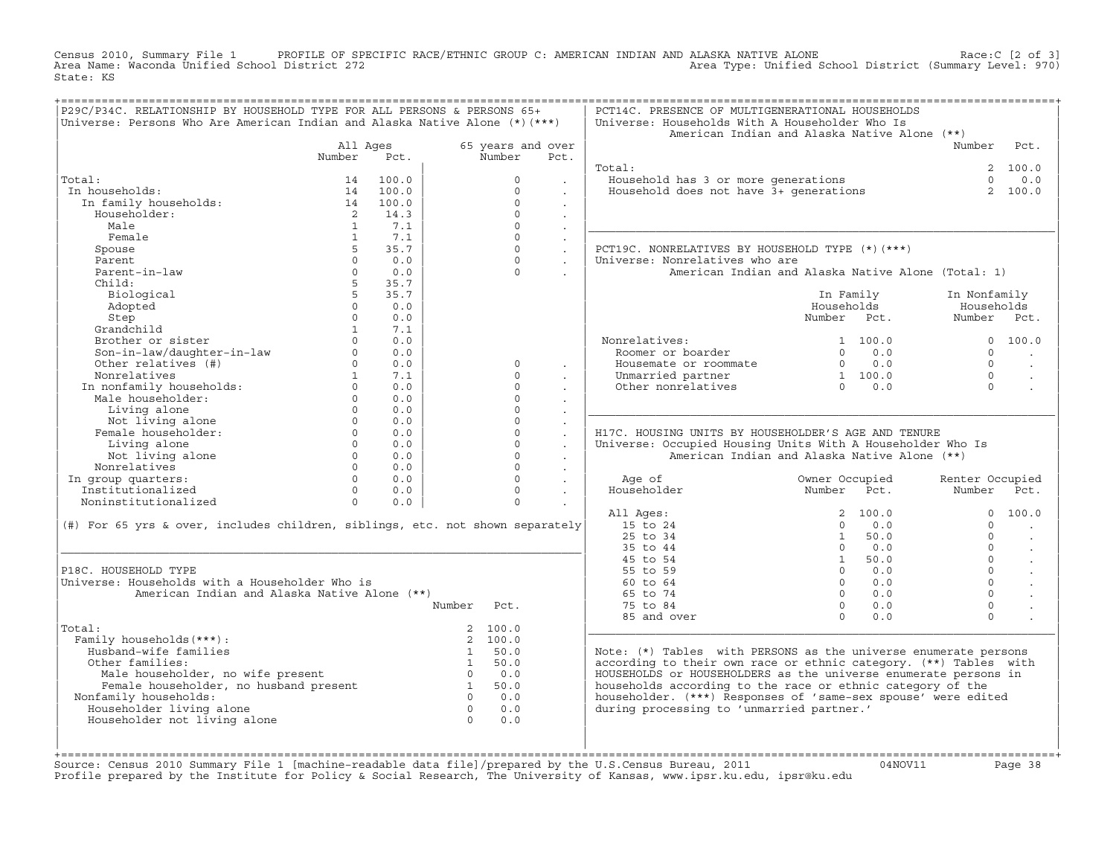Census 2010, Summary File 1 PROFILE OF SPECIFIC RACE/ETHNIC GROUP C: AMERICAN INDIAN AND ALASKA NATIVE ALONE Race:C [2 of 3]<br>Area Name: Waconda Unified School District 272 area Type: Unified School District (Summary Level: Area Type: Unified School District (Summary Level: 970) State: KS

| P29C/P34C. RELATIONSHIP BY HOUSEHOLD TYPE FOR ALL PERSONS & PERSONS 65+          |                |          |                |                   |                      | PCT14C. PRESENCE OF MULTIGENERATIONAL HOUSEHOLDS                              |                                                       |                |                 |                      |
|----------------------------------------------------------------------------------|----------------|----------|----------------|-------------------|----------------------|-------------------------------------------------------------------------------|-------------------------------------------------------|----------------|-----------------|----------------------|
| Universe: Persons Who Are American Indian and Alaska Native Alone (*) (***)      |                |          |                |                   |                      | Universe: Households With A Householder Who Is                                |                                                       |                |                 |                      |
|                                                                                  |                |          |                |                   |                      | American Indian and Alaska Native Alone (**)                                  |                                                       |                |                 |                      |
|                                                                                  | All Ages       |          |                | 65 years and over |                      |                                                                               |                                                       |                | Number          | Pct.                 |
|                                                                                  | Number         | Pct.     |                | Number            | Pct.                 |                                                                               |                                                       |                |                 |                      |
|                                                                                  |                |          |                |                   |                      | Total:                                                                        |                                                       |                |                 | 2 100.0              |
| Total:                                                                           | 14             | 100.0    |                | $\Omega$          |                      |                                                                               |                                                       |                | $\cap$          | $0.0$                |
| In households:                                                                   |                | 14 100.0 |                | $\Omega$          |                      | Jousehold has 3 or more generations<br>Household does not have 3+ generations |                                                       |                | $\overline{2}$  | 100.0                |
| In family households:                                                            | 14             | 100.0    |                | $\Omega$          | $\sim$               |                                                                               |                                                       |                |                 |                      |
| Householder:                                                                     | $\overline{2}$ | 14.3     |                | $\Omega$          | $\ddot{\phantom{0}}$ |                                                                               |                                                       |                |                 |                      |
| Male                                                                             | $\overline{1}$ | 7.1      |                | $\Omega$          |                      |                                                                               |                                                       |                |                 |                      |
| Female                                                                           | $\overline{1}$ | 7.1      |                | $\Omega$          |                      |                                                                               |                                                       |                |                 |                      |
| Spouse                                                                           | $5 -$          | 35.7     |                | $\circ$           | $\ddot{\phantom{a}}$ | PCT19C. NONRELATIVES BY HOUSEHOLD TYPE (*) (***)                              |                                                       |                |                 |                      |
| Parent                                                                           | $\Omega$       | 0.0      |                | $\Omega$          | $\ddot{\phantom{0}}$ | Universe: Nonrelatives who are                                                |                                                       |                |                 |                      |
| Parent-in-law                                                                    | $\Omega$       | 0.0      |                | $\Omega$          |                      |                                                                               |                                                       |                |                 |                      |
|                                                                                  |                |          |                |                   |                      | American Indian and Alaska Native Alone (Total: 1)                            |                                                       |                |                 |                      |
| Child:                                                                           | 5 <sup>5</sup> | 35.7     |                |                   |                      |                                                                               |                                                       |                |                 |                      |
| Biological                                                                       | 5 <sup>1</sup> | 35.7     |                |                   |                      |                                                                               |                                                       | In Family      | In Nonfamily    |                      |
| Adopted                                                                          | $\circ$        | 0.0      |                |                   |                      |                                                                               | Households                                            |                | Households      |                      |
| Step                                                                             | $\circ$        | 0.0      |                |                   |                      |                                                                               | Number Pct.                                           |                | Number Pct.     |                      |
| Grandchild                                                                       | $\mathbf{1}$   | 7.1      |                |                   |                      |                                                                               |                                                       |                |                 |                      |
| Brother or sister                                                                | $\Omega$       | 0.0      |                |                   |                      | Nonrelatives:                                                                 |                                                       | 1 100.0        |                 | 0 100.0              |
| Son-in-law/daughter-in-law                                                       | $\Omega$       | 0.0      |                |                   |                      | Roomer or boarder                                                             | $\Omega$                                              | 0.0            | $\Omega$        |                      |
| Other relatives (#)                                                              | $\Omega$       | 0.0      |                | $\Omega$          | $\sim$               | Housemate or roommate                                                         |                                                       | $0 \t 0.0$     | $\Omega$        | $\ddot{\phantom{a}}$ |
| Nonrelatives                                                                     | $\mathbf{1}$   | 7.1      |                | $\Omega$          |                      | Unmarried partner                                                             | $\begin{array}{ccc} 1 & 100.0 \\ 0 & 0.0 \end{array}$ |                | $\Omega$        |                      |
| In nonfamily households:                                                         | $\Omega$       | 0.0      |                | $\Omega$          |                      | Other nonrelatives                                                            |                                                       |                | $\Omega$        |                      |
| Male householder:                                                                | $\Omega$       | 0.0      |                | $\circ$           |                      |                                                                               |                                                       |                |                 |                      |
| Living alone                                                                     | $\Omega$       | 0.0      |                | $\Omega$          |                      |                                                                               |                                                       |                |                 |                      |
| Not living alone                                                                 | $\Omega$       | 0.0      |                | $\Omega$          | $\ddot{\phantom{a}}$ |                                                                               |                                                       |                |                 |                      |
| Female householder:                                                              | $\Omega$       | 0.0      |                | $\circ$           | $\ddot{\phantom{a}}$ | H17C. HOUSING UNITS BY HOUSEHOLDER'S AGE AND TENURE                           |                                                       |                |                 |                      |
| Living alone                                                                     | $\Omega$       | 0.0      |                | $\Omega$          | $\ddot{\phantom{a}}$ | Universe: Occupied Housing Units With A Householder Who Is                    |                                                       |                |                 |                      |
| Not living alone                                                                 | $\circ$        | 0.0      |                | $\circ$           |                      | American Indian and Alaska Native Alone (**)                                  |                                                       |                |                 |                      |
| Nonrelatives                                                                     | $\overline{0}$ | 0.0      |                | $\Omega$          | $\mathbf{r}$         |                                                                               |                                                       |                |                 |                      |
| In group quarters:                                                               | $\Omega$       | 0.0      |                | $\Omega$          | $\ddot{\phantom{a}}$ | Age of                                                                        | Owner Occupied                                        |                | Renter Occupied |                      |
| Institutionalized                                                                | $\Omega$       | 0.0      |                | $\Omega$          |                      | Householder                                                                   | Number Pct.                                           |                | Number          | Pct.                 |
| Noninstitutionalized                                                             | $\Omega$       | 0.0      |                | $\Omega$          |                      |                                                                               |                                                       |                |                 |                      |
|                                                                                  |                |          |                |                   |                      | All Ages:                                                                     |                                                       | 2 100.0        | $\Omega$        | 100.0                |
| (#) For 65 yrs & over, includes children, siblings, etc. not shown separately    |                |          |                |                   |                      | 15 to 24                                                                      | $\Omega$                                              | 0.0            | $\cap$          | $\sim$               |
|                                                                                  |                |          |                |                   |                      | 25 to 34                                                                      | 1                                                     | 50.0           | $\Omega$        | $\ddot{\phantom{a}}$ |
|                                                                                  |                |          |                |                   |                      | 35 to 44                                                                      | $\Omega$                                              | 0.0            | $\Omega$        |                      |
|                                                                                  |                |          |                |                   |                      | 45 to 54                                                                      |                                                       | 1 50.0         | $\Omega$        | $\sim$               |
| P18C. HOUSEHOLD TYPE                                                             |                |          |                |                   |                      | 55 to 59                                                                      |                                                       | $0 \qquad 0.0$ | $\Omega$        | $\ddot{\phantom{a}}$ |
| Universe: Households with a Householder Who is                                   |                |          |                |                   |                      | 60 to 64                                                                      | $\Omega$                                              | 0.0            | $\Omega$        | $\sim$               |
|                                                                                  |                |          |                |                   |                      | 65 to 74                                                                      | $\Omega$                                              | 0.0            | $\Omega$        | $\ddot{\phantom{a}}$ |
| American Indian and Alaska Native Alone (**)                                     |                |          |                |                   |                      |                                                                               |                                                       |                |                 |                      |
|                                                                                  |                |          | Number         | Pct.              |                      | 75 to 84                                                                      | $\Omega$                                              | 0.0            | $\mathbf 0$     |                      |
|                                                                                  |                |          |                |                   |                      | 85 and over                                                                   | $\cap$                                                | 0.0            | $\Omega$        |                      |
| Total:                                                                           |                |          |                | 2, 100.0          |                      |                                                                               |                                                       |                |                 |                      |
| Family households (***) :                                                        |                |          |                | 2 100.0           |                      |                                                                               |                                                       |                |                 |                      |
| Husband-wife families                                                            |                |          |                | 1 50.0            |                      | Note: (*) Tables with PERSONS as the universe enumerate persons               |                                                       |                |                 |                      |
| Other families:                                                                  |                |          |                | 1 50.0            |                      | according to their own race or ethnic category. (**) Tables with              |                                                       |                |                 |                      |
| Male householder, no wife present<br>Female householder, no husband present<br>1 |                |          |                | $0 \qquad 0.0$    |                      | HOUSEHOLDS or HOUSEHOLDERS as the universe enumerate persons in               |                                                       |                |                 |                      |
|                                                                                  |                |          |                | 50.0              |                      | households according to the race or ethnic category of the                    |                                                       |                |                 |                      |
| Nonfamily households:                                                            |                |          |                | $0 \qquad 0.0$    |                      | householder. (***) Responses of 'same-sex spouse' were edited                 |                                                       |                |                 |                      |
| Householder living alone                                                         |                |          | $\overline{0}$ | 0.0               |                      | during processing to 'unmarried partner.'                                     |                                                       |                |                 |                      |
| Householder not living alone                                                     |                |          | $\overline{0}$ | 0.0               |                      |                                                                               |                                                       |                |                 |                      |
|                                                                                  |                |          |                |                   |                      |                                                                               |                                                       |                |                 |                      |
|                                                                                  |                |          |                |                   |                      |                                                                               |                                                       |                |                 |                      |
|                                                                                  |                |          |                |                   |                      |                                                                               |                                                       |                |                 |                      |

+===================================================================================================================================================+Source: Census 2010 Summary File 1 [machine−readable data file]/prepared by the U.S.Census Bureau, 2011 04NOV11 Page 38 Profile prepared by the Institute for Policy & Social Research, The University of Kansas, www.ipsr.ku.edu, ipsr@ku.edu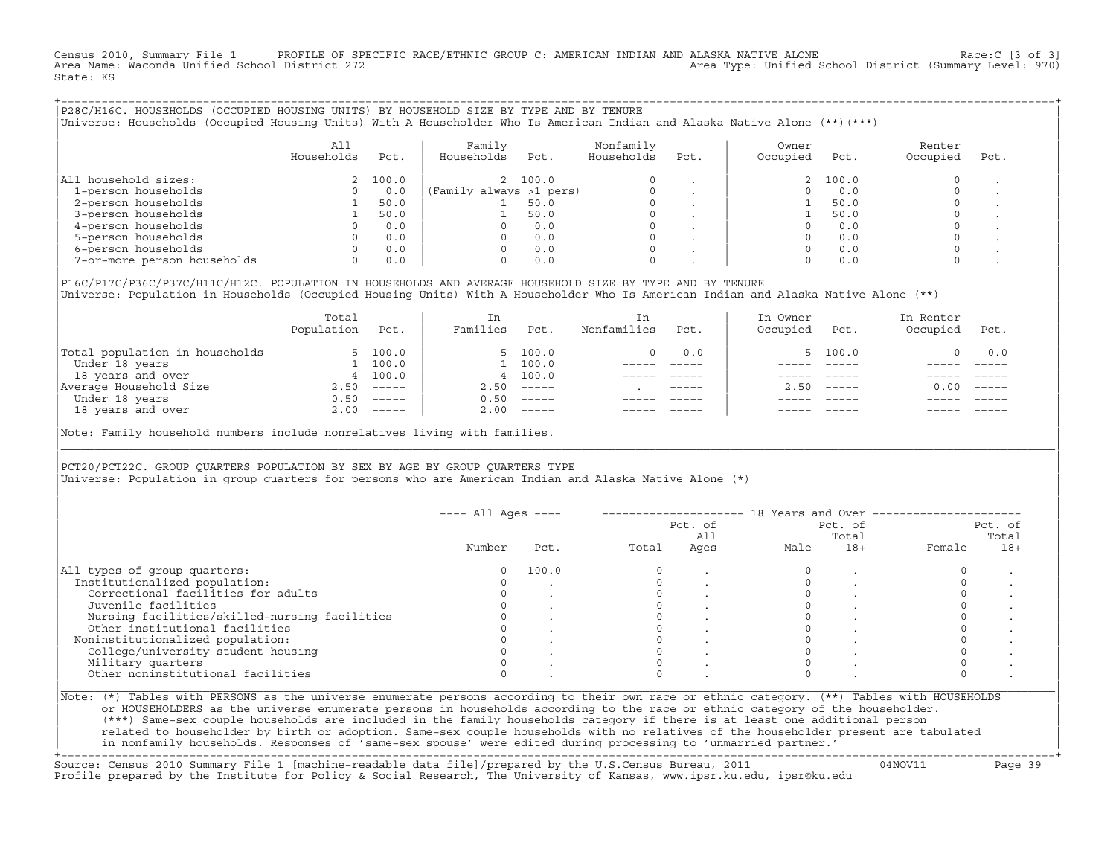Census 2010, Summary File 1 PROFILE OF SPECIFIC RACE/ETHNIC GROUP C: AMERICAN INDIAN AND ALASKA NATIVE ALONE Race:C [3 of 3]<br>Area Name: Waconda Unified School District 272 Area Type: Unified School District (Summary Level: 970) State: KS

+===================================================================================================================================================+|P28C/H16C. HOUSEHOLDS (OCCUPIED HOUSING UNITS) BY HOUSEHOLD SIZE BY TYPE AND BY TENURE | |Universe: Households (Occupied Housing Units) With A Householder Who Is American Indian and Alaska Native Alone (\*\*)(\*\*\*) |

|                             | All<br>Households | Pct.    | Family<br>Households    | Pct.    | Nonfamily<br>Households | Pct.    | Owner<br>Occupied | Pct.     | Renter<br>Occupied | Pct. |
|-----------------------------|-------------------|---------|-------------------------|---------|-------------------------|---------|-------------------|----------|--------------------|------|
| household sizes:<br>All     |                   | 2 100.0 |                         | 2 100.0 | $\Omega$                |         |                   | 2, 100.0 |                    |      |
| 1-person households         |                   | 0.0     | (Family always >1 pers) |         |                         |         |                   | 0.0      |                    |      |
| 2-person households         |                   | 50.0    |                         | 50.0    | $\Omega$                |         |                   | 50.0     |                    |      |
| 3-person households         |                   | 50.0    |                         | 50.0    | $\mathbf 0$             | $\cdot$ |                   | 50.0     |                    |      |
| 4-person households         |                   | 0.0     |                         | 0.0     | $\Omega$                | $\cdot$ |                   | 0.0      |                    |      |
| 5-person households         |                   | 0.0     |                         | 0.0     | $\Omega$                |         |                   | 0.0      |                    |      |
| 6-person households         |                   | 0.0     |                         | 0.0     | $\Omega$                |         |                   | 0.0      |                    |      |
| 7-or-more person households |                   | 0.0     |                         | 0.0     | $\mathbf 0$             |         |                   | 0.0      |                    |      |

|P16C/P17C/P36C/P37C/H11C/H12C. POPULATION IN HOUSEHOLDS AND AVERAGE HOUSEHOLD SIZE BY TYPE AND BY TENURE | Universe: Population in Households (Occupied Housing Units) With A Householder Who Is American Indian and Alaska Native Alone (\*\*)

|                                | Total<br>Population | Pct.         | In<br>Families | Pct.     | In<br>Nonfamilies | Pct.        | In Owner<br>Occupied | Pct.          | In Renter<br>Occupied | Pct.        |
|--------------------------------|---------------------|--------------|----------------|----------|-------------------|-------------|----------------------|---------------|-----------------------|-------------|
| Total population in households |                     | 100.0        |                | 5, 100.0 |                   | 0.0         |                      | 5, 100.0      |                       | 0.0         |
| Under 18 years                 |                     | 100.0        |                | 1 100.0  |                   |             |                      |               |                       |             |
| 18 years and over              |                     | 4 100.0      |                | 4 100.0  |                   |             |                      |               |                       |             |
| Average Household Size         | 2.50                | $------$     | 2.50           |          |                   | $- - - - -$ | 2.50                 | $- - - - - -$ | 0.00                  | $------$    |
| Under 18 years                 | 0.50                | $------$     | 0.50           | $------$ |                   |             |                      |               |                       |             |
| 18 years and over              |                     | $2.00$ ----- | 2.00           | $------$ |                   |             |                      |               |                       | $- - - - -$ |
|                                |                     |              |                |          |                   |             |                      |               |                       |             |

Note: Family household numbers include nonrelatives living with families.

| | PCT20/PCT22C. GROUP OUARTERS POPULATION BY SEX BY AGE BY GROUP OUARTERS TYPE Universe: Population in group quarters for persons who are American Indian and Alaska Native Alone (\*)

|                                               |        |       |       | Pct. of<br>All |      | Pct. of<br>Total |        | Pct. of<br>Total |
|-----------------------------------------------|--------|-------|-------|----------------|------|------------------|--------|------------------|
|                                               | Number | Pct.  | Total | Ages           | Male | $18+$            | Female | $18+$            |
| All types of group quarters:                  |        | 100.0 |       |                |      |                  |        |                  |
| Institutionalized population:                 |        |       |       |                |      |                  |        |                  |
| Correctional facilities for adults            |        |       |       |                |      |                  |        |                  |
| Juvenile facilities                           |        |       |       |                |      |                  |        |                  |
| Nursing facilities/skilled-nursing facilities |        |       |       |                |      |                  |        |                  |
| Other institutional facilities                |        |       |       |                |      |                  |        |                  |
| Noninstitutionalized population:              |        |       |       |                |      |                  |        |                  |
| College/university student housing            |        |       |       |                |      |                  |        |                  |
| Military quarters                             |        |       |       |                |      |                  |        |                  |
| Other noninstitutional facilities             |        |       |       |                |      |                  |        |                  |

|\_\_\_\_\_\_\_\_\_\_\_\_\_\_\_\_\_\_\_\_\_\_\_\_\_\_\_\_\_\_\_\_\_\_\_\_\_\_\_\_\_\_\_\_\_\_\_\_\_\_\_\_\_\_\_\_\_\_\_\_\_\_\_\_\_\_\_\_\_\_\_\_\_\_\_\_\_\_\_\_\_\_\_\_\_\_\_\_\_\_\_\_\_\_\_\_\_\_\_\_\_\_\_\_\_\_\_\_\_\_\_\_\_\_\_\_\_\_\_\_\_\_\_\_\_\_\_\_\_\_\_\_\_\_\_\_\_\_\_\_\_\_\_\_\_\_\_|

| |

or HOUSEHOLDERS as the universe enumerate persons in households according to the race or ethnic category of the householder. | (\*\*\*) Same−sex couple households are included in the family households category if there is at least one additional person | | related to householder by birth or adoption. Same−sex couple households with no relatives of the householder present are tabulated | | in nonfamily households. Responses of 'same−sex spouse' were edited during processing to 'unmarried partner.' |

+===================================================================================================================================================+ Source: Census 2010 Summary File 1 [machine−readable data file]/prepared by the U.S.Census Bureau, 2011 04NOV11 Page 39 Profile prepared by the Institute for Policy & Social Research, The University of Kansas, www.ipsr.ku.edu, ipsr@ku.edu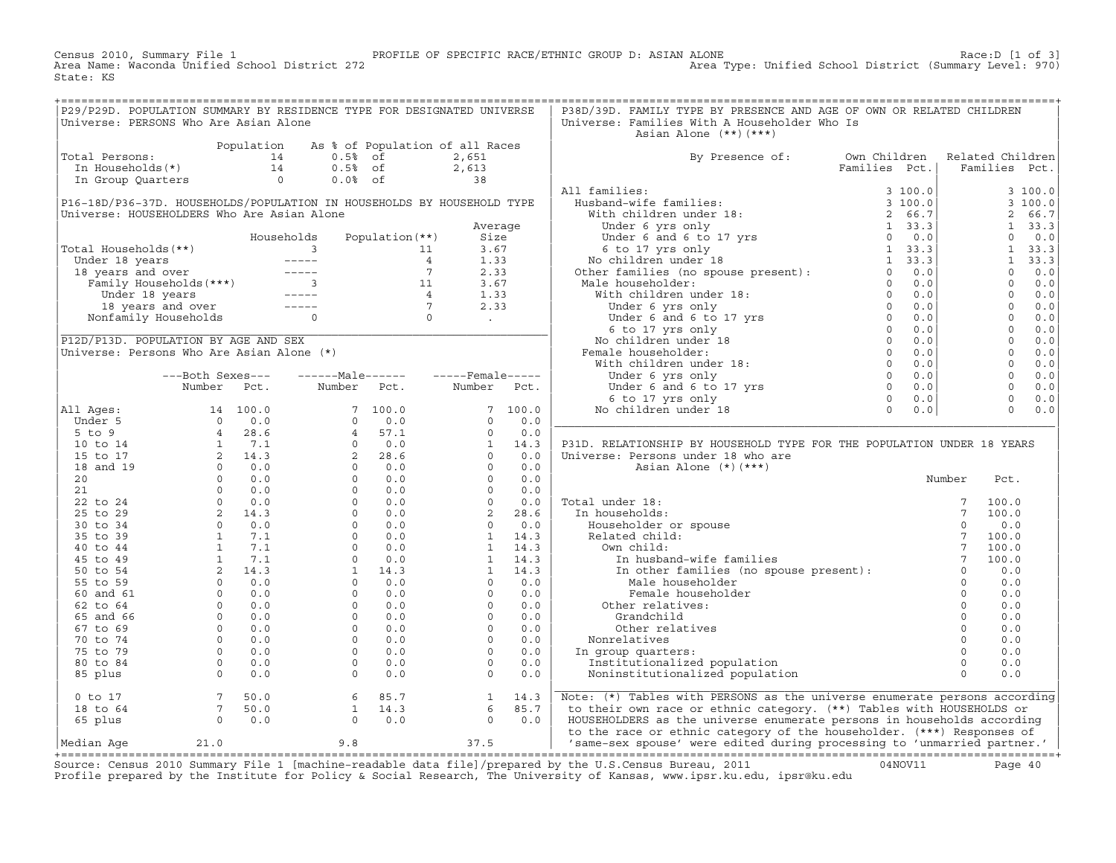Census 2010, Summary File 1 PROFILE OF SPECIFIC RACE/ETHNIC GROUP D: ASIAN ALONE Race:D [1 of 3]<br>Area Name: Waconda Unified School District 272 Area Type: Unified School District (Summary Level: 970) Area Type: Unified School District (Summary Level: 970) State: KS

| P29/P29D. POPULATION SUMMARY BY RESIDENCE TYPE FOR DESIGNATED UNIVERSE                                                                                                                                                                                  |  |  |  | P38D/39D. FAMILY TYPE BY PRESENCE AND AGE OF OWN OR RELATED CHILDREN           |  |  |
|---------------------------------------------------------------------------------------------------------------------------------------------------------------------------------------------------------------------------------------------------------|--|--|--|--------------------------------------------------------------------------------|--|--|
| Universe: PERSONS Who Are Asian Alone                                                                                                                                                                                                                   |  |  |  | Universe: Families With A Householder Who Is                                   |  |  |
|                                                                                                                                                                                                                                                         |  |  |  | Asian Alone (**)(***)                                                          |  |  |
| Total Persons:<br>Total Persons:<br>The Households (*)<br>The Museholds (*)<br>The Museholds (*)<br>The Museholds (*)<br>The Museholds (*)<br>The Museholds (*)<br>The Museholds (*)<br>The Museholds (*)<br>The Museholds (*)<br>The Museholds (*)<br> |  |  |  |                                                                                |  |  |
|                                                                                                                                                                                                                                                         |  |  |  | By Presence of: Own Children Related Children<br>Families Pct.   Families Pct. |  |  |
|                                                                                                                                                                                                                                                         |  |  |  |                                                                                |  |  |
|                                                                                                                                                                                                                                                         |  |  |  |                                                                                |  |  |
|                                                                                                                                                                                                                                                         |  |  |  |                                                                                |  |  |
|                                                                                                                                                                                                                                                         |  |  |  |                                                                                |  |  |
|                                                                                                                                                                                                                                                         |  |  |  |                                                                                |  |  |
|                                                                                                                                                                                                                                                         |  |  |  |                                                                                |  |  |
|                                                                                                                                                                                                                                                         |  |  |  |                                                                                |  |  |
|                                                                                                                                                                                                                                                         |  |  |  |                                                                                |  |  |
|                                                                                                                                                                                                                                                         |  |  |  |                                                                                |  |  |
|                                                                                                                                                                                                                                                         |  |  |  |                                                                                |  |  |
|                                                                                                                                                                                                                                                         |  |  |  |                                                                                |  |  |
|                                                                                                                                                                                                                                                         |  |  |  |                                                                                |  |  |
|                                                                                                                                                                                                                                                         |  |  |  |                                                                                |  |  |
|                                                                                                                                                                                                                                                         |  |  |  |                                                                                |  |  |
|                                                                                                                                                                                                                                                         |  |  |  |                                                                                |  |  |
|                                                                                                                                                                                                                                                         |  |  |  |                                                                                |  |  |
|                                                                                                                                                                                                                                                         |  |  |  |                                                                                |  |  |
|                                                                                                                                                                                                                                                         |  |  |  |                                                                                |  |  |
|                                                                                                                                                                                                                                                         |  |  |  |                                                                                |  |  |
|                                                                                                                                                                                                                                                         |  |  |  |                                                                                |  |  |
|                                                                                                                                                                                                                                                         |  |  |  |                                                                                |  |  |
|                                                                                                                                                                                                                                                         |  |  |  |                                                                                |  |  |
|                                                                                                                                                                                                                                                         |  |  |  |                                                                                |  |  |
|                                                                                                                                                                                                                                                         |  |  |  | P31D. RELATIONSHIP BY HOUSEHOLD TYPE FOR THE POPULATION UNDER 18 YEARS         |  |  |
|                                                                                                                                                                                                                                                         |  |  |  |                                                                                |  |  |
|                                                                                                                                                                                                                                                         |  |  |  |                                                                                |  |  |
|                                                                                                                                                                                                                                                         |  |  |  |                                                                                |  |  |
|                                                                                                                                                                                                                                                         |  |  |  |                                                                                |  |  |
|                                                                                                                                                                                                                                                         |  |  |  |                                                                                |  |  |
|                                                                                                                                                                                                                                                         |  |  |  |                                                                                |  |  |
|                                                                                                                                                                                                                                                         |  |  |  |                                                                                |  |  |
|                                                                                                                                                                                                                                                         |  |  |  |                                                                                |  |  |
|                                                                                                                                                                                                                                                         |  |  |  |                                                                                |  |  |
|                                                                                                                                                                                                                                                         |  |  |  |                                                                                |  |  |
|                                                                                                                                                                                                                                                         |  |  |  |                                                                                |  |  |
|                                                                                                                                                                                                                                                         |  |  |  |                                                                                |  |  |
|                                                                                                                                                                                                                                                         |  |  |  |                                                                                |  |  |
|                                                                                                                                                                                                                                                         |  |  |  |                                                                                |  |  |
|                                                                                                                                                                                                                                                         |  |  |  |                                                                                |  |  |
|                                                                                                                                                                                                                                                         |  |  |  |                                                                                |  |  |
|                                                                                                                                                                                                                                                         |  |  |  |                                                                                |  |  |
|                                                                                                                                                                                                                                                         |  |  |  |                                                                                |  |  |
|                                                                                                                                                                                                                                                         |  |  |  |                                                                                |  |  |
|                                                                                                                                                                                                                                                         |  |  |  |                                                                                |  |  |
|                                                                                                                                                                                                                                                         |  |  |  |                                                                                |  |  |
|                                                                                                                                                                                                                                                         |  |  |  |                                                                                |  |  |
|                                                                                                                                                                                                                                                         |  |  |  |                                                                                |  |  |
|                                                                                                                                                                                                                                                         |  |  |  |                                                                                |  |  |
|                                                                                                                                                                                                                                                         |  |  |  |                                                                                |  |  |
|                                                                                                                                                                                                                                                         |  |  |  |                                                                                |  |  |

Source: Census 2010 Summary File 1 [machine-readable data file]/prepared by the U.S.Census Bureau, 2011 Page 40<br>Profile prepared by the Institute for Policy & Social Research, The University of Kansas, www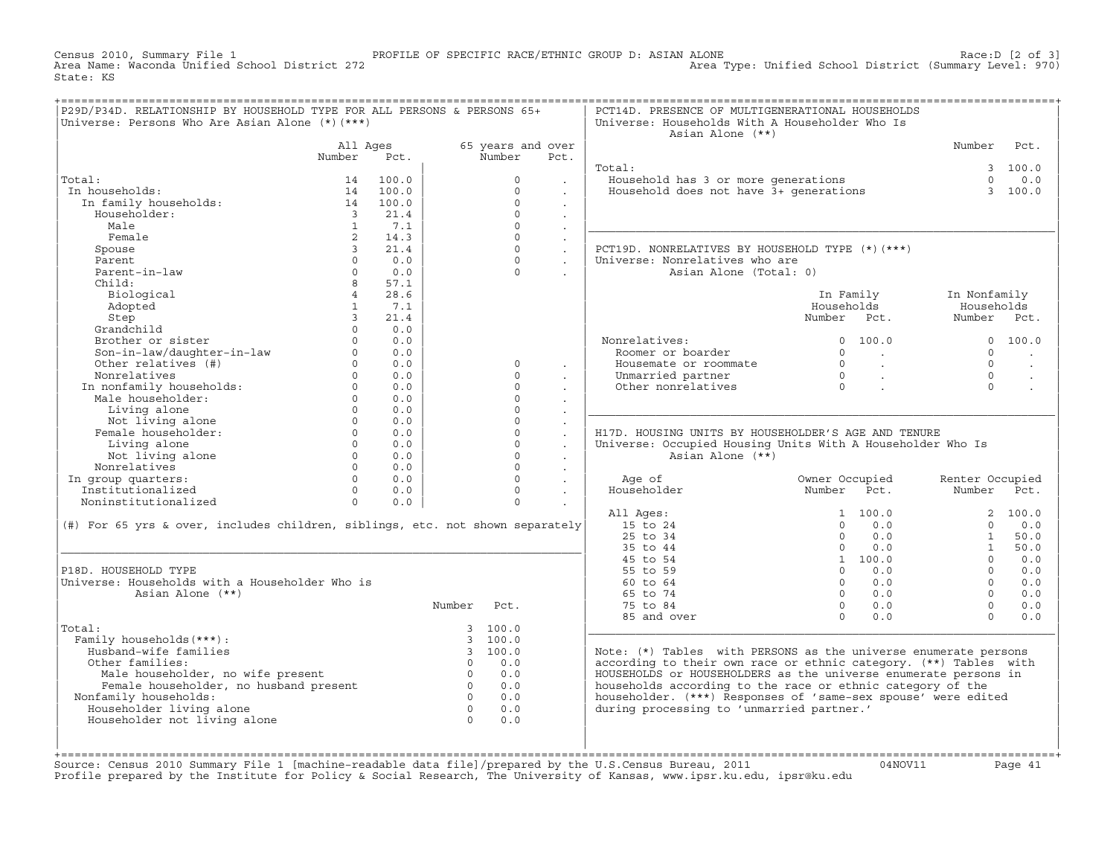Census 2010, Summary File 1 PROFILE OF SPECIFIC RACE/ETHNIC GROUP D: ASIAN ALONE Race:D [2 of 3] Area Type: Unified School District (Summary Level: 970) State: KS

| P29D/P34D. RELATIONSHIP BY HOUSEHOLD TYPE FOR ALL PERSONS & PERSONS 65+<br>Universe: Persons Who Are Asian Alone (*) (***) |                         |                          |                |                   |                      | PCT14D. PRESENCE OF MULTIGENERATIONAL HOUSEHOLDS<br>Universe: Households With A Householder Who Is<br>Asian Alone (**) |                                  |                          |                 |          |
|----------------------------------------------------------------------------------------------------------------------------|-------------------------|--------------------------|----------------|-------------------|----------------------|------------------------------------------------------------------------------------------------------------------------|----------------------------------|--------------------------|-----------------|----------|
|                                                                                                                            | All Ages                |                          |                | 65 years and over |                      |                                                                                                                        |                                  |                          | Number          | Pct.     |
|                                                                                                                            | Number                  | Pct.                     |                | Number            | Pct.                 |                                                                                                                        |                                  |                          |                 |          |
|                                                                                                                            |                         |                          |                |                   |                      | Total:                                                                                                                 |                                  |                          |                 | 3, 100.0 |
| Total:                                                                                                                     | 14                      | 100.0                    |                | $\Omega$          |                      | Household has 3 or more generations<br>Household does not have 3+ generations                                          |                                  |                          | $\Omega$        | 0.0      |
| In households:                                                                                                             |                         | 14 100.0                 |                | $\Omega$          |                      |                                                                                                                        |                                  |                          |                 | 3 100.0  |
| In family households:                                                                                                      |                         | 14 100.0                 |                | $\Omega$          | $\sim$               |                                                                                                                        |                                  |                          |                 |          |
| Householder:                                                                                                               | $\overline{\mathbf{3}}$ | 21.4                     |                | $\Omega$          | $\mathbf{r}$         |                                                                                                                        |                                  |                          |                 |          |
| Male                                                                                                                       | $\mathbf{1}$            | 7.1                      |                | $\Omega$          | $\ddot{\phantom{a}}$ |                                                                                                                        |                                  |                          |                 |          |
| Female                                                                                                                     | 2                       | 14.3                     |                | $\Omega$          | $\ddot{\phantom{a}}$ |                                                                                                                        |                                  |                          |                 |          |
| Spouse                                                                                                                     | $\overline{3}$          | 21.4                     |                | $\Omega$          | $\ddot{\phantom{0}}$ | PCT19D. NONRELATIVES BY HOUSEHOLD TYPE (*)(***)                                                                        |                                  |                          |                 |          |
| Parent                                                                                                                     | $\Omega$                | 0.0                      |                | $\cap$            |                      | Universe: Nonrelatives who are                                                                                         |                                  |                          |                 |          |
| Parent-in-law                                                                                                              | $\Omega$                | 0.0                      |                | $\cap$            |                      | Asian Alone (Total: 0)                                                                                                 |                                  |                          |                 |          |
| Child:                                                                                                                     | 8                       | 57.1                     |                |                   |                      |                                                                                                                        |                                  |                          |                 |          |
| Biological                                                                                                                 | 4                       | 28.6                     |                |                   |                      |                                                                                                                        |                                  | In Family                | In Nonfamily    |          |
| Adopted                                                                                                                    | $\mathbf{1}$            | 7.1                      |                |                   |                      |                                                                                                                        | Households                       |                          | Households      |          |
| Step                                                                                                                       | $\overline{3}$          | 21.4                     |                |                   |                      |                                                                                                                        | Number Pct.                      |                          | Number Pct.     |          |
| Grandchild                                                                                                                 | $\Omega$                | 0.0                      |                |                   |                      |                                                                                                                        |                                  |                          |                 |          |
| Brother or sister                                                                                                          | $\Omega$                | 0.0                      |                |                   |                      | Nonrelatives:                                                                                                          |                                  | 0, 100, 0                |                 | 0 100.0  |
| Son-in-law/daughter-in-law                                                                                                 | $\Omega$                | 0.0                      |                |                   |                      | Roomer or boarder                                                                                                      | $\Omega$                         | <b>Contract Contract</b> | $\Omega$        |          |
| Other relatives (#)                                                                                                        | $0 \qquad \qquad$       | 0.0                      |                | $\Omega$          |                      | Housemate or roommate                                                                                                  | $\overline{0}$                   | $\sim 100$ km s $^{-1}$  | $\Omega$        |          |
| Nonrelatives                                                                                                               | $\Omega$                | 0.0                      |                | $\Omega$          | $\ddot{\phantom{a}}$ | Unmarried partner                                                                                                      | $\begin{matrix}0\\0\end{matrix}$ |                          | $\Omega$        |          |
| In nonfamily households:<br>Male householder:                                                                              | $\Omega$                | 0.0                      |                | $\Omega$          | $\sim$               | Other nonrelatives                                                                                                     |                                  |                          | $\Omega$        |          |
|                                                                                                                            | $\Omega$                | 0.0                      |                | $\Omega$          | $\ddot{\phantom{0}}$ |                                                                                                                        |                                  |                          |                 |          |
| Living alone                                                                                                               | $\Omega$                | 0.0                      |                | $\Omega$          | $\mathbf{r}$         |                                                                                                                        |                                  |                          |                 |          |
| Not living alone                                                                                                           | $\circ$                 | 0.0                      |                | $\Omega$          |                      |                                                                                                                        |                                  |                          |                 |          |
| Female householder:                                                                                                        | $0 \qquad \qquad$       | 0.0                      |                | $\Omega$          | $\ddot{\phantom{a}}$ | H17D. HOUSING UNITS BY HOUSEHOLDER'S AGE AND TENURE                                                                    |                                  |                          |                 |          |
| Living alone                                                                                                               |                         | $0 \qquad \qquad$<br>0.0 |                | $\mathsf{O}$      | $\mathbb{Z}^2$       | Universe: Occupied Housing Units With A Householder Who Is                                                             |                                  |                          |                 |          |
| Not living alone                                                                                                           |                         | $\Omega$<br>0.0          |                | $\Omega$          | $\ddot{\phantom{0}}$ | Asian Alone (**)                                                                                                       |                                  |                          |                 |          |
| Nonrelatives                                                                                                               |                         | $\Omega$<br>0.0          |                | $\Omega$          | $\ddot{\phantom{0}}$ |                                                                                                                        |                                  |                          |                 |          |
| In group quarters:                                                                                                         |                         | $0 \qquad \qquad$<br>0.0 |                | $\Omega$          | $\sim$               | Age of                                                                                                                 | Owner Occupied                   |                          | Renter Occupied |          |
| Institutionalized                                                                                                          | $\Omega$                | 0.0                      |                | $\cap$            | $\blacksquare$       | Householder                                                                                                            | Number                           | Pct.                     | Number          | Pct.     |
| Noninstitutionalized                                                                                                       | $\Omega$                | 0.0                      |                | $\Omega$          |                      |                                                                                                                        |                                  |                          |                 |          |
|                                                                                                                            |                         |                          |                |                   |                      | All Ages:                                                                                                              |                                  | 1, 100, 0                |                 | 2, 100.0 |
| (#) For 65 yrs & over, includes children, siblings, etc. not shown separately                                              |                         |                          |                |                   |                      | 15 to 24                                                                                                               |                                  | $0 \t 0.0$               | $\Omega$        | 0.0      |
|                                                                                                                            |                         |                          |                |                   |                      | 25 to 34                                                                                                               | $\Omega$                         | 0.0                      | $\mathbf{1}$    | 50.0     |
|                                                                                                                            |                         |                          |                |                   |                      | 35 to 44                                                                                                               | $\Omega$                         | 0.0                      | 1               | 50.0     |
|                                                                                                                            |                         |                          |                |                   |                      | 45 to 54                                                                                                               |                                  | 1 100.0                  | $\Omega$        | 0.0      |
| P18D. HOUSEHOLD TYPE                                                                                                       |                         |                          |                |                   |                      | 55 to 59                                                                                                               |                                  | $0 \t 0.0$               | $\Omega$        | 0.0      |
| Universe: Households with a Householder Who is                                                                             |                         |                          |                |                   |                      | 60 to 64                                                                                                               |                                  | $0 \t 0.0$               | $\Omega$        | 0.0      |
| Asian Alone (**)                                                                                                           |                         |                          |                |                   |                      | 65 to 74                                                                                                               |                                  | $0 \t 0.0$               | $\Omega$        | 0.0      |
|                                                                                                                            |                         |                          | Number         | Pct.              |                      | 75 to 84                                                                                                               |                                  | $0 \t 0.0$               | $\cap$          | 0.0      |
|                                                                                                                            |                         |                          |                |                   |                      | 85 and over                                                                                                            |                                  | $0 \t 0.0$               | $\Omega$        | 0.0      |
| Total:                                                                                                                     |                         |                          |                | 3, 100.0          |                      |                                                                                                                        |                                  |                          |                 |          |
| Family households (***) :                                                                                                  |                         |                          |                | 3, 100.0          |                      |                                                                                                                        |                                  |                          |                 |          |
| Husband-wife families                                                                                                      |                         |                          |                | 3 100.0           |                      | Note: $(*)$ Tables with PERSONS as the universe enumerate persons                                                      |                                  |                          |                 |          |
| Other families:                                                                                                            |                         |                          |                | $0 \qquad 0.0$    |                      | according to their own race or ethnic category. (**) Tables with                                                       |                                  |                          |                 |          |
| Male householder, no wife present                                                                                          |                         |                          | $\overline{0}$ | 0.0               |                      | HOUSEHOLDS or HOUSEHOLDERS as the universe enumerate persons in                                                        |                                  |                          |                 |          |
| Male householder, no wife present<br>Female householder, no husband present                                                |                         |                          | $\overline{0}$ | 0.0               |                      | households according to the race or ethnic category of the                                                             |                                  |                          |                 |          |
| Nonfamily households:                                                                                                      |                         |                          | $\overline{0}$ | 0.0               |                      | householder. (***) Responses of 'same-sex spouse' were edited                                                          |                                  |                          |                 |          |
| Householder living alone                                                                                                   |                         |                          | $\overline{0}$ | 0.0               |                      | during processing to 'unmarried partner.'                                                                              |                                  |                          |                 |          |
|                                                                                                                            |                         |                          | $\bigcap$      | 0.0               |                      |                                                                                                                        |                                  |                          |                 |          |
| Householder not living alone                                                                                               |                         |                          |                |                   |                      |                                                                                                                        |                                  |                          |                 |          |
|                                                                                                                            |                         |                          |                |                   |                      |                                                                                                                        |                                  |                          |                 |          |

Source: Census 2010 Summary File 1 [machine-readable data file]/prepared by the U.S.Census Bureau, 2011 Page 41<br>Profile prepared by the Institute for Policy & Social Research, The University of Kansas, www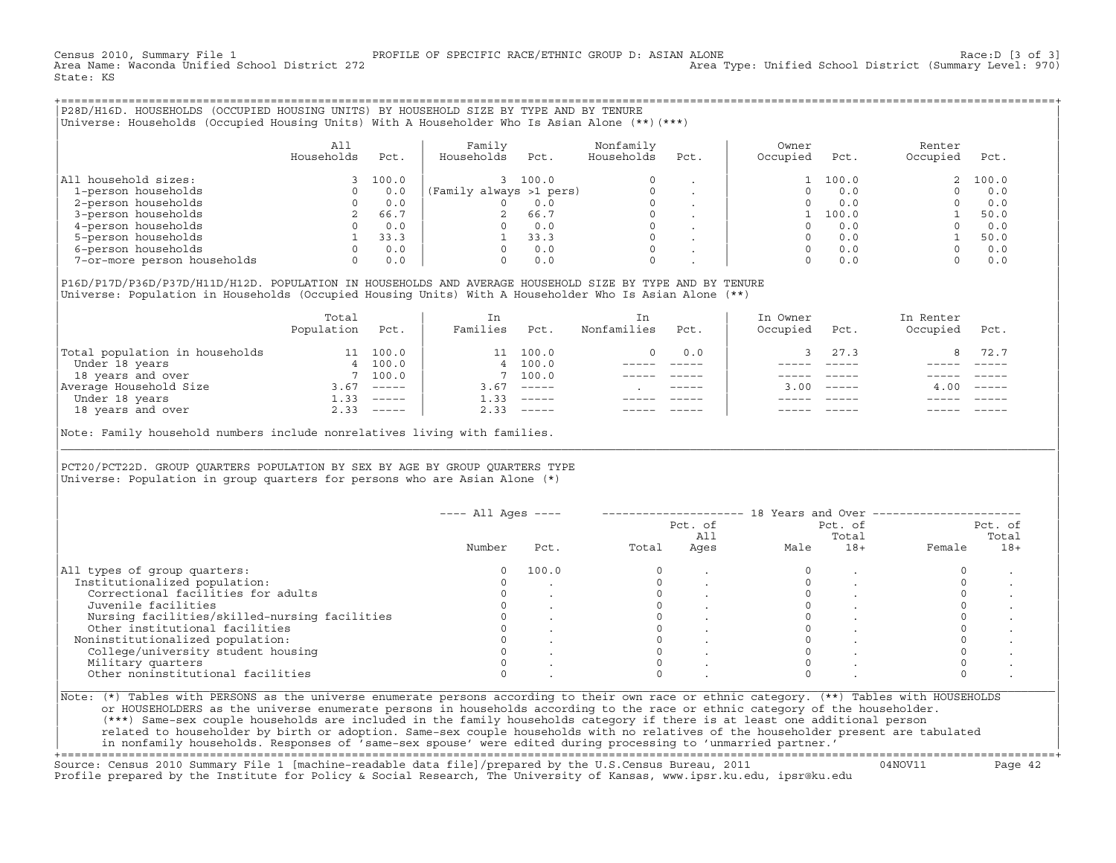Census 2010, Summary File 1 [3 of 3] PROFILE OF SPECIFIC RACE/ETHNIC GROUP D: ASIAN ALONE RACE: D [3 of 3]<br>Area Name: Waconda Unified School District 272 area Type: Unified School District (Summary Level: 970) Area Type: Unified School District (Summary Level: 970) State: KS

+===================================================================================================================================================+|P28D/H16D. HOUSEHOLDS (OCCUPIED HOUSING UNITS) BY HOUSEHOLD SIZE BY TYPE AND BY TENURE |

|Universe: Households (Occupied Housing Units) With A Householder Who Is Asian Alone (\*\*)(\*\*\*) |

|                             | A11<br>Households | Pct.  | Family<br>Households    | Pct.  | Nonfamily<br>Households | Pct.                     | Owner<br>Occupied | Pct.  | Renter<br>Occupied | Pct.  |
|-----------------------------|-------------------|-------|-------------------------|-------|-------------------------|--------------------------|-------------------|-------|--------------------|-------|
| All household sizes:        |                   | 100.0 |                         | 100.0 | $\Omega$                |                          |                   | 100.0 |                    | 100.0 |
| 1-person households         |                   | 0.0   | (Family always >1 pers) |       |                         |                          |                   | 0.0   |                    | 0.0   |
| 2-person households         |                   | 0.0   |                         | 0.0   | 0                       |                          |                   | 0.0   |                    | 0.0   |
| 3-person households         |                   | 66.7  | 2                       | 66.7  | 0                       | $\overline{\phantom{a}}$ |                   | 100.0 |                    | 50.0  |
| 4-person households         |                   | 0.0   |                         | 0.0   | 0                       |                          |                   | 0.0   |                    | 0.0   |
| 5-person households         |                   | 33.3  |                         | 33.3  | $\Omega$                |                          |                   | 0.0   |                    | 50.0  |
| 6-person households         |                   | 0.0   |                         | 0.0   | $\Omega$                |                          |                   | 0.0   |                    | 0.0   |
| 7-or-more person households | 0                 | 0.0   |                         | 0.0   | 0                       |                          |                   | 0.0   |                    | 0.0   |

|P16D/P17D/P36D/P37D/H11D/H12D. POPULATION IN HOUSEHOLDS AND AVERAGE HOUSEHOLD SIZE BY TYPE AND BY TENURE | Universe: Population in Households (Occupied Housing Units) With A Householder Who Is Asian Alone (\*\*)

|                                | Total<br>Population | Pct.         | In<br>Families | Pct.     | In.<br>Nonfamilies | Pct.        | In Owner<br>Occupied | Pct.         | In Renter<br>Occupied | Pct.                      |
|--------------------------------|---------------------|--------------|----------------|----------|--------------------|-------------|----------------------|--------------|-----------------------|---------------------------|
| Total population in households | 11                  | 100.0        |                | 11 100.0 |                    | 0.0         |                      | 27.3         | 8.                    | 72.7                      |
| Under 18 years                 |                     | 4 100.0      |                | 4 100.0  |                    |             |                      |              |                       |                           |
| 18 years and over              |                     | 7 100.0      |                | 100.0    |                    |             |                      |              |                       |                           |
| Average Household Size         | 3.67                | $------$     | 3.67           | $------$ |                    | $- - - - -$ |                      | $3.00$ ----- | 4.00                  | $\qquad \qquad - - - - -$ |
| Under 18 years                 | 1.33                | $------$     | 1.33           | $------$ |                    |             |                      |              |                       |                           |
| 18 years and over              |                     | $2.33$ ----- | 2.33           |          |                    |             |                      | $- - - - -$  |                       | $------$                  |
|                                |                     |              |                |          |                    |             |                      |              |                       |                           |

Note: Family household numbers include nonrelatives living with families.

| | PCT20/PCT22D. GROUP OUARTERS POPULATION BY SEX BY AGE BY GROUP OUARTERS TYPE Universe: Population in group quarters for persons who are Asian Alone  $(*)$ 

|                                               |        |       |       | Pct. of<br>All |      | Pct. of<br>Total | Pct. of<br>Total |       |
|-----------------------------------------------|--------|-------|-------|----------------|------|------------------|------------------|-------|
|                                               | Number | Pct.  | Total | Ages           | Male | $18+$            | Female           | $18+$ |
| All types of group quarters:                  | 0      | 100.0 |       |                |      |                  |                  |       |
| Institutionalized population:                 |        |       |       |                |      |                  |                  |       |
| Correctional facilities for adults            |        |       |       |                |      |                  |                  |       |
| Juvenile facilities                           |        |       |       |                |      |                  |                  |       |
| Nursing facilities/skilled-nursing facilities |        |       |       |                |      |                  |                  |       |
| Other institutional facilities                |        |       |       |                |      |                  |                  |       |
| Noninstitutionalized population:              |        |       |       |                |      |                  |                  |       |
| College/university student housing            |        |       |       |                |      |                  |                  |       |
| Military quarters                             |        |       |       |                |      |                  |                  |       |
| Other noninstitutional facilities             |        |       |       |                |      |                  |                  |       |

|\_\_\_\_\_\_\_\_\_\_\_\_\_\_\_\_\_\_\_\_\_\_\_\_\_\_\_\_\_\_\_\_\_\_\_\_\_\_\_\_\_\_\_\_\_\_\_\_\_\_\_\_\_\_\_\_\_\_\_\_\_\_\_\_\_\_\_\_\_\_\_\_\_\_\_\_\_\_\_\_\_\_\_\_\_\_\_\_\_\_\_\_\_\_\_\_\_\_\_\_\_\_\_\_\_\_\_\_\_\_\_\_\_\_\_\_\_\_\_\_\_\_\_\_\_\_\_\_\_\_\_\_\_\_\_\_\_\_\_\_\_\_\_\_\_\_\_|

| |

| or HOUSEHOLDERS as the universe enumerate persons in households according to the race or ethnic category of the householder. | | (\*\*\*) Same−sex couple households are included in the family households category if there is at least one additional person | | related to householder by birth or adoption. Same−sex couple households with no relatives of the householder present are tabulated | | in nonfamily households. Responses of 'same−sex spouse' were edited during processing to 'unmarried partner.' |

+===================================================================================================================================================+ Source: Census 2010 Summary File 1 [machine−readable data file]/prepared by the U.S.Census Bureau, 2011 04NOV11 Page 42 Profile prepared by the Institute for Policy & Social Research, The University of Kansas, www.ipsr.ku.edu, ipsr@ku.edu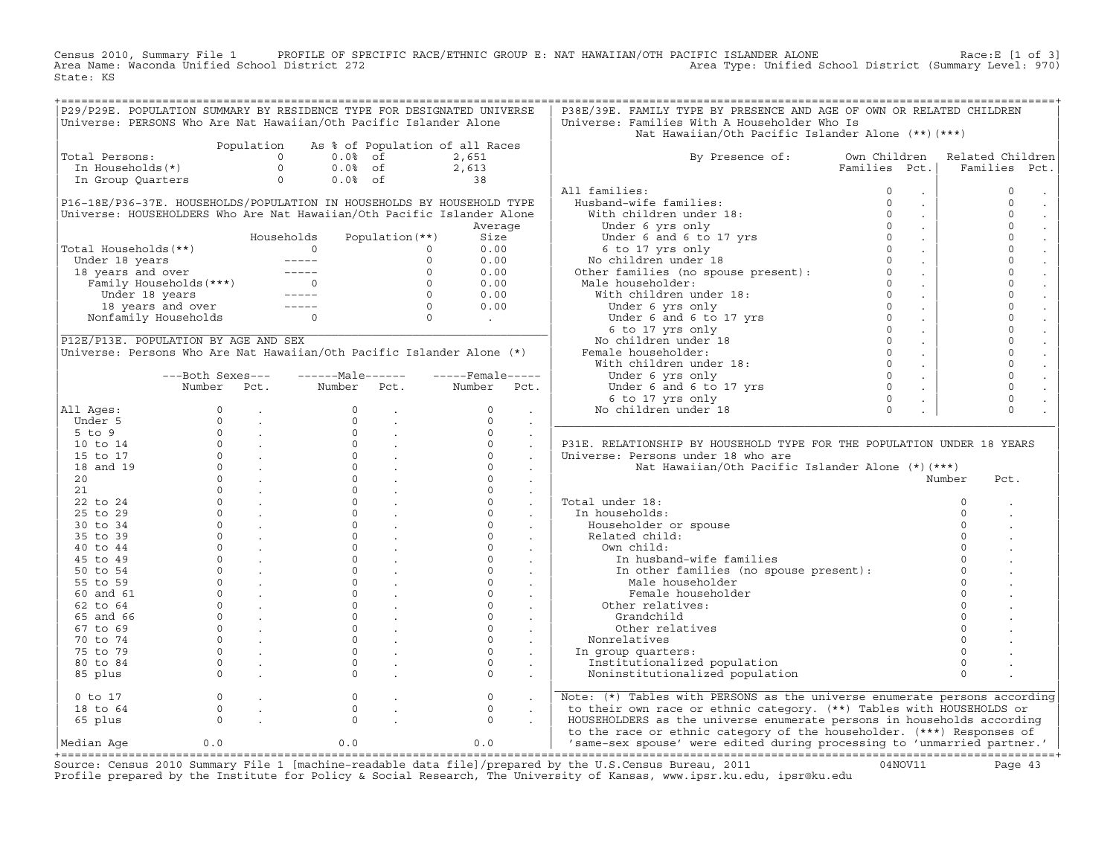Census 2010, Summary File 1 PROFILE OF SPECIFIC RACE/ETHNIC GROUP E: NAT HAWAIIAN/OTH PACIFIC ISLANDER ALONE Race:E [1 of 3]<br>Area Name: Waconda Unified School District 272 State: KS

| Universe: PERSONS Who Are Nat Hawaiian/Oth Pacific Islander Alone     |                                                                                                                                                        |            |                   |                                                                         | P29/P29E. POPULATION SUMMARY BY RESIDENCE TYPE FOR DESIGNATED UNIVERSE | P38E/39E. FAMILY TYPE BY PRESENCE AND AGE OF OWN OR RELATED CHILDREN<br>Universe: Families With A Householder Who Is                                                                                                                                     |                       |                  |
|-----------------------------------------------------------------------|--------------------------------------------------------------------------------------------------------------------------------------------------------|------------|-------------------|-------------------------------------------------------------------------|------------------------------------------------------------------------|----------------------------------------------------------------------------------------------------------------------------------------------------------------------------------------------------------------------------------------------------------|-----------------------|------------------|
|                                                                       |                                                                                                                                                        |            |                   |                                                                         |                                                                        | Nat Hawaiian/Oth Pacific Islander Alone (**) (***)                                                                                                                                                                                                       |                       |                  |
|                                                                       |                                                                                                                                                        | Population |                   |                                                                         | As % of Population of all Races                                        |                                                                                                                                                                                                                                                          |                       |                  |
| Total Persons:                                                        |                                                                                                                                                        | $\circ$    | $0.0%$ of         |                                                                         | 2,651                                                                  | By Presence of: Own Children                                                                                                                                                                                                                             |                       | Related Children |
| In Households(*)                                                      |                                                                                                                                                        | $\circ$    | $0.0%$ of         |                                                                         |                                                                        |                                                                                                                                                                                                                                                          | Families Pct.         | Families<br>Pct. |
| In Group Quarters                                                     |                                                                                                                                                        | $\circ$    | $0.0%$ of         | $2,613$<br>38                                                           |                                                                        |                                                                                                                                                                                                                                                          |                       |                  |
|                                                                       |                                                                                                                                                        |            |                   |                                                                         |                                                                        | All families:<br>11 families:<br>Husband-wife families:<br>With children under 18:<br>Under 6 yrs only<br>Under 6 and 6 to 17 yrs<br>6 to 17 yrs only<br>No children under 18                                                                            | $\circ$<br>$\sim$     | $\mathbf{0}$     |
|                                                                       |                                                                                                                                                        |            |                   |                                                                         | P16-18E/P36-37E. HOUSEHOLDS/POPULATION IN HOUSEHOLDS BY HOUSEHOLD TYPE |                                                                                                                                                                                                                                                          | $\circ$<br>$\sim$     | $\circ$          |
|                                                                       |                                                                                                                                                        |            |                   |                                                                         | Universe: HOUSEHOLDERS Who Are Nat Hawaiian/Oth Pacific Islander Alone |                                                                                                                                                                                                                                                          | $\Omega$<br>$\sim$    | $\circ$          |
|                                                                       |                                                                                                                                                        |            |                   |                                                                         | Average                                                                |                                                                                                                                                                                                                                                          | $\Omega$<br>$\sim$    | $\circ$          |
|                                                                       |                                                                                                                                                        | Households |                   | Population (**)                                                         | Size                                                                   |                                                                                                                                                                                                                                                          | $\Omega$<br>$\sim$    | $\mathbf 0$      |
| Total Households(**)                                                  |                                                                                                                                                        |            | $\overline{0}$    | $\circ$                                                                 | 0.00                                                                   |                                                                                                                                                                                                                                                          | $\Omega$<br>$\sim 10$ | $\mathsf{O}$     |
|                                                                       |                                                                                                                                                        |            |                   |                                                                         | 0.00                                                                   |                                                                                                                                                                                                                                                          | $\sim 100$            | $\circ$          |
|                                                                       |                                                                                                                                                        |            |                   |                                                                         | 0.00                                                                   |                                                                                                                                                                                                                                                          | $\sim 10$             | $\circ$          |
|                                                                       |                                                                                                                                                        |            |                   |                                                                         | 0.00                                                                   |                                                                                                                                                                                                                                                          | $\sim 10^6$           | $\circ$          |
|                                                                       |                                                                                                                                                        |            |                   |                                                                         | 0.00                                                                   |                                                                                                                                                                                                                                                          | $\sim 100$            | $\circ$          |
|                                                                       | Under 18 years<br>18 years and over<br>Tamily Households (***)<br>Tamily Households (***)<br>Under 18 years<br>18 years and over<br>The sears and over |            |                   |                                                                         | 0.00                                                                   | 6 to 17 yrs only<br>No children under 18<br>Other families (no spouse present):<br>0<br>Male householder:<br>With children under 18:<br>0<br>Under 6 yrs only<br>Under 6 and 6 to 17 yrs<br>6 to 17 yrs<br>0<br>6 to 17 yrs<br>0<br>No children under 18 | $\sim 100$            | $\circ$          |
|                                                                       | Nonfamily Households 0                                                                                                                                 |            |                   |                                                                         | <b>Contract Contract</b>                                               |                                                                                                                                                                                                                                                          | $\sim$                | $\mathbf 0$      |
|                                                                       |                                                                                                                                                        |            |                   |                                                                         |                                                                        |                                                                                                                                                                                                                                                          | $\sim 10$             | $\circ$          |
| P12E/P13E. POPULATION BY AGE AND SEX                                  |                                                                                                                                                        |            |                   |                                                                         |                                                                        |                                                                                                                                                                                                                                                          | $\sim$                | $\circ$          |
| Universe: Persons Who Are Nat Hawaiian/Oth Pacific Islander Alone (*) |                                                                                                                                                        |            |                   |                                                                         |                                                                        |                                                                                                                                                                                                                                                          | $\sim$                | $\circ$          |
|                                                                       |                                                                                                                                                        |            |                   |                                                                         |                                                                        |                                                                                                                                                                                                                                                          | $\sim$                | $\Omega$         |
|                                                                       | ---Both Sexes---                                                                                                                                       |            | ------Male------  |                                                                         | $---$ Female-----                                                      |                                                                                                                                                                                                                                                          | $\sim 10$             | $\mathbf 0$      |
|                                                                       | Number Pct.                                                                                                                                            |            | Number Pct.       |                                                                         | Number<br>Pct.                                                         | 0 Under 6 and 6 to 17 yrs<br>6 to 17 yrs only<br>5 children under 18 0<br>9 children under 18 0                                                                                                                                                          | $\sim$                | $\circ$          |
|                                                                       |                                                                                                                                                        |            |                   |                                                                         |                                                                        |                                                                                                                                                                                                                                                          |                       | $\circ$          |
| All Ages:                                                             | $\Omega$                                                                                                                                               |            | $\Omega$          |                                                                         | $\Omega$                                                               | No children under 18                                                                                                                                                                                                                                     |                       | $\Omega$         |
| Under 5                                                               |                                                                                                                                                        |            | $\Omega$          | <b>Carl Corporation</b>                                                 | $\Omega$<br>$\sim$                                                     |                                                                                                                                                                                                                                                          |                       |                  |
| $5$ to $9$                                                            |                                                                                                                                                        |            | $\Omega$          |                                                                         | $\Omega$<br>$\ddot{\phantom{a}}$                                       |                                                                                                                                                                                                                                                          |                       |                  |
| 10 to 14                                                              |                                                                                                                                                        |            |                   | $\begin{matrix} 0 & & \cdot \\ 0 & & \cdot \\ 0 & & \cdot \end{matrix}$ | $\circ$<br>$\mathcal{L}$                                               | P31E. RELATIONSHIP BY HOUSEHOLD TYPE FOR THE POPULATION UNDER 18 YEARS                                                                                                                                                                                   |                       |                  |
| 15 to 17                                                              |                                                                                                                                                        |            |                   |                                                                         | $\Omega$                                                               | Universe: Persons under 18 who are                                                                                                                                                                                                                       |                       |                  |
| 18 and 19                                                             |                                                                                                                                                        |            | $0 \qquad \qquad$ |                                                                         | $\Omega$                                                               | Nat Hawaiian/Oth Pacific Islander Alone (*)(***)                                                                                                                                                                                                         |                       |                  |
| 20                                                                    |                                                                                                                                                        |            |                   | $\begin{matrix} 0 & 0 \\ 0 & 0 \\ 0 & 0 \end{matrix}$                   | $\Omega$                                                               |                                                                                                                                                                                                                                                          |                       | Number<br>Pct.   |
| 21                                                                    |                                                                                                                                                        |            | 0                 | <b>Service</b>                                                          | $\Omega$<br>$\ddot{\phantom{a}}$                                       |                                                                                                                                                                                                                                                          |                       |                  |
| 22 to 24                                                              |                                                                                                                                                        |            | $\circ$           |                                                                         | $\circ$<br>$\ddot{\phantom{a}}$                                        | Total under 18:                                                                                                                                                                                                                                          |                       | $\mathbf 0$      |
| 25 to 29                                                              |                                                                                                                                                        |            | $\Omega$          |                                                                         | $\Omega$<br>$\ddot{\phantom{a}}$                                       | In households:                                                                                                                                                                                                                                           |                       | $\Omega$         |
| 30 to 34                                                              |                                                                                                                                                        |            | $0 \qquad \qquad$ |                                                                         | $\Omega$                                                               | Householder or spouse                                                                                                                                                                                                                                    |                       |                  |
| 35 to 39                                                              |                                                                                                                                                        |            | $\Omega$          | $\frac{1}{2}$ .                                                         | $\Omega$                                                               | Related child:                                                                                                                                                                                                                                           |                       |                  |
| 40 to 44                                                              |                                                                                                                                                        |            | $\Omega$          |                                                                         | $\Omega$                                                               | Own child:                                                                                                                                                                                                                                               |                       |                  |
| 45 to 49                                                              |                                                                                                                                                        |            | $\circ$           |                                                                         | $\circ$                                                                | In husband-wife families                                                                                                                                                                                                                                 |                       |                  |
| 50 to 54                                                              |                                                                                                                                                        |            | $\overline{0}$    |                                                                         | $\circ$<br>$\sim$                                                      |                                                                                                                                                                                                                                                          |                       | $\Omega$         |
| 55 to 59                                                              |                                                                                                                                                        |            | $\circ$           |                                                                         | $\circ$                                                                | In other families (no spouse present):<br>Male householder                                                                                                                                                                                               |                       | $\Omega$         |
| 60 and 61                                                             |                                                                                                                                                        |            | $\Omega$          |                                                                         | $\sim 10^{11}$ km $^{-1}$<br>$\circ$<br><b>Contract Contract</b>       | Female householder                                                                                                                                                                                                                                       |                       | $\Omega$         |
| $62$ to $64$                                                          |                                                                                                                                                        |            |                   |                                                                         | $\Omega$                                                               | Other relatives:                                                                                                                                                                                                                                         |                       | $\Omega$         |
| 65 and 66                                                             |                                                                                                                                                        |            |                   | $\begin{matrix} 0 & & \cdot \\ & & \cdot \\ 0 & & \cdot \end{matrix}$   | $\sim$ $-$<br>$\Omega$                                                 |                                                                                                                                                                                                                                                          |                       |                  |
|                                                                       |                                                                                                                                                        |            |                   |                                                                         | $\sim$<br>$\Omega$                                                     | Grandchild                                                                                                                                                                                                                                               |                       |                  |
| 67 to 69                                                              |                                                                                                                                                        |            | 0<br>$\circ$      |                                                                         | $\circ$                                                                | Other relatives                                                                                                                                                                                                                                          |                       |                  |
| 70 to 74                                                              |                                                                                                                                                        |            | $\Omega$          | <b>Contract Contract</b>                                                | $\Omega$                                                               | Nonrelatives                                                                                                                                                                                                                                             |                       |                  |
| 75 to 79                                                              |                                                                                                                                                        |            |                   |                                                                         | $\sim$                                                                 | In group quarters:                                                                                                                                                                                                                                       |                       |                  |
| 80 to 84                                                              |                                                                                                                                                        |            | $\Omega$          |                                                                         | $\Omega$<br>$\sim$                                                     | Institutionalized population                                                                                                                                                                                                                             |                       | $\Omega$         |
| 85 plus                                                               |                                                                                                                                                        |            | $\Omega$          |                                                                         | $\Omega$<br>$\sim$                                                     | Noninstitutionalized population                                                                                                                                                                                                                          |                       | $\Omega$         |
| $0$ to $17$                                                           | $\circ$                                                                                                                                                |            | $\circ$           |                                                                         | $\circ$                                                                | Note: (*) Tables with PERSONS as the universe enumerate persons according                                                                                                                                                                                |                       |                  |
| 18 to 64                                                              | $\Omega$                                                                                                                                               |            | $\Omega$          |                                                                         | $\Omega$                                                               | to their own race or ethnic category. (**) Tables with HOUSEHOLDS or                                                                                                                                                                                     |                       |                  |
| 65 plus                                                               | $\circ$                                                                                                                                                |            | $\Omega$          |                                                                         | $\Omega$                                                               | HOUSEHOLDERS as the universe enumerate persons in households according                                                                                                                                                                                   |                       |                  |
|                                                                       |                                                                                                                                                        |            |                   |                                                                         |                                                                        | to the race or ethnic category of the householder. (***) Responses of                                                                                                                                                                                    |                       |                  |
| Median Age                                                            | 0.0                                                                                                                                                    |            | 0.0               |                                                                         | 0.0                                                                    | 'same-sex spouse' were edited during processing to 'unmarried partner.'                                                                                                                                                                                  |                       |                  |
|                                                                       |                                                                                                                                                        |            |                   |                                                                         |                                                                        | 2010 Summary File 1 [magbine readable data file] (prepared by the H S Congus Bureau 2011                                                                                                                                                                 |                       |                  |

Source: Census 2010 Summary File 1 [machine-readable data file]/prepared by the U.S.Census Bureau, 2011 Page 43<br>Profile prepared by the Institute for Policy & Social Research, The University of Kansas, www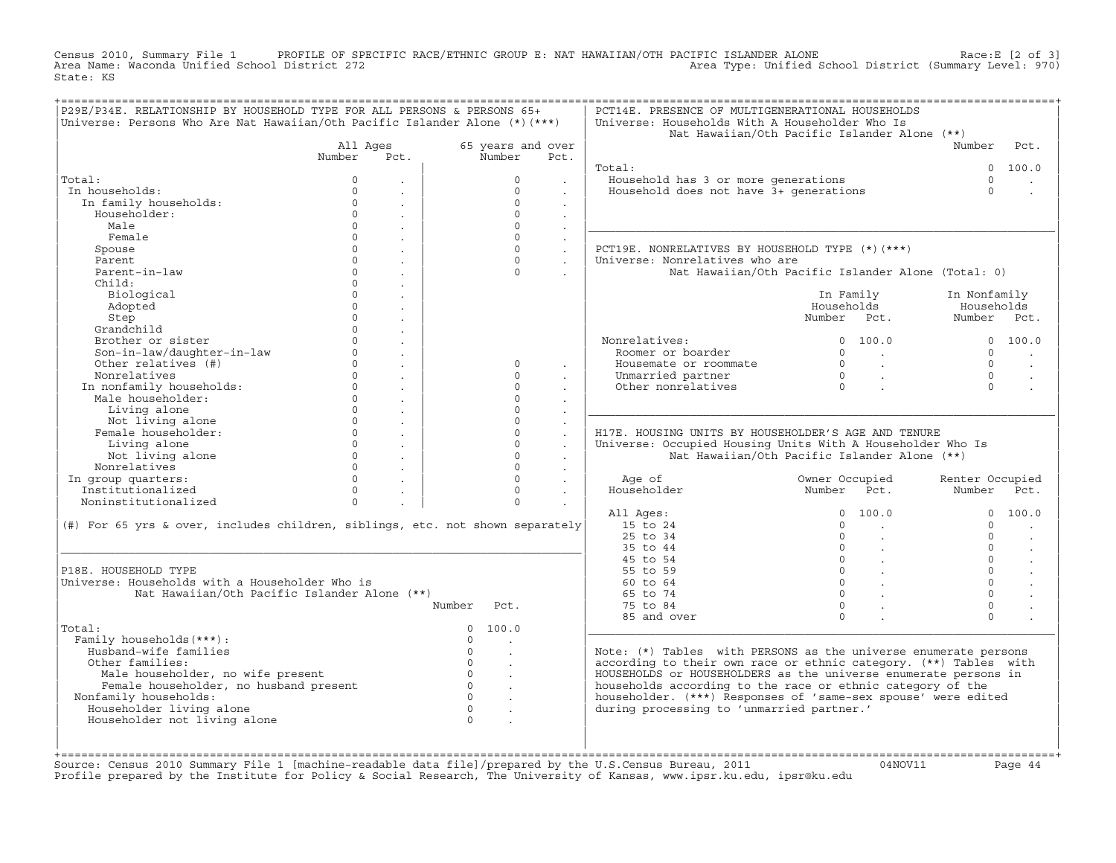Census 2010, Summary File 1 PROFILE OF SPECIFIC RACE/ETHNIC GROUP E: NAT HAWAIIAN/OTH PACIFIC ISLANDER ALONE<br>Area Name: Waconda Unified School District 272 Area Type: Unified School Dist State: KS

| 65 years and over<br>Number<br>$\Omega$<br>$\Omega$<br>$\Omega$<br>$\Omega$<br>$\Omega$<br>$\Omega$<br>$\Omega$<br>$\Omega$<br>$\Omega$<br>$\Omega$<br>$\Omega$<br>$\Omega$<br>$\Omega$ | Pct.<br>$\sim$<br>$\sim$<br>$\ddot{\phantom{a}}$<br>$\sim$<br>$\sim$<br>$\ddot{\phantom{a}}$<br>$\sim$<br>$\sim$<br>$\sim$<br>$\mathbf{r}$ | Total:<br>Household has 3 or more generations<br>Household does not have 3+ generations<br>PCT19E. NONRELATIVES BY HOUSEHOLD TYPE (*)(***)<br>Universe: Nonrelatives who are<br>Nonrelatives:<br>Roomer or boarder<br>Housemate or roommate<br>Unmarried partner<br>Other nonrelatives | Nat Hawaiian/Oth Pacific Islander Alone (**)<br>Nat Hawaiian/Oth Pacific Islander Alone (Total: 0)<br>In Family<br>Households<br>Number Pct.<br>0 100.0<br>$\begin{array}{ccc} 0 & & \end{array}$<br>$\begin{matrix} 0 & & \cdot \\ & & \cdot \\ & & & \cdot \\ 0 & & & \cdot \end{matrix}$ | Number<br>$\cap$<br>$\Omega$<br>In Nonfamily<br>Households<br>Number Pct.<br>$\cap$<br>$\Omega$<br>$\Omega$<br>$\Omega$ | Pct.<br>0 100.0<br>0 100.0                                                                                                                                                                                                                                                                                                              |
|-----------------------------------------------------------------------------------------------------------------------------------------------------------------------------------------|--------------------------------------------------------------------------------------------------------------------------------------------|----------------------------------------------------------------------------------------------------------------------------------------------------------------------------------------------------------------------------------------------------------------------------------------|---------------------------------------------------------------------------------------------------------------------------------------------------------------------------------------------------------------------------------------------------------------------------------------------|-------------------------------------------------------------------------------------------------------------------------|-----------------------------------------------------------------------------------------------------------------------------------------------------------------------------------------------------------------------------------------------------------------------------------------------------------------------------------------|
|                                                                                                                                                                                         |                                                                                                                                            |                                                                                                                                                                                                                                                                                        |                                                                                                                                                                                                                                                                                             |                                                                                                                         |                                                                                                                                                                                                                                                                                                                                         |
|                                                                                                                                                                                         |                                                                                                                                            |                                                                                                                                                                                                                                                                                        |                                                                                                                                                                                                                                                                                             |                                                                                                                         |                                                                                                                                                                                                                                                                                                                                         |
|                                                                                                                                                                                         |                                                                                                                                            |                                                                                                                                                                                                                                                                                        |                                                                                                                                                                                                                                                                                             |                                                                                                                         |                                                                                                                                                                                                                                                                                                                                         |
|                                                                                                                                                                                         |                                                                                                                                            |                                                                                                                                                                                                                                                                                        |                                                                                                                                                                                                                                                                                             |                                                                                                                         |                                                                                                                                                                                                                                                                                                                                         |
|                                                                                                                                                                                         |                                                                                                                                            |                                                                                                                                                                                                                                                                                        |                                                                                                                                                                                                                                                                                             |                                                                                                                         |                                                                                                                                                                                                                                                                                                                                         |
|                                                                                                                                                                                         |                                                                                                                                            |                                                                                                                                                                                                                                                                                        |                                                                                                                                                                                                                                                                                             |                                                                                                                         |                                                                                                                                                                                                                                                                                                                                         |
|                                                                                                                                                                                         |                                                                                                                                            |                                                                                                                                                                                                                                                                                        |                                                                                                                                                                                                                                                                                             |                                                                                                                         |                                                                                                                                                                                                                                                                                                                                         |
|                                                                                                                                                                                         |                                                                                                                                            |                                                                                                                                                                                                                                                                                        |                                                                                                                                                                                                                                                                                             |                                                                                                                         |                                                                                                                                                                                                                                                                                                                                         |
|                                                                                                                                                                                         |                                                                                                                                            |                                                                                                                                                                                                                                                                                        |                                                                                                                                                                                                                                                                                             |                                                                                                                         |                                                                                                                                                                                                                                                                                                                                         |
|                                                                                                                                                                                         |                                                                                                                                            |                                                                                                                                                                                                                                                                                        |                                                                                                                                                                                                                                                                                             |                                                                                                                         |                                                                                                                                                                                                                                                                                                                                         |
|                                                                                                                                                                                         |                                                                                                                                            |                                                                                                                                                                                                                                                                                        |                                                                                                                                                                                                                                                                                             |                                                                                                                         |                                                                                                                                                                                                                                                                                                                                         |
|                                                                                                                                                                                         |                                                                                                                                            |                                                                                                                                                                                                                                                                                        |                                                                                                                                                                                                                                                                                             |                                                                                                                         |                                                                                                                                                                                                                                                                                                                                         |
|                                                                                                                                                                                         |                                                                                                                                            |                                                                                                                                                                                                                                                                                        |                                                                                                                                                                                                                                                                                             |                                                                                                                         |                                                                                                                                                                                                                                                                                                                                         |
|                                                                                                                                                                                         |                                                                                                                                            |                                                                                                                                                                                                                                                                                        |                                                                                                                                                                                                                                                                                             |                                                                                                                         |                                                                                                                                                                                                                                                                                                                                         |
|                                                                                                                                                                                         |                                                                                                                                            |                                                                                                                                                                                                                                                                                        |                                                                                                                                                                                                                                                                                             |                                                                                                                         |                                                                                                                                                                                                                                                                                                                                         |
|                                                                                                                                                                                         |                                                                                                                                            |                                                                                                                                                                                                                                                                                        |                                                                                                                                                                                                                                                                                             |                                                                                                                         |                                                                                                                                                                                                                                                                                                                                         |
|                                                                                                                                                                                         |                                                                                                                                            |                                                                                                                                                                                                                                                                                        |                                                                                                                                                                                                                                                                                             |                                                                                                                         |                                                                                                                                                                                                                                                                                                                                         |
|                                                                                                                                                                                         |                                                                                                                                            |                                                                                                                                                                                                                                                                                        |                                                                                                                                                                                                                                                                                             |                                                                                                                         |                                                                                                                                                                                                                                                                                                                                         |
|                                                                                                                                                                                         |                                                                                                                                            |                                                                                                                                                                                                                                                                                        |                                                                                                                                                                                                                                                                                             |                                                                                                                         |                                                                                                                                                                                                                                                                                                                                         |
|                                                                                                                                                                                         |                                                                                                                                            |                                                                                                                                                                                                                                                                                        |                                                                                                                                                                                                                                                                                             |                                                                                                                         | $\sim$                                                                                                                                                                                                                                                                                                                                  |
|                                                                                                                                                                                         |                                                                                                                                            |                                                                                                                                                                                                                                                                                        |                                                                                                                                                                                                                                                                                             |                                                                                                                         |                                                                                                                                                                                                                                                                                                                                         |
|                                                                                                                                                                                         |                                                                                                                                            |                                                                                                                                                                                                                                                                                        |                                                                                                                                                                                                                                                                                             |                                                                                                                         |                                                                                                                                                                                                                                                                                                                                         |
| $\Omega$                                                                                                                                                                                |                                                                                                                                            |                                                                                                                                                                                                                                                                                        |                                                                                                                                                                                                                                                                                             |                                                                                                                         |                                                                                                                                                                                                                                                                                                                                         |
| $\Omega$                                                                                                                                                                                |                                                                                                                                            |                                                                                                                                                                                                                                                                                        |                                                                                                                                                                                                                                                                                             |                                                                                                                         |                                                                                                                                                                                                                                                                                                                                         |
| $\Omega$                                                                                                                                                                                |                                                                                                                                            | H17E. HOUSING UNITS BY HOUSEHOLDER'S AGE AND TENURE                                                                                                                                                                                                                                    |                                                                                                                                                                                                                                                                                             |                                                                                                                         |                                                                                                                                                                                                                                                                                                                                         |
| $\Omega$                                                                                                                                                                                | $\mathbf{r}$<br>$\ddot{\phantom{a}}$                                                                                                       | Universe: Occupied Housing Units With A Householder Who Is                                                                                                                                                                                                                             |                                                                                                                                                                                                                                                                                             |                                                                                                                         |                                                                                                                                                                                                                                                                                                                                         |
| $\Omega$                                                                                                                                                                                | $\sim$                                                                                                                                     |                                                                                                                                                                                                                                                                                        | Nat Hawaiian/Oth Pacific Islander Alone (**)                                                                                                                                                                                                                                                |                                                                                                                         |                                                                                                                                                                                                                                                                                                                                         |
| $\Omega$                                                                                                                                                                                | $\ddot{\phantom{0}}$                                                                                                                       |                                                                                                                                                                                                                                                                                        |                                                                                                                                                                                                                                                                                             |                                                                                                                         |                                                                                                                                                                                                                                                                                                                                         |
| $\Omega$                                                                                                                                                                                | $\sim$                                                                                                                                     | Age of                                                                                                                                                                                                                                                                                 | Owner Occupied                                                                                                                                                                                                                                                                              | Renter Occupied                                                                                                         |                                                                                                                                                                                                                                                                                                                                         |
| $\Omega$                                                                                                                                                                                | $\sim$                                                                                                                                     | Householder                                                                                                                                                                                                                                                                            | Number Pct.                                                                                                                                                                                                                                                                                 | Number Pct.                                                                                                             |                                                                                                                                                                                                                                                                                                                                         |
| $\Omega$                                                                                                                                                                                |                                                                                                                                            |                                                                                                                                                                                                                                                                                        |                                                                                                                                                                                                                                                                                             |                                                                                                                         |                                                                                                                                                                                                                                                                                                                                         |
|                                                                                                                                                                                         |                                                                                                                                            | All Ages:                                                                                                                                                                                                                                                                              | 0 100.0                                                                                                                                                                                                                                                                                     |                                                                                                                         | 0 100.0                                                                                                                                                                                                                                                                                                                                 |
| (#) For 65 yrs & over, includes children, siblings, etc. not shown separately                                                                                                           |                                                                                                                                            | 15 to 24                                                                                                                                                                                                                                                                               | $\Omega$<br><b>Contract Contract</b>                                                                                                                                                                                                                                                        | $\cap$                                                                                                                  |                                                                                                                                                                                                                                                                                                                                         |
|                                                                                                                                                                                         |                                                                                                                                            | 25 to 34                                                                                                                                                                                                                                                                               | $\Omega$                                                                                                                                                                                                                                                                                    | $\cap$                                                                                                                  |                                                                                                                                                                                                                                                                                                                                         |
|                                                                                                                                                                                         |                                                                                                                                            | 35 to 44                                                                                                                                                                                                                                                                               | $0 \qquad \qquad .$                                                                                                                                                                                                                                                                         | $\cap$                                                                                                                  | $\ddot{\phantom{a}}$                                                                                                                                                                                                                                                                                                                    |
|                                                                                                                                                                                         |                                                                                                                                            | 45 to 54                                                                                                                                                                                                                                                                               | $\begin{matrix} 0 & \cdots & \cdots \end{matrix}$                                                                                                                                                                                                                                           | $\Omega$                                                                                                                | $\ddot{\phantom{a}}$                                                                                                                                                                                                                                                                                                                    |
|                                                                                                                                                                                         |                                                                                                                                            | 55 to 59                                                                                                                                                                                                                                                                               | $\begin{array}{ccc} & & & \\ & & & \end{array}$                                                                                                                                                                                                                                             | $\Omega$                                                                                                                |                                                                                                                                                                                                                                                                                                                                         |
|                                                                                                                                                                                         |                                                                                                                                            | 60 to 64                                                                                                                                                                                                                                                                               | $\begin{matrix} 0 & \cdots & \cdots \end{matrix}$                                                                                                                                                                                                                                           | $\Omega$                                                                                                                |                                                                                                                                                                                                                                                                                                                                         |
|                                                                                                                                                                                         |                                                                                                                                            | 65 to 74                                                                                                                                                                                                                                                                               | $0 \qquad \qquad$                                                                                                                                                                                                                                                                           | $\Omega$                                                                                                                |                                                                                                                                                                                                                                                                                                                                         |
| Number<br>Pct.                                                                                                                                                                          |                                                                                                                                            | 75 to 84                                                                                                                                                                                                                                                                               | $\Omega$                                                                                                                                                                                                                                                                                    | $\Omega$                                                                                                                |                                                                                                                                                                                                                                                                                                                                         |
|                                                                                                                                                                                         |                                                                                                                                            | 85 and over                                                                                                                                                                                                                                                                            | $\Omega$                                                                                                                                                                                                                                                                                    | $\Omega$                                                                                                                |                                                                                                                                                                                                                                                                                                                                         |
| 100.0<br>$\Omega$                                                                                                                                                                       |                                                                                                                                            |                                                                                                                                                                                                                                                                                        |                                                                                                                                                                                                                                                                                             |                                                                                                                         |                                                                                                                                                                                                                                                                                                                                         |
|                                                                                                                                                                                         |                                                                                                                                            |                                                                                                                                                                                                                                                                                        |                                                                                                                                                                                                                                                                                             |                                                                                                                         |                                                                                                                                                                                                                                                                                                                                         |
| $\Omega$<br><b>Contract</b>                                                                                                                                                             |                                                                                                                                            |                                                                                                                                                                                                                                                                                        |                                                                                                                                                                                                                                                                                             |                                                                                                                         |                                                                                                                                                                                                                                                                                                                                         |
| $\sim$                                                                                                                                                                                  |                                                                                                                                            |                                                                                                                                                                                                                                                                                        |                                                                                                                                                                                                                                                                                             |                                                                                                                         |                                                                                                                                                                                                                                                                                                                                         |
|                                                                                                                                                                                         |                                                                                                                                            |                                                                                                                                                                                                                                                                                        |                                                                                                                                                                                                                                                                                             |                                                                                                                         |                                                                                                                                                                                                                                                                                                                                         |
|                                                                                                                                                                                         |                                                                                                                                            |                                                                                                                                                                                                                                                                                        |                                                                                                                                                                                                                                                                                             |                                                                                                                         |                                                                                                                                                                                                                                                                                                                                         |
|                                                                                                                                                                                         |                                                                                                                                            |                                                                                                                                                                                                                                                                                        |                                                                                                                                                                                                                                                                                             |                                                                                                                         |                                                                                                                                                                                                                                                                                                                                         |
| $\sim$                                                                                                                                                                                  |                                                                                                                                            |                                                                                                                                                                                                                                                                                        |                                                                                                                                                                                                                                                                                             |                                                                                                                         |                                                                                                                                                                                                                                                                                                                                         |
| $\mathcal{L}^{\mathcal{L}}$                                                                                                                                                             |                                                                                                                                            |                                                                                                                                                                                                                                                                                        |                                                                                                                                                                                                                                                                                             |                                                                                                                         |                                                                                                                                                                                                                                                                                                                                         |
|                                                                                                                                                                                         |                                                                                                                                            |                                                                                                                                                                                                                                                                                        |                                                                                                                                                                                                                                                                                             |                                                                                                                         |                                                                                                                                                                                                                                                                                                                                         |
|                                                                                                                                                                                         | $\circ$<br>$\begin{array}{ccccccc}\n0 & & & \end{array}$<br>$\begin{array}{ccc} & & & \\ & & & \end{array}$<br>$\Omega$                    |                                                                                                                                                                                                                                                                                        |                                                                                                                                                                                                                                                                                             | $\Omega$<br>during processing to 'unmarried partner.'<br>$\overline{a}$                                                 | Note: $(*)$ Tables with PERSONS as the universe enumerate persons<br>according to their own race or ethnic category. (**) Tables with<br>HOUSEHOLDS or HOUSEHOLDERS as the universe enumerate persons in<br>households according to the race or ethnic category of the<br>householder. (***) Responses of 'same-sex spouse' were edited |

+===================================================================================================================================================+Source: Census 2010 Summary File 1 [machine−readable data file]/prepared by the U.S.Census Bureau, 2011 04NOV11 Page 44 Profile prepared by the Institute for Policy & Social Research, The University of Kansas, www.ipsr.ku.edu, ipsr@ku.edu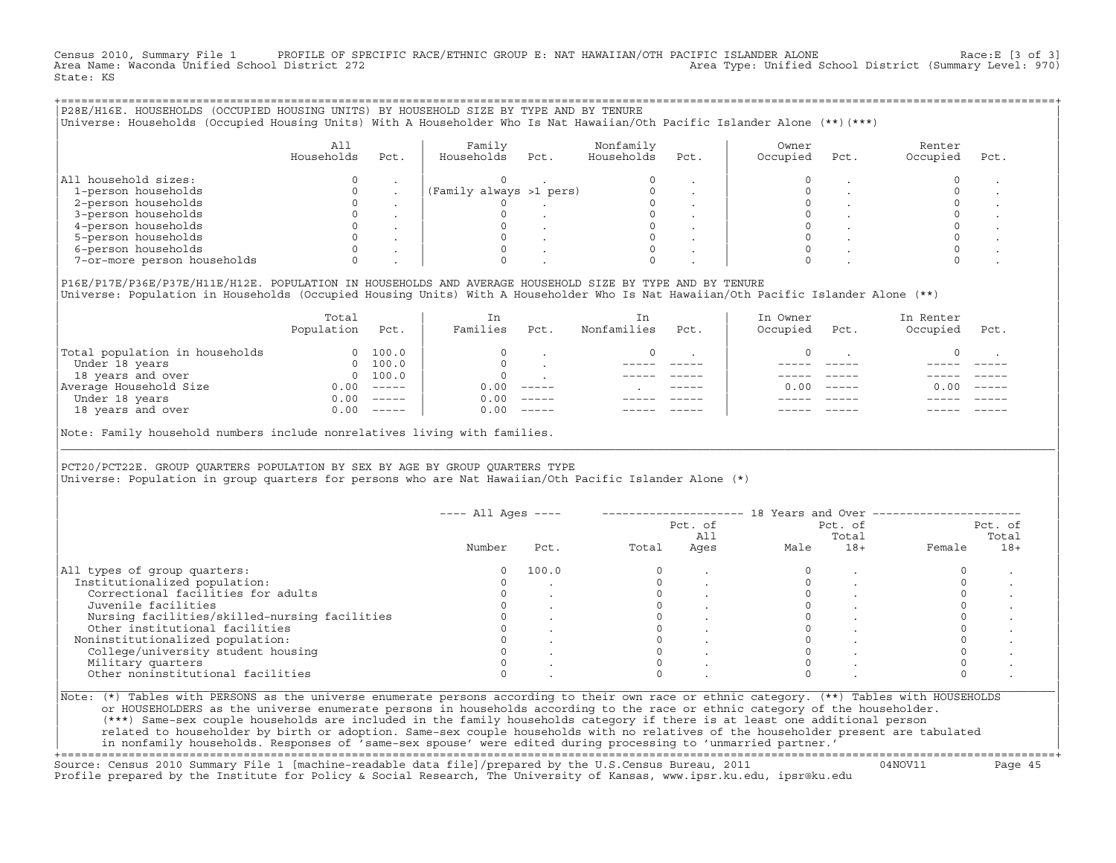Census 2010, Summary File 1 PROFILE OF SPECIFIC RACE/ETHNIC GROUP E: NAT HAWAIIAN/OTH PACIFIC ISLANDER ALONE Race:E [3 of 3]<br>Area Name: Waconda Unified School District 272 Area Type: Unified School District (Summary Level: 970) State: KS

| P28E/H16E. HOUSEHOLDS (OCCUPIED HOUSING UNITS) BY HOUSEHOLD SIZE BY TYPE AND BY TENURE<br>Universe: Households (Occupied Housing Units) With A Householder Who Is Nat Hawaiian/Oth Pacific Islander Alone (**)(***) |                   |      |                         |      |                         |      |                   |      |                    |      |  |
|---------------------------------------------------------------------------------------------------------------------------------------------------------------------------------------------------------------------|-------------------|------|-------------------------|------|-------------------------|------|-------------------|------|--------------------|------|--|
|                                                                                                                                                                                                                     | All<br>Households | Pct. | Family<br>Households    | Pct. | Nonfamily<br>Households | Pct. | Owner<br>Occupied | Pct. | Renter<br>Occupied | Pct. |  |
| All household sizes:                                                                                                                                                                                                |                   |      |                         |      |                         |      |                   |      |                    |      |  |
| 1-person households                                                                                                                                                                                                 |                   |      | (Family always >1 pers) |      |                         |      |                   |      |                    |      |  |
| 2-person households                                                                                                                                                                                                 |                   |      |                         |      |                         |      |                   |      |                    |      |  |
| 3-person households                                                                                                                                                                                                 |                   |      |                         |      |                         |      |                   |      |                    |      |  |
| 4-person households                                                                                                                                                                                                 |                   |      |                         |      |                         |      |                   |      |                    |      |  |
| 5-person households                                                                                                                                                                                                 |                   |      |                         |      |                         |      |                   |      |                    |      |  |
| 6-person households                                                                                                                                                                                                 |                   |      |                         |      |                         |      |                   |      |                    |      |  |
| 7-or-more person households                                                                                                                                                                                         |                   |      |                         |      |                         |      |                   |      |                    |      |  |
|                                                                                                                                                                                                                     |                   |      |                         |      |                         |      |                   |      |                    |      |  |

|P16E/P17E/P36E/P37E/H11E/H12E. POPULATION IN HOUSEHOLDS AND AVERAGE HOUSEHOLD SIZE BY TYPE AND BY TENURE | |Universe: Population in Households (Occupied Housing Units) With A Householder Who Is Nat Hawaiian/Oth Pacific Islander Alone (\*\*) |

|                                | Total<br>Population | Pct.                                                                                                                                                                                                                                                                                                                                                                                                                                                                                 | In<br>Families | Pct.     | In.<br>Nonfamilies | Pct.          | In Owner<br>Occupied | Pct.          | In Renter<br>Occupied | Pct.     |  |
|--------------------------------|---------------------|--------------------------------------------------------------------------------------------------------------------------------------------------------------------------------------------------------------------------------------------------------------------------------------------------------------------------------------------------------------------------------------------------------------------------------------------------------------------------------------|----------------|----------|--------------------|---------------|----------------------|---------------|-----------------------|----------|--|
| Total population in households | $\Omega$            | 100.0                                                                                                                                                                                                                                                                                                                                                                                                                                                                                |                |          |                    |               |                      |               |                       |          |  |
| Under 18 years                 | $\Omega$            | 100.0                                                                                                                                                                                                                                                                                                                                                                                                                                                                                |                |          |                    |               |                      |               |                       |          |  |
| 18 years and over              |                     | 0 100.0                                                                                                                                                                                                                                                                                                                                                                                                                                                                              |                |          |                    |               |                      |               |                       |          |  |
| Average Household Size         | 0.00                | $------$                                                                                                                                                                                                                                                                                                                                                                                                                                                                             | 0.00           | $------$ |                    | $- - - - - -$ | 0. OO -              | $\frac{1}{2}$ | 0.00                  | $------$ |  |
| Under 18 years                 | 0.00                | $------$                                                                                                                                                                                                                                                                                                                                                                                                                                                                             | 0.00           | $------$ |                    |               |                      |               |                       |          |  |
| 18 years and over              | 0.00                | $\begin{tabular}{cccccc} \multicolumn{2}{c}{} & \multicolumn{2}{c}{} & \multicolumn{2}{c}{} & \multicolumn{2}{c}{} & \multicolumn{2}{c}{} & \multicolumn{2}{c}{} & \multicolumn{2}{c}{} & \multicolumn{2}{c}{} & \multicolumn{2}{c}{} & \multicolumn{2}{c}{} & \multicolumn{2}{c}{} & \multicolumn{2}{c}{} & \multicolumn{2}{c}{} & \multicolumn{2}{c}{} & \multicolumn{2}{c}{} & \multicolumn{2}{c}{} & \multicolumn{2}{c}{} & \multicolumn{2}{c}{} & \multicolumn{2}{c}{} & \mult$ | 0.00           | $------$ |                    |               |                      |               |                       | ------   |  |
|                                |                     |                                                                                                                                                                                                                                                                                                                                                                                                                                                                                      |                |          |                    |               |                      |               |                       |          |  |

|Note: Family household numbers include nonrelatives living with families. |

| | PCT20/PCT22E. GROUP OUARTERS POPULATION BY SEX BY AGE BY GROUP OUARTERS TYPE |Universe: Population in group quarters for persons who are Nat Hawaiian/Oth Pacific Islander Alone (\*) |

|                                               |        |       |       | Pct. of<br>All |      | Pct. of<br>Total | Pct. of<br>Total |       |  |
|-----------------------------------------------|--------|-------|-------|----------------|------|------------------|------------------|-------|--|
|                                               | Number | Pct.  | Total | Ages           | Male | $18+$            | Female           | $18+$ |  |
| All types of group quarters:                  |        | 100.0 |       |                |      |                  |                  |       |  |
| Institutionalized population:                 |        |       |       |                |      |                  |                  |       |  |
| Correctional facilities for adults            |        |       |       |                |      |                  |                  |       |  |
| Juvenile facilities                           |        |       |       |                |      |                  |                  |       |  |
| Nursing facilities/skilled-nursing facilities |        |       |       |                |      |                  |                  |       |  |
| Other institutional facilities                |        |       |       |                |      |                  |                  |       |  |
| Noninstitutionalized population:              |        |       |       |                |      |                  |                  |       |  |
| College/university student housing            |        |       |       |                |      |                  |                  |       |  |
| Military quarters                             |        |       |       |                |      |                  |                  |       |  |
| Other noninstitutional facilities             |        |       |       |                |      |                  |                  |       |  |

|\_\_\_\_\_\_\_\_\_\_\_\_\_\_\_\_\_\_\_\_\_\_\_\_\_\_\_\_\_\_\_\_\_\_\_\_\_\_\_\_\_\_\_\_\_\_\_\_\_\_\_\_\_\_\_\_\_\_\_\_\_\_\_\_\_\_\_\_\_\_\_\_\_\_\_\_\_\_\_\_\_\_\_\_\_\_\_\_\_\_\_\_\_\_\_\_\_\_\_\_\_\_\_\_\_\_\_\_\_\_\_\_\_\_\_\_\_\_\_\_\_\_\_\_\_\_\_\_\_\_\_\_\_\_\_\_\_\_\_\_\_\_\_\_\_\_\_|

| |

| (\*\*\*) Same−sex couple households are included in the family households category if there is at least one additional person | | related to householder by birth or adoption. Same−sex couple households with no relatives of the householder present are tabulated | | in nonfamily households. Responses of 'same−sex spouse' were edited during processing to 'unmarried partner.' |

+===================================================================================================================================================+ Source: Census 2010 Summary File 1 [machine−readable data file]/prepared by the U.S.Census Bureau, 2011 04NOV11 Page 45 Profile prepared by the Institute for Policy & Social Research, The University of Kansas, www.ipsr.ku.edu, ipsr@ku.edu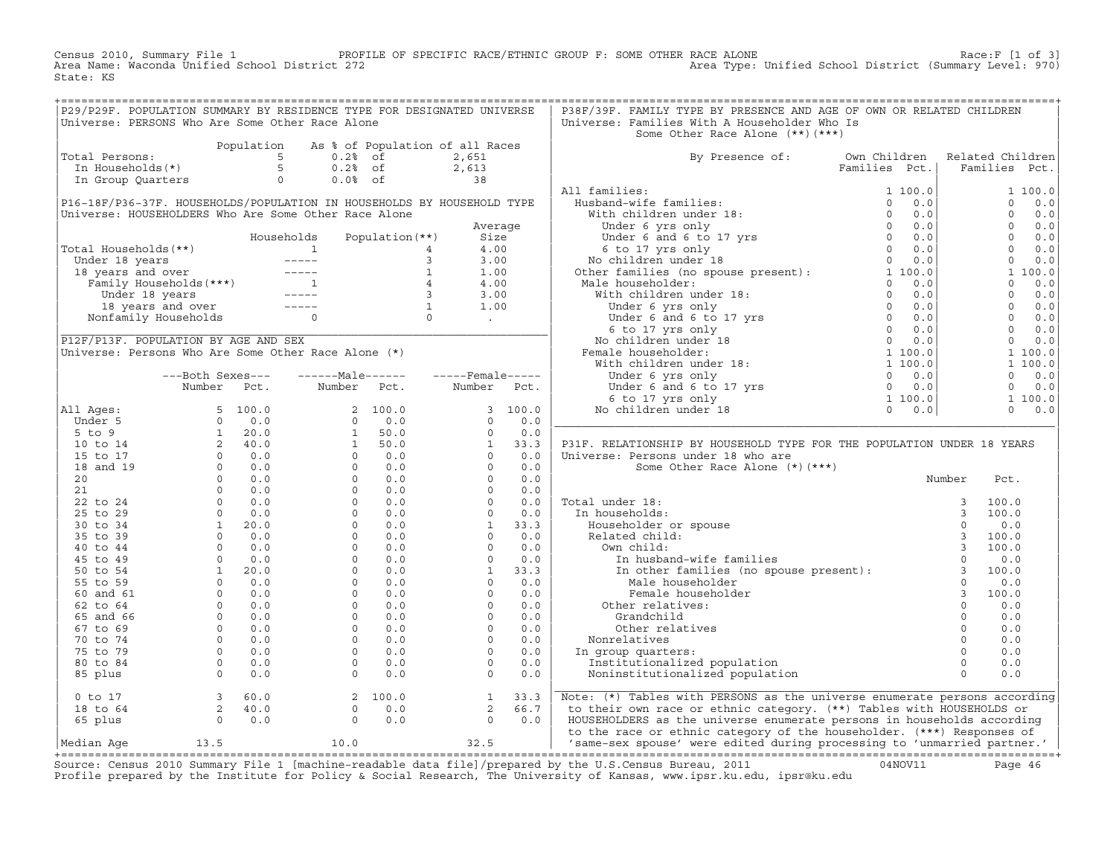Census 2010, Summary File 1 PROFILE OF SPECIFIC RACE/ETHNIC GROUP F: SOME OTHER RACE ALONE RACE OF SPECIFIC RACE ALONE<br>Area Name: Waconda Unified School District 272 Area Type: Unified School District (Summary Level: 970) Area Type: Unified School District (Summary Level: 970) State: KS

| P29/P29F. POPULATION SUMMARY BY RESIDENCE TYPE FOR DESIGNATED UNIVERSE                                                                                                                                                                                                                                                                                                    |                                                                  |                                                                 |                                                                       |  | P38F/39F. FAMILY TYPE BY PRESENCE AND AGE OF OWN OR RELATED CHILDREN                                                                                                                                                                                                                                                                                                                                                                                                                                                                                                  |        |      |  |
|---------------------------------------------------------------------------------------------------------------------------------------------------------------------------------------------------------------------------------------------------------------------------------------------------------------------------------------------------------------------------|------------------------------------------------------------------|-----------------------------------------------------------------|-----------------------------------------------------------------------|--|-----------------------------------------------------------------------------------------------------------------------------------------------------------------------------------------------------------------------------------------------------------------------------------------------------------------------------------------------------------------------------------------------------------------------------------------------------------------------------------------------------------------------------------------------------------------------|--------|------|--|
| Universe: PERSONS Who Are Some Other Race Alone                                                                                                                                                                                                                                                                                                                           |                                                                  |                                                                 |                                                                       |  | Universe: Families With A Householder Who Is                                                                                                                                                                                                                                                                                                                                                                                                                                                                                                                          |        |      |  |
|                                                                                                                                                                                                                                                                                                                                                                           |                                                                  |                                                                 |                                                                       |  | Some Other Race Alone (**) (***)                                                                                                                                                                                                                                                                                                                                                                                                                                                                                                                                      |        |      |  |
| Population As % of Population of all Races<br>Total Persons:<br>In Households(*)<br>In Group Quarters<br>$\begin{array}{ccccccccc}\n & & & & & \text{Population} & \text{A} & \text{S} & \text{of} & \text{A} & \text{A} & \text{A} & \text{B} & \text{B} \\  & & & & & & 5 & 0.2 & \text{S} & \text{B} & 2.6 & \text{B} \\  & & & & & & 5 & 0.2 & \text{S$               |                                                                  |                                                                 |                                                                       |  |                                                                                                                                                                                                                                                                                                                                                                                                                                                                                                                                                                       |        |      |  |
| Total Persons:                                                                                                                                                                                                                                                                                                                                                            |                                                                  |                                                                 |                                                                       |  |                                                                                                                                                                                                                                                                                                                                                                                                                                                                                                                                                                       |        |      |  |
|                                                                                                                                                                                                                                                                                                                                                                           |                                                                  |                                                                 |                                                                       |  | By Presence of: Own Children Related Children<br>Families Pct.   Families Pct.                                                                                                                                                                                                                                                                                                                                                                                                                                                                                        |        |      |  |
|                                                                                                                                                                                                                                                                                                                                                                           |                                                                  |                                                                 |                                                                       |  |                                                                                                                                                                                                                                                                                                                                                                                                                                                                                                                                                                       |        |      |  |
|                                                                                                                                                                                                                                                                                                                                                                           |                                                                  |                                                                 |                                                                       |  |                                                                                                                                                                                                                                                                                                                                                                                                                                                                                                                                                                       |        |      |  |
|                                                                                                                                                                                                                                                                                                                                                                           |                                                                  |                                                                 |                                                                       |  |                                                                                                                                                                                                                                                                                                                                                                                                                                                                                                                                                                       |        |      |  |
|                                                                                                                                                                                                                                                                                                                                                                           |                                                                  |                                                                 |                                                                       |  |                                                                                                                                                                                                                                                                                                                                                                                                                                                                                                                                                                       |        |      |  |
|                                                                                                                                                                                                                                                                                                                                                                           |                                                                  |                                                                 |                                                                       |  |                                                                                                                                                                                                                                                                                                                                                                                                                                                                                                                                                                       |        |      |  |
|                                                                                                                                                                                                                                                                                                                                                                           |                                                                  |                                                                 |                                                                       |  |                                                                                                                                                                                                                                                                                                                                                                                                                                                                                                                                                                       |        |      |  |
|                                                                                                                                                                                                                                                                                                                                                                           |                                                                  |                                                                 |                                                                       |  |                                                                                                                                                                                                                                                                                                                                                                                                                                                                                                                                                                       |        |      |  |
|                                                                                                                                                                                                                                                                                                                                                                           |                                                                  |                                                                 |                                                                       |  |                                                                                                                                                                                                                                                                                                                                                                                                                                                                                                                                                                       |        |      |  |
|                                                                                                                                                                                                                                                                                                                                                                           |                                                                  |                                                                 |                                                                       |  |                                                                                                                                                                                                                                                                                                                                                                                                                                                                                                                                                                       |        |      |  |
|                                                                                                                                                                                                                                                                                                                                                                           |                                                                  |                                                                 |                                                                       |  |                                                                                                                                                                                                                                                                                                                                                                                                                                                                                                                                                                       |        |      |  |
|                                                                                                                                                                                                                                                                                                                                                                           |                                                                  |                                                                 |                                                                       |  |                                                                                                                                                                                                                                                                                                                                                                                                                                                                                                                                                                       |        |      |  |
|                                                                                                                                                                                                                                                                                                                                                                           |                                                                  |                                                                 |                                                                       |  |                                                                                                                                                                                                                                                                                                                                                                                                                                                                                                                                                                       |        |      |  |
|                                                                                                                                                                                                                                                                                                                                                                           |                                                                  |                                                                 |                                                                       |  |                                                                                                                                                                                                                                                                                                                                                                                                                                                                                                                                                                       |        |      |  |
|                                                                                                                                                                                                                                                                                                                                                                           |                                                                  |                                                                 |                                                                       |  |                                                                                                                                                                                                                                                                                                                                                                                                                                                                                                                                                                       |        |      |  |
|                                                                                                                                                                                                                                                                                                                                                                           |                                                                  |                                                                 |                                                                       |  |                                                                                                                                                                                                                                                                                                                                                                                                                                                                                                                                                                       |        |      |  |
|                                                                                                                                                                                                                                                                                                                                                                           |                                                                  |                                                                 |                                                                       |  |                                                                                                                                                                                                                                                                                                                                                                                                                                                                                                                                                                       |        |      |  |
|                                                                                                                                                                                                                                                                                                                                                                           |                                                                  |                                                                 |                                                                       |  |                                                                                                                                                                                                                                                                                                                                                                                                                                                                                                                                                                       |        |      |  |
|                                                                                                                                                                                                                                                                                                                                                                           |                                                                  |                                                                 |                                                                       |  |                                                                                                                                                                                                                                                                                                                                                                                                                                                                                                                                                                       |        |      |  |
|                                                                                                                                                                                                                                                                                                                                                                           |                                                                  |                                                                 |                                                                       |  |                                                                                                                                                                                                                                                                                                                                                                                                                                                                                                                                                                       |        |      |  |
|                                                                                                                                                                                                                                                                                                                                                                           |                                                                  |                                                                 |                                                                       |  |                                                                                                                                                                                                                                                                                                                                                                                                                                                                                                                                                                       |        |      |  |
|                                                                                                                                                                                                                                                                                                                                                                           |                                                                  |                                                                 |                                                                       |  |                                                                                                                                                                                                                                                                                                                                                                                                                                                                                                                                                                       |        |      |  |
|                                                                                                                                                                                                                                                                                                                                                                           |                                                                  |                                                                 |                                                                       |  |                                                                                                                                                                                                                                                                                                                                                                                                                                                                                                                                                                       |        |      |  |
|                                                                                                                                                                                                                                                                                                                                                                           |                                                                  |                                                                 |                                                                       |  |                                                                                                                                                                                                                                                                                                                                                                                                                                                                                                                                                                       |        |      |  |
|                                                                                                                                                                                                                                                                                                                                                                           |                                                                  |                                                                 |                                                                       |  | P31F. RELATIONSHIP BY HOUSEHOLD TYPE FOR THE POPULATION UNDER 18 YEARS<br>Universe: Persons under 18 who are                                                                                                                                                                                                                                                                                                                                                                                                                                                          |        |      |  |
|                                                                                                                                                                                                                                                                                                                                                                           |                                                                  |                                                                 |                                                                       |  | Some Other Race Alone (*)(***)                                                                                                                                                                                                                                                                                                                                                                                                                                                                                                                                        |        |      |  |
|                                                                                                                                                                                                                                                                                                                                                                           |                                                                  |                                                                 |                                                                       |  |                                                                                                                                                                                                                                                                                                                                                                                                                                                                                                                                                                       | Number | Pct. |  |
|                                                                                                                                                                                                                                                                                                                                                                           |                                                                  |                                                                 |                                                                       |  |                                                                                                                                                                                                                                                                                                                                                                                                                                                                                                                                                                       |        |      |  |
|                                                                                                                                                                                                                                                                                                                                                                           |                                                                  |                                                                 |                                                                       |  | Total under 18:                                                                                                                                                                                                                                                                                                                                                                                                                                                                                                                                                       |        |      |  |
|                                                                                                                                                                                                                                                                                                                                                                           |                                                                  |                                                                 |                                                                       |  | In households:                                                                                                                                                                                                                                                                                                                                                                                                                                                                                                                                                        |        |      |  |
|                                                                                                                                                                                                                                                                                                                                                                           |                                                                  |                                                                 |                                                                       |  |                                                                                                                                                                                                                                                                                                                                                                                                                                                                                                                                                                       |        |      |  |
|                                                                                                                                                                                                                                                                                                                                                                           |                                                                  |                                                                 |                                                                       |  |                                                                                                                                                                                                                                                                                                                                                                                                                                                                                                                                                                       |        |      |  |
|                                                                                                                                                                                                                                                                                                                                                                           |                                                                  |                                                                 |                                                                       |  |                                                                                                                                                                                                                                                                                                                                                                                                                                                                                                                                                                       |        |      |  |
|                                                                                                                                                                                                                                                                                                                                                                           |                                                                  |                                                                 |                                                                       |  |                                                                                                                                                                                                                                                                                                                                                                                                                                                                                                                                                                       |        |      |  |
|                                                                                                                                                                                                                                                                                                                                                                           |                                                                  |                                                                 |                                                                       |  | $\begin{tabular}{lllllllllll} {\bf{'otal under 18:}} & & & & & & 3 & 100.0 \\ \hline In householders & & & & & 3 & 100.0 \\ \hline Rouseholder or spouse & & & & 0 & 0.0 \\ \textbf{Related child:} & & & & 3 & 100.0 \\ \textbf{Wn child:} & & & 3 & 100.0 \\ \textbf{In husband-wife families} & & & 0 & 0.0 \\ \textbf{In other families (no spouse present):} & & 3 & 100.0 \\ \textbf{Male householder} & & 0 & 0.0 \\ \end{tabular}$<br>Neracu child:<br>Own child:<br>In husband-wife<br>In other famili<br>Male househol<br>Female househ<br>Other relatives: |        |      |  |
|                                                                                                                                                                                                                                                                                                                                                                           |                                                                  |                                                                 |                                                                       |  |                                                                                                                                                                                                                                                                                                                                                                                                                                                                                                                                                                       |        |      |  |
|                                                                                                                                                                                                                                                                                                                                                                           |                                                                  |                                                                 |                                                                       |  | Female householder                                                                                                                                                                                                                                                                                                                                                                                                                                                                                                                                                    |        |      |  |
|                                                                                                                                                                                                                                                                                                                                                                           |                                                                  |                                                                 |                                                                       |  |                                                                                                                                                                                                                                                                                                                                                                                                                                                                                                                                                                       |        |      |  |
|                                                                                                                                                                                                                                                                                                                                                                           |                                                                  |                                                                 |                                                                       |  | Grandchild                                                                                                                                                                                                                                                                                                                                                                                                                                                                                                                                                            |        |      |  |
|                                                                                                                                                                                                                                                                                                                                                                           |                                                                  |                                                                 |                                                                       |  | Other relatives                                                                                                                                                                                                                                                                                                                                                                                                                                                                                                                                                       |        |      |  |
|                                                                                                                                                                                                                                                                                                                                                                           |                                                                  |                                                                 |                                                                       |  | Nonrelatives                                                                                                                                                                                                                                                                                                                                                                                                                                                                                                                                                          |        |      |  |
|                                                                                                                                                                                                                                                                                                                                                                           |                                                                  |                                                                 |                                                                       |  | In group quarters:                                                                                                                                                                                                                                                                                                                                                                                                                                                                                                                                                    |        |      |  |
|                                                                                                                                                                                                                                                                                                                                                                           |                                                                  |                                                                 |                                                                       |  | Institutionalized population<br>Noninstitutionalized                                                                                                                                                                                                                                                                                                                                                                                                                                                                                                                  |        |      |  |
|                                                                                                                                                                                                                                                                                                                                                                           |                                                                  |                                                                 |                                                                       |  | $\begin{tabular}{lllllllllll} \texttt{r} & & & & & & 3 & 100.0 \\ \texttt{der} & & & & 3 & 100.0 \\ & 0 & & 0.0 & & 0 \\ 0 & & 0.0 & & 0 \\ \texttt{pulation} & & & 0 & 0.0 \\ \texttt{population} & & & 0 & 0.0 \\ & & & 0 & 0.0 \\ & & & & 0 & \texttt{} \\ \end{tabular}$<br>Noninstitutionalized population                                                                                                                                                                                                                                                       |        |      |  |
| $\begin{array}{ l l l l } \hline & \text{Number} & \text{Pct.} & \text{Number} & \text{Pct.} & \text{Number} & \text{Pct.} \\ \hline \text{Under 5} & 5 & 100.0 & 2 & 100.0 & 3 & 100.0 \\ 5\text{ to 9} & 1 & 20.0 & 0 & 0 & 0 & 0 & 0.0 \\ 5\text{ to 9} & 1 & 20.0 & 1 & 50.0 & 0 & 0.0 \\ 10\text{ to 14} & 2 & 40.0 & 1 & 50.0 & 1 & 33.3 \\ 15\text{ to$<br>0 to 17 | $\begin{array}{ccc} 3 & 60.0 \\ 2 & 40.0 \\ 0 & 0.0 \end{array}$ | $\begin{bmatrix} 2 & 100.0 \\ 0 & 0.0 \\ 0 & 0.0 \end{bmatrix}$ | $\begin{bmatrix} 1 & 33 & 3 \\ 2 & 66 & 7 \\ 0 & 0 & 0 \end{bmatrix}$ |  | Note: (*) Tables with PERSONS as the universe enumerate persons according                                                                                                                                                                                                                                                                                                                                                                                                                                                                                             |        |      |  |
| 18 to 64                                                                                                                                                                                                                                                                                                                                                                  |                                                                  |                                                                 |                                                                       |  | to their own race or ethnic category. (**) Tables with HOUSEHOLDS or                                                                                                                                                                                                                                                                                                                                                                                                                                                                                                  |        |      |  |
| 65 plus                                                                                                                                                                                                                                                                                                                                                                   |                                                                  |                                                                 |                                                                       |  | HOUSEHOLDERS as the universe enumerate persons in households according                                                                                                                                                                                                                                                                                                                                                                                                                                                                                                |        |      |  |
| $\begin{array}{ l l }\n \hline\n \text{Median Age} & \text{13.5} & \text{10.0}\n \end{array}$                                                                                                                                                                                                                                                                             |                                                                  |                                                                 |                                                                       |  | to the race or ethnic category of the householder. (***) Responses of<br>32.5 Same-sex spouse' were edited during processing to 'unmarried partner.'                                                                                                                                                                                                                                                                                                                                                                                                                  |        |      |  |
|                                                                                                                                                                                                                                                                                                                                                                           |                                                                  |                                                                 |                                                                       |  |                                                                                                                                                                                                                                                                                                                                                                                                                                                                                                                                                                       |        |      |  |

+===================================================================================================================================================+Source: Census 2010 Summary File 1 [machine−readable data file]/prepared by the U.S.Census Bureau, 2011 04NOV11 Page 46 Profile prepared by the Institute for Policy & Social Research, The University of Kansas, www.ipsr.ku.edu, ipsr@ku.edu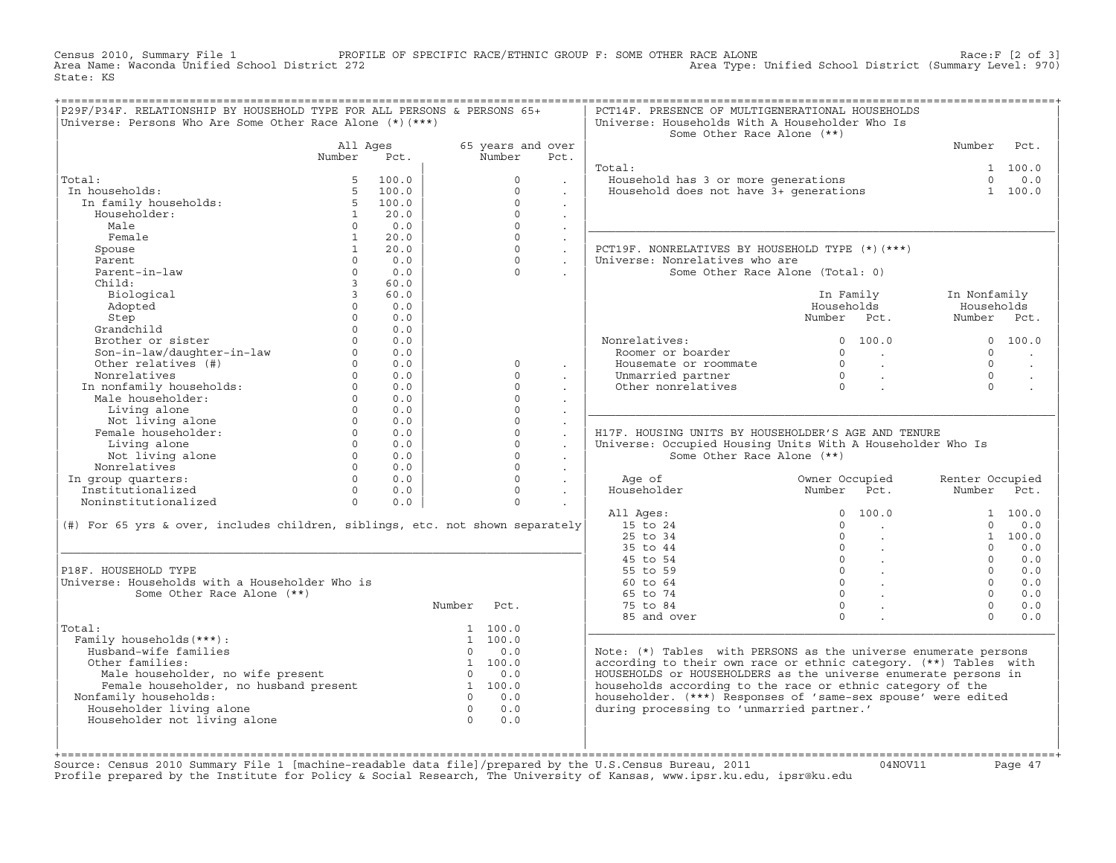Census 2010, Summary File 1 PROFILE OF SPECIFIC RACE/ETHNIC GROUP F: SOME OTHER RACE ALONE RACE OF SPECE:F [2 of 3]<br>Area Name: Waconda Unified School District 272 Area Type: Unified School District (Summary Level: 970) Area Type: Unified School District (Summary Level: 970) State: KS

| P29F/P34F. RELATIONSHIP BY HOUSEHOLD TYPE FOR ALL PERSONS & PERSONS 65+<br>Universe: Persons Who Are Some Other Race Alone $(*)$ (***)                                                                                         |                                         |                          |                |                   |                             | PCT14F. PRESENCE OF MULTIGENERATIONAL HOUSEHOLDS<br>Universe: Households With A Householder Who Is |                                                                                                   |                                |                      |
|--------------------------------------------------------------------------------------------------------------------------------------------------------------------------------------------------------------------------------|-----------------------------------------|--------------------------|----------------|-------------------|-----------------------------|----------------------------------------------------------------------------------------------------|---------------------------------------------------------------------------------------------------|--------------------------------|----------------------|
|                                                                                                                                                                                                                                |                                         |                          |                |                   |                             | Some Other Race Alone (**)                                                                         |                                                                                                   |                                |                      |
|                                                                                                                                                                                                                                | All Ages                                |                          |                | 65 years and over |                             |                                                                                                    |                                                                                                   | Number Pct.                    |                      |
|                                                                                                                                                                                                                                | Number                                  | Pct.                     |                | Number            | Pct.                        |                                                                                                    |                                                                                                   |                                |                      |
|                                                                                                                                                                                                                                |                                         |                          |                |                   |                             | Total:                                                                                             |                                                                                                   |                                | 1 100.0              |
| Total:                                                                                                                                                                                                                         |                                         | 100.0                    |                | $\circ$           | $\ddot{\phantom{0}}$        | Jousehold has 3 or more generations<br>Household does not have 3+ generations                      |                                                                                                   | $\Omega$                       | 0.0                  |
| In households:                                                                                                                                                                                                                 |                                         | 5, 100.0                 |                | $\Omega$          | $\ddot{\phantom{a}}$        |                                                                                                    |                                                                                                   |                                | 1 100.0              |
| In family households:                                                                                                                                                                                                          |                                         | 5 100.0                  |                | $\Omega$          | $\sim$                      |                                                                                                    |                                                                                                   |                                |                      |
| Householder:                                                                                                                                                                                                                   | $\begin{array}{c}\n5 \\ 1\n\end{array}$ | 20.0                     |                | $\Omega$          | $\ddot{\phantom{a}}$        |                                                                                                    |                                                                                                   |                                |                      |
| Male                                                                                                                                                                                                                           |                                         | $0 \t 0.0$               |                | $\Omega$          | $\ddot{\phantom{0}}$        |                                                                                                    |                                                                                                   |                                |                      |
| Female                                                                                                                                                                                                                         | $1 \quad \blacksquare$                  | 20.0                     |                | $\Omega$          | $\sim$                      |                                                                                                    |                                                                                                   |                                |                      |
| Spouse                                                                                                                                                                                                                         | 1                                       | 20.0                     |                | $\Omega$          | $\mathcal{L}^{\mathcal{L}}$ | PCT19F. NONRELATIVES BY HOUSEHOLD TYPE (*)(***)                                                    |                                                                                                   |                                |                      |
| Parent                                                                                                                                                                                                                         | $\Omega$                                | 0.0                      |                | $\Omega$          | $\sim$                      | Universe: Nonrelatives who are                                                                     |                                                                                                   |                                |                      |
| Parent-in-law                                                                                                                                                                                                                  | $\circ$                                 | 0.0                      |                | $\Omega$          |                             |                                                                                                    | Some Other Race Alone (Total: 0)                                                                  |                                |                      |
| Child:                                                                                                                                                                                                                         | $\overline{3}$                          | 60.0                     |                |                   |                             |                                                                                                    |                                                                                                   |                                |                      |
| Biological                                                                                                                                                                                                                     | $3^{\circ}$                             | 60.0                     |                |                   |                             |                                                                                                    | In Family                                                                                         | In Nonfamily                   |                      |
| Adopted                                                                                                                                                                                                                        | $\circ$                                 | 0.0                      |                |                   |                             |                                                                                                    | Households                                                                                        | Households                     |                      |
| Step                                                                                                                                                                                                                           | $\Omega$                                | 0.0                      |                |                   |                             |                                                                                                    | Number Pct.                                                                                       | Number Pct.                    |                      |
| Grandchild                                                                                                                                                                                                                     | $\Omega$                                | 0.0                      |                |                   |                             |                                                                                                    |                                                                                                   |                                |                      |
| Brother or sister                                                                                                                                                                                                              |                                         | $0 \qquad \qquad$<br>0.0 |                |                   |                             | Nonrelatives:                                                                                      | 0 100.0                                                                                           |                                | 0 100.0              |
|                                                                                                                                                                                                                                |                                         | $\Omega$<br>0.0          |                |                   |                             | Roomer or boarder                                                                                  | $\Omega$<br><b>Contract Contract</b>                                                              | $\Omega$                       |                      |
| Brother or sister<br>Son-in-law/daughter-in-law<br>Other relatives (#)                                                                                                                                                         |                                         | $0 \qquad \qquad$<br>0.0 |                | $\mathsf{O}$      | $\ddot{\phantom{0}}$        | Housemate or roommate                                                                              |                                                                                                   | $\Omega$                       | $\sim$               |
| Nonrelatives                                                                                                                                                                                                                   |                                         | $\Omega$<br>0.0          |                | $\Omega$          | $\sim$                      | Unmarried partner                                                                                  | $\begin{matrix} 0 & & \cdot \\ & & 0 \\ & & & \cdot \\ & & & & 0 \\ & & & & & \cdot \end{matrix}$ | $\Omega$                       |                      |
| Nonrelatives<br>In nonfamily households:<br>Male householder:                                                                                                                                                                  |                                         | $0 \qquad \qquad$<br>0.0 |                | $\Omega$          |                             | Other nonrelatives                                                                                 |                                                                                                   | $\Omega$                       | $\ddot{\phantom{a}}$ |
|                                                                                                                                                                                                                                |                                         | $\Omega$<br>0.0          |                | $\Omega$          | $\ddot{\phantom{0}}$        |                                                                                                    |                                                                                                   |                                |                      |
| Living alone                                                                                                                                                                                                                   |                                         | $\Omega$<br>0.0          |                | $\Omega$          | $\blacksquare$              |                                                                                                    |                                                                                                   |                                |                      |
| mixing alone<br>Not living alone<br>Female householder:<br>Living alone                                                                                                                                                        |                                         | $0 \qquad \qquad$<br>0.0 |                | $\Omega$          | $\ddot{\phantom{a}}$        |                                                                                                    |                                                                                                   |                                |                      |
|                                                                                                                                                                                                                                |                                         | $0 \qquad \qquad$<br>0.0 |                | $\Omega$          | $\ddot{\phantom{a}}$        | H17F. HOUSING UNITS BY HOUSEHOLDER'S AGE AND TENURE                                                |                                                                                                   |                                |                      |
| Living alone                                                                                                                                                                                                                   |                                         | $0 \qquad 0.0$           |                | $\Omega$          | $\ddot{\phantom{0}}$        | Universe: Occupied Housing Units With A Householder Who Is                                         |                                                                                                   |                                |                      |
| Not living alone<br>onrelatives                                                                                                                                                                                                |                                         | $0 \t 0.0$               |                | $\Omega$          | $\mathbb{Z}^2$              | Some Other Race Alone (**)                                                                         |                                                                                                   |                                |                      |
|                                                                                                                                                                                                                                |                                         | $0 \qquad 0.0$           |                | $\Omega$          | $\ddot{\phantom{a}}$        |                                                                                                    |                                                                                                   |                                |                      |
| Nonrelatives                                                                                                                                                                                                                   |                                         | $0 \t 0.0$               |                | $\Omega$          | $\sim$                      |                                                                                                    |                                                                                                   |                                |                      |
| In group quarters:<br>Institutionalized                                                                                                                                                                                        |                                         | $0 \t 0.0$               |                | $\Omega$          | $\ddot{\phantom{0}}$        | Age of<br>Householder                                                                              | Owner Occupied<br>UWHEI UCCUPIEU<br>Number Pct.                                                   | Renter Occupied<br>Number Pct. |                      |
| Noninstitutionalized                                                                                                                                                                                                           | $\overline{0}$                          |                          |                | $\Omega$          | $\sim$                      |                                                                                                    |                                                                                                   |                                |                      |
|                                                                                                                                                                                                                                |                                         | 0.0                      |                |                   |                             |                                                                                                    |                                                                                                   |                                |                      |
|                                                                                                                                                                                                                                |                                         |                          |                |                   |                             | All Ages:                                                                                          | 0 100.0<br>$\Omega$                                                                               |                                | 1 100.0              |
| (#) For 65 yrs & over, includes children, siblings, etc. not shown separately                                                                                                                                                  |                                         |                          |                |                   |                             | 15 to 24<br>25 to 34                                                                               | <b>Contractor</b><br>$\overline{0}$                                                               | $\Omega$                       | 0.0<br>1 100.0       |
|                                                                                                                                                                                                                                |                                         |                          |                |                   |                             |                                                                                                    | $\sim 10^{11}$ km s $^{-1}$                                                                       |                                |                      |
|                                                                                                                                                                                                                                |                                         |                          |                |                   |                             | 35 to 44                                                                                           | $\begin{matrix} 0 & \cdots & \cdots & \cdots \end{matrix}$                                        | $\Omega$                       | 0.0                  |
|                                                                                                                                                                                                                                |                                         |                          |                |                   |                             | 45 to 54                                                                                           | $\begin{matrix} 0 \\ 0 \\ \vdots \end{matrix}$                                                    | $\Omega$<br>$\Omega$           | 0.0                  |
| P18F. HOUSEHOLD TYPE                                                                                                                                                                                                           |                                         |                          |                |                   |                             | 55 to 59                                                                                           |                                                                                                   | $\Omega$                       | 0.0                  |
| Universe: Households with a Householder Who is                                                                                                                                                                                 |                                         |                          |                |                   |                             | 60 to 64                                                                                           | $\Omega$                                                                                          |                                | 0.0                  |
| Some Other Race Alone (**)                                                                                                                                                                                                     |                                         |                          |                |                   |                             | 65 to 74                                                                                           |                                                                                                   | $\Omega$                       | 0.0                  |
|                                                                                                                                                                                                                                |                                         |                          | Number Pct.    |                   |                             | 75 to 84                                                                                           | $\circ$                                                                                           | $\Omega$                       | 0.0                  |
|                                                                                                                                                                                                                                |                                         |                          |                |                   |                             | 85 and over                                                                                        | $\Omega$                                                                                          | $\Omega$                       | 0.0                  |
| Total:                                                                                                                                                                                                                         |                                         |                          |                | 1 100.0           |                             |                                                                                                    |                                                                                                   |                                |                      |
| Family households (***) :                                                                                                                                                                                                      |                                         |                          |                | 1, 100, 0         |                             |                                                                                                    |                                                                                                   |                                |                      |
| Husband-wife families                                                                                                                                                                                                          |                                         |                          |                | 0.0<br>$\Omega$   |                             | Note: $(*)$ Tables with PERSONS as the universe enumerate persons                                  |                                                                                                   |                                |                      |
| Other families:                                                                                                                                                                                                                |                                         |                          |                | 1 100.0           |                             | according to their own race or ethnic category. (**) Tables with                                   |                                                                                                   |                                |                      |
| Male householder, no wife present the contract of the contract of the contract of the contract of the contract of the contract of the contract of the contract of the contract of the contract of the contract of the contract |                                         |                          |                |                   |                             | HOUSEHOLDS or HOUSEHOLDERS as the universe enumerate persons in                                    |                                                                                                   |                                |                      |
|                                                                                                                                                                                                                                |                                         |                          |                |                   |                             | households according to the race or ethnic category of the                                         |                                                                                                   |                                |                      |
| Nonfamily households:                                                                                                                                                                                                          |                                         |                          |                | $0 \qquad 0.0$    |                             | householder. (***) Responses of 'same-sex spouse' were edited                                      |                                                                                                   |                                |                      |
| Householder living alone                                                                                                                                                                                                       |                                         |                          | $\overline{0}$ | 0.0               |                             | during processing to 'unmarried partner.'                                                          |                                                                                                   |                                |                      |
| Householder not living alone                                                                                                                                                                                                   |                                         |                          | $\overline{0}$ | 0.0               |                             |                                                                                                    |                                                                                                   |                                |                      |
|                                                                                                                                                                                                                                |                                         |                          |                |                   |                             |                                                                                                    |                                                                                                   |                                |                      |
|                                                                                                                                                                                                                                |                                         |                          |                |                   |                             |                                                                                                    |                                                                                                   |                                |                      |
|                                                                                                                                                                                                                                |                                         |                          |                |                   |                             |                                                                                                    |                                                                                                   |                                |                      |

+===================================================================================================================================================+Source: Census 2010 Summary File 1 [machine−readable data file]/prepared by the U.S.Census Bureau, 2011 04NOV11 Page 47 Profile prepared by the Institute for Policy & Social Research, The University of Kansas, www.ipsr.ku.edu, ipsr@ku.edu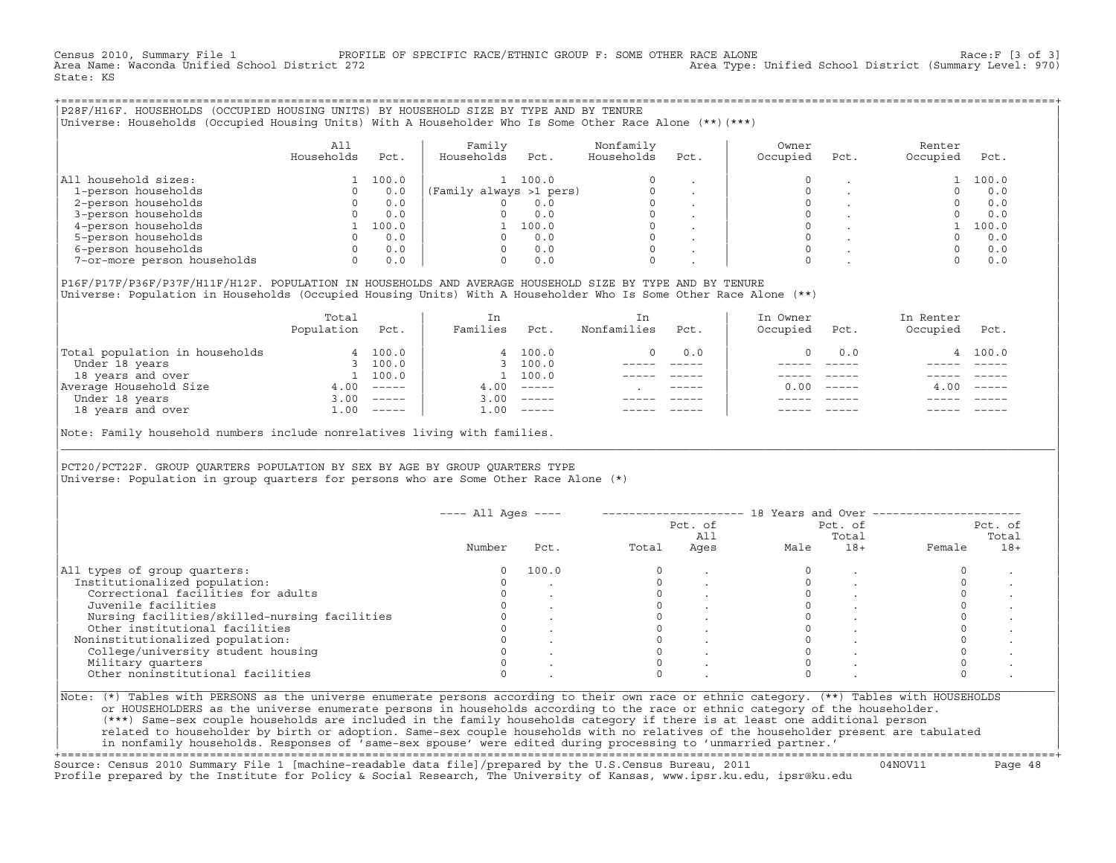Census 2010, Summary File 1 PROFILE OF SPECIFIC RACE/ETHNIC GROUP F: SOME OTHER RACE ALONE Race:F [3 of 3]<br>Area Name: Waconda Unified School District 272 Area Type: Unified School District (Summary Level: 970) State: KS

+===================================================================================================================================================+|P28F/H16F. HOUSEHOLDS (OCCUPIED HOUSING UNITS) BY HOUSEHOLD SIZE BY TYPE AND BY TENURE | |Universe: Households (Occupied Housing Units) With A Householder Who Is Some Other Race Alone (\*\*)(\*\*\*) |

|                             | All<br>Households | Pct.  | Family<br>Households    | Pct.  | Nonfamily<br>Households | Pct.    | Owner<br>Occupied | Pct. | Renter<br>Occupied | Pct.  |
|-----------------------------|-------------------|-------|-------------------------|-------|-------------------------|---------|-------------------|------|--------------------|-------|
| household sizes:<br>All     |                   | 100.0 |                         | 100.0 | $\Omega$                |         |                   |      |                    | 100.0 |
| 1-person households         |                   | 0.0   | (Family always >1 pers) |       |                         |         |                   |      |                    | 0.0   |
| 2-person households         |                   | 0.0   |                         | 0.0   | $\Omega$                |         |                   |      |                    | 0.0   |
| 3-person households         |                   | 0.0   |                         | 0.0   | $\mathbf 0$             | $\cdot$ |                   |      |                    | 0.0   |
| 4-person households         |                   | 100.0 |                         | 100.0 | $\Omega$                | $\cdot$ |                   |      |                    | 100.0 |
| 5-person households         |                   | 0.0   |                         | 0.0   | $\Omega$                |         |                   |      |                    | 0.0   |
| 6-person households         |                   | 0.0   |                         | 0.0   | $\Omega$                |         |                   |      |                    | 0.0   |
| 7-or-more person households |                   | 0.0   |                         | 0.0   | $\mathbf 0$             |         |                   |      |                    | 0.0   |

|P16F/P17F/P36F/P37F/H11F/H12F. POPULATION IN HOUSEHOLDS AND AVERAGE HOUSEHOLD SIZE BY TYPE AND BY TENURE | Universe: Population in Households (Occupied Housing Units) With A Householder Who Is Some Other Race Alone (\*\*)

|                                | Total<br>Population | Pct.     | In<br>Families | Pct.     | In<br>Nonfamilies | Pct.        | In Owner<br>Occupied | Pct.                      | In Renter<br>Occupied | Pct.     |
|--------------------------------|---------------------|----------|----------------|----------|-------------------|-------------|----------------------|---------------------------|-----------------------|----------|
| Total population in households |                     | 4 100.0  |                | 4 100.0  | 0                 | 0.0         |                      | 0.0                       |                       | 4 100.0  |
| Under 18 years                 |                     | 3 100.0  |                | 3, 100.0 |                   |             |                      |                           |                       |          |
| 18 years and over              |                     | 100.0    |                | 100.0    |                   |             |                      |                           |                       |          |
| Average Household Size         | 4.00                | $------$ | 4.00           | $------$ |                   | $- - - - -$ | 0.00                 | $\qquad \qquad - - - - -$ | 4.00                  | $------$ |
| Under 18 years                 | 3.00                | $------$ | 3.00           | $------$ |                   |             |                      |                           |                       |          |
| 18 years and over              | $\perp$ .00         | $------$ | 1.00           | $------$ |                   |             |                      |                           |                       | $------$ |
|                                |                     |          |                |          |                   |             |                      |                           |                       |          |

Note: Family household numbers include nonrelatives living with families.

| | PCT20/PCT22F. GROUP OUARTERS POPULATION BY SEX BY AGE BY GROUP OUARTERS TYPE Universe: Population in group quarters for persons who are Some Other Race Alone (\*)

|                                               |        |       |       | Pct. of<br>All |      | Pct. of<br>Total |        | Pct. of<br>Total |
|-----------------------------------------------|--------|-------|-------|----------------|------|------------------|--------|------------------|
|                                               | Number | Pct.  | Total | Ages           | Male | $18+$            | Female | $18+$            |
| All types of group quarters:                  |        | 100.0 |       |                |      |                  |        |                  |
| Institutionalized population:                 |        |       |       |                |      |                  |        |                  |
| Correctional facilities for adults            |        |       |       |                |      |                  |        |                  |
| Juvenile facilities                           |        |       |       |                |      |                  |        |                  |
| Nursing facilities/skilled-nursing facilities |        |       |       |                |      |                  |        |                  |
| Other institutional facilities                |        |       |       |                |      |                  |        |                  |
| Noninstitutionalized population:              |        |       |       |                |      |                  |        |                  |
| College/university student housing            |        |       |       |                |      |                  |        |                  |
| Military quarters                             |        |       |       |                |      |                  |        |                  |
| Other noninstitutional facilities             |        |       |       |                |      |                  |        |                  |

|\_\_\_\_\_\_\_\_\_\_\_\_\_\_\_\_\_\_\_\_\_\_\_\_\_\_\_\_\_\_\_\_\_\_\_\_\_\_\_\_\_\_\_\_\_\_\_\_\_\_\_\_\_\_\_\_\_\_\_\_\_\_\_\_\_\_\_\_\_\_\_\_\_\_\_\_\_\_\_\_\_\_\_\_\_\_\_\_\_\_\_\_\_\_\_\_\_\_\_\_\_\_\_\_\_\_\_\_\_\_\_\_\_\_\_\_\_\_\_\_\_\_\_\_\_\_\_\_\_\_\_\_\_\_\_\_\_\_\_\_\_\_\_\_\_\_\_|

| |

or HOUSEHOLDERS as the universe enumerate persons in households according to the race or ethnic category of the householder. | (\*\*\*) Same−sex couple households are included in the family households category if there is at least one additional person | | related to householder by birth or adoption. Same−sex couple households with no relatives of the householder present are tabulated | | in nonfamily households. Responses of 'same−sex spouse' were edited during processing to 'unmarried partner.' |

+===================================================================================================================================================+ Source: Census 2010 Summary File 1 [machine−readable data file]/prepared by the U.S.Census Bureau, 2011 04NOV11 Page 48 Profile prepared by the Institute for Policy & Social Research, The University of Kansas, www.ipsr.ku.edu, ipsr@ku.edu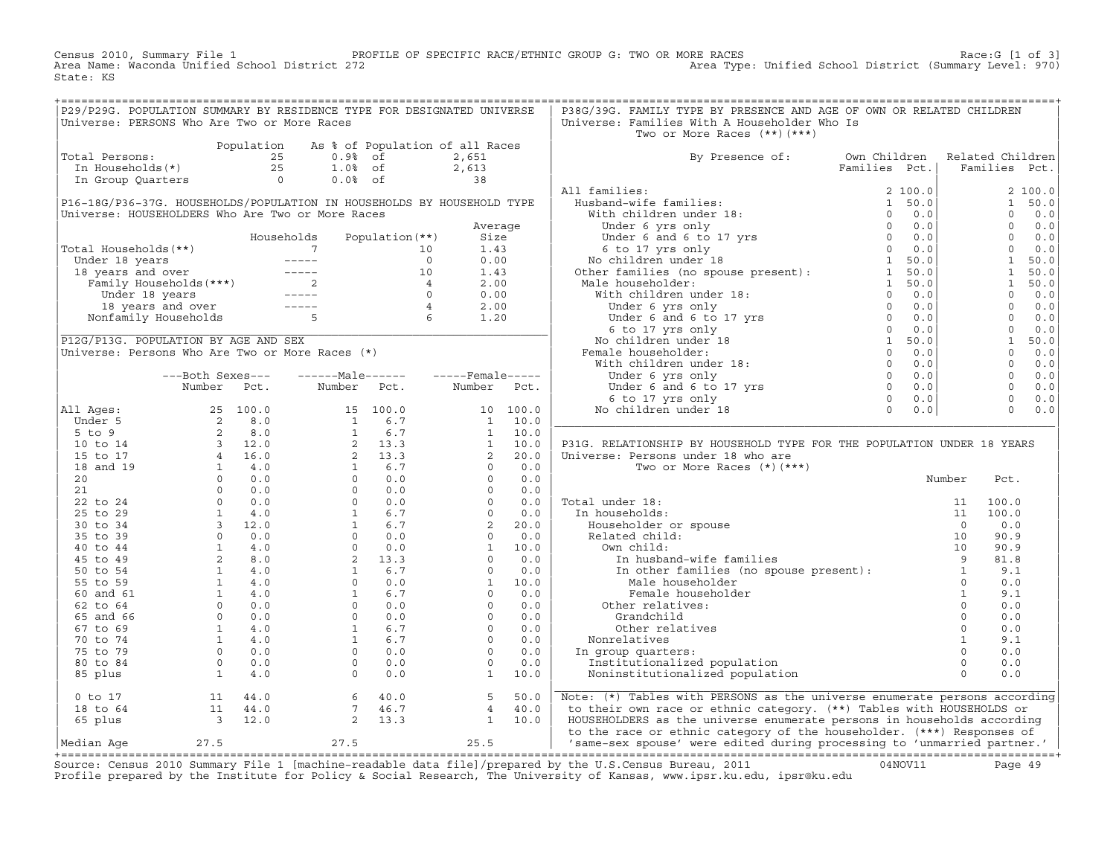Census 2010, Summary File 1 PROFILE OF SPECIFIC RACE/ETHNIC GROUP G: TWO OR MORE RACES Race:G [1 of 3] Area Name: Waconda Unified School District 272 Area Type: Unified School District (Summary Level: 970) State: KS

+===================================================================================================================================================+

| P29/P29G. POPULATION SUMMARY BY RESIDENCE TYPE FOR DESIGNATED UNIVERSE |                  |            |                                                                                                                                                                                                                                                        |                                 |                                                                                                                                                                                                                                                                                            |             | P38G/39G. FAMILY TYPE BY PRESENCE AND AGE OF OWN OR RELATED CHILDREN                                                                                                                                                          |               |                                       |                |         |
|------------------------------------------------------------------------|------------------|------------|--------------------------------------------------------------------------------------------------------------------------------------------------------------------------------------------------------------------------------------------------------|---------------------------------|--------------------------------------------------------------------------------------------------------------------------------------------------------------------------------------------------------------------------------------------------------------------------------------------|-------------|-------------------------------------------------------------------------------------------------------------------------------------------------------------------------------------------------------------------------------|---------------|---------------------------------------|----------------|---------|
| Universe: PERSONS Who Are Two or More Races                            |                  |            |                                                                                                                                                                                                                                                        |                                 |                                                                                                                                                                                                                                                                                            |             | Universe: Families With A Householder Who Is                                                                                                                                                                                  |               |                                       |                |         |
|                                                                        |                  |            |                                                                                                                                                                                                                                                        |                                 |                                                                                                                                                                                                                                                                                            |             | Two or More Races (**) (***)                                                                                                                                                                                                  |               |                                       |                |         |
|                                                                        |                  | Population |                                                                                                                                                                                                                                                        | As % of Population of all Races |                                                                                                                                                                                                                                                                                            |             |                                                                                                                                                                                                                               |               |                                       |                |         |
| Total Persons:                                                         |                  |            | 25<br>$0.9%$ of                                                                                                                                                                                                                                        |                                 | 2,651                                                                                                                                                                                                                                                                                      |             | By Presence of:                                                                                                                                                                                                               | Own Children  | Related Children                      |                |         |
| In Households(*)                                                       |                  |            | 25<br>$1.0%$ of                                                                                                                                                                                                                                        |                                 | 2,613                                                                                                                                                                                                                                                                                      |             |                                                                                                                                                                                                                               | Families Pct. | Families Pct.                         |                |         |
| In Group Quarters                                                      |                  | $\bigcirc$ | $0.0%$ of                                                                                                                                                                                                                                              |                                 | 38                                                                                                                                                                                                                                                                                         |             | and the property of the space of the property of the space of the space of the space of the space of the space of the space of the space of the space of the space of the space of the space of the space of the space of the |               |                                       |                |         |
|                                                                        |                  |            |                                                                                                                                                                                                                                                        |                                 |                                                                                                                                                                                                                                                                                            |             | All families:                                                                                                                                                                                                                 |               |                                       |                | 2 100.0 |
| P16-18G/P36-37G. HOUSEHOLDS/POPULATION IN HOUSEHOLDS BY HOUSEHOLD TYPE |                  |            |                                                                                                                                                                                                                                                        |                                 |                                                                                                                                                                                                                                                                                            |             |                                                                                                                                                                                                                               |               |                                       | 1              | 50.0    |
| Universe: HOUSEHOLDERS Who Are Two or More Races                       |                  |            |                                                                                                                                                                                                                                                        |                                 |                                                                                                                                                                                                                                                                                            |             |                                                                                                                                                                                                                               |               |                                       | $\circ$        | 0.0     |
|                                                                        |                  |            |                                                                                                                                                                                                                                                        |                                 | Average                                                                                                                                                                                                                                                                                    |             |                                                                                                                                                                                                                               |               |                                       | $\overline{0}$ | 0.0     |
|                                                                        |                  |            | Households                                                                                                                                                                                                                                             | Population (**)                 | Size                                                                                                                                                                                                                                                                                       |             |                                                                                                                                                                                                                               |               |                                       | $\Omega$       | 0.0     |
| Total Households(**)                                                   |                  |            |                                                                                                                                                                                                                                                        |                                 | 1.43                                                                                                                                                                                                                                                                                       |             |                                                                                                                                                                                                                               |               |                                       | $\overline{0}$ | 0.0     |
|                                                                        |                  |            |                                                                                                                                                                                                                                                        |                                 | 0.00                                                                                                                                                                                                                                                                                       |             |                                                                                                                                                                                                                               |               |                                       | $\overline{1}$ | 50.0    |
|                                                                        |                  |            |                                                                                                                                                                                                                                                        |                                 | 1.43                                                                                                                                                                                                                                                                                       |             |                                                                                                                                                                                                                               |               |                                       | 1              | 50.0    |
|                                                                        |                  |            | Votal Households (**)<br>Under 18 years<br>10 10<br>18 years and over<br>Family Households (***)<br>Under 18 years<br>2 10<br>18 years and over<br>18 years and over<br>18 years and over<br>18 years and over<br>18 years and over<br>19 -----<br>5 6 |                                 | 2.00                                                                                                                                                                                                                                                                                       |             |                                                                                                                                                                                                                               |               |                                       | 1              | 50.0    |
|                                                                        |                  |            |                                                                                                                                                                                                                                                        |                                 | 0.00                                                                                                                                                                                                                                                                                       |             |                                                                                                                                                                                                                               |               |                                       | $\overline{0}$ | 0.0     |
|                                                                        |                  |            |                                                                                                                                                                                                                                                        |                                 | 2.00                                                                                                                                                                                                                                                                                       |             |                                                                                                                                                                                                                               |               |                                       | $\Omega$       | 0.0     |
|                                                                        |                  |            |                                                                                                                                                                                                                                                        |                                 | 1.20                                                                                                                                                                                                                                                                                       |             |                                                                                                                                                                                                                               |               |                                       | 0              | 0.0     |
|                                                                        |                  |            |                                                                                                                                                                                                                                                        |                                 |                                                                                                                                                                                                                                                                                            |             |                                                                                                                                                                                                                               |               |                                       | $0 \qquad 0.0$ |         |
| P12G/P13G. POPULATION BY AGE AND SEX                                   |                  |            |                                                                                                                                                                                                                                                        |                                 |                                                                                                                                                                                                                                                                                            |             |                                                                                                                                                                                                                               |               |                                       | 1              | 50.0    |
| Universe: Persons Who Are Two or More Races (*)                        |                  |            |                                                                                                                                                                                                                                                        |                                 |                                                                                                                                                                                                                                                                                            |             |                                                                                                                                                                                                                               |               |                                       | $\Omega$       | 0.0     |
|                                                                        |                  |            |                                                                                                                                                                                                                                                        |                                 |                                                                                                                                                                                                                                                                                            |             |                                                                                                                                                                                                                               |               |                                       | $\overline{0}$ | 0.0     |
|                                                                        | ---Both Sexes--- |            | ------Male------                                                                                                                                                                                                                                       |                                 | $---$ Female-----                                                                                                                                                                                                                                                                          |             |                                                                                                                                                                                                                               |               |                                       | $\overline{0}$ | 0.0     |
|                                                                        | Number Pct.      |            | Number Pct.                                                                                                                                                                                                                                            |                                 | Number Pct.                                                                                                                                                                                                                                                                                |             |                                                                                                                                                                                                                               |               |                                       | $\overline{0}$ | 0.0     |
|                                                                        |                  |            |                                                                                                                                                                                                                                                        |                                 |                                                                                                                                                                                                                                                                                            |             |                                                                                                                                                                                                                               |               |                                       | $\overline{0}$ | 0.0     |
| All Ages:                                                              |                  |            |                                                                                                                                                                                                                                                        |                                 |                                                                                                                                                                                                                                                                                            |             |                                                                                                                                                                                                                               |               |                                       | $\Omega$       | 0.0     |
| Under 5                                                                |                  |            |                                                                                                                                                                                                                                                        |                                 |                                                                                                                                                                                                                                                                                            |             |                                                                                                                                                                                                                               |               |                                       |                |         |
| $5$ to $9$                                                             |                  |            |                                                                                                                                                                                                                                                        |                                 |                                                                                                                                                                                                                                                                                            |             |                                                                                                                                                                                                                               |               |                                       |                |         |
| 10 to 14                                                               |                  |            |                                                                                                                                                                                                                                                        |                                 |                                                                                                                                                                                                                                                                                            |             | P31G. RELATIONSHIP BY HOUSEHOLD TYPE FOR THE POPULATION UNDER 18 YEARS                                                                                                                                                        |               |                                       |                |         |
| 15 to 17                                                               |                  |            |                                                                                                                                                                                                                                                        |                                 |                                                                                                                                                                                                                                                                                            |             | Universe: Persons under 18 who are                                                                                                                                                                                            |               |                                       |                |         |
| 18 and 19                                                              |                  |            |                                                                                                                                                                                                                                                        |                                 |                                                                                                                                                                                                                                                                                            |             | Two or More Races $(*)$ $(***)$                                                                                                                                                                                               |               |                                       |                |         |
| 20                                                                     |                  |            |                                                                                                                                                                                                                                                        |                                 |                                                                                                                                                                                                                                                                                            |             |                                                                                                                                                                                                                               |               | Number                                | Pct.           |         |
| 21                                                                     |                  |            |                                                                                                                                                                                                                                                        |                                 |                                                                                                                                                                                                                                                                                            |             |                                                                                                                                                                                                                               |               |                                       |                |         |
| 22 to 24                                                               |                  |            |                                                                                                                                                                                                                                                        |                                 |                                                                                                                                                                                                                                                                                            |             | Total under 18:                                                                                                                                                                                                               |               |                                       | 100.0          |         |
| 25 to 29                                                               |                  |            |                                                                                                                                                                                                                                                        |                                 |                                                                                                                                                                                                                                                                                            |             | In households:                                                                                                                                                                                                                |               |                                       | 100.0          |         |
| 30 to 34                                                               |                  |            |                                                                                                                                                                                                                                                        |                                 |                                                                                                                                                                                                                                                                                            |             | Householder or spouse                                                                                                                                                                                                         |               |                                       | 0.0            |         |
| 35 to 39                                                               |                  |            |                                                                                                                                                                                                                                                        |                                 |                                                                                                                                                                                                                                                                                            |             | Related child:                                                                                                                                                                                                                |               |                                       | 90.9           |         |
| 40 to 44                                                               |                  |            |                                                                                                                                                                                                                                                        |                                 |                                                                                                                                                                                                                                                                                            |             | Own child:                                                                                                                                                                                                                    |               |                                       | 90.9           |         |
| 45 to 49                                                               |                  |            |                                                                                                                                                                                                                                                        |                                 |                                                                                                                                                                                                                                                                                            |             |                                                                                                                                                                                                                               |               |                                       | 81.8           |         |
| 50 to 54                                                               |                  |            |                                                                                                                                                                                                                                                        |                                 |                                                                                                                                                                                                                                                                                            |             |                                                                                                                                                                                                                               |               |                                       | 9.1            |         |
| 55 to 59                                                               |                  |            |                                                                                                                                                                                                                                                        |                                 |                                                                                                                                                                                                                                                                                            |             |                                                                                                                                                                                                                               |               |                                       | 0.0            |         |
| 60 and 61                                                              |                  |            |                                                                                                                                                                                                                                                        |                                 |                                                                                                                                                                                                                                                                                            |             | Female householder                                                                                                                                                                                                            |               | $\begin{array}{c} 0 \\ 1 \end{array}$ | 9.1            |         |
| 62 to 64                                                               |                  |            |                                                                                                                                                                                                                                                        |                                 |                                                                                                                                                                                                                                                                                            |             | Female househ<br>Other relatives:                                                                                                                                                                                             |               |                                       | 0.0            |         |
| 65 and 66                                                              |                  |            |                                                                                                                                                                                                                                                        |                                 |                                                                                                                                                                                                                                                                                            |             | Grandchild                                                                                                                                                                                                                    |               | $\circ$                               | 0.0            |         |
| 67 to 69                                                               |                  |            |                                                                                                                                                                                                                                                        |                                 |                                                                                                                                                                                                                                                                                            |             | Other relatives                                                                                                                                                                                                               |               | 0                                     | 0.0            |         |
| 70 to 74                                                               |                  |            |                                                                                                                                                                                                                                                        |                                 |                                                                                                                                                                                                                                                                                            |             | Nonrelatives                                                                                                                                                                                                                  |               | $\mathbf{1}$                          | 9.1            |         |
| 75 to 79                                                               |                  |            |                                                                                                                                                                                                                                                        |                                 |                                                                                                                                                                                                                                                                                            |             | In group quarters:                                                                                                                                                                                                            |               | $\Omega$                              | 0.0            |         |
| 80 to 84                                                               |                  |            |                                                                                                                                                                                                                                                        |                                 |                                                                                                                                                                                                                                                                                            |             | Institutionalized population                                                                                                                                                                                                  |               | $\overline{0}$                        | 0.0            |         |
| 85 plus                                                                |                  |            |                                                                                                                                                                                                                                                        |                                 | $\mathbf{1}$                                                                                                                                                                                                                                                                               | 10.0        | Noninstitutionalized population                                                                                                                                                                                               |               | $\Omega$                              | 0.0            |         |
|                                                                        |                  |            |                                                                                                                                                                                                                                                        |                                 | $\begin{bmatrix} 10 & 100.0 \ 1 & 10.0 \ 1 & 10.0 \ 1 & 10.0 \ 1 & 10.0 \ 2 & 20.0 \ 0 & 0.0 \ 0 & 0.0 \ 0 & 0.0 \ 0 & 0.0 \ 0 & 0.0 \ 0 & 0.0 \ 2 & 20.0 \ 0 & 0.0 \ 1 & 10.0 \ 0 & 0.0 \ 1 & 10.0 \ 0 & 0.0 \ 0 & 0.0 \ 0 & 0.0 \ 0 & 0.0 \ 0 & 0.0 \ 0 & 0.0 \ 0 & 0.0 \ 0 & 0.0 \ 0 &$ |             |                                                                                                                                                                                                                               |               |                                       |                |         |
| $0$ to $17$                                                            | 11               | 44.0       | 6                                                                                                                                                                                                                                                      | 40.0                            | 5                                                                                                                                                                                                                                                                                          | 50.0        | Note: (*) Tables with PERSONS as the universe enumerate persons according                                                                                                                                                     |               |                                       |                |         |
| 18 to 64                                                               |                  | 11 44.0    | $7^{\circ}$                                                                                                                                                                                                                                            | 46.7                            | $\overline{4}$                                                                                                                                                                                                                                                                             | 40.0        | to their own race or ethnic category. (**) Tables with HOUSEHOLDS or                                                                                                                                                          |               |                                       |                |         |
| 65 plus                                                                | 3 12.0           |            | 2                                                                                                                                                                                                                                                      | 13.3                            |                                                                                                                                                                                                                                                                                            | $1 \t 10.0$ | HOUSEHOLDERS as the universe enumerate persons in households according                                                                                                                                                        |               |                                       |                |         |
|                                                                        |                  |            |                                                                                                                                                                                                                                                        |                                 |                                                                                                                                                                                                                                                                                            |             | to the race or ethnic category of the householder. (***) Responses of                                                                                                                                                         |               |                                       |                |         |
| Median Aqe                                                             | 27.5             |            | 27.5                                                                                                                                                                                                                                                   |                                 | 25.5                                                                                                                                                                                                                                                                                       |             | 'same-sex spouse' were edited during processing to 'unmarried partner.'                                                                                                                                                       |               |                                       |                |         |
|                                                                        |                  |            |                                                                                                                                                                                                                                                        |                                 |                                                                                                                                                                                                                                                                                            |             |                                                                                                                                                                                                                               |               |                                       |                |         |

+===================================================================================================================================================+Source: Census 2010 Summary File 1 [machine−readable data file]/prepared by the U.S.Census Bureau, 2011 04NOV11 Page 49 Profile prepared by the Institute for Policy & Social Research, The University of Kansas, www.ipsr.ku.edu, ipsr@ku.edu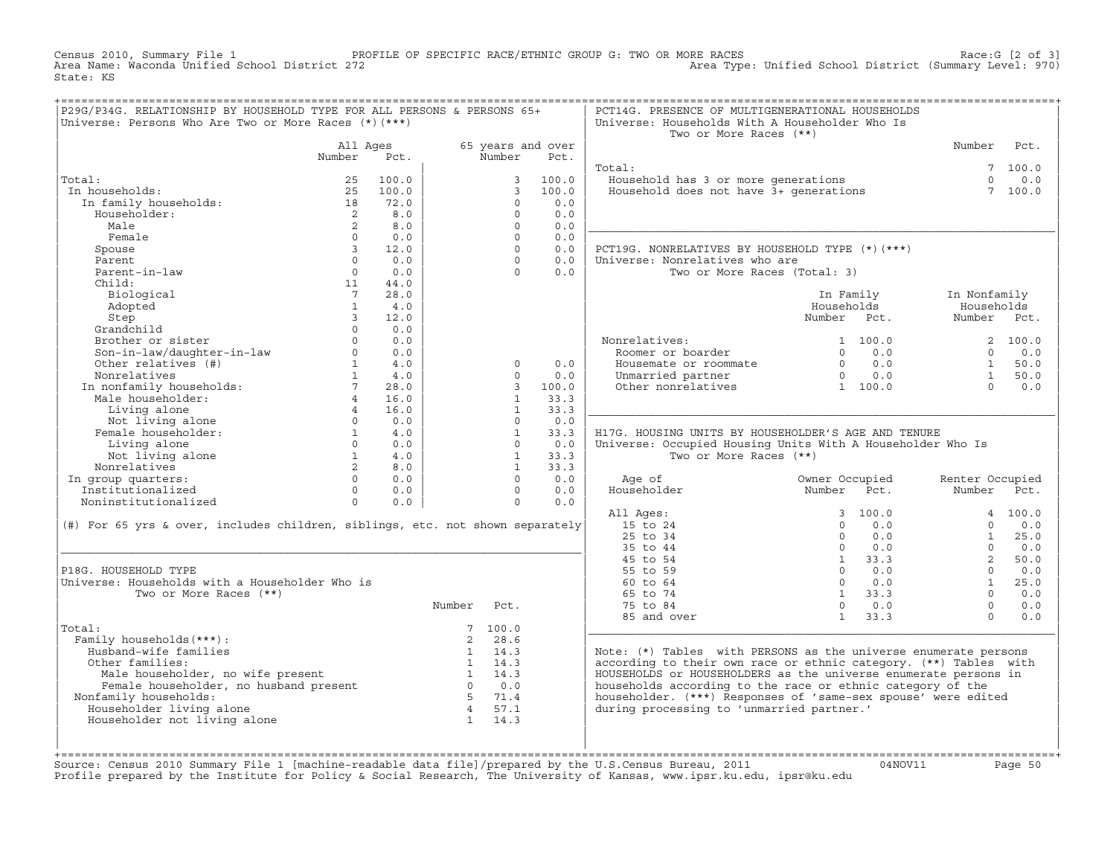Census 2010, Summary File 1 PROFILE OF SPECIFIC RACE/ETHNIC GROUP G: TWO OR MORE RACES Race:G [2 of 3] Area Type: Unified School District (Summary Level: 970) State: KS

| P29G/P34G. RELATIONSHIP BY HOUSEHOLD TYPE FOR ALL PERSONS & PERSONS 65+<br>Universe: Persons Who Are Two or More Races (*) (***)                                                                                                                                                             |                 |          |             |                          |                   | PCT14G. PRESENCE OF MULTIGENERATIONAL HOUSEHOLDS<br>Universe: Households With A Householder Who Is               |                                                                                                                                                                                                                                                                                                                                                                            |                 |                 |
|----------------------------------------------------------------------------------------------------------------------------------------------------------------------------------------------------------------------------------------------------------------------------------------------|-----------------|----------|-------------|--------------------------|-------------------|------------------------------------------------------------------------------------------------------------------|----------------------------------------------------------------------------------------------------------------------------------------------------------------------------------------------------------------------------------------------------------------------------------------------------------------------------------------------------------------------------|-----------------|-----------------|
|                                                                                                                                                                                                                                                                                              |                 |          |             |                          |                   | Two or More Races (**)                                                                                           |                                                                                                                                                                                                                                                                                                                                                                            |                 |                 |
|                                                                                                                                                                                                                                                                                              | All Ages        |          |             |                          | 65 years and over |                                                                                                                  |                                                                                                                                                                                                                                                                                                                                                                            | Number Pct.     |                 |
|                                                                                                                                                                                                                                                                                              | Number Pct.     |          |             | Number                   | Pct.              |                                                                                                                  |                                                                                                                                                                                                                                                                                                                                                                            |                 |                 |
|                                                                                                                                                                                                                                                                                              |                 |          |             |                          |                   | Total:                                                                                                           |                                                                                                                                                                                                                                                                                                                                                                            |                 | 7 100.0         |
| Total:                                                                                                                                                                                                                                                                                       | 25              | 100.0    |             |                          | 3 100.0           | <br>Household has 3 or more generations<br>Household does not have 3+ generations                                |                                                                                                                                                                                                                                                                                                                                                                            |                 | $\Omega$<br>0.0 |
| In households:                                                                                                                                                                                                                                                                               |                 | 25 100.0 |             | $\mathcal{R}$            | 100.0             |                                                                                                                  |                                                                                                                                                                                                                                                                                                                                                                            |                 | 7 100.0         |
|                                                                                                                                                                                                                                                                                              |                 | 72.0     |             | $\Omega$                 | 0.0               |                                                                                                                  |                                                                                                                                                                                                                                                                                                                                                                            |                 |                 |
| Householder:                                                                                                                                                                                                                                                                                 |                 | 2 8.0    |             | $\Omega$                 | 0.0               |                                                                                                                  |                                                                                                                                                                                                                                                                                                                                                                            |                 |                 |
| Male                                                                                                                                                                                                                                                                                         | $\overline{2}$  | 8.0      |             | $\Omega$                 | 0.0               |                                                                                                                  |                                                                                                                                                                                                                                                                                                                                                                            |                 |                 |
| Female                                                                                                                                                                                                                                                                                       | $\Omega$        | 0.0      |             | $\Omega$                 | 0.0               |                                                                                                                  |                                                                                                                                                                                                                                                                                                                                                                            |                 |                 |
| Spouse                                                                                                                                                                                                                                                                                       | $\overline{3}$  | 12.0     |             | $\Omega$                 | 0.0               | PCT19G. NONRELATIVES BY HOUSEHOLD TYPE (*) (***)                                                                 |                                                                                                                                                                                                                                                                                                                                                                            |                 |                 |
| Parent                                                                                                                                                                                                                                                                                       | $\Omega$        | 0.0      |             | $\Omega$                 | 0.0               | Universe: Nonrelatives who are                                                                                   |                                                                                                                                                                                                                                                                                                                                                                            |                 |                 |
| Parent-in-law                                                                                                                                                                                                                                                                                | $\overline{0}$  | 0.0      |             | $\Omega$                 | 0.0               | Two or More Races (Total: 3)                                                                                     |                                                                                                                                                                                                                                                                                                                                                                            |                 |                 |
| Child:                                                                                                                                                                                                                                                                                       |                 | 11 44.0  |             |                          |                   |                                                                                                                  |                                                                                                                                                                                                                                                                                                                                                                            |                 |                 |
| Biological                                                                                                                                                                                                                                                                                   | $7\overline{7}$ | 28.0     |             |                          |                   |                                                                                                                  | In Family                                                                                                                                                                                                                                                                                                                                                                  | In Nonfamily    |                 |
| Adopted                                                                                                                                                                                                                                                                                      | $\overline{1}$  | 4.0      |             |                          |                   |                                                                                                                  | Households                                                                                                                                                                                                                                                                                                                                                                 | Households      |                 |
|                                                                                                                                                                                                                                                                                              |                 |          |             |                          |                   |                                                                                                                  | Number Pct.                                                                                                                                                                                                                                                                                                                                                                | Number Pct.     |                 |
|                                                                                                                                                                                                                                                                                              |                 |          |             |                          |                   |                                                                                                                  |                                                                                                                                                                                                                                                                                                                                                                            |                 |                 |
|                                                                                                                                                                                                                                                                                              |                 |          |             |                          |                   |                                                                                                                  |                                                                                                                                                                                                                                                                                                                                                                            |                 |                 |
|                                                                                                                                                                                                                                                                                              |                 |          |             |                          |                   | Nonrelatives:<br>Roomer or boarder                                                                               |                                                                                                                                                                                                                                                                                                                                                                            |                 |                 |
|                                                                                                                                                                                                                                                                                              |                 |          |             | $\circ$                  | 0.0               |                                                                                                                  |                                                                                                                                                                                                                                                                                                                                                                            |                 |                 |
|                                                                                                                                                                                                                                                                                              |                 |          |             | $\Omega$                 | 0.0               |                                                                                                                  |                                                                                                                                                                                                                                                                                                                                                                            |                 |                 |
|                                                                                                                                                                                                                                                                                              |                 |          |             |                          | 3, 100.0          |                                                                                                                  |                                                                                                                                                                                                                                                                                                                                                                            |                 |                 |
|                                                                                                                                                                                                                                                                                              |                 |          |             | $\mathbf{1}$             | 33.3              |                                                                                                                  |                                                                                                                                                                                                                                                                                                                                                                            |                 |                 |
|                                                                                                                                                                                                                                                                                              |                 |          |             | $\overline{1}$           | 33.3              |                                                                                                                  |                                                                                                                                                                                                                                                                                                                                                                            |                 |                 |
| Adopted<br>Step<br>Step<br>Grandchild<br>Step<br>Son–in–law/daughter–in–law<br>Son–in–law/daughter–in–law<br>O 0.0<br>Other relatives (#)<br>1 4.0<br>Monrelatives 1 4.0<br>Monrelatives 1 4.0<br>Monrelatives 1 4.0<br>Male householder:<br>Living alone                                    |                 |          |             | $\overline{0}$           | 0.0               |                                                                                                                  |                                                                                                                                                                                                                                                                                                                                                                            |                 |                 |
|                                                                                                                                                                                                                                                                                              |                 |          |             |                          |                   |                                                                                                                  |                                                                                                                                                                                                                                                                                                                                                                            |                 |                 |
|                                                                                                                                                                                                                                                                                              |                 |          |             | $\mathbf{1}$<br>$\Omega$ | 33.3              | H17G. HOUSING UNITS BY HOUSEHOLDER'S AGE AND TENURE                                                              |                                                                                                                                                                                                                                                                                                                                                                            |                 |                 |
|                                                                                                                                                                                                                                                                                              |                 |          |             |                          | 0.0               | Universe: Occupied Housing Units With A Householder Who Is                                                       |                                                                                                                                                                                                                                                                                                                                                                            |                 |                 |
|                                                                                                                                                                                                                                                                                              |                 |          |             | 1                        | 33.3              | Two or More Races (**)                                                                                           |                                                                                                                                                                                                                                                                                                                                                                            |                 |                 |
|                                                                                                                                                                                                                                                                                              |                 |          |             | $\mathbf{1}$             | 33.3              |                                                                                                                  |                                                                                                                                                                                                                                                                                                                                                                            |                 |                 |
|                                                                                                                                                                                                                                                                                              |                 |          |             |                          | 0.0               | Age of<br>Age of                               Owner Occupied<br>Householder                     Number     Pct. | Owner Occupied                                                                                                                                                                                                                                                                                                                                                             | Renter Occupied |                 |
|                                                                                                                                                                                                                                                                                              |                 |          |             | $\Omega$                 | 0.0               |                                                                                                                  |                                                                                                                                                                                                                                                                                                                                                                            | Number Pct.     |                 |
|                                                                                                                                                                                                                                                                                              |                 |          |             | $0 \qquad \qquad$        | 0.0               |                                                                                                                  |                                                                                                                                                                                                                                                                                                                                                                            |                 |                 |
|                                                                                                                                                                                                                                                                                              |                 |          |             |                          |                   | All Ages:                                                                                                        |                                                                                                                                                                                                                                                                                                                                                                            |                 | 4 100.0         |
| (#) For 65 yrs & over, includes children, siblings, etc. not shown separately                                                                                                                                                                                                                |                 |          |             |                          |                   | 15 to 24                                                                                                         |                                                                                                                                                                                                                                                                                                                                                                            |                 | 0.0             |
|                                                                                                                                                                                                                                                                                              |                 |          |             |                          |                   | 25 to 34                                                                                                         |                                                                                                                                                                                                                                                                                                                                                                            |                 | $1 \t 25.0$     |
|                                                                                                                                                                                                                                                                                              |                 |          |             |                          |                   | 35 to 44                                                                                                         |                                                                                                                                                                                                                                                                                                                                                                            |                 | $0 \t 0.0$      |
|                                                                                                                                                                                                                                                                                              |                 |          |             |                          |                   | 45 to 54                                                                                                         | $\begin{array}{cccc} 3 & 100.0 & & & & 4 & 1 \\ 0 & 0.0 & & & & & 0 \\ 0 & 0.0 & & & & 1 \\ 0 & 0.0 & & & & 0 \\ 1 & 33.3 & & & & 2 \\ 1 & 0.0 & & & & 0 \\ 0 & 0 & & & & 0 \\ 0 & 0 & & & & 0 \\ 0 & 0 & & & & 0 \\ 0 & 0 & & & & 0 \\ 0 & 0 & & & & 0 \\ 0 & 0 & & & & 0 \\ 0 & 0 & & & & 0 \\ 0 & 0 & & & & 0 \\ 0 & 0 & & & & 0 \\ 0 & 0 & & & & 0 \\ 0$<br>$1 \t33.3$ |                 | 50.0            |
| P18G. HOUSEHOLD TYPE                                                                                                                                                                                                                                                                         |                 |          |             |                          |                   | 55 to 59                                                                                                         | $0 \t 0.0$                                                                                                                                                                                                                                                                                                                                                                 | $\overline{0}$  | 0.0             |
| Universe: Households with a Householder Who is                                                                                                                                                                                                                                               |                 |          |             |                          |                   | 60 to 64                                                                                                         | $0 \t 0.0$                                                                                                                                                                                                                                                                                                                                                                 |                 | $1 \t 25.0$     |
| Two or More Races (**)                                                                                                                                                                                                                                                                       |                 |          |             |                          |                   | 65 to 74                                                                                                         | $1 \t33.3$                                                                                                                                                                                                                                                                                                                                                                 | $\Omega$        | 0.0             |
|                                                                                                                                                                                                                                                                                              |                 |          | Number Pct. |                          |                   | 75 to 84                                                                                                         | $0 \qquad 0.0$                                                                                                                                                                                                                                                                                                                                                             | $\Omega$        | 0.0             |
|                                                                                                                                                                                                                                                                                              |                 |          |             |                          |                   | 85 and over                                                                                                      | $1 \t33.3$                                                                                                                                                                                                                                                                                                                                                                 | $\Omega$        | 0.0             |
| Total:                                                                                                                                                                                                                                                                                       |                 |          |             | 7, 100.0                 |                   |                                                                                                                  |                                                                                                                                                                                                                                                                                                                                                                            |                 |                 |
| Family households (***) :                                                                                                                                                                                                                                                                    |                 |          |             | 2, 28.6                  |                   |                                                                                                                  |                                                                                                                                                                                                                                                                                                                                                                            |                 |                 |
| Husband-wife families                                                                                                                                                                                                                                                                        |                 |          |             | 1 14.3                   |                   | Note: $(*)$ Tables with PERSONS as the universe enumerate persons                                                |                                                                                                                                                                                                                                                                                                                                                                            |                 |                 |
| Other families:                                                                                                                                                                                                                                                                              |                 |          |             | 1 14.3                   |                   | according to their own race or ethnic category. (**) Tables with                                                 |                                                                                                                                                                                                                                                                                                                                                                            |                 |                 |
|                                                                                                                                                                                                                                                                                              |                 |          |             |                          |                   | HOUSEHOLDS or HOUSEHOLDERS as the universe enumerate persons in                                                  |                                                                                                                                                                                                                                                                                                                                                                            |                 |                 |
|                                                                                                                                                                                                                                                                                              |                 |          |             |                          |                   | households according to the race or ethnic category of the                                                       |                                                                                                                                                                                                                                                                                                                                                                            |                 |                 |
| Nonfamily households:                                                                                                                                                                                                                                                                        |                 |          |             |                          |                   | householder. (***) Responses of 'same-sex spouse' were edited                                                    |                                                                                                                                                                                                                                                                                                                                                                            |                 |                 |
| Male householder, no wife present<br>Female householder, no husband present<br>Female households:<br>1 14.3<br>family households:<br>1 14.3<br>1 14.3<br>5 7.1<br>2 14.3<br>1 14.3<br>1 14.3<br>1 14.3<br>1 14.3<br>1 14.3<br>5 7.1<br>2 15.4<br>2 17.4<br>2 17.<br>Householder living alone |                 |          |             |                          |                   | during processing to 'unmarried partner.'                                                                        |                                                                                                                                                                                                                                                                                                                                                                            |                 |                 |
| Householder not living alone                                                                                                                                                                                                                                                                 |                 |          |             | $1 \t14.3$               |                   |                                                                                                                  |                                                                                                                                                                                                                                                                                                                                                                            |                 |                 |
|                                                                                                                                                                                                                                                                                              |                 |          |             |                          |                   |                                                                                                                  |                                                                                                                                                                                                                                                                                                                                                                            |                 |                 |
|                                                                                                                                                                                                                                                                                              |                 |          |             |                          |                   |                                                                                                                  |                                                                                                                                                                                                                                                                                                                                                                            |                 |                 |

+===================================================================================================================================================+Source: Census 2010 Summary File 1 [machine−readable data file]/prepared by the U.S.Census Bureau, 2011 04NOV11 Page 50 Profile prepared by the Institute for Policy & Social Research, The University of Kansas, www.ipsr.ku.edu, ipsr@ku.edu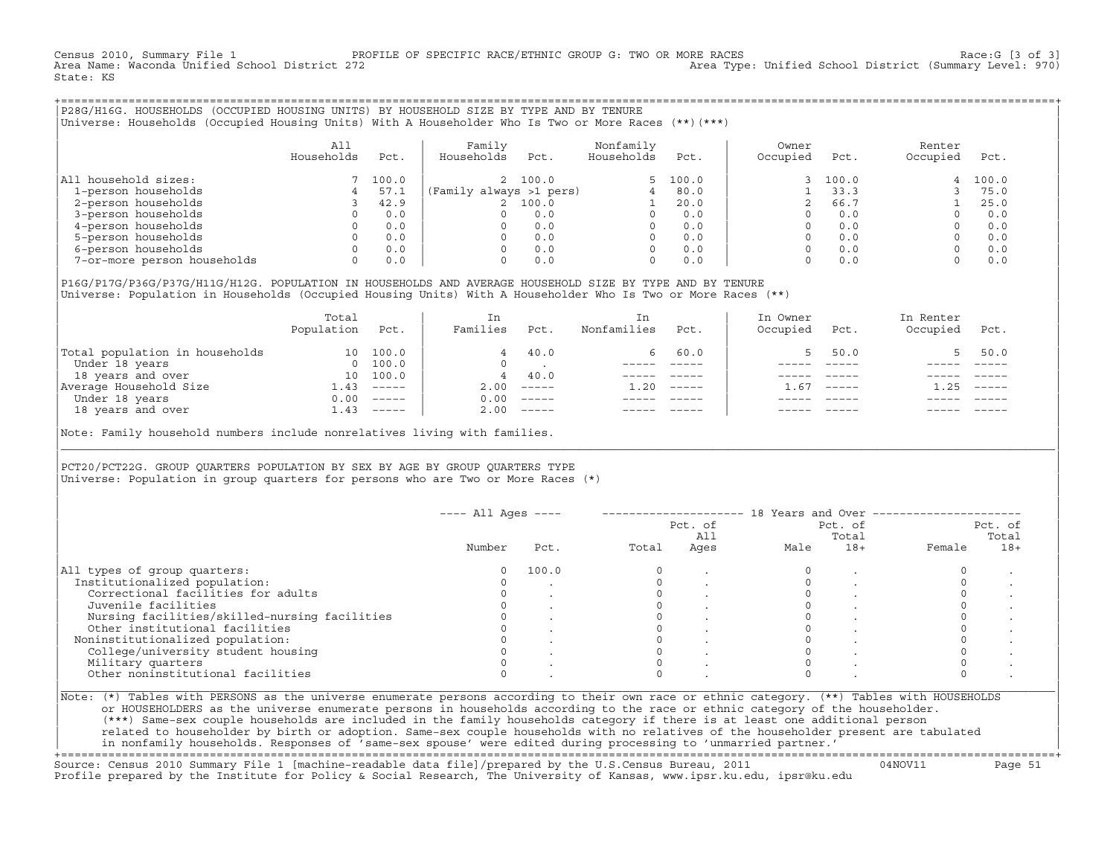Census 2010, Summary File 1 PROFILE OF SPECIFIC RACE/ETHNIC GROUP G: TWO OR MORE RACES [3 of 3]<br>Area Name: Waconda Unified School District 272 Area Type: Unified School District (Summary Level: 970) Area Type: Unified School District (Summary Level: 970) State: KS

+===================================================================================================================================================+|P28G/H16G. HOUSEHOLDS (OCCUPIED HOUSING UNITS) BY HOUSEHOLD SIZE BY TYPE AND BY TENURE | |Universe: Households (Occupied Housing Units) With A Householder Who Is Two or More Races (\*\*)(\*\*\*) |

|                             | All<br>Households | Pct.  | Family<br>Households    | Pct.    | Nonfamily<br>Households | Pct.     | Owner<br>Occupied | Pct.  | Renter<br>Occupied | Pct.  |
|-----------------------------|-------------------|-------|-------------------------|---------|-------------------------|----------|-------------------|-------|--------------------|-------|
| household sizes:<br>All     |                   | 100.0 |                         | 2 100.0 |                         | 5, 100.0 |                   | 100.0 | 4                  | 100.0 |
| 1-person households         |                   | 57.1  | (Family always >1 pers) |         |                         | 80.0     |                   | 33.3  |                    | 75.0  |
| 2-person households         |                   | 42.9  |                         | 100.0   |                         | 20.0     |                   | 66.7  |                    | 25.0  |
| 3-person households         |                   | 0.0   |                         | 0.0     | $\Omega$                | 0.0      |                   | 0.0   |                    | 0.0   |
| 4-person households         |                   | 0.0   |                         | 0.0     | $\Omega$                | 0.0      |                   | 0.0   |                    | 0.0   |
| 5-person households         |                   | 0.0   |                         | 0.0     | $\Omega$                | 0.0      |                   | 0.0   |                    | 0.0   |
| 6-person households         |                   | 0.0   |                         | 0.0     | $\Omega$                | 0.0      |                   | 0.0   |                    | 0.0   |
| 7-or-more person households | $\Omega$          | 0.0   |                         | 0.0     | 0                       | 0.0      |                   | 0.0   |                    | 0.0   |

|P16G/P17G/P36G/P37G/H11G/H12G. POPULATION IN HOUSEHOLDS AND AVERAGE HOUSEHOLD SIZE BY TYPE AND BY TENURE | Universe: Population in Households (Occupied Housing Units) With A Householder Who Is Two or More Races (\*\*)

|                                | Total<br>Population | Pct.     | In<br>Families | Pct.                      | In.<br>Nonfamilies | Pct.     | In Owner<br>Occupied | Pct.          | In Renter<br>Occupied | Pct.        |  |
|--------------------------------|---------------------|----------|----------------|---------------------------|--------------------|----------|----------------------|---------------|-----------------------|-------------|--|
| Total population in households | 10 <sup>1</sup>     | 100.0    | 4              | 40.0                      | 6.                 | 60.0     |                      | 50.0          |                       | 50.0        |  |
| Under 18 years                 | $\Omega$            | 100.0    |                |                           |                    |          |                      |               |                       |             |  |
| 18 years and over              | 10                  | 100.0    | 4              | 40.0                      |                    |          |                      |               |                       |             |  |
| Average Household Size         | 1.43                | $------$ | 2.00           | $\qquad \qquad - - - - -$ | 1.20               | $------$ | - 67                 | $- - - - - -$ | .25                   | $------$    |  |
| Under 18 years                 | 0.00                | $------$ | 0.00           | $------$                  |                    |          |                      |               |                       |             |  |
| 18 years and over              | 1.43                | $------$ | 2.00           |                           |                    |          |                      | $- - - - -$   |                       | $- - - - -$ |  |
|                                |                     |          |                |                           |                    |          |                      |               |                       |             |  |

Note: Family household numbers include nonrelatives living with families.

| | PCT20/PCT22G. GROUP OUARTERS POPULATION BY SEX BY AGE BY GROUP OUARTERS TYPE Universe: Population in group quarters for persons who are Two or More Races  $(*)$ 

|                                               |        |       |       | Pct. of<br>All |      | Pct. of<br>Total |        | Pct. of<br>Total |
|-----------------------------------------------|--------|-------|-------|----------------|------|------------------|--------|------------------|
|                                               | Number | Pct.  | Total | Ages           | Male | $18+$            | Female | $18+$            |
| All types of group quarters:                  |        | 100.0 |       |                |      |                  |        |                  |
| Institutionalized population:                 |        |       |       |                |      |                  |        |                  |
| Correctional facilities for adults            |        |       |       |                |      |                  |        |                  |
| Juvenile facilities                           |        |       |       |                |      |                  |        |                  |
| Nursing facilities/skilled-nursing facilities |        |       |       |                |      |                  |        |                  |
| Other institutional facilities                |        |       |       |                |      |                  |        |                  |
| Noninstitutionalized population:              |        |       |       |                |      |                  |        |                  |
| College/university student housing            |        |       |       |                |      |                  |        |                  |
| Military quarters                             |        |       |       |                |      |                  |        |                  |
| Other noninstitutional facilities             |        |       |       |                |      |                  |        |                  |

|\_\_\_\_\_\_\_\_\_\_\_\_\_\_\_\_\_\_\_\_\_\_\_\_\_\_\_\_\_\_\_\_\_\_\_\_\_\_\_\_\_\_\_\_\_\_\_\_\_\_\_\_\_\_\_\_\_\_\_\_\_\_\_\_\_\_\_\_\_\_\_\_\_\_\_\_\_\_\_\_\_\_\_\_\_\_\_\_\_\_\_\_\_\_\_\_\_\_\_\_\_\_\_\_\_\_\_\_\_\_\_\_\_\_\_\_\_\_\_\_\_\_\_\_\_\_\_\_\_\_\_\_\_\_\_\_\_\_\_\_\_\_\_\_\_\_\_|

| |

or HOUSEHOLDERS as the universe enumerate persons in households according to the race or ethnic category of the householder. | (\*\*\*) Same−sex couple households are included in the family households category if there is at least one additional person | | related to householder by birth or adoption. Same−sex couple households with no relatives of the householder present are tabulated | | in nonfamily households. Responses of 'same−sex spouse' were edited during processing to 'unmarried partner.' |

+===================================================================================================================================================+ Source: Census 2010 Summary File 1 [machine−readable data file]/prepared by the U.S.Census Bureau, 2011 04NOV11 Page 51 Profile prepared by the Institute for Policy & Social Research, The University of Kansas, www.ipsr.ku.edu, ipsr@ku.edu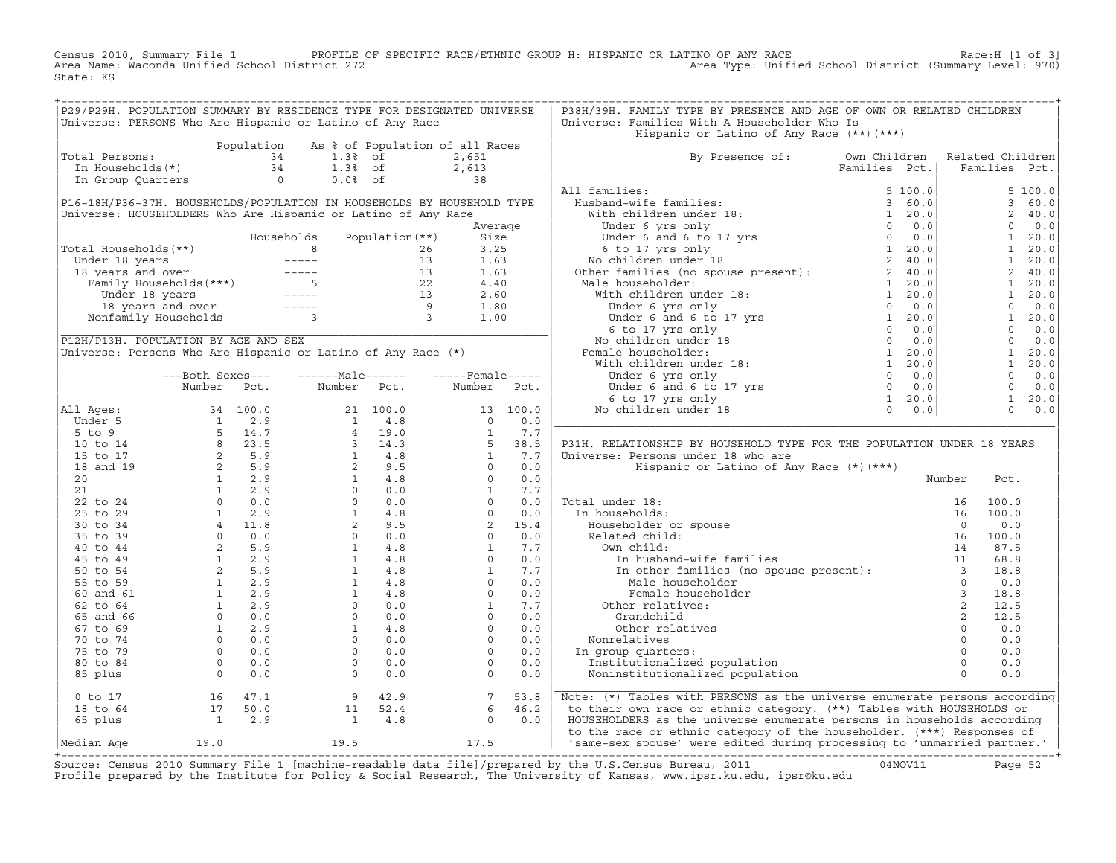Census 2010, Summary File 1 PROFILE OF SPECIFIC RACE/ETHNIC GROUP H: HISPANIC OR LATINO OF ANY RACE Race:H [1 of 3] Area Type: Unified School District (Summary Level: 970) State: KS

|                                                          |                                                      | P29/P29H. POPULATION SUMMARY BY RESIDENCE TYPE FOR DESIGNATED UNIVERSE                                                                                   |  | P38H/39H. FAMILY TYPE BY PRESENCE AND AGE OF OWN OR RELATED CHILDREN                                                                                                                                                                                                                                                                                                                                                                                                                                        |  |  |
|----------------------------------------------------------|------------------------------------------------------|----------------------------------------------------------------------------------------------------------------------------------------------------------|--|-------------------------------------------------------------------------------------------------------------------------------------------------------------------------------------------------------------------------------------------------------------------------------------------------------------------------------------------------------------------------------------------------------------------------------------------------------------------------------------------------------------|--|--|
| Universe: PERSONS Who Are Hispanic or Latino of Any Race |                                                      |                                                                                                                                                          |  | Universe: Families With A Householder Who Is                                                                                                                                                                                                                                                                                                                                                                                                                                                                |  |  |
|                                                          |                                                      |                                                                                                                                                          |  | Hispanic or Latino of Any Race (**)(***)                                                                                                                                                                                                                                                                                                                                                                                                                                                                    |  |  |
|                                                          |                                                      | Population As % of Population of all Races<br>1.3% of 2,651<br>In Households(*) 34<br>1.3% of 2,613<br>In Group Quarters<br>2.613<br>1.3% of 2,613<br>38 |  |                                                                                                                                                                                                                                                                                                                                                                                                                                                                                                             |  |  |
| Total Persons:                                           |                                                      |                                                                                                                                                          |  | By Presence of: Own Children Related Children<br>Families Pct.   Families Pct.                                                                                                                                                                                                                                                                                                                                                                                                                              |  |  |
|                                                          |                                                      |                                                                                                                                                          |  |                                                                                                                                                                                                                                                                                                                                                                                                                                                                                                             |  |  |
|                                                          |                                                      |                                                                                                                                                          |  |                                                                                                                                                                                                                                                                                                                                                                                                                                                                                                             |  |  |
|                                                          |                                                      |                                                                                                                                                          |  |                                                                                                                                                                                                                                                                                                                                                                                                                                                                                                             |  |  |
|                                                          |                                                      |                                                                                                                                                          |  |                                                                                                                                                                                                                                                                                                                                                                                                                                                                                                             |  |  |
|                                                          |                                                      |                                                                                                                                                          |  |                                                                                                                                                                                                                                                                                                                                                                                                                                                                                                             |  |  |
|                                                          |                                                      |                                                                                                                                                          |  |                                                                                                                                                                                                                                                                                                                                                                                                                                                                                                             |  |  |
|                                                          |                                                      |                                                                                                                                                          |  |                                                                                                                                                                                                                                                                                                                                                                                                                                                                                                             |  |  |
|                                                          |                                                      |                                                                                                                                                          |  |                                                                                                                                                                                                                                                                                                                                                                                                                                                                                                             |  |  |
|                                                          |                                                      |                                                                                                                                                          |  |                                                                                                                                                                                                                                                                                                                                                                                                                                                                                                             |  |  |
|                                                          |                                                      |                                                                                                                                                          |  |                                                                                                                                                                                                                                                                                                                                                                                                                                                                                                             |  |  |
|                                                          |                                                      |                                                                                                                                                          |  |                                                                                                                                                                                                                                                                                                                                                                                                                                                                                                             |  |  |
|                                                          |                                                      |                                                                                                                                                          |  |                                                                                                                                                                                                                                                                                                                                                                                                                                                                                                             |  |  |
|                                                          |                                                      |                                                                                                                                                          |  |                                                                                                                                                                                                                                                                                                                                                                                                                                                                                                             |  |  |
|                                                          |                                                      |                                                                                                                                                          |  |                                                                                                                                                                                                                                                                                                                                                                                                                                                                                                             |  |  |
|                                                          |                                                      |                                                                                                                                                          |  |                                                                                                                                                                                                                                                                                                                                                                                                                                                                                                             |  |  |
|                                                          |                                                      |                                                                                                                                                          |  |                                                                                                                                                                                                                                                                                                                                                                                                                                                                                                             |  |  |
|                                                          |                                                      |                                                                                                                                                          |  |                                                                                                                                                                                                                                                                                                                                                                                                                                                                                                             |  |  |
|                                                          |                                                      |                                                                                                                                                          |  |                                                                                                                                                                                                                                                                                                                                                                                                                                                                                                             |  |  |
|                                                          |                                                      |                                                                                                                                                          |  |                                                                                                                                                                                                                                                                                                                                                                                                                                                                                                             |  |  |
|                                                          |                                                      |                                                                                                                                                          |  |                                                                                                                                                                                                                                                                                                                                                                                                                                                                                                             |  |  |
|                                                          |                                                      |                                                                                                                                                          |  |                                                                                                                                                                                                                                                                                                                                                                                                                                                                                                             |  |  |
|                                                          |                                                      |                                                                                                                                                          |  |                                                                                                                                                                                                                                                                                                                                                                                                                                                                                                             |  |  |
|                                                          |                                                      |                                                                                                                                                          |  |                                                                                                                                                                                                                                                                                                                                                                                                                                                                                                             |  |  |
|                                                          |                                                      |                                                                                                                                                          |  | P31H. RELATIONSHIP BY HOUSEHOLD TYPE FOR THE POPULATION UNDER 18 YEARS                                                                                                                                                                                                                                                                                                                                                                                                                                      |  |  |
|                                                          |                                                      |                                                                                                                                                          |  |                                                                                                                                                                                                                                                                                                                                                                                                                                                                                                             |  |  |
|                                                          |                                                      |                                                                                                                                                          |  |                                                                                                                                                                                                                                                                                                                                                                                                                                                                                                             |  |  |
|                                                          |                                                      |                                                                                                                                                          |  |                                                                                                                                                                                                                                                                                                                                                                                                                                                                                                             |  |  |
|                                                          |                                                      |                                                                                                                                                          |  |                                                                                                                                                                                                                                                                                                                                                                                                                                                                                                             |  |  |
|                                                          |                                                      |                                                                                                                                                          |  |                                                                                                                                                                                                                                                                                                                                                                                                                                                                                                             |  |  |
|                                                          |                                                      |                                                                                                                                                          |  |                                                                                                                                                                                                                                                                                                                                                                                                                                                                                                             |  |  |
|                                                          |                                                      |                                                                                                                                                          |  |                                                                                                                                                                                                                                                                                                                                                                                                                                                                                                             |  |  |
|                                                          |                                                      |                                                                                                                                                          |  |                                                                                                                                                                                                                                                                                                                                                                                                                                                                                                             |  |  |
|                                                          |                                                      |                                                                                                                                                          |  |                                                                                                                                                                                                                                                                                                                                                                                                                                                                                                             |  |  |
|                                                          |                                                      |                                                                                                                                                          |  |                                                                                                                                                                                                                                                                                                                                                                                                                                                                                                             |  |  |
|                                                          |                                                      |                                                                                                                                                          |  |                                                                                                                                                                                                                                                                                                                                                                                                                                                                                                             |  |  |
|                                                          |                                                      |                                                                                                                                                          |  |                                                                                                                                                                                                                                                                                                                                                                                                                                                                                                             |  |  |
|                                                          |                                                      |                                                                                                                                                          |  |                                                                                                                                                                                                                                                                                                                                                                                                                                                                                                             |  |  |
|                                                          |                                                      |                                                                                                                                                          |  |                                                                                                                                                                                                                                                                                                                                                                                                                                                                                                             |  |  |
|                                                          |                                                      |                                                                                                                                                          |  |                                                                                                                                                                                                                                                                                                                                                                                                                                                                                                             |  |  |
|                                                          |                                                      |                                                                                                                                                          |  |                                                                                                                                                                                                                                                                                                                                                                                                                                                                                                             |  |  |
|                                                          |                                                      |                                                                                                                                                          |  |                                                                                                                                                                                                                                                                                                                                                                                                                                                                                                             |  |  |
|                                                          |                                                      |                                                                                                                                                          |  |                                                                                                                                                                                                                                                                                                                                                                                                                                                                                                             |  |  |
|                                                          |                                                      |                                                                                                                                                          |  |                                                                                                                                                                                                                                                                                                                                                                                                                                                                                                             |  |  |
|                                                          |                                                      |                                                                                                                                                          |  |                                                                                                                                                                                                                                                                                                                                                                                                                                                                                                             |  |  |
|                                                          |                                                      |                                                                                                                                                          |  |                                                                                                                                                                                                                                                                                                                                                                                                                                                                                                             |  |  |
|                                                          |                                                      |                                                                                                                                                          |  | $\begin{tabular}{ c  c  c } \hline \textbf{All} \textbf{A9689}, & \textbf{Number} & \textbf{P611}, & \textbf{Number} & \textbf{B161}, & \textbf{Value} & \textbf{B161}, & \textbf{Value} & \textbf{B161}, & \textbf{Value} & \textbf{Value} & \textbf{Value} & \textbf{Value} & \textbf{Value} & \textbf{Value} & \textbf{Value} & \textbf{Value} & \textbf{Value} & \textbf{Value} & \textbf{Value} & \textbf{Value} & \textbf{Value} & \textbf{Value} & \textbf{Value} & \textbf{Value} & \textbf{Value}$ |  |  |
|                                                          |                                                      |                                                                                                                                                          |  |                                                                                                                                                                                                                                                                                                                                                                                                                                                                                                             |  |  |
|                                                          | 0 to 17 16 47.1<br>18 to 64 17 50.0<br>65 plus 1 2.9 |                                                                                                                                                          |  | 0 to 17 16 47.1 9 42.9 7 53.8<br>18 to 64 17 50.0 11 52.4 6 46.2 to their own race or ethnic category. (**) Tables with PERSONS as the universe enumerate persons according<br>65 plus 1 2.9 1 4.8 0 0.0 HOUSEHOLDERS as the unive                                                                                                                                                                                                                                                                          |  |  |

+===================================================================================================================================================+Source: Census 2010 Summary File 1 [machine−readable data file]/prepared by the U.S.Census Bureau, 2011 04NOV11 Page 52 Profile prepared by the Institute for Policy & Social Research, The University of Kansas, www.ipsr.ku.edu, ipsr@ku.edu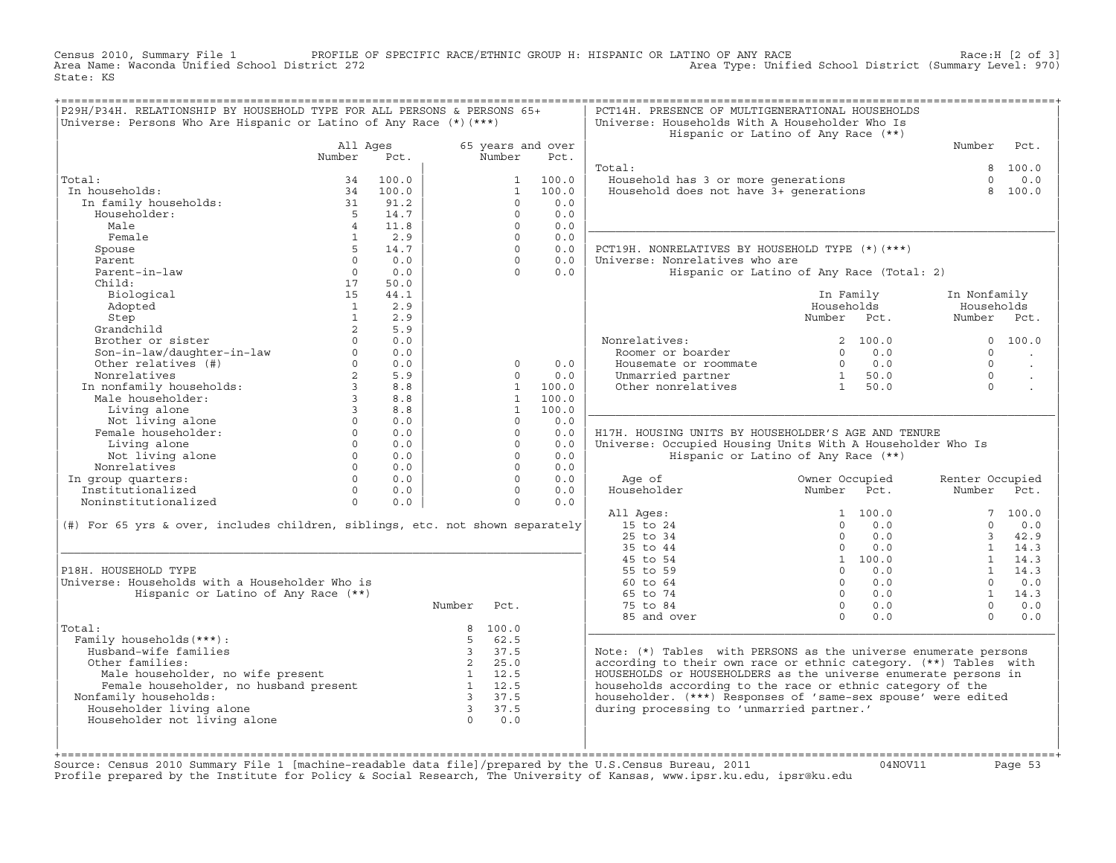Census 2010, Summary File 1 PROFILE OF SPECIFIC RACE/ETHNIC GROUP H: HISPANIC OR LATINO OF ANY RACE Race:H [2 of 3] Area Type: Unified School District (Summary Level: 970) State: KS

| Number<br>Total:<br>In households:<br>In family households:<br>Householder:<br>Male<br>Female<br>Spouse<br>Parent<br>Parent-in-law<br>Child:<br>Biological<br>Adopted<br>Step<br>Grandchild<br>Brother or sister<br>Son-in-law/daughter-in-law<br>Other relatives (#)<br>Nonrelatives<br>In nonfamily households:<br>Male householder:<br>Living alone<br>Not living alone<br>Female householder: | All Ages<br>Pct.<br>100.0<br>34<br>34<br>100.0<br>31<br>91.2<br>5 <sup>5</sup><br>14.7<br>11.8<br>$\overline{4}$<br>2.9<br>1<br>5 <sup>5</sup><br>14.7<br>$\Omega$<br>0.0<br>$\Omega$<br>0.0<br>50.0<br>17<br>15<br>44.1<br>2.9<br>$\mathbf{1}$<br>$\mathbf{1}$<br>2.9 |                | Number<br>$\mathbf{1}$<br>$\mathbf{1}$<br>$\Omega$<br>$\circ$<br>$\Omega$<br>$\Omega$<br>$\Omega$<br>$\Omega$ | 65 years and over<br>Pct.<br>100.0<br>100.0<br>0.0<br>0.0<br>0.0<br>0.0<br>0.0 | Total:<br>Household has 3 or more generations<br>Household does not have 3+ generations | Hispanic or Latino of Any Race (**)       | Number<br>8<br>$\Omega$<br>8 | Pct.<br>100.0<br>0.0<br>100.0 |
|---------------------------------------------------------------------------------------------------------------------------------------------------------------------------------------------------------------------------------------------------------------------------------------------------------------------------------------------------------------------------------------------------|------------------------------------------------------------------------------------------------------------------------------------------------------------------------------------------------------------------------------------------------------------------------|----------------|---------------------------------------------------------------------------------------------------------------|--------------------------------------------------------------------------------|-----------------------------------------------------------------------------------------|-------------------------------------------|------------------------------|-------------------------------|
|                                                                                                                                                                                                                                                                                                                                                                                                   |                                                                                                                                                                                                                                                                        |                |                                                                                                               |                                                                                |                                                                                         |                                           |                              |                               |
|                                                                                                                                                                                                                                                                                                                                                                                                   |                                                                                                                                                                                                                                                                        |                |                                                                                                               |                                                                                |                                                                                         |                                           |                              |                               |
|                                                                                                                                                                                                                                                                                                                                                                                                   |                                                                                                                                                                                                                                                                        |                |                                                                                                               |                                                                                |                                                                                         |                                           |                              |                               |
|                                                                                                                                                                                                                                                                                                                                                                                                   |                                                                                                                                                                                                                                                                        |                |                                                                                                               |                                                                                |                                                                                         |                                           |                              |                               |
|                                                                                                                                                                                                                                                                                                                                                                                                   |                                                                                                                                                                                                                                                                        |                |                                                                                                               |                                                                                |                                                                                         |                                           |                              |                               |
|                                                                                                                                                                                                                                                                                                                                                                                                   |                                                                                                                                                                                                                                                                        |                |                                                                                                               |                                                                                |                                                                                         |                                           |                              |                               |
|                                                                                                                                                                                                                                                                                                                                                                                                   |                                                                                                                                                                                                                                                                        |                |                                                                                                               |                                                                                |                                                                                         |                                           |                              |                               |
|                                                                                                                                                                                                                                                                                                                                                                                                   |                                                                                                                                                                                                                                                                        |                |                                                                                                               |                                                                                |                                                                                         |                                           |                              |                               |
|                                                                                                                                                                                                                                                                                                                                                                                                   |                                                                                                                                                                                                                                                                        |                |                                                                                                               |                                                                                |                                                                                         |                                           |                              |                               |
|                                                                                                                                                                                                                                                                                                                                                                                                   |                                                                                                                                                                                                                                                                        |                |                                                                                                               |                                                                                |                                                                                         |                                           |                              |                               |
|                                                                                                                                                                                                                                                                                                                                                                                                   |                                                                                                                                                                                                                                                                        |                |                                                                                                               |                                                                                | PCT19H. NONRELATIVES BY HOUSEHOLD TYPE (*)(***)                                         |                                           |                              |                               |
|                                                                                                                                                                                                                                                                                                                                                                                                   |                                                                                                                                                                                                                                                                        |                |                                                                                                               | 0.0                                                                            | Universe: Nonrelatives who are                                                          |                                           |                              |                               |
|                                                                                                                                                                                                                                                                                                                                                                                                   |                                                                                                                                                                                                                                                                        |                | $\Omega$                                                                                                      | 0.0                                                                            |                                                                                         | Hispanic or Latino of Any Race (Total: 2) |                              |                               |
|                                                                                                                                                                                                                                                                                                                                                                                                   |                                                                                                                                                                                                                                                                        |                |                                                                                                               |                                                                                |                                                                                         |                                           |                              |                               |
|                                                                                                                                                                                                                                                                                                                                                                                                   |                                                                                                                                                                                                                                                                        |                |                                                                                                               |                                                                                |                                                                                         | In Family                                 | In Nonfamily                 |                               |
|                                                                                                                                                                                                                                                                                                                                                                                                   |                                                                                                                                                                                                                                                                        |                |                                                                                                               |                                                                                |                                                                                         | Households                                | Households                   |                               |
|                                                                                                                                                                                                                                                                                                                                                                                                   |                                                                                                                                                                                                                                                                        |                |                                                                                                               |                                                                                |                                                                                         | Number Pct.                               | Number Pct.                  |                               |
|                                                                                                                                                                                                                                                                                                                                                                                                   | $\overline{2}$<br>5.9                                                                                                                                                                                                                                                  |                |                                                                                                               |                                                                                |                                                                                         |                                           |                              |                               |
|                                                                                                                                                                                                                                                                                                                                                                                                   | $\Omega$<br>0.0                                                                                                                                                                                                                                                        |                |                                                                                                               |                                                                                | Nonrelatives:                                                                           | 2, 100.0                                  |                              | 0, 100, 0                     |
|                                                                                                                                                                                                                                                                                                                                                                                                   | $\Omega$<br>0.0                                                                                                                                                                                                                                                        |                |                                                                                                               |                                                                                | Roomer or boarder                                                                       | 0.0<br>$\Omega$                           | $\Omega$                     |                               |
|                                                                                                                                                                                                                                                                                                                                                                                                   | $0 \qquad \qquad$<br>0.0                                                                                                                                                                                                                                               |                | $\Omega$                                                                                                      | 0.0                                                                            | Housemate or roommate                                                                   | $0 \t 0.0$                                | $\Omega$                     |                               |
|                                                                                                                                                                                                                                                                                                                                                                                                   | $2^{\circ}$<br>5.9                                                                                                                                                                                                                                                     |                | $\Omega$                                                                                                      | 0.0                                                                            | Unmarried partner                                                                       | 1 50.0                                    | $\cap$                       |                               |
|                                                                                                                                                                                                                                                                                                                                                                                                   | $3^{\circ}$<br>8.8                                                                                                                                                                                                                                                     |                | $\mathbf{1}$                                                                                                  | 100.0                                                                          | Other nonrelatives                                                                      | 1 50.0                                    | $\Omega$                     |                               |
|                                                                                                                                                                                                                                                                                                                                                                                                   | $3^{\circ}$<br>8.8                                                                                                                                                                                                                                                     |                | $\mathbf{1}$                                                                                                  | 100.0                                                                          |                                                                                         |                                           |                              |                               |
|                                                                                                                                                                                                                                                                                                                                                                                                   | 3 <sup>7</sup><br>8.8                                                                                                                                                                                                                                                  |                | $\mathbf{1}$                                                                                                  | 100.0                                                                          |                                                                                         |                                           |                              |                               |
|                                                                                                                                                                                                                                                                                                                                                                                                   | $\Omega$<br>0.0                                                                                                                                                                                                                                                        |                | $\Omega$                                                                                                      | 0.0                                                                            |                                                                                         |                                           |                              |                               |
|                                                                                                                                                                                                                                                                                                                                                                                                   | $\overline{0}$<br>0.0                                                                                                                                                                                                                                                  |                | $\circ$                                                                                                       | 0.0                                                                            | H17H. HOUSING UNITS BY HOUSEHOLDER'S AGE AND TENURE                                     |                                           |                              |                               |
| Living alone                                                                                                                                                                                                                                                                                                                                                                                      | $0 \qquad \qquad$<br>0.0                                                                                                                                                                                                                                               |                | $\circ$                                                                                                       | 0.0                                                                            | Universe: Occupied Housing Units With A Householder Who Is                              |                                           |                              |                               |
|                                                                                                                                                                                                                                                                                                                                                                                                   | $\Omega$<br>0.0                                                                                                                                                                                                                                                        |                | $\Omega$                                                                                                      | 0.0                                                                            |                                                                                         |                                           |                              |                               |
| Not living alone                                                                                                                                                                                                                                                                                                                                                                                  | $\Omega$                                                                                                                                                                                                                                                               |                | $\Omega$                                                                                                      |                                                                                |                                                                                         | Hispanic or Latino of Any Race (**)       |                              |                               |
| Nonrelatives                                                                                                                                                                                                                                                                                                                                                                                      | 0.0                                                                                                                                                                                                                                                                    |                | $\Omega$                                                                                                      | 0.0                                                                            |                                                                                         |                                           |                              |                               |
| In group quarters:                                                                                                                                                                                                                                                                                                                                                                                | 0.0<br>$\Omega$<br>$\Omega$                                                                                                                                                                                                                                            |                | $\Omega$                                                                                                      | 0.0                                                                            | Age of                                                                                  | Owner Occupied                            | Renter Occupied              |                               |
| Institutionalized                                                                                                                                                                                                                                                                                                                                                                                 | 0.0                                                                                                                                                                                                                                                                    |                |                                                                                                               | 0.0                                                                            | Householder                                                                             | Number<br>Pct.                            | Number                       | Pct.                          |
| Noninstitutionalized                                                                                                                                                                                                                                                                                                                                                                              | $\Omega$<br>0.0                                                                                                                                                                                                                                                        |                | $\Omega$                                                                                                      | 0.0                                                                            |                                                                                         |                                           |                              |                               |
|                                                                                                                                                                                                                                                                                                                                                                                                   |                                                                                                                                                                                                                                                                        |                |                                                                                                               |                                                                                | All Ages:                                                                               | 1, 100, 0                                 |                              | 7, 100.0                      |
| (#) For 65 yrs & over, includes children, siblings, etc. not shown separately                                                                                                                                                                                                                                                                                                                     |                                                                                                                                                                                                                                                                        |                |                                                                                                               |                                                                                | 15 to 24                                                                                | $0 \t 0.0$                                | $\Omega$                     | 0.0                           |
|                                                                                                                                                                                                                                                                                                                                                                                                   |                                                                                                                                                                                                                                                                        |                |                                                                                                               |                                                                                | 25 to 34                                                                                | $\Omega$<br>0.0                           | 3                            | 42.9                          |
|                                                                                                                                                                                                                                                                                                                                                                                                   |                                                                                                                                                                                                                                                                        |                |                                                                                                               |                                                                                | 35 to 44                                                                                | $\Omega$<br>0.0                           | 1                            | 14.3                          |
|                                                                                                                                                                                                                                                                                                                                                                                                   |                                                                                                                                                                                                                                                                        |                |                                                                                                               |                                                                                | 45 to 54                                                                                | 1 100.0                                   | 1                            | 14.3                          |
| P18H. HOUSEHOLD TYPE                                                                                                                                                                                                                                                                                                                                                                              |                                                                                                                                                                                                                                                                        |                |                                                                                                               |                                                                                | 55 to 59                                                                                | $\Omega$<br>0.0                           | 1                            | 14.3                          |
| Universe: Households with a Householder Who is                                                                                                                                                                                                                                                                                                                                                    |                                                                                                                                                                                                                                                                        |                |                                                                                                               |                                                                                | 60 to 64                                                                                | $\Omega$<br>0.0                           | $\Omega$                     | 0.0                           |
| Hispanic or Latino of Any Race (**)                                                                                                                                                                                                                                                                                                                                                               |                                                                                                                                                                                                                                                                        |                |                                                                                                               |                                                                                | 65 to 74                                                                                | $\Omega$<br>0.0                           | $\mathbf{1}$                 | 14.3                          |
|                                                                                                                                                                                                                                                                                                                                                                                                   |                                                                                                                                                                                                                                                                        | Number         | Pct.                                                                                                          |                                                                                | 75 to 84                                                                                | $\Omega$<br>0.0                           | $\Omega$                     | 0.0                           |
|                                                                                                                                                                                                                                                                                                                                                                                                   |                                                                                                                                                                                                                                                                        |                |                                                                                                               |                                                                                | 85 and over                                                                             | $\Omega$<br>0.0                           | $\Omega$                     | 0.0                           |
| Total:                                                                                                                                                                                                                                                                                                                                                                                            |                                                                                                                                                                                                                                                                        |                | 8 100.0                                                                                                       |                                                                                |                                                                                         |                                           |                              |                               |
| Family households (***) :                                                                                                                                                                                                                                                                                                                                                                         |                                                                                                                                                                                                                                                                        | $5^{\circ}$    | 62.5                                                                                                          |                                                                                |                                                                                         |                                           |                              |                               |
| Husband-wife families                                                                                                                                                                                                                                                                                                                                                                             |                                                                                                                                                                                                                                                                        | $3^{\circ}$    | 37.5                                                                                                          |                                                                                | Note: (*) Tables with PERSONS as the universe enumerate persons                         |                                           |                              |                               |
| Other families:                                                                                                                                                                                                                                                                                                                                                                                   |                                                                                                                                                                                                                                                                        |                | 2 25.0                                                                                                        |                                                                                | according to their own race or ethnic category. (**) Tables with                        |                                           |                              |                               |
| male nouseholder, no wife present 1 12.5<br>Female householder, no husband present 1 12.5<br>amily households:                                                                                                                                                                                                                                                                                    |                                                                                                                                                                                                                                                                        |                |                                                                                                               |                                                                                | HOUSEHOLDS or HOUSEHOLDERS as the universe enumerate persons in                         |                                           |                              |                               |
|                                                                                                                                                                                                                                                                                                                                                                                                   |                                                                                                                                                                                                                                                                        |                |                                                                                                               |                                                                                | households according to the race or ethnic category of the                              |                                           |                              |                               |
| Nonfamily households:                                                                                                                                                                                                                                                                                                                                                                             |                                                                                                                                                                                                                                                                        |                | 3 37.5                                                                                                        |                                                                                | householder. (***) Responses of 'same-sex spouse' were edited                           |                                           |                              |                               |
| Householder living alone                                                                                                                                                                                                                                                                                                                                                                          |                                                                                                                                                                                                                                                                        |                | 3 37.5                                                                                                        |                                                                                | during processing to 'unmarried partner.'                                               |                                           |                              |                               |
| Householder not living alone                                                                                                                                                                                                                                                                                                                                                                      |                                                                                                                                                                                                                                                                        | $\overline{0}$ | 0.0                                                                                                           |                                                                                |                                                                                         |                                           |                              |                               |
|                                                                                                                                                                                                                                                                                                                                                                                                   |                                                                                                                                                                                                                                                                        |                |                                                                                                               |                                                                                |                                                                                         |                                           |                              |                               |
|                                                                                                                                                                                                                                                                                                                                                                                                   |                                                                                                                                                                                                                                                                        |                |                                                                                                               |                                                                                |                                                                                         |                                           |                              |                               |

+===================================================================================================================================================+Source: Census 2010 Summary File 1 [machine−readable data file]/prepared by the U.S.Census Bureau, 2011 04NOV11 Page 53 Profile prepared by the Institute for Policy & Social Research, The University of Kansas, www.ipsr.ku.edu, ipsr@ku.edu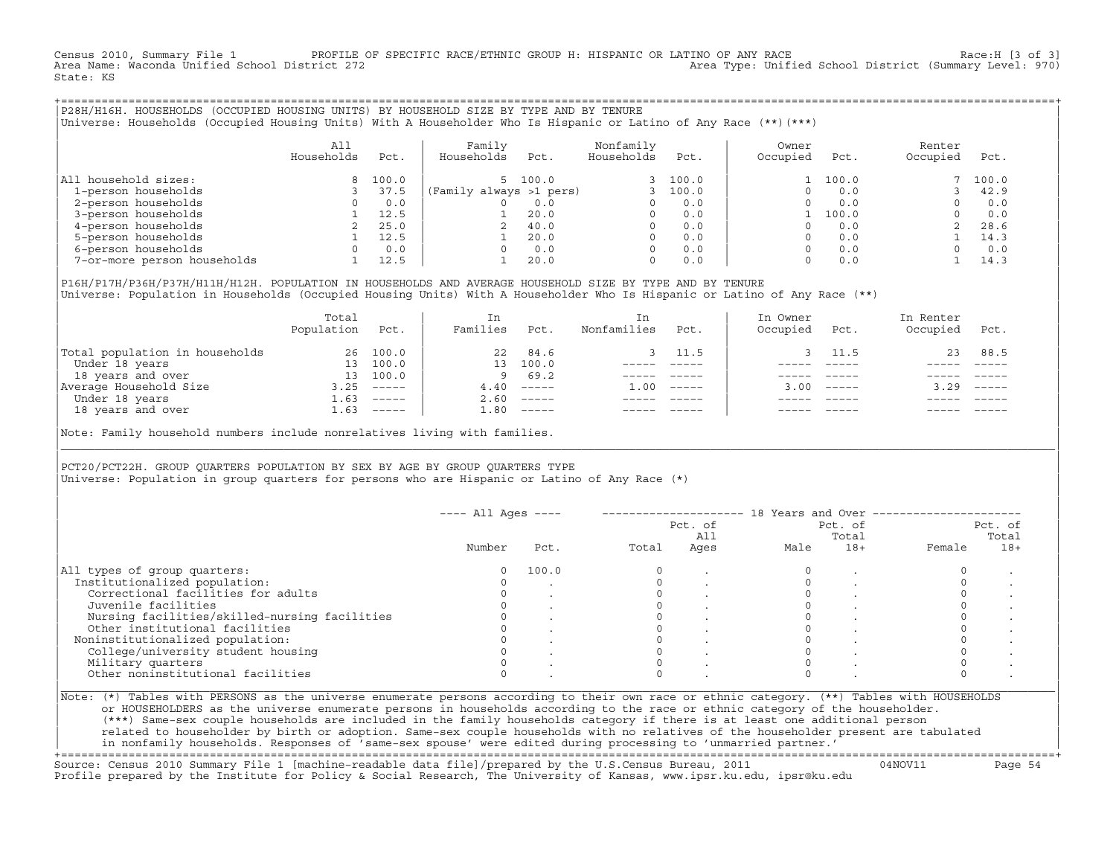Census 2010, Summary File 1 PROFILE OF SPECIFIC RACE/ETHNIC GROUP H: HISPANIC OR LATINO OF ANY RACE RACE Race:H [3 of 3]<br>Area Name: Waconda Unified School District 272 Area Type: Unified School District (Summary Level: 970) State: KS

+===================================================================================================================================================+|P28H/H16H. HOUSEHOLDS (OCCUPIED HOUSING UNITS) BY HOUSEHOLD SIZE BY TYPE AND BY TENURE | |Universe: Households (Occupied Housing Units) With A Householder Who Is Hispanic or Latino of Any Race (\*\*)(\*\*\*) |

|                             | All<br>Households | Pct.  | Family<br>Households    | Pct.    | Nonfamily<br>Households | Pct.    | Owner<br>Occupied | Pct.  | Renter<br>Occupied | Pct.  |
|-----------------------------|-------------------|-------|-------------------------|---------|-------------------------|---------|-------------------|-------|--------------------|-------|
| All household sizes:        |                   | 100.0 |                         | 5 100.0 |                         | 3 100.0 |                   | 100.0 |                    | 100.0 |
| 1-person households         |                   | 37.5  | (Family always >1 pers) |         |                         | 100.0   |                   | 0.0   |                    | 42.9  |
| 2-person households         |                   | 0.0   |                         | 0.0     |                         | 0.0     |                   | 0.0   |                    | 0.0   |
| 3-person households         |                   | 12.5  |                         | 20.0    | $\Omega$                | 0.0     |                   | 100.0 |                    | 0.0   |
| 4-person households         |                   | 25.0  |                         | 40.0    | $\Omega$                | 0.0     |                   | 0.0   |                    | 28.6  |
| 5-person households         |                   | 12.5  |                         | 20.0    | $\Omega$                | 0.0     |                   | 0.0   |                    | 14.3  |
| 6-person households         |                   | 0.0   |                         | 0.0     | $\Omega$                | 0.0     |                   | 0.0   |                    | 0.0   |
| 7-or-more person households |                   | 12.5  |                         | 20.0    | 0                       | 0.0     |                   | 0.0   |                    | 14.3  |

|P16H/P17H/P36H/P37H/H11H/H12H. POPULATION IN HOUSEHOLDS AND AVERAGE HOUSEHOLD SIZE BY TYPE AND BY TENURE | Universe: Population in Households (Occupied Housing Units) With A Householder Who Is Hispanic or Latino of Any Race (\*\*)

|                                | Total<br>Population | Pct.     | In<br>Families  | Pct.                      | In<br>Nonfamilies | Pct.     | In Owner<br>Occupied | Pct.             | In Renter<br>Occupied | Pct.     |
|--------------------------------|---------------------|----------|-----------------|---------------------------|-------------------|----------|----------------------|------------------|-----------------------|----------|
| Total population in households | 26                  | 100.0    | 22              | 84.6                      |                   | 3 11.5   |                      | 11.5             | 23                    | 88.5     |
| Under 18 years                 | 13                  | 100.0    | 13 <sup>7</sup> | 100.0                     |                   |          |                      |                  |                       |          |
| 18 years and over              | 13                  | 100.0    | 9               | 69.2                      |                   |          |                      |                  |                       |          |
| Average Household Size         | 3.25                |          | 4.40            | $------$                  | 1.00              | $------$ |                      | $3.00 - - - - -$ | 3.29                  | $------$ |
| Under 18 years                 | $\pm 0.63$          | $------$ | 2.60            | $------$                  |                   |          |                      |                  |                       |          |
| 18 years and over              | 1.63                | ______   | 1.80            | $\qquad \qquad - - - - -$ |                   |          |                      |                  |                       | $------$ |
|                                |                     |          |                 |                           |                   |          |                      |                  |                       |          |

Note: Family household numbers include nonrelatives living with families.

| | PCT20/PCT22H. GROUP OUARTERS POPULATION BY SEX BY AGE BY GROUP OUARTERS TYPE Universe: Population in group quarters for persons who are Hispanic or Latino of Any Race (\*)

|                                               |        |       |       | Pct. of<br>All | Pct. of<br>Total |       | Pct. of<br>Total |       |
|-----------------------------------------------|--------|-------|-------|----------------|------------------|-------|------------------|-------|
|                                               | Number | Pct.  | Total | Ages           | Male             | $18+$ | Female           | $18+$ |
| All types of group quarters:                  | 0      | 100.0 |       |                |                  |       |                  |       |
| Institutionalized population:                 |        |       |       |                |                  |       |                  |       |
| Correctional facilities for adults            |        |       |       |                |                  |       |                  |       |
| Juvenile facilities                           |        |       |       |                |                  |       |                  |       |
| Nursing facilities/skilled-nursing facilities |        |       |       |                |                  |       |                  |       |
| Other institutional facilities                |        |       |       |                |                  |       |                  |       |
| Noninstitutionalized population:              |        |       |       |                |                  |       |                  |       |
| College/university student housing            |        |       |       |                |                  |       |                  |       |
| Military quarters                             |        |       |       |                |                  |       |                  |       |
| Other noninstitutional facilities             |        |       |       |                |                  |       |                  |       |

|\_\_\_\_\_\_\_\_\_\_\_\_\_\_\_\_\_\_\_\_\_\_\_\_\_\_\_\_\_\_\_\_\_\_\_\_\_\_\_\_\_\_\_\_\_\_\_\_\_\_\_\_\_\_\_\_\_\_\_\_\_\_\_\_\_\_\_\_\_\_\_\_\_\_\_\_\_\_\_\_\_\_\_\_\_\_\_\_\_\_\_\_\_\_\_\_\_\_\_\_\_\_\_\_\_\_\_\_\_\_\_\_\_\_\_\_\_\_\_\_\_\_\_\_\_\_\_\_\_\_\_\_\_\_\_\_\_\_\_\_\_\_\_\_\_\_\_|

| |

or HOUSEHOLDERS as the universe enumerate persons in households according to the race or ethnic category of the householder. | (\*\*\*) Same−sex couple households are included in the family households category if there is at least one additional person | | related to householder by birth or adoption. Same−sex couple households with no relatives of the householder present are tabulated | | in nonfamily households. Responses of 'same−sex spouse' were edited during processing to 'unmarried partner.' |

+===================================================================================================================================================+ Source: Census 2010 Summary File 1 [machine−readable data file]/prepared by the U.S.Census Bureau, 2011 04NOV11 Page 54 Profile prepared by the Institute for Policy & Social Research, The University of Kansas, www.ipsr.ku.edu, ipsr@ku.edu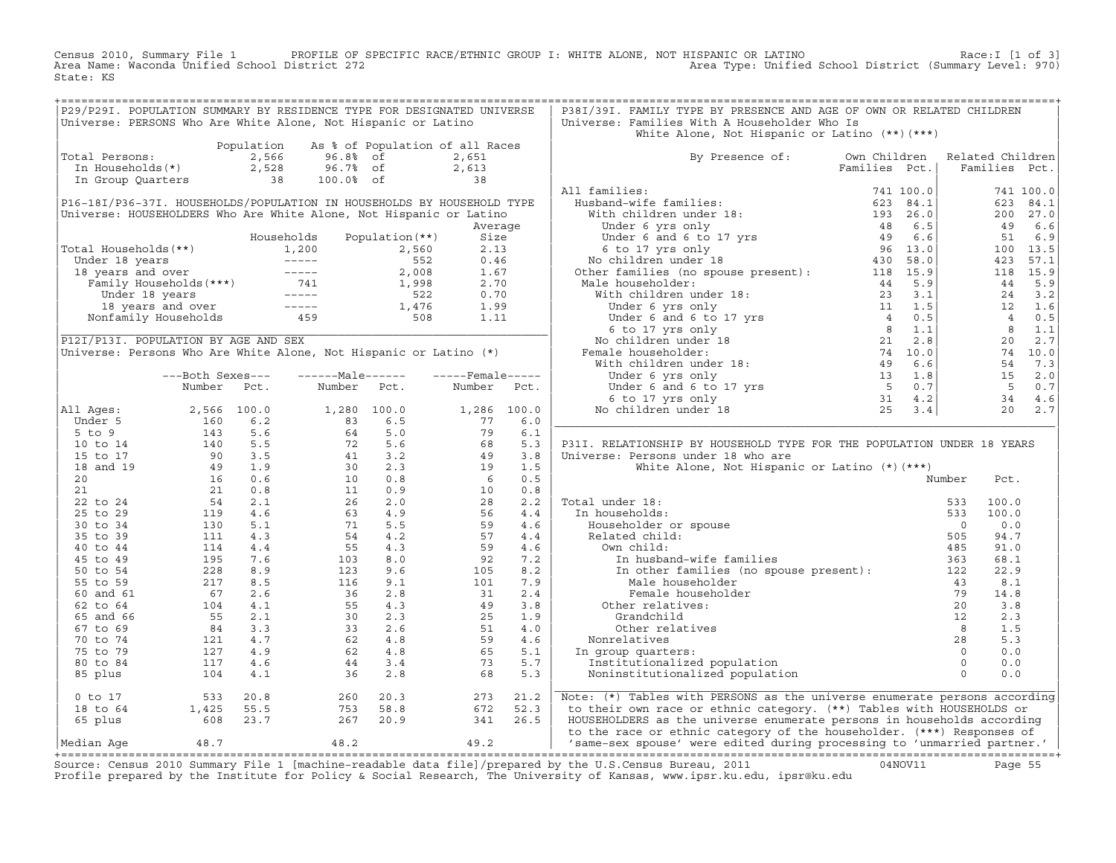Census 2010, Summary File 1 PROFILE OF SPECIFIC RACE/ETHNIC GROUP I: WHITE ALONE, NOT HISPANIC OR LATINO Race:I [1 of 3] Area Name: Waconda Unified School District 272 Area Type: Unified School District (Summary Level: 970) State: KS

| P29/P29I. POPULATION SUMMARY BY RESIDENCE TYPE FOR DESIGNATED UNIVERSE                                                                                                                                                                                  |                                                                                                                                     |            |                                                                                                                                                                                                  |                                 |                              |      | P38I/39I. FAMILY TYPE BY PRESENCE AND AGE OF OWN OR RELATED CHILDREN                                                 |               |                |                                                                  |
|---------------------------------------------------------------------------------------------------------------------------------------------------------------------------------------------------------------------------------------------------------|-------------------------------------------------------------------------------------------------------------------------------------|------------|--------------------------------------------------------------------------------------------------------------------------------------------------------------------------------------------------|---------------------------------|------------------------------|------|----------------------------------------------------------------------------------------------------------------------|---------------|----------------|------------------------------------------------------------------|
| Universe: PERSONS Who Are White Alone, Not Hispanic or Latino                                                                                                                                                                                           |                                                                                                                                     |            |                                                                                                                                                                                                  |                                 |                              |      | Universe: Families With A Householder Who Is                                                                         |               |                |                                                                  |
|                                                                                                                                                                                                                                                         |                                                                                                                                     |            |                                                                                                                                                                                                  |                                 |                              |      | White Alone, Not Hispanic or Latino (**) (***)                                                                       |               |                |                                                                  |
|                                                                                                                                                                                                                                                         |                                                                                                                                     | Population |                                                                                                                                                                                                  | As % of Population of all Races |                              |      |                                                                                                                      |               |                |                                                                  |
| Total Persons:                                                                                                                                                                                                                                          |                                                                                                                                     | 2,566      | 96.8% of<br>96.7% of                                                                                                                                                                             |                                 | 2,651                        |      | By Presence of: Own Children Related Children                                                                        |               |                |                                                                  |
| In Households(*) 2,528<br>In Group Quarters 38                                                                                                                                                                                                          |                                                                                                                                     |            |                                                                                                                                                                                                  |                                 |                              |      |                                                                                                                      | Families Pct. |                | Families Pct.                                                    |
|                                                                                                                                                                                                                                                         |                                                                                                                                     |            | 100.0% of                                                                                                                                                                                        |                                 | $2,613$<br>38                |      |                                                                                                                      |               |                |                                                                  |
|                                                                                                                                                                                                                                                         |                                                                                                                                     |            |                                                                                                                                                                                                  |                                 |                              |      | All families:                                                                                                        |               |                | 741 100.0                                                        |
| P16-18I/P36-37I. HOUSEHOLDS/POPULATION IN HOUSEHOLDS BY HOUSEHOLD TYPE                                                                                                                                                                                  |                                                                                                                                     |            |                                                                                                                                                                                                  |                                 |                              |      |                                                                                                                      |               |                | 623 84.1                                                         |
| Universe: HOUSEHOLDERS Who Are White Alone, Not Hispanic or Latino                                                                                                                                                                                      |                                                                                                                                     |            |                                                                                                                                                                                                  |                                 |                              |      |                                                                                                                      |               |                | 200 27.0                                                         |
|                                                                                                                                                                                                                                                         |                                                                                                                                     |            |                                                                                                                                                                                                  |                                 | Average                      |      |                                                                                                                      |               |                | 49 6.6                                                           |
|                                                                                                                                                                                                                                                         |                                                                                                                                     |            | Households Population (**)                                                                                                                                                                       |                                 | Size                         |      |                                                                                                                      |               |                | 51 6.9                                                           |
|                                                                                                                                                                                                                                                         |                                                                                                                                     |            |                                                                                                                                                                                                  |                                 |                              |      |                                                                                                                      |               |                | 100 13.5                                                         |
|                                                                                                                                                                                                                                                         |                                                                                                                                     |            |                                                                                                                                                                                                  |                                 |                              |      |                                                                                                                      |               |                | 423<br>57.1                                                      |
|                                                                                                                                                                                                                                                         |                                                                                                                                     |            |                                                                                                                                                                                                  |                                 |                              |      |                                                                                                                      |               |                | 118 15.9                                                         |
|                                                                                                                                                                                                                                                         |                                                                                                                                     |            |                                                                                                                                                                                                  |                                 |                              |      |                                                                                                                      |               |                | 5.9<br>44                                                        |
|                                                                                                                                                                                                                                                         |                                                                                                                                     |            |                                                                                                                                                                                                  |                                 |                              |      |                                                                                                                      |               |                | 24 3.2                                                           |
|                                                                                                                                                                                                                                                         |                                                                                                                                     |            |                                                                                                                                                                                                  |                                 |                              |      |                                                                                                                      |               |                | 12 1.6                                                           |
|                                                                                                                                                                                                                                                         |                                                                                                                                     |            |                                                                                                                                                                                                  |                                 |                              |      |                                                                                                                      |               |                | 4 0.5                                                            |
| Total Households (**)<br>Under 18 years 1,200 2,560 2.13<br>1,200 2,560 2.13<br>1,200 2,560 2.13<br>1,200 552 0.46<br>18 years and over 741 1,998 2.70<br>Under 18 years 16 years 1,476 1.99<br>1,476 1.99<br>Nonfamily Households 459 508 1.1          |                                                                                                                                     |            |                                                                                                                                                                                                  |                                 |                              |      |                                                                                                                      |               |                | $8 \t 1.1$                                                       |
| P12I/P13I. POPULATION BY AGE AND SEX                                                                                                                                                                                                                    |                                                                                                                                     |            |                                                                                                                                                                                                  |                                 |                              |      |                                                                                                                      |               |                | $20 \quad 2.7$                                                   |
| Universe: Persons Who Are White Alone, Not Hispanic or Latino (*)                                                                                                                                                                                       |                                                                                                                                     |            |                                                                                                                                                                                                  |                                 |                              |      |                                                                                                                      |               |                | $\begin{array}{cc} 20 & 2.7 \\ 74 & 10.0 \\ -1 & -1 \end{array}$ |
|                                                                                                                                                                                                                                                         |                                                                                                                                     |            |                                                                                                                                                                                                  |                                 |                              |      |                                                                                                                      |               |                | 54 7.3                                                           |
|                                                                                                                                                                                                                                                         | ---Both Sexes---                                                                                                                    |            | ------Male------                                                                                                                                                                                 |                                 | $---$ Female-----            |      |                                                                                                                      |               |                | 15 2.0                                                           |
|                                                                                                                                                                                                                                                         | Number                                                                                                                              | Pct.       | Number Pct.                                                                                                                                                                                      |                                 | Number                       | Pct. |                                                                                                                      |               |                | 5 <sub>5</sub><br>0.7                                            |
|                                                                                                                                                                                                                                                         |                                                                                                                                     |            |                                                                                                                                                                                                  |                                 |                              |      |                                                                                                                      |               |                | 34 4.6                                                           |
| All Ages:                                                                                                                                                                                                                                               |                                                                                                                                     |            |                                                                                                                                                                                                  |                                 |                              |      |                                                                                                                      |               |                | 20<br>2.7                                                        |
|                                                                                                                                                                                                                                                         |                                                                                                                                     |            |                                                                                                                                                                                                  |                                 | $1,286$ $100.0$<br>77 6.0    |      |                                                                                                                      |               |                |                                                                  |
|                                                                                                                                                                                                                                                         |                                                                                                                                     |            | $\begin{array}{cccc} 1,280 & 100.0 \\ 83 & 6.5 \\ 64 & 5.0 \\ 72 & 5.6 \\ 41 & 3.2 \\ 30 & 2.3 \\ 10 & 0.8 \\ 26 & 2.0 \\ 63 & 4.9 \\ 71 & 5.5 \\ 54 & 4.2 \\ 55 & 4.3 \\ 103 & 8.0 \end{array}$ |                                 |                              | 6.1  |                                                                                                                      |               |                |                                                                  |
|                                                                                                                                                                                                                                                         |                                                                                                                                     |            |                                                                                                                                                                                                  |                                 | $79$<br>$68$<br>$49$<br>$19$ | 5.3  | P31I. RELATIONSHIP BY HOUSEHOLD TYPE FOR THE POPULATION UNDER 18 YEARS                                               |               |                |                                                                  |
|                                                                                                                                                                                                                                                         |                                                                                                                                     |            |                                                                                                                                                                                                  |                                 |                              | 3.8  | Universe: Persons under 18 who are                                                                                   |               |                |                                                                  |
|                                                                                                                                                                                                                                                         |                                                                                                                                     |            |                                                                                                                                                                                                  |                                 |                              | 1.5  | White Alone, Not Hispanic or Latino (*) (***)                                                                        |               |                |                                                                  |
|                                                                                                                                                                                                                                                         |                                                                                                                                     |            |                                                                                                                                                                                                  |                                 | 6                            | 0.5  |                                                                                                                      |               | Number         | Pct.                                                             |
|                                                                                                                                                                                                                                                         |                                                                                                                                     |            |                                                                                                                                                                                                  |                                 | 10                           | 0.8  |                                                                                                                      |               |                |                                                                  |
|                                                                                                                                                                                                                                                         |                                                                                                                                     |            |                                                                                                                                                                                                  |                                 | 28                           | 2.2  | Total under 18:                                                                                                      |               | 533            | 100.0                                                            |
|                                                                                                                                                                                                                                                         |                                                                                                                                     |            |                                                                                                                                                                                                  |                                 |                              |      | al under 18:<br>n households:<br>Householder or spouse<br>Related child:<br>own child:                               |               |                |                                                                  |
|                                                                                                                                                                                                                                                         |                                                                                                                                     |            |                                                                                                                                                                                                  |                                 | 56                           | 4.4  | In households:                                                                                                       |               | 533<br>100.0   |                                                                  |
|                                                                                                                                                                                                                                                         |                                                                                                                                     |            |                                                                                                                                                                                                  |                                 | 59                           | 4.6  |                                                                                                                      |               | $\overline{0}$ | 0.0                                                              |
|                                                                                                                                                                                                                                                         |                                                                                                                                     |            |                                                                                                                                                                                                  |                                 | 57                           | 4.4  |                                                                                                                      |               | 505            | 94.7                                                             |
|                                                                                                                                                                                                                                                         |                                                                                                                                     |            |                                                                                                                                                                                                  |                                 | 59                           | 4.6  | Own child:                                                                                                           |               | 485            | 91.0                                                             |
| 11 Ages: 2,566 100.0<br>Under 5 160 6.2<br>5 to 9 143 5.6<br>10 to 14 140 5.5<br>15 to 17 90 3.5<br>18 and 19 49 1.9<br>20 16 0.6<br>21 16 0.6<br>21 0.8<br>22 to 24 54 2.1<br>25 to 29 119 4.6<br>35 to 39 110 4.6<br>35 to 39 111 4.3<br>40 to 44 114 |                                                                                                                                     |            | 103                                                                                                                                                                                              | 8.0                             | $\frac{55}{92}$              | 7.2  | In husband-wife families                                                                                             |               | 363            | 68.1                                                             |
|                                                                                                                                                                                                                                                         |                                                                                                                                     |            | 123                                                                                                                                                                                              | 9.6                             |                              | 8.2  | In other families (no spouse present): 122                                                                           |               |                | 22.9                                                             |
|                                                                                                                                                                                                                                                         |                                                                                                                                     |            | 116                                                                                                                                                                                              | 9.1                             | 101                          | 7.9  | Male householder                                                                                                     |               | 43             | 8.1                                                              |
| 60 and 61                                                                                                                                                                                                                                               |                                                                                                                                     | 67 2.6     | $2.8$<br>$36$<br>$2.8$<br>$55$<br>$4.3$<br>$30$<br>$2.3$<br>$3.2.6$<br>$62$<br>$4.8$<br>$44$<br>$3.4$                                                                                            |                                 | 31                           | 2.4  | Female householder                                                                                                   |               | 79             | 14.8                                                             |
| 62 to 64                                                                                                                                                                                                                                                |                                                                                                                                     |            |                                                                                                                                                                                                  |                                 | 49                           | 3.8  | Other relatives:                                                                                                     |               | 20             | 3.8                                                              |
| 65 and 66                                                                                                                                                                                                                                               |                                                                                                                                     |            |                                                                                                                                                                                                  |                                 | 25                           | 1.9  | Grandchild                                                                                                           |               |                | 2.3                                                              |
| 67 to 69                                                                                                                                                                                                                                                |                                                                                                                                     |            |                                                                                                                                                                                                  |                                 | 51                           | 4.0  | Other relatives                                                                                                      |               |                | 1.5                                                              |
| 70 to 74                                                                                                                                                                                                                                                |                                                                                                                                     |            |                                                                                                                                                                                                  |                                 | 59                           | 4.6  | Nonrelatives                                                                                                         |               |                | 5.3                                                              |
| 75 to 79                                                                                                                                                                                                                                                |                                                                                                                                     |            |                                                                                                                                                                                                  |                                 | 65                           | 5.1  | In group quarters:                                                                                                   |               |                | 0.0                                                              |
| 80 to 84                                                                                                                                                                                                                                                |                                                                                                                                     |            |                                                                                                                                                                                                  |                                 | 73                           | 5.7  | Institutionalized population                                                                                         |               |                | 0.0                                                              |
| 85 plus                                                                                                                                                                                                                                                 | $\begin{array}{cccc} 67 & 2.6 \\ 104 & 4.1 \\ 55 & 2.1 \\ 84 & 3.3 \\ 121 & 4.7 \\ 127 & 4.9 \\ 117 & 4.6 \\ 104 & 4.1 \end{array}$ |            | 36                                                                                                                                                                                               | 2.8                             | 68                           | 5.3  | $\begin{array}{c}\n 28 \\  \hline\n 0 \\  0 \\  1 + i \text{ on } 0\n\end{array}$<br>Noninstitutionalized population |               |                | 0.0                                                              |
| 0 to 17                                                                                                                                                                                                                                                 |                                                                                                                                     |            | 260                                                                                                                                                                                              | 20.3                            | 273                          | 21.2 | Note: (*) Tables with PERSONS as the universe enumerate persons according                                            |               |                |                                                                  |
| 18 to 64                                                                                                                                                                                                                                                | $1,425$<br>$608$<br>$23.7$                                                                                                          |            | 753                                                                                                                                                                                              | 58.8                            | 672                          | 52.3 | to their own race or ethnic category. (**) Tables with HOUSEHOLDS or                                                 |               |                |                                                                  |
| 65 plus                                                                                                                                                                                                                                                 |                                                                                                                                     |            |                                                                                                                                                                                                  | 267 20.9                        | 341                          | 26.5 | HOUSEHOLDERS as the universe enumerate persons in households according                                               |               |                |                                                                  |
|                                                                                                                                                                                                                                                         |                                                                                                                                     |            |                                                                                                                                                                                                  |                                 |                              |      | to the race or ethnic category of the householder. (***) Responses of                                                |               |                |                                                                  |
| Median Aqe                                                                                                                                                                                                                                              | 48.7                                                                                                                                |            | 48.2                                                                                                                                                                                             | 49.2                            |                              |      | 'same-sex spouse' were edited during processing to 'unmarried partner.'                                              |               |                |                                                                  |
|                                                                                                                                                                                                                                                         |                                                                                                                                     |            |                                                                                                                                                                                                  |                                 |                              |      |                                                                                                                      |               |                |                                                                  |
|                                                                                                                                                                                                                                                         |                                                                                                                                     |            |                                                                                                                                                                                                  |                                 |                              |      | and 0010 and plan the him in the city and the city and the start and and provided and a contract of the property     |               |                |                                                                  |

Source: Census 2010 Summary File 1 [machine-readable data file]/prepared by the U.S.Census Bureau, 2011 Page 55<br>Profile prepared by the Institute for Policy & Social Research, The University of Kansas, www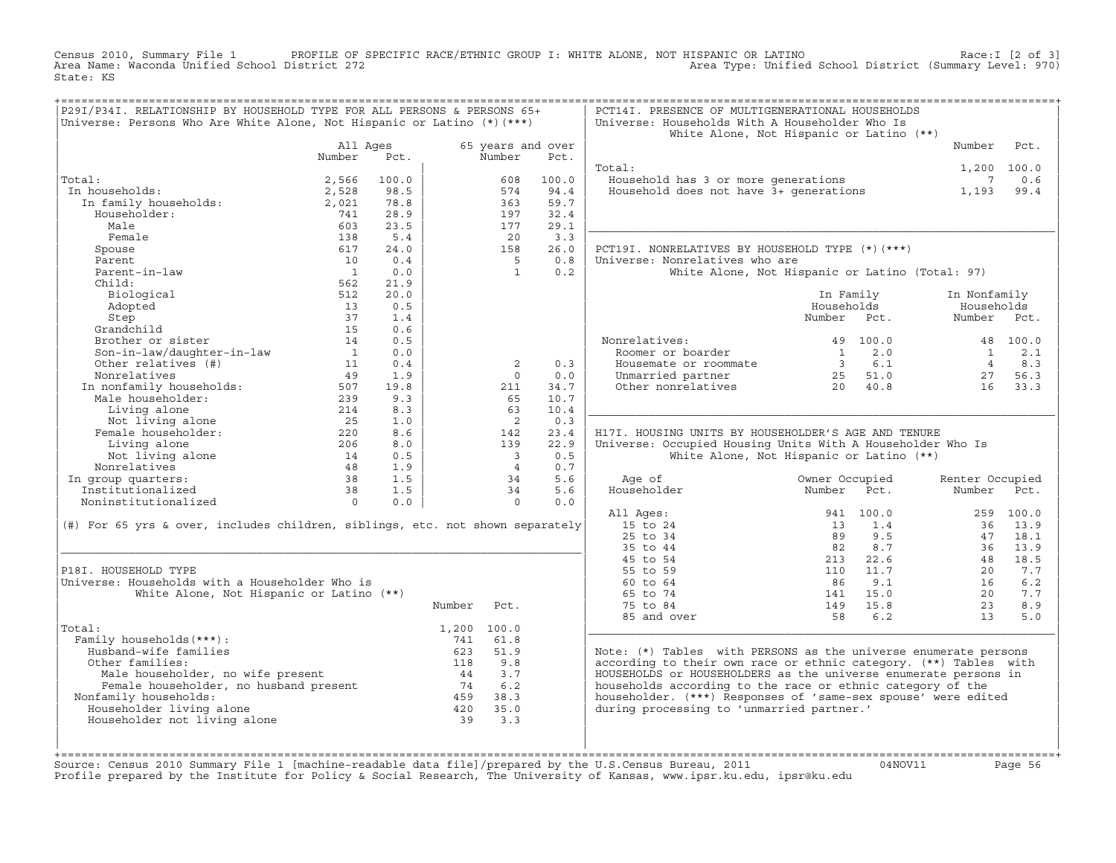Census 2010, Summary File 1 PROFILE OF SPECIFIC RACE/ETHNIC GROUP I: WHITE ALONE, NOT HISPANIC OR LATINO Race:I [2 of 3] Area Name: Waconda Unified School District 272 Area Type: Unified School District (Summary Level: 970) State: KS

| P29I/P34I. RELATIONSHIP BY HOUSEHOLD TYPE FOR ALL PERSONS & PERSONS 65+<br>Universe: Persons Who Are White Alone, Not Hispanic or Latino $(*)$ (***) |                                                                |            |                   |                          |             | PCT14I. PRESENCE OF MULTIGENERATIONAL HOUSEHOLDS<br>Universe: Households With A Householder Who Is |                                                 |                 |             |
|------------------------------------------------------------------------------------------------------------------------------------------------------|----------------------------------------------------------------|------------|-------------------|--------------------------|-------------|----------------------------------------------------------------------------------------------------|-------------------------------------------------|-----------------|-------------|
|                                                                                                                                                      |                                                                |            |                   |                          |             |                                                                                                    | White Alone, Not Hispanic or Latino (**)        |                 |             |
|                                                                                                                                                      | All Ages                                                       |            | 65 years and over |                          |             |                                                                                                    | Number                                          | Pct.            |             |
|                                                                                                                                                      | Number                                                         | Pct.       |                   | Number                   | Pct.        |                                                                                                    |                                                 |                 |             |
|                                                                                                                                                      |                                                                |            |                   |                          |             | Total:                                                                                             |                                                 |                 | 1,200 100.0 |
| Total:                                                                                                                                               | 2,566                                                          | 100.0      |                   | 608                      | 100.0       | Household has 3 or more generations                                                                |                                                 | 7               | 0.6         |
| In households:                                                                                                                                       | 2,528                                                          | 98.5       |                   | 574                      | 94.4        | Household does not have 3+ generations                                                             |                                                 | 1,193           | 99.4        |
| In family households:                                                                                                                                | 2,021                                                          | 78.8       |                   | 363                      | 59.7        |                                                                                                    |                                                 |                 |             |
| Householder:                                                                                                                                         | 741                                                            | 28.9       |                   | 197                      | 32.4        |                                                                                                    |                                                 |                 |             |
| Male                                                                                                                                                 | 603                                                            | 23.5       |                   | 177                      | 29.1        |                                                                                                    |                                                 |                 |             |
| Female                                                                                                                                               | 138                                                            | 5.4        |                   | 20                       | 3.3         |                                                                                                    |                                                 |                 |             |
| Spouse                                                                                                                                               | 617                                                            | 24.0       |                   | 158                      | 26.0        | PCT19I. NONRELATIVES BY HOUSEHOLD TYPE (*) (***)                                                   |                                                 |                 |             |
| Parent                                                                                                                                               | 10                                                             | 0.4        |                   | $5^{\circ}$              | 0.8         | Universe: Nonrelatives who are                                                                     |                                                 |                 |             |
| Parent-in-law                                                                                                                                        | $\overline{1}$                                                 | 0.0        |                   | $\overline{1}$           | 0.2         |                                                                                                    | White Alone, Not Hispanic or Latino (Total: 97) |                 |             |
| Child:                                                                                                                                               | 562                                                            | 21.9       |                   |                          |             |                                                                                                    |                                                 |                 |             |
| Biological                                                                                                                                           | 512                                                            | 20.0       |                   |                          |             |                                                                                                    | In Family                                       | In Nonfamily    |             |
| Adopted                                                                                                                                              | 13                                                             | 0.5        |                   |                          |             |                                                                                                    | Households                                      | Households      |             |
| Step                                                                                                                                                 | 37                                                             | 1.4        |                   |                          |             |                                                                                                    | Number<br>Pct.                                  | Number          | Pct.        |
| Grandchild                                                                                                                                           | 15                                                             | 0.6        |                   |                          |             |                                                                                                    |                                                 |                 |             |
| Brother or sister                                                                                                                                    | 14                                                             | 0.5        |                   |                          |             | Nonrelatives:                                                                                      | 49 100.0                                        |                 | 48 100.0    |
| Son-in-law/daughter-in-law                                                                                                                           | $\sim$ 1                                                       | 0.0        |                   |                          |             | Roomer or boarder                                                                                  | 2.0<br>$\overline{1}$                           | $\mathbf{1}$    | 2.1         |
| Other relatives (#)                                                                                                                                  | 11                                                             | 0.4        |                   | 2                        | 0.3         | Housemate or roommate                                                                              | 3 6.1                                           | 4               | 8.3         |
| Nonrelatives                                                                                                                                         | 49                                                             | 1.9        |                   | $\Omega$                 | 0.0         | Unmarried partner                                                                                  | $25$ $51.0$<br>$20$ $40.8$                      | 27              | 56.3        |
| In nonfamily households:<br>Male householder: 507<br>239<br>214                                                                                      |                                                                | 19.8       |                   | 211                      | 34.7        | Other nonrelatives                                                                                 |                                                 | 16              | 33.3        |
|                                                                                                                                                      |                                                                | 9.3        |                   | 65                       | 10.7        |                                                                                                    |                                                 |                 |             |
| Living alone                                                                                                                                         | 214                                                            | 8.3        |                   | 63                       | 10.4        |                                                                                                    |                                                 |                 |             |
| Not living alone<br>Female householder:                                                                                                              |                                                                | 1.0<br>8.6 |                   | $\overline{2}$           | 0.3<br>23.4 | H17I. HOUSING UNITS BY HOUSEHOLDER'S AGE AND TENURE                                                |                                                 |                 |             |
| Living alone                                                                                                                                         | $\begin{array}{c}\n 220 \\  206 \\  \hline\n 56\n \end{array}$ | 8.0        |                   | 142<br>139               | 22.9        |                                                                                                    |                                                 |                 |             |
| Not living alone                                                                                                                                     | 14                                                             | 0.5        |                   | $\overline{\phantom{a}}$ | 0.5         | Universe: Occupied Housing Units With A Householder Who Is                                         | White Alone, Not Hispanic or Latino (**)        |                 |             |
| Nonrelatives                                                                                                                                         | 48                                                             | 1.9        |                   | $\overline{4}$           | 0.7         |                                                                                                    |                                                 |                 |             |
| In group quarters:                                                                                                                                   | 38                                                             | 1.5        |                   | 34                       | 5.6         | Age of                                                                                             | Owner Occupied                                  | Renter Occupied |             |
| Institutionalized                                                                                                                                    | 38                                                             | 1.5        |                   | 34                       | 5.6         | Householder                                                                                        | Number<br>Pct.                                  | Number          | Pct.        |
| Noninstitutionalized                                                                                                                                 | $\Omega$                                                       | 0.0        |                   | $\Omega$                 | 0.0         |                                                                                                    |                                                 |                 |             |
|                                                                                                                                                      |                                                                |            |                   |                          |             | All Ages:                                                                                          | 941 100.0                                       |                 | 259 100.0   |
| (#) For 65 yrs & over, includes children, siblings, etc. not shown separately                                                                        |                                                                |            |                   |                          |             | 15 to 24                                                                                           | 1.4<br>13                                       | 36              | 13.9        |
|                                                                                                                                                      |                                                                |            |                   |                          |             | 25 to 34                                                                                           | 89<br>9.5                                       | 47              | 18.1        |
|                                                                                                                                                      |                                                                |            |                   |                          |             | 35 to 44                                                                                           | 8.7<br>82                                       | 36              | 13.9        |
|                                                                                                                                                      |                                                                |            |                   |                          |             | 45 to 54                                                                                           | 213 22.6                                        | 48              | 18.5        |
| P18I. HOUSEHOLD TYPE                                                                                                                                 |                                                                |            |                   |                          |             | 55 to 59                                                                                           | 110<br>11.7                                     | 20              | 7.7         |
| Universe: Households with a Householder Who is                                                                                                       |                                                                |            |                   |                          |             | 60 to 64                                                                                           | 9.1<br>86                                       | 16              | 6.2         |
| White Alone, Not Hispanic or Latino (**)                                                                                                             |                                                                |            |                   |                          |             | 65 to 74                                                                                           | 141 15.0                                        | 20              | 7.7         |
|                                                                                                                                                      |                                                                |            | Number            | Pct.                     |             | 75 to 84                                                                                           | 149 15.8                                        | 23              | 8.9         |
|                                                                                                                                                      |                                                                |            |                   |                          |             | 85 and over                                                                                        | 6.2<br>58                                       | 13              | 5.0         |
| Total:                                                                                                                                               |                                                                |            | 1,200 100.0       |                          |             |                                                                                                    |                                                 |                 |             |
| Family households (***) :                                                                                                                            |                                                                |            | 741               | 61.8                     |             |                                                                                                    |                                                 |                 |             |
| Husband-wife families                                                                                                                                |                                                                |            | 623               | 51.9                     |             | Note: $(*)$ Tables with PERSONS as the universe enumerate persons                                  |                                                 |                 |             |
| Other families:                                                                                                                                      |                                                                |            | 118               | 9.8                      |             | according to their own race or ethnic category. (**) Tables with                                   |                                                 |                 |             |
|                                                                                                                                                      |                                                                |            |                   |                          |             | HOUSEHOLDS or HOUSEHOLDERS as the universe enumerate persons in                                    |                                                 |                 |             |
| %<br>Aler families:<br>Male householder, no wife present<br>Female householder, no husband present<br>                                               |                                                                |            |                   |                          |             | households according to the race or ethnic category of the                                         |                                                 |                 |             |
| Nonfamily households:                                                                                                                                |                                                                |            |                   |                          |             | householder. (***) Responses of 'same-sex spouse' were edited                                      |                                                 |                 |             |
| Householder living alone                                                                                                                             |                                                                |            | $\frac{420}{25}$  | 35.0                     |             | during processing to 'unmarried partner.'                                                          |                                                 |                 |             |
| Householder not living alone                                                                                                                         |                                                                |            | 39                | 3.3                      |             |                                                                                                    |                                                 |                 |             |
|                                                                                                                                                      |                                                                |            |                   |                          |             |                                                                                                    |                                                 |                 |             |
|                                                                                                                                                      |                                                                |            |                   |                          |             |                                                                                                    |                                                 |                 |             |

+===================================================================================================================================================+Source: Census 2010 Summary File 1 [machine−readable data file]/prepared by the U.S.Census Bureau, 2011 04NOV11 Page 56 Profile prepared by the Institute for Policy & Social Research, The University of Kansas, www.ipsr.ku.edu, ipsr@ku.edu